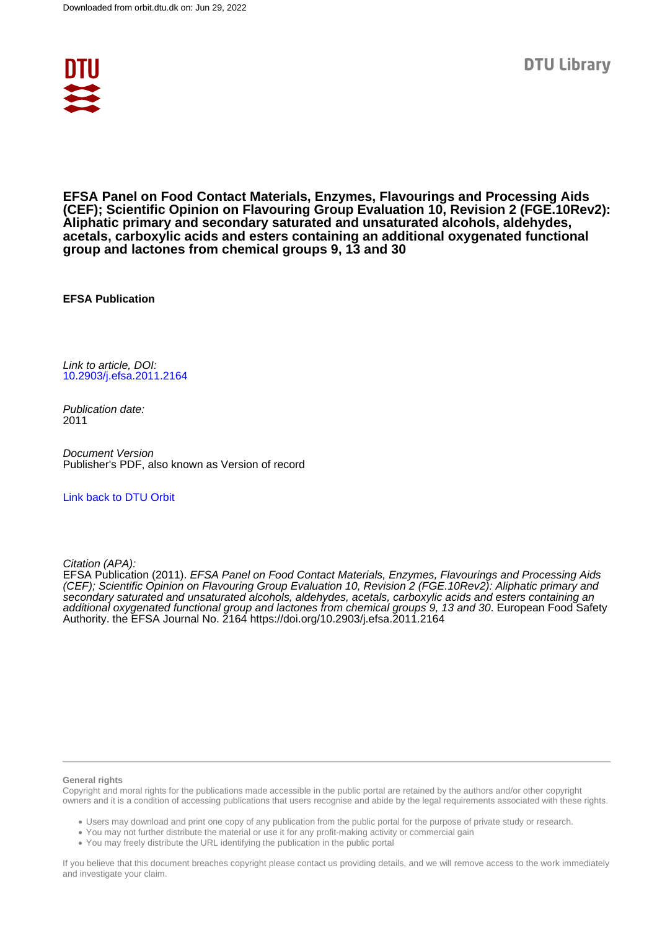

**EFSA Panel on Food Contact Materials, Enzymes, Flavourings and Processing Aids (CEF); Scientific Opinion on Flavouring Group Evaluation 10, Revision 2 (FGE.10Rev2): Aliphatic primary and secondary saturated and unsaturated alcohols, aldehydes, acetals, carboxylic acids and esters containing an additional oxygenated functional group and lactones from chemical groups 9, 13 and 30**

**EFSA Publication**

Link to article, DOI: [10.2903/j.efsa.2011.2164](https://doi.org/10.2903/j.efsa.2011.2164)

Publication date: 2011

Document Version Publisher's PDF, also known as Version of record

#### [Link back to DTU Orbit](https://orbit.dtu.dk/en/publications/68784981-5df0-45e5-99f1-d96307243863)

Citation (APA):

EFSA Publication (2011). EFSA Panel on Food Contact Materials, Enzymes, Flavourings and Processing Aids (CEF); Scientific Opinion on Flavouring Group Evaluation 10, Revision 2 (FGE.10Rev2): Aliphatic primary and secondary saturated and unsaturated alcohols, aldehydes, acetals, carboxylic acids and esters containing an additional oxygenated functional group and lactones from chemical groups 9, 13 and 30. European Food Safety Authority. the EFSA Journal No. 2164 <https://doi.org/10.2903/j.efsa.2011.2164>

#### **General rights**

Copyright and moral rights for the publications made accessible in the public portal are retained by the authors and/or other copyright owners and it is a condition of accessing publications that users recognise and abide by the legal requirements associated with these rights.

Users may download and print one copy of any publication from the public portal for the purpose of private study or research.

- You may not further distribute the material or use it for any profit-making activity or commercial gain
- You may freely distribute the URL identifying the publication in the public portal

If you believe that this document breaches copyright please contact us providing details, and we will remove access to the work immediately and investigate your claim.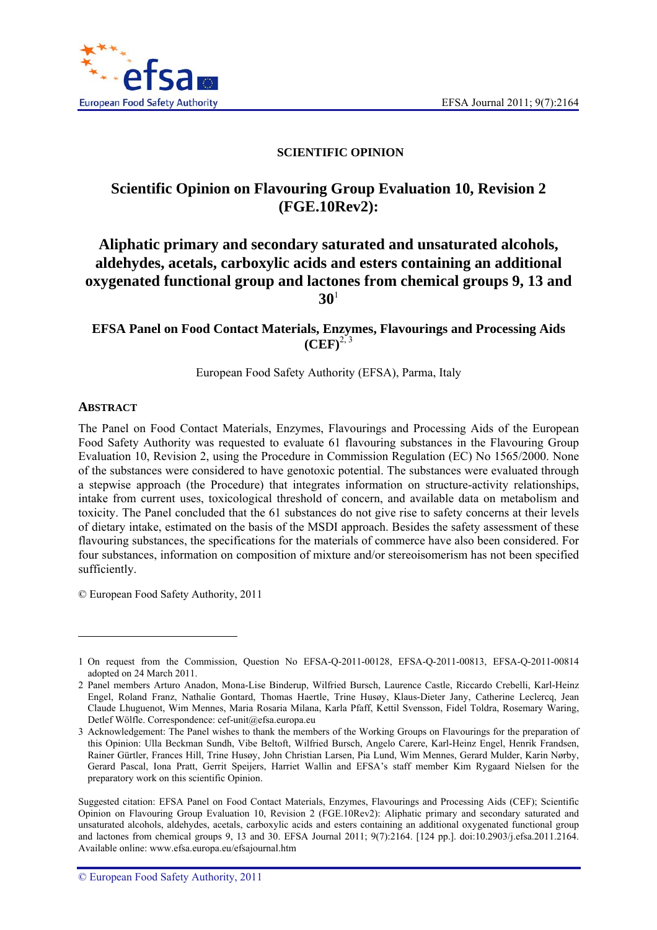

# **SCIENTIFIC OPINION**

# **Scientific Opinion on Flavouring Group Evaluation 10, Revision 2 (FGE.10Rev2):**

# **Aliphatic primary and secondary saturated and unsaturated alcohols, aldehydes, acetals, carboxylic acids and esters containing an additional oxygenated functional group and lactones from chemical groups 9, 13 and 30**<sup>1</sup>

# **EFSA Panel on Food Contact Materials, Enzymes, Flavourings and Processing Aids**   $(CEF)^{2,3}$

European Food Safety Authority (EFSA), Parma, Italy

## **ABSTRACT**

l

The Panel on Food Contact Materials, Enzymes, Flavourings and Processing Aids of the European Food Safety Authority was requested to evaluate 61 flavouring substances in the Flavouring Group Evaluation 10, Revision 2, using the Procedure in Commission Regulation (EC) No 1565/2000. None of the substances were considered to have genotoxic potential. The substances were evaluated through a stepwise approach (the Procedure) that integrates information on structure-activity relationships, intake from current uses, toxicological threshold of concern, and available data on metabolism and toxicity. The Panel concluded that the 61 substances do not give rise to safety concerns at their levels of dietary intake, estimated on the basis of the MSDI approach. Besides the safety assessment of these flavouring substances, the specifications for the materials of commerce have also been considered. For four substances, information on composition of mixture and/or stereoisomerism has not been specified sufficiently.

© European Food Safety Authority, 2011

<sup>1</sup> On request from the Commission, Question No EFSA-Q-2011-00128, EFSA-Q-2011-00813, EFSA-Q-2011-00814 adopted on 24 March 2011.

<sup>2</sup> Panel members Arturo Anadon, Mona-Lise Binderup, Wilfried Bursch, Laurence Castle, Riccardo Crebelli, Karl-Heinz Engel, Roland Franz, Nathalie Gontard, Thomas Haertle, Trine Husøy, Klaus-Dieter Jany, Catherine Leclercq, Jean Claude Lhuguenot, Wim Mennes, Maria Rosaria Milana, Karla Pfaff, Kettil Svensson, Fidel Toldra, Rosemary Waring, Detlef Wölfle. Correspondence: cef-unit@efsa.europa.eu

<sup>3</sup> Acknowledgement: The Panel wishes to thank the members of the Working Groups on Flavourings for the preparation of this Opinion: Ulla Beckman Sundh, Vibe Beltoft, Wilfried Bursch, Angelo Carere, Karl-Heinz Engel, Henrik Frandsen, Rainer Gürtler, Frances Hill, Trine Husøy, John Christian Larsen, Pia Lund, Wim Mennes, Gerard Mulder, Karin Nørby, Gerard Pascal, Iona Pratt, Gerrit Speijers, Harriet Wallin and EFSA's staff member Kim Rygaard Nielsen for the preparatory work on this scientific Opinion.

Suggested citation: EFSA Panel on Food Contact Materials, Enzymes, Flavourings and Processing Aids (CEF); Scientific Opinion on Flavouring Group Evaluation 10, Revision 2 (FGE.10Rev2): Aliphatic primary and secondary saturated and unsaturated alcohols, aldehydes, acetals, carboxylic acids and esters containing an additional oxygenated functional group and lactones from chemical groups 9, 13 and 30. EFSA Journal 2011; 9(7):2164. [124 pp.]. doi:10.2903/j.efsa.2011.2164. Available online: www.efsa.europa.eu/efsajournal.htm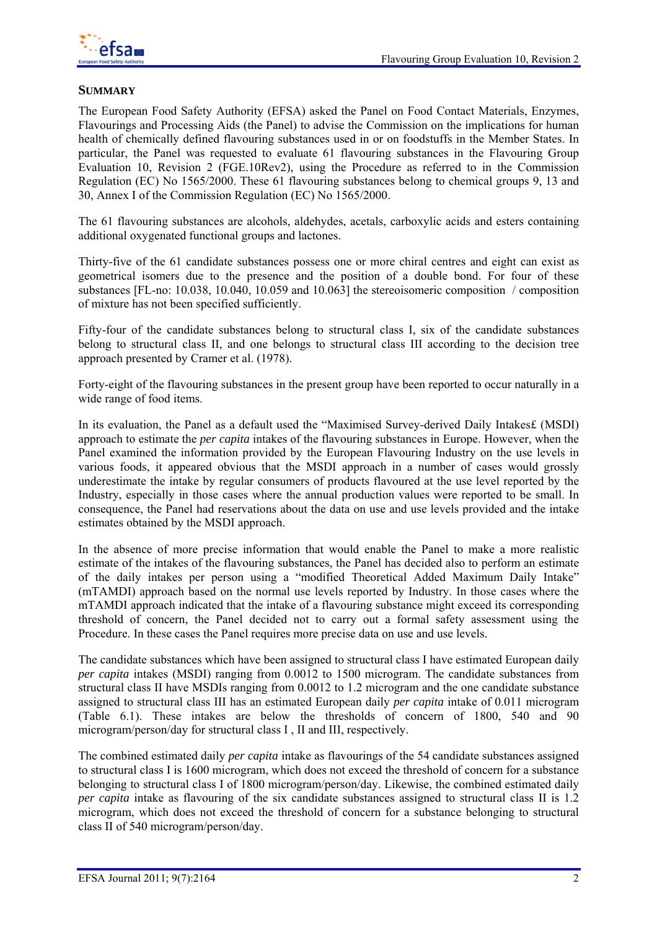

# **SUMMARY**

The European Food Safety Authority (EFSA) asked the Panel on Food Contact Materials, Enzymes, Flavourings and Processing Aids (the Panel) to advise the Commission on the implications for human health of chemically defined flavouring substances used in or on foodstuffs in the Member States. In particular, the Panel was requested to evaluate 61 flavouring substances in the Flavouring Group Evaluation 10, Revision 2 (FGE.10Rev2), using the Procedure as referred to in the Commission Regulation (EC) No 1565/2000. These 61 flavouring substances belong to chemical groups 9, 13 and 30, Annex I of the Commission Regulation (EC) No 1565/2000.

The 61 flavouring substances are alcohols, aldehydes, acetals, carboxylic acids and esters containing additional oxygenated functional groups and lactones.

Thirty-five of the 61 candidate substances possess one or more chiral centres and eight can exist as geometrical isomers due to the presence and the position of a double bond. For four of these substances [FL-no: 10.038, 10.040, 10.059 and 10.063] the stereoisomeric composition / composition of mixture has not been specified sufficiently.

Fifty-four of the candidate substances belong to structural class I, six of the candidate substances belong to structural class II, and one belongs to structural class III according to the decision tree approach presented by Cramer et al. (1978).

Forty-eight of the flavouring substances in the present group have been reported to occur naturally in a wide range of food items.

In its evaluation, the Panel as a default used the "Maximised Survey-derived Daily Intakes£ (MSDI) approach to estimate the *per capita* intakes of the flavouring substances in Europe. However, when the Panel examined the information provided by the European Flavouring Industry on the use levels in various foods, it appeared obvious that the MSDI approach in a number of cases would grossly underestimate the intake by regular consumers of products flavoured at the use level reported by the Industry, especially in those cases where the annual production values were reported to be small. In consequence, the Panel had reservations about the data on use and use levels provided and the intake estimates obtained by the MSDI approach.

In the absence of more precise information that would enable the Panel to make a more realistic estimate of the intakes of the flavouring substances, the Panel has decided also to perform an estimate of the daily intakes per person using a "modified Theoretical Added Maximum Daily Intake" (mTAMDI) approach based on the normal use levels reported by Industry. In those cases where the mTAMDI approach indicated that the intake of a flavouring substance might exceed its corresponding threshold of concern, the Panel decided not to carry out a formal safety assessment using the Procedure. In these cases the Panel requires more precise data on use and use levels.

The candidate substances which have been assigned to structural class I have estimated European daily *per capita* intakes (MSDI) ranging from 0.0012 to 1500 microgram. The candidate substances from structural class II have MSDIs ranging from 0.0012 to 1.2 microgram and the one candidate substance assigned to structural class III has an estimated European daily *per capita* intake of 0.011 microgram (Table 6.1). These intakes are below the thresholds of concern of 1800, 540 and 90 microgram/person/day for structural class I , II and III, respectively.

The combined estimated daily *per capita* intake as flavourings of the 54 candidate substances assigned to structural class I is 1600 microgram, which does not exceed the threshold of concern for a substance belonging to structural class I of 1800 microgram/person/day. Likewise, the combined estimated daily *per capita* intake as flavouring of the six candidate substances assigned to structural class II is 1.2 microgram, which does not exceed the threshold of concern for a substance belonging to structural class II of 540 microgram/person/day.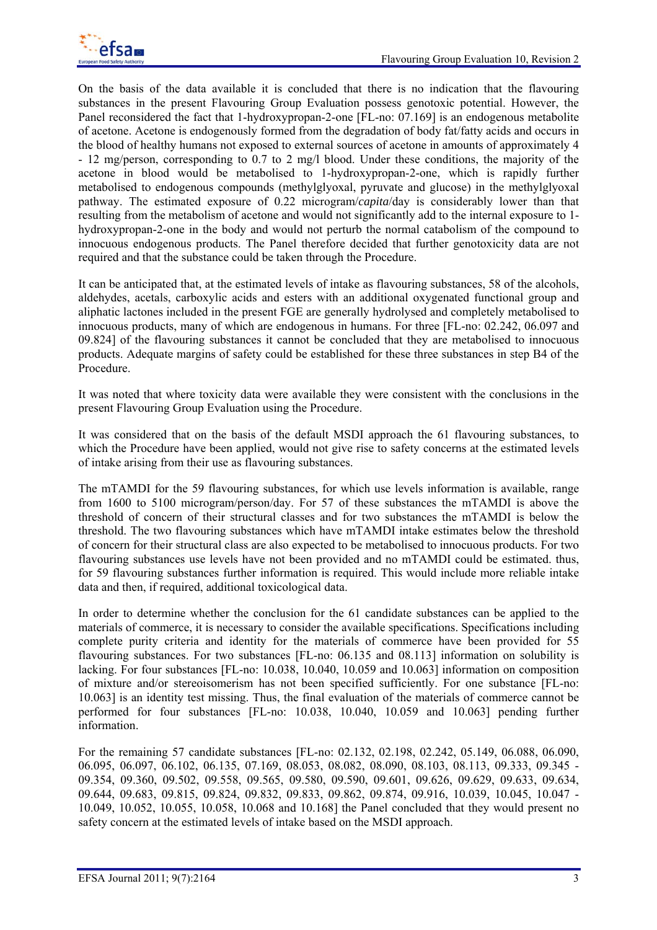

On the basis of the data available it is concluded that there is no indication that the flavouring substances in the present Flavouring Group Evaluation possess genotoxic potential. However, the Panel reconsidered the fact that 1-hydroxypropan-2-one [FL-no: 07.169] is an endogenous metabolite of acetone. Acetone is endogenously formed from the degradation of body fat/fatty acids and occurs in the blood of healthy humans not exposed to external sources of acetone in amounts of approximately 4 - 12 mg/person, corresponding to 0.7 to 2 mg/l blood. Under these conditions, the majority of the acetone in blood would be metabolised to 1-hydroxypropan-2-one, which is rapidly further metabolised to endogenous compounds (methylglyoxal, pyruvate and glucose) in the methylglyoxal pathway. The estimated exposure of 0.22 microgram/*capita*/day is considerably lower than that resulting from the metabolism of acetone and would not significantly add to the internal exposure to 1 hydroxypropan-2-one in the body and would not perturb the normal catabolism of the compound to innocuous endogenous products. The Panel therefore decided that further genotoxicity data are not required and that the substance could be taken through the Procedure.

It can be anticipated that, at the estimated levels of intake as flavouring substances, 58 of the alcohols, aldehydes, acetals, carboxylic acids and esters with an additional oxygenated functional group and aliphatic lactones included in the present FGE are generally hydrolysed and completely metabolised to innocuous products, many of which are endogenous in humans. For three [FL-no: 02.242, 06.097 and 09.824] of the flavouring substances it cannot be concluded that they are metabolised to innocuous products. Adequate margins of safety could be established for these three substances in step B4 of the Procedure.

It was noted that where toxicity data were available they were consistent with the conclusions in the present Flavouring Group Evaluation using the Procedure.

It was considered that on the basis of the default MSDI approach the 61 flavouring substances, to which the Procedure have been applied, would not give rise to safety concerns at the estimated levels of intake arising from their use as flavouring substances.

The mTAMDI for the 59 flavouring substances, for which use levels information is available, range from 1600 to 5100 microgram/person/day. For 57 of these substances the mTAMDI is above the threshold of concern of their structural classes and for two substances the mTAMDI is below the threshold. The two flavouring substances which have mTAMDI intake estimates below the threshold of concern for their structural class are also expected to be metabolised to innocuous products. For two flavouring substances use levels have not been provided and no mTAMDI could be estimated. thus, for 59 flavouring substances further information is required. This would include more reliable intake data and then, if required, additional toxicological data.

In order to determine whether the conclusion for the 61 candidate substances can be applied to the materials of commerce, it is necessary to consider the available specifications. Specifications including complete purity criteria and identity for the materials of commerce have been provided for 55 flavouring substances. For two substances [FL-no: 06.135 and 08.113] information on solubility is lacking. For four substances [FL-no: 10.038, 10.040, 10.059 and 10.063] information on composition of mixture and/or stereoisomerism has not been specified sufficiently. For one substance [FL-no: 10.063] is an identity test missing. Thus, the final evaluation of the materials of commerce cannot be performed for four substances [FL-no: 10.038, 10.040, 10.059 and 10.063] pending further information.

For the remaining 57 candidate substances [FL-no: 02.132, 02.198, 02.242, 05.149, 06.088, 06.090, 06.095, 06.097, 06.102, 06.135, 07.169, 08.053, 08.082, 08.090, 08.103, 08.113, 09.333, 09.345 - 09.354, 09.360, 09.502, 09.558, 09.565, 09.580, 09.590, 09.601, 09.626, 09.629, 09.633, 09.634, 09.644, 09.683, 09.815, 09.824, 09.832, 09.833, 09.862, 09.874, 09.916, 10.039, 10.045, 10.047 - 10.049, 10.052, 10.055, 10.058, 10.068 and 10.168] the Panel concluded that they would present no safety concern at the estimated levels of intake based on the MSDI approach.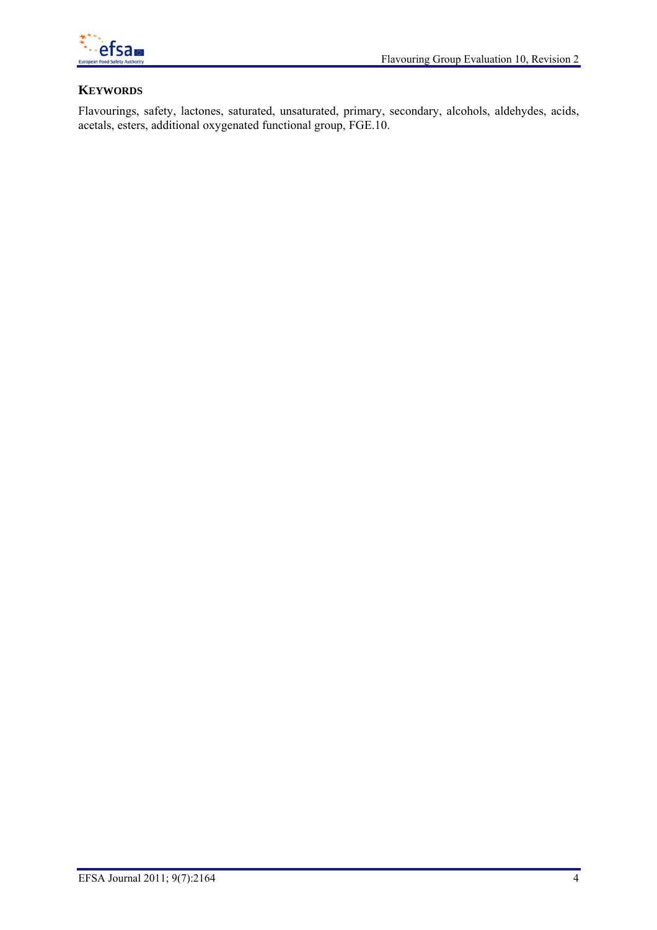

# **KEYWORDS**

Flavourings, safety, lactones, saturated, unsaturated, primary, secondary, alcohols, aldehydes, acids, acetals, esters, additional oxygenated functional group, FGE.10.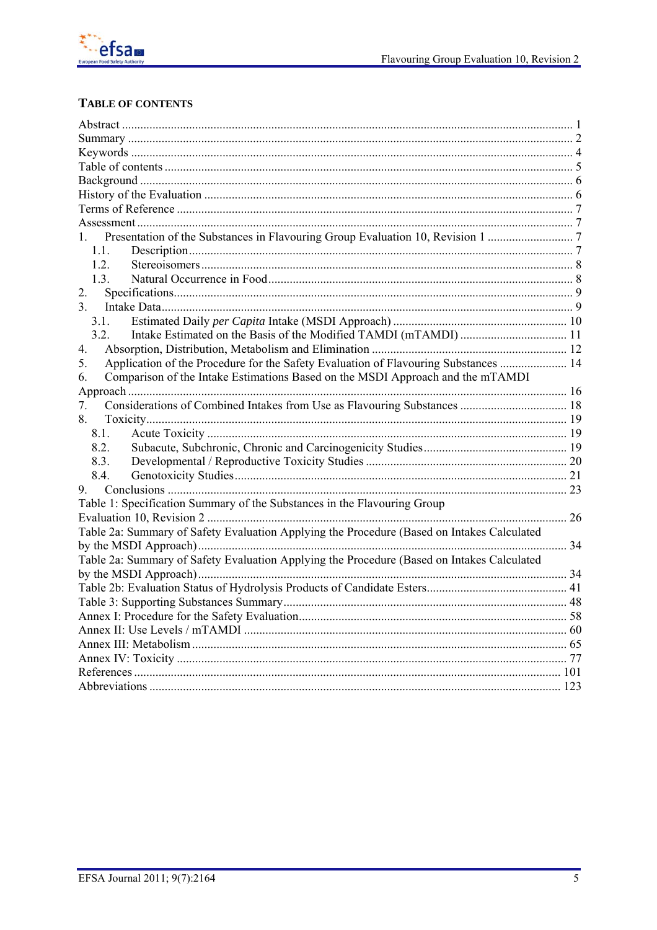

# TABLE OF CONTENTS

| $\mathbf{1}$                                                                               |  |
|--------------------------------------------------------------------------------------------|--|
| 1.1.                                                                                       |  |
| 1.2.                                                                                       |  |
| 1.3.                                                                                       |  |
| 2.                                                                                         |  |
| 3.                                                                                         |  |
| 3.1                                                                                        |  |
| 3.2.                                                                                       |  |
| 4.                                                                                         |  |
| Application of the Procedure for the Safety Evaluation of Flavouring Substances  14<br>5.  |  |
| Comparison of the Intake Estimations Based on the MSDI Approach and the mTAMDI<br>6.       |  |
|                                                                                            |  |
| 7.                                                                                         |  |
| 8.                                                                                         |  |
| 8.1.                                                                                       |  |
| 8.2.                                                                                       |  |
| 8.3.                                                                                       |  |
| 8.4.                                                                                       |  |
| 9.                                                                                         |  |
| Table 1: Specification Summary of the Substances in the Flavouring Group                   |  |
|                                                                                            |  |
| Table 2a: Summary of Safety Evaluation Applying the Procedure (Based on Intakes Calculated |  |
|                                                                                            |  |
| Table 2a: Summary of Safety Evaluation Applying the Procedure (Based on Intakes Calculated |  |
|                                                                                            |  |
|                                                                                            |  |
|                                                                                            |  |
|                                                                                            |  |
|                                                                                            |  |
|                                                                                            |  |
|                                                                                            |  |
|                                                                                            |  |
|                                                                                            |  |
|                                                                                            |  |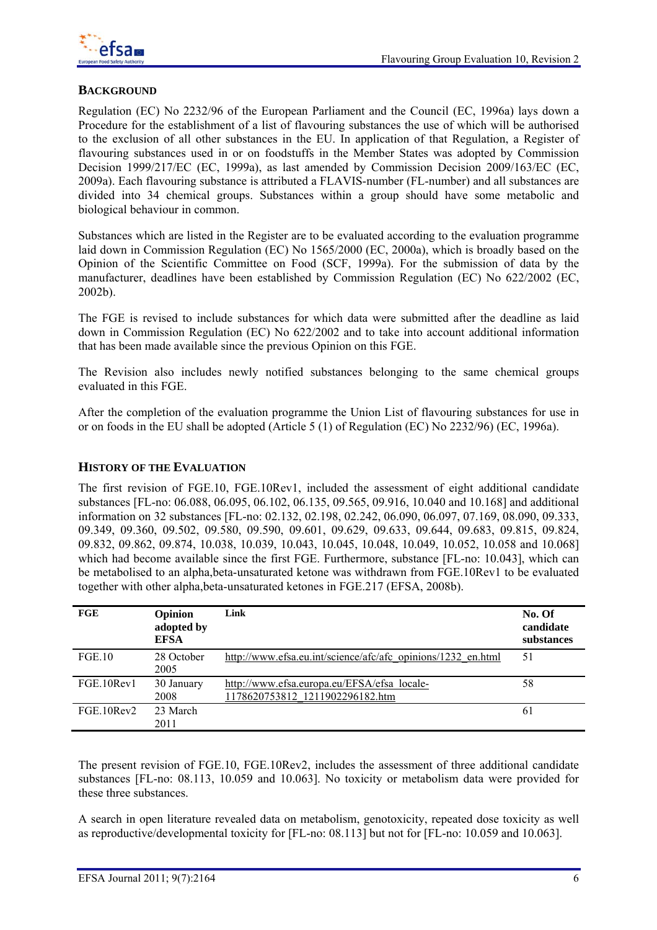

# **BACKGROUND**

Regulation (EC) No 2232/96 of the European Parliament and the Council (EC, 1996a) lays down a Procedure for the establishment of a list of flavouring substances the use of which will be authorised to the exclusion of all other substances in the EU. In application of that Regulation, a Register of flavouring substances used in or on foodstuffs in the Member States was adopted by Commission Decision 1999/217/EC (EC, 1999a), as last amended by Commission Decision 2009/163/EC (EC, 2009a). Each flavouring substance is attributed a FLAVIS-number (FL-number) and all substances are divided into 34 chemical groups. Substances within a group should have some metabolic and biological behaviour in common.

Substances which are listed in the Register are to be evaluated according to the evaluation programme laid down in Commission Regulation (EC) No 1565/2000 (EC, 2000a), which is broadly based on the Opinion of the Scientific Committee on Food (SCF, 1999a). For the submission of data by the manufacturer, deadlines have been established by Commission Regulation (EC) No 622/2002 (EC, 2002b).

The FGE is revised to include substances for which data were submitted after the deadline as laid down in Commission Regulation (EC) No 622/2002 and to take into account additional information that has been made available since the previous Opinion on this FGE.

The Revision also includes newly notified substances belonging to the same chemical groups evaluated in this FGE.

After the completion of the evaluation programme the Union List of flavouring substances for use in or on foods in the EU shall be adopted (Article 5 (1) of Regulation (EC) No 2232/96) (EC, 1996a).

## **HISTORY OF THE EVALUATION**

The first revision of FGE.10, FGE.10Rev1, included the assessment of eight additional candidate substances [FL-no: 06.088, 06.095, 06.102, 06.135, 09.565, 09.916, 10.040 and 10.168] and additional information on 32 substances [FL-no: 02.132, 02.198, 02.242, 06.090, 06.097, 07.169, 08.090, 09.333, 09.349, 09.360, 09.502, 09.580, 09.590, 09.601, 09.629, 09.633, 09.644, 09.683, 09.815, 09.824, 09.832, 09.862, 09.874, 10.038, 10.039, 10.043, 10.045, 10.048, 10.049, 10.052, 10.058 and 10.068] which had become available since the first FGE. Furthermore, substance [FL-no: 10.043], which can be metabolised to an alpha,beta-unsaturated ketone was withdrawn from FGE.10Rev1 to be evaluated together with other alpha,beta-unsaturated ketones in FGE.217 (EFSA, 2008b).

| FGE        | Opinion<br>adopted by<br><b>EFSA</b> | Link                                                                           | No. Of<br>candidate<br>substances |
|------------|--------------------------------------|--------------------------------------------------------------------------------|-----------------------------------|
| FGE.10     | 28 October<br>2005                   | http://www.efsa.eu.int/science/afc/afc opinions/1232 en.html                   | 51                                |
| FGE.10Rev1 | 30 January<br>2008                   | http://www.efsa.europa.eu/EFSA/efsa locale-<br>1178620753812 1211902296182.htm | 58                                |
| FGE.10Rev2 | 23 March<br>2011                     |                                                                                | 61                                |

The present revision of FGE.10, FGE.10Rev2, includes the assessment of three additional candidate substances [FL-no: 08.113, 10.059 and 10.063]. No toxicity or metabolism data were provided for these three substances.

A search in open literature revealed data on metabolism, genotoxicity, repeated dose toxicity as well as reproductive/developmental toxicity for [FL-no: 08.113] but not for [FL-no: 10.059 and 10.063].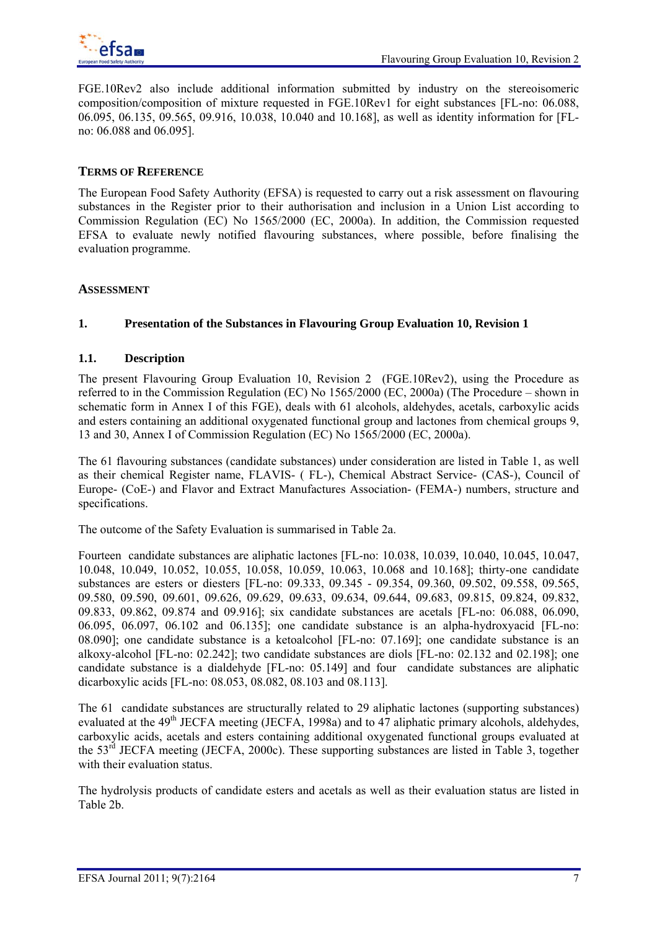

FGE.10Rev2 also include additional information submitted by industry on the stereoisomeric composition/composition of mixture requested in FGE.10Rev1 for eight substances [FL-no: 06.088, 06.095, 06.135, 09.565, 09.916, 10.038, 10.040 and 10.168], as well as identity information for [FLno: 06.088 and 06.095].

## **TERMS OF REFERENCE**

The European Food Safety Authority (EFSA) is requested to carry out a risk assessment on flavouring substances in the Register prior to their authorisation and inclusion in a Union List according to Commission Regulation (EC) No 1565/2000 (EC, 2000a). In addition, the Commission requested EFSA to evaluate newly notified flavouring substances, where possible, before finalising the evaluation programme.

## **ASSESSMENT**

## **1. Presentation of the Substances in Flavouring Group Evaluation 10, Revision 1**

## **1.1. Description**

The present Flavouring Group Evaluation 10, Revision 2 (FGE.10Rev2), using the Procedure as referred to in the Commission Regulation (EC) No 1565/2000 (EC, 2000a) (The Procedure – shown in schematic form in Annex I of this FGE), deals with 61 alcohols, aldehydes, acetals, carboxylic acids and esters containing an additional oxygenated functional group and lactones from chemical groups 9, 13 and 30, Annex I of Commission Regulation (EC) No 1565/2000 (EC, 2000a).

The 61 flavouring substances (candidate substances) under consideration are listed in Table 1, as well as their chemical Register name, FLAVIS- ( FL-), Chemical Abstract Service- (CAS-), Council of Europe- (CoE-) and Flavor and Extract Manufactures Association- (FEMA-) numbers, structure and specifications.

The outcome of the Safety Evaluation is summarised in Table 2a.

Fourteen candidate substances are aliphatic lactones [FL-no: 10.038, 10.039, 10.040, 10.045, 10.047, 10.048, 10.049, 10.052, 10.055, 10.058, 10.059, 10.063, 10.068 and 10.168]; thirty-one candidate substances are esters or diesters [FL-no: 09.333, 09.345 - 09.354, 09.360, 09.502, 09.558, 09.565, 09.580, 09.590, 09.601, 09.626, 09.629, 09.633, 09.634, 09.644, 09.683, 09.815, 09.824, 09.832, 09.833, 09.862, 09.874 and 09.916]; six candidate substances are acetals [FL-no: 06.088, 06.090, 06.095, 06.097, 06.102 and 06.135]; one candidate substance is an alpha-hydroxyacid [FL-no: 08.090]; one candidate substance is a ketoalcohol [FL-no: 07.169]; one candidate substance is an alkoxy-alcohol [FL-no: 02.242]; two candidate substances are diols [FL-no: 02.132 and 02.198]; one candidate substance is a dialdehyde [FL-no: 05.149] and four candidate substances are aliphatic dicarboxylic acids [FL-no: 08.053, 08.082, 08.103 and 08.113].

The 61 candidate substances are structurally related to 29 aliphatic lactones (supporting substances) evaluated at the  $49<sup>th</sup>$  JECFA meeting (JECFA, 1998a) and to  $47$  aliphatic primary alcohols, aldehydes, carboxylic acids, acetals and esters containing additional oxygenated functional groups evaluated at the 53<sup>rd</sup> JECFA meeting (JECFA, 2000c). These supporting substances are listed in Table 3, together with their evaluation status.

The hydrolysis products of candidate esters and acetals as well as their evaluation status are listed in Table 2b.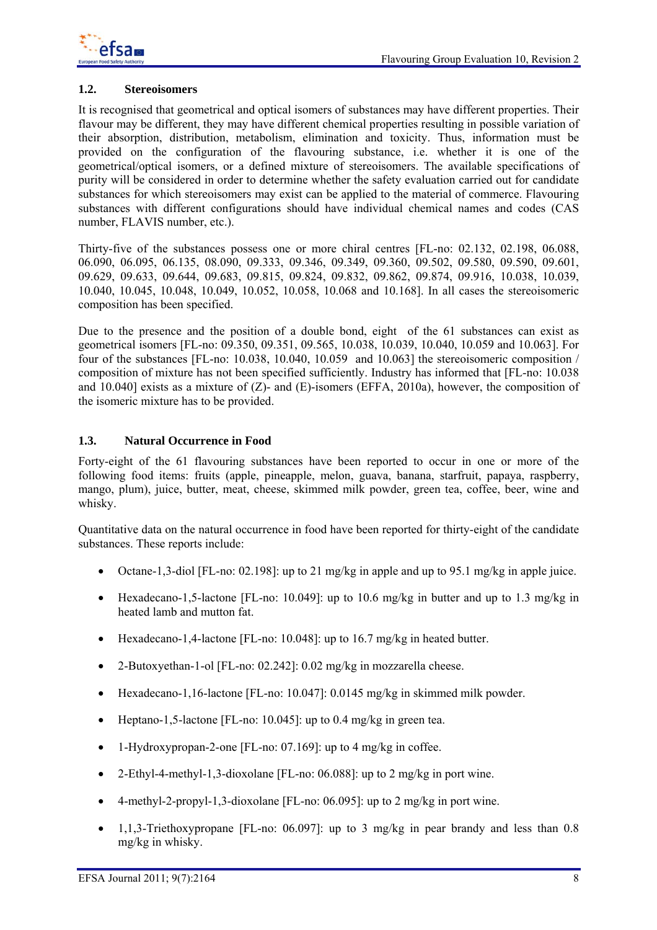

## **1.2. Stereoisomers**

It is recognised that geometrical and optical isomers of substances may have different properties. Their flavour may be different, they may have different chemical properties resulting in possible variation of their absorption, distribution, metabolism, elimination and toxicity. Thus, information must be provided on the configuration of the flavouring substance, i.e. whether it is one of the geometrical/optical isomers, or a defined mixture of stereoisomers. The available specifications of purity will be considered in order to determine whether the safety evaluation carried out for candidate substances for which stereoisomers may exist can be applied to the material of commerce. Flavouring substances with different configurations should have individual chemical names and codes (CAS number, FLAVIS number, etc.).

Thirty-five of the substances possess one or more chiral centres [FL-no: 02.132, 02.198, 06.088, 06.090, 06.095, 06.135, 08.090, 09.333, 09.346, 09.349, 09.360, 09.502, 09.580, 09.590, 09.601, 09.629, 09.633, 09.644, 09.683, 09.815, 09.824, 09.832, 09.862, 09.874, 09.916, 10.038, 10.039, 10.040, 10.045, 10.048, 10.049, 10.052, 10.058, 10.068 and 10.168]. In all cases the stereoisomeric composition has been specified.

Due to the presence and the position of a double bond, eight of the 61 substances can exist as geometrical isomers [FL-no: 09.350, 09.351, 09.565, 10.038, 10.039, 10.040, 10.059 and 10.063]. For four of the substances [FL-no: 10.038, 10.040, 10.059 and 10.063] the stereoisomeric composition / composition of mixture has not been specified sufficiently. Industry has informed that [FL-no: 10.038 and  $10.040$ ] exists as a mixture of (Z)- and (E)-isomers (EFFA, 2010a), however, the composition of the isomeric mixture has to be provided.

## **1.3. Natural Occurrence in Food**

Forty-eight of the 61 flavouring substances have been reported to occur in one or more of the following food items: fruits (apple, pineapple, melon, guava, banana, starfruit, papaya, raspberry, mango, plum), juice, butter, meat, cheese, skimmed milk powder, green tea, coffee, beer, wine and whisky.

Quantitative data on the natural occurrence in food have been reported for thirty-eight of the candidate substances. These reports include:

- Octane-1,3-diol [FL-no: 02.198]: up to 21 mg/kg in apple and up to 95.1 mg/kg in apple juice.
- Hexadecano-1,5-lactone [FL-no: 10.049]: up to 10.6 mg/kg in butter and up to 1.3 mg/kg in heated lamb and mutton fat.
- Hexadecano-1,4-lactone [FL-no: 10.048]: up to 16.7 mg/kg in heated butter.
- 2-Butoxyethan-1-ol [FL-no: 02.242]: 0.02 mg/kg in mozzarella cheese.
- Hexadecano-1,16-lactone [FL-no: 10.047]: 0.0145 mg/kg in skimmed milk powder.
- Heptano-1,5-lactone [FL-no: 10,045]; up to 0.4 mg/kg in green tea.
- 1-Hydroxypropan-2-one [FL-no: 07.169]: up to 4 mg/kg in coffee.
- 2-Ethyl-4-methyl-1,3-dioxolane [FL-no: 06.088]: up to 2 mg/kg in port wine.
- 4-methyl-2-propyl-1,3-dioxolane [FL-no: 06.095]: up to 2 mg/kg in port wine.
- 1,1,3-Triethoxypropane [FL-no: 06.097]: up to 3 mg/kg in pear brandy and less than 0.8 mg/kg in whisky.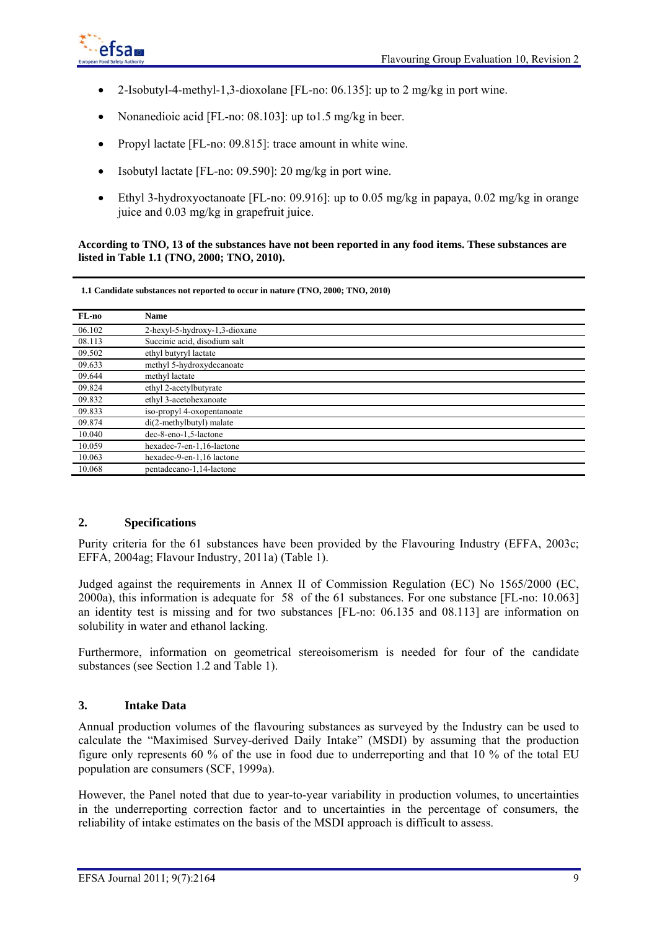

- 2-Isobutyl-4-methyl-1,3-dioxolane [FL-no: 06.135]: up to 2 mg/kg in port wine.
- Nonanedioic acid [FL-no: 08.103]: up to 1.5 mg/kg in beer.
- Propyl lactate [FL-no: 09.815]: trace amount in white wine.
- Isobutyl lactate [FL-no: 09.590]: 20 mg/kg in port wine.
- Ethyl 3-hydroxyoctanoate [FL-no: 09.916]: up to 0.05 mg/kg in papaya, 0.02 mg/kg in orange juice and 0.03 mg/kg in grapefruit juice.

**According to TNO, 13 of the substances have not been reported in any food items. These substances are listed in Table 1.1 (TNO, 2000; TNO, 2010).** 

**1.1 Candidate substances not reported to occur in nature (TNO, 2000; TNO, 2010)**

| FL-no  | <b>Name</b>                   |
|--------|-------------------------------|
| 06.102 | 2-hexyl-5-hydroxy-1,3-dioxane |
| 08.113 | Succinic acid, disodium salt  |
| 09.502 | ethyl butyryl lactate         |
| 09.633 | methyl 5-hydroxydecanoate     |
| 09.644 | methyl lactate                |
| 09.824 | ethyl 2-acetylbutyrate        |
| 09.832 | ethyl 3-acetohexanoate        |
| 09.833 | iso-propyl 4-oxopentanoate    |
| 09.874 | di(2-methylbutyl) malate      |
| 10.040 | dec-8-eno-1,5-lactone         |
| 10.059 | hexadec-7-en-1,16-lactone     |
| 10.063 | hexadec-9-en-1,16 lactone     |
| 10.068 | pentadecano-1,14-lactone      |

### **2. Specifications**

Purity criteria for the 61 substances have been provided by the Flavouring Industry (EFFA, 2003c; EFFA, 2004ag; Flavour Industry, 2011a) (Table 1).

Judged against the requirements in Annex II of Commission Regulation (EC) No 1565/2000 (EC, 2000a), this information is adequate for 58 of the 61 substances. For one substance [FL-no: 10.063] an identity test is missing and for two substances [FL-no: 06.135 and 08.113] are information on solubility in water and ethanol lacking.

Furthermore, information on geometrical stereoisomerism is needed for four of the candidate substances (see Section 1.2 and Table 1).

## **3. Intake Data**

Annual production volumes of the flavouring substances as surveyed by the Industry can be used to calculate the "Maximised Survey-derived Daily Intake" (MSDI) by assuming that the production figure only represents 60 % of the use in food due to underreporting and that 10 % of the total EU population are consumers (SCF, 1999a).

However, the Panel noted that due to year-to-year variability in production volumes, to uncertainties in the underreporting correction factor and to uncertainties in the percentage of consumers, the reliability of intake estimates on the basis of the MSDI approach is difficult to assess.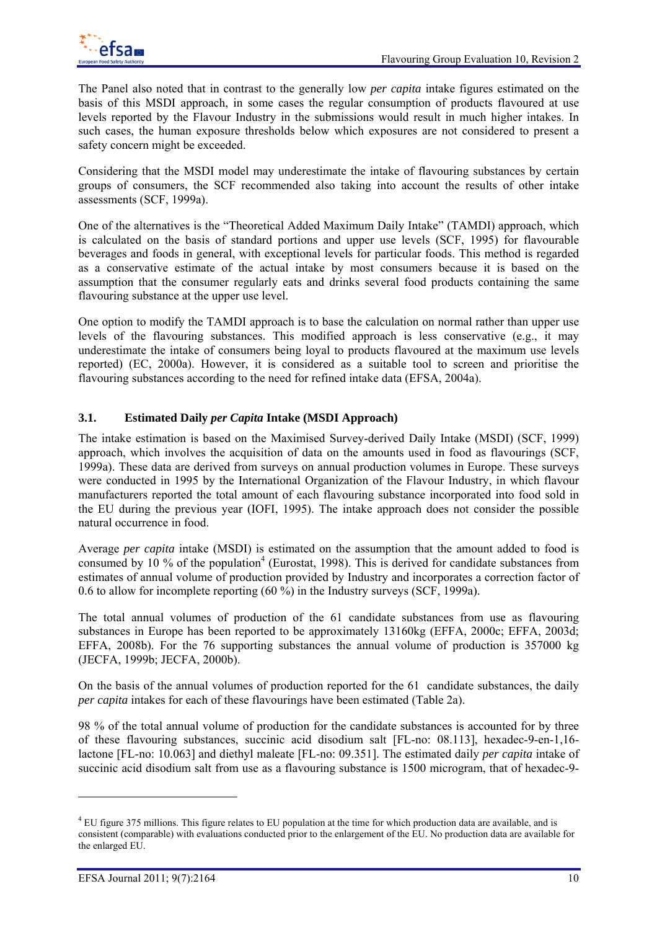

The Panel also noted that in contrast to the generally low *per capita* intake figures estimated on the basis of this MSDI approach, in some cases the regular consumption of products flavoured at use levels reported by the Flavour Industry in the submissions would result in much higher intakes. In such cases, the human exposure thresholds below which exposures are not considered to present a safety concern might be exceeded.

Considering that the MSDI model may underestimate the intake of flavouring substances by certain groups of consumers, the SCF recommended also taking into account the results of other intake assessments (SCF, 1999a).

One of the alternatives is the "Theoretical Added Maximum Daily Intake" (TAMDI) approach, which is calculated on the basis of standard portions and upper use levels (SCF, 1995) for flavourable beverages and foods in general, with exceptional levels for particular foods. This method is regarded as a conservative estimate of the actual intake by most consumers because it is based on the assumption that the consumer regularly eats and drinks several food products containing the same flavouring substance at the upper use level.

One option to modify the TAMDI approach is to base the calculation on normal rather than upper use levels of the flavouring substances. This modified approach is less conservative (e.g., it may underestimate the intake of consumers being loyal to products flavoured at the maximum use levels reported) (EC, 2000a). However, it is considered as a suitable tool to screen and prioritise the flavouring substances according to the need for refined intake data (EFSA, 2004a).

# **3.1. Estimated Daily** *per Capita* **Intake (MSDI Approach)**

The intake estimation is based on the Maximised Survey-derived Daily Intake (MSDI) (SCF, 1999) approach, which involves the acquisition of data on the amounts used in food as flavourings (SCF, 1999a). These data are derived from surveys on annual production volumes in Europe. These surveys were conducted in 1995 by the International Organization of the Flavour Industry, in which flavour manufacturers reported the total amount of each flavouring substance incorporated into food sold in the EU during the previous year (IOFI, 1995). The intake approach does not consider the possible natural occurrence in food.

Average *per capita* intake (MSDI) is estimated on the assumption that the amount added to food is consumed by 10 % of the population<sup>4</sup> (Eurostat, 1998). This is derived for candidate substances from estimates of annual volume of production provided by Industry and incorporates a correction factor of 0.6 to allow for incomplete reporting (60 %) in the Industry surveys (SCF, 1999a).

The total annual volumes of production of the 61 candidate substances from use as flavouring substances in Europe has been reported to be approximately 13160kg (EFFA, 2000c; EFFA, 2003d; EFFA, 2008b). For the 76 supporting substances the annual volume of production is 357000 kg (JECFA, 1999b; JECFA, 2000b).

On the basis of the annual volumes of production reported for the 61 candidate substances, the daily *per capita* intakes for each of these flavourings have been estimated (Table 2a).

98 % of the total annual volume of production for the candidate substances is accounted for by three of these flavouring substances, succinic acid disodium salt [FL-no: 08.113], hexadec-9-en-1,16 lactone [FL-no: 10.063] and diethyl maleate [FL-no: 09.351]. The estimated daily *per capita* intake of succinic acid disodium salt from use as a flavouring substance is 1500 microgram, that of hexadec-9-

l

 $4$  EU figure 375 millions. This figure relates to EU population at the time for which production data are available, and is consistent (comparable) with evaluations conducted prior to the enlargement of the EU. No production data are available for the enlarged EU.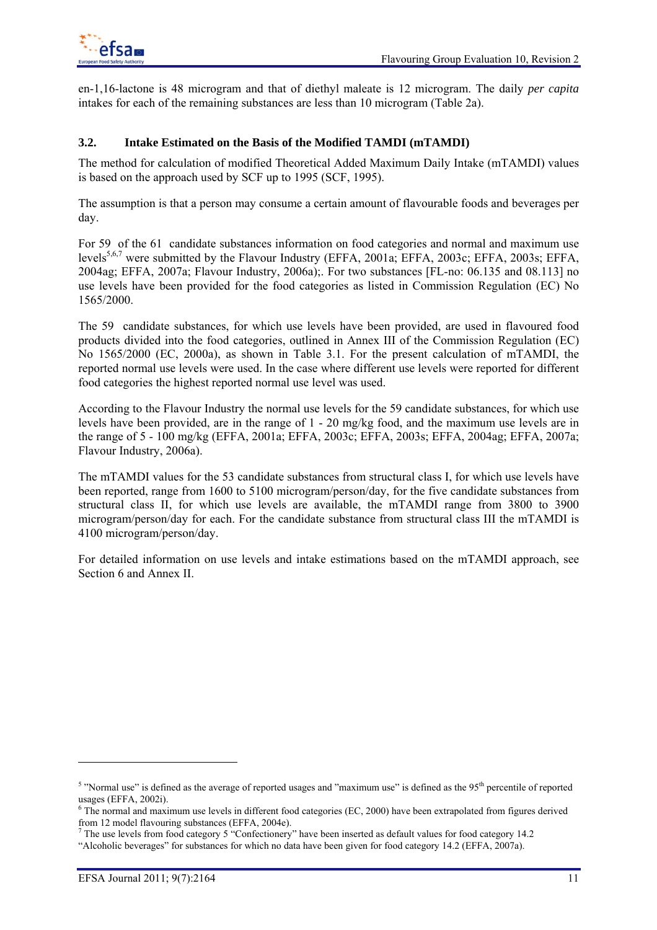en-1,16-lactone is 48 microgram and that of diethyl maleate is 12 microgram. The daily *per capita*  intakes for each of the remaining substances are less than 10 microgram (Table 2a).

## **3.2. Intake Estimated on the Basis of the Modified TAMDI (mTAMDI)**

The method for calculation of modified Theoretical Added Maximum Daily Intake (mTAMDI) values is based on the approach used by SCF up to 1995 (SCF, 1995).

The assumption is that a person may consume a certain amount of flavourable foods and beverages per day.

For 59 of the 61 candidate substances information on food categories and normal and maximum use levels5,6,7 were submitted by the Flavour Industry (EFFA, 2001a; EFFA, 2003c; EFFA, 2003s; EFFA, 2004ag; EFFA, 2007a; Flavour Industry, 2006a);. For two substances [FL-no: 06.135 and 08.113] no use levels have been provided for the food categories as listed in Commission Regulation (EC) No 1565/2000.

The 59 candidate substances, for which use levels have been provided, are used in flavoured food products divided into the food categories, outlined in Annex III of the Commission Regulation (EC) No 1565/2000 (EC, 2000a), as shown in Table 3.1. For the present calculation of mTAMDI, the reported normal use levels were used. In the case where different use levels were reported for different food categories the highest reported normal use level was used.

According to the Flavour Industry the normal use levels for the 59 candidate substances, for which use levels have been provided, are in the range of 1 - 20 mg/kg food, and the maximum use levels are in the range of 5 - 100 mg/kg (EFFA, 2001a; EFFA, 2003c; EFFA, 2003s; EFFA, 2004ag; EFFA, 2007a; Flavour Industry, 2006a).

The mTAMDI values for the 53 candidate substances from structural class I, for which use levels have been reported, range from 1600 to 5100 microgram/person/day, for the five candidate substances from structural class II, for which use levels are available, the mTAMDI range from 3800 to 3900 microgram/person/day for each. For the candidate substance from structural class III the mTAMDI is 4100 microgram/person/day.

For detailed information on use levels and intake estimations based on the mTAMDI approach, see Section 6 and Annex II.

l

<sup>&</sup>lt;sup>5</sup> "Normal use" is defined as the average of reported usages and "maximum use" is defined as the  $95<sup>th</sup>$  percentile of reported usages (EFFA, 2002i).

 $6$  The normal and maximum use levels in different food categories (EC, 2000) have been extrapolated from figures derived from 12 model flavouring substances (EFFA, 2004e).

 $<sup>7</sup>$  The use levels from food category 5 "Confectionery" have been inserted as default values for food category 14.2</sup>

<sup>&</sup>quot;Alcoholic beverages" for substances for which no data have been given for food category 14.2 (EFFA, 2007a).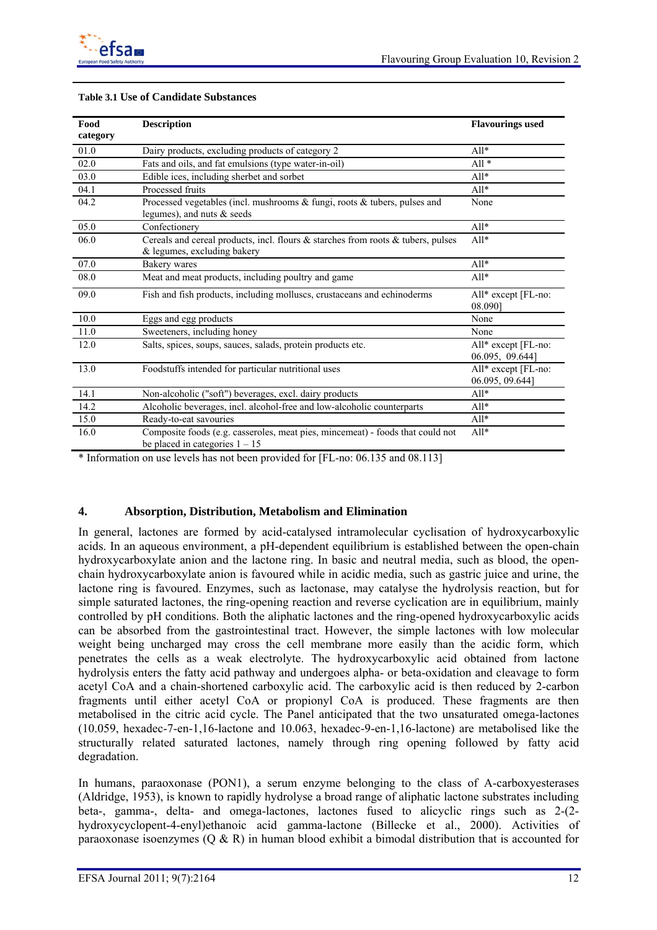

| Food<br>category | <b>Description</b>                                                                                                 | <b>Flavourings used</b>                |
|------------------|--------------------------------------------------------------------------------------------------------------------|----------------------------------------|
| $01.0\,$         | Dairy products, excluding products of category 2                                                                   | $All*$                                 |
| 02.0             | Fats and oils, and fat emulsions (type water-in-oil)                                                               | $All*$                                 |
| 03.0             | Edible ices, including sherbet and sorbet                                                                          | $All*$                                 |
| 04.1             | Processed fruits                                                                                                   | $All*$                                 |
| 04.2             | Processed vegetables (incl. mushrooms & fungi, roots & tubers, pulses and<br>legumes), and nuts & seeds            | None                                   |
| 05.0             | Confectionery                                                                                                      | $All*$                                 |
| 06.0             | Cereals and cereal products, incl. flours & starches from roots & tubers, pulses<br>& legumes, excluding bakery    | $All*$                                 |
| 07.0             | Bakery wares                                                                                                       | $A11*$                                 |
| 08.0             | Meat and meat products, including poultry and game                                                                 | $Al1*$                                 |
| 09.0             | Fish and fish products, including molluscs, crustaceans and echinoderms                                            | All* except [FL-no:<br>08.0901         |
| 10.0             | Eggs and egg products                                                                                              | None                                   |
| 11.0             | Sweeteners, including honey                                                                                        | None                                   |
| 12.0             | Salts, spices, soups, sauces, salads, protein products etc.                                                        | All* except [FL-no:<br>06.095, 09.644] |
| 13.0             | Foodstuffs intended for particular nutritional uses                                                                | All* except [FL-no:<br>06.095, 09.644] |
| 14.1             | Non-alcoholic ("soft") beverages, excl. dairy products                                                             | $All*$                                 |
| 14.2             | Alcoholic beverages, incl. alcohol-free and low-alcoholic counterparts                                             | $All*$                                 |
| 15.0             | Ready-to-eat savouries                                                                                             | $All*$                                 |
| 16.0             | Composite foods (e.g. casseroles, meat pies, mincemeat) - foods that could not<br>be placed in categories $1 - 15$ | $All*$                                 |

\* Information on use levels has not been provided for [FL-no: 06.135 and 08.113]

## **4. Absorption, Distribution, Metabolism and Elimination**

In general, lactones are formed by acid-catalysed intramolecular cyclisation of hydroxycarboxylic acids. In an aqueous environment, a pH-dependent equilibrium is established between the open-chain hydroxycarboxylate anion and the lactone ring. In basic and neutral media, such as blood, the openchain hydroxycarboxylate anion is favoured while in acidic media, such as gastric juice and urine, the lactone ring is favoured. Enzymes, such as lactonase, may catalyse the hydrolysis reaction, but for simple saturated lactones, the ring-opening reaction and reverse cyclication are in equilibrium, mainly controlled by pH conditions. Both the aliphatic lactones and the ring-opened hydroxycarboxylic acids can be absorbed from the gastrointestinal tract. However, the simple lactones with low molecular weight being uncharged may cross the cell membrane more easily than the acidic form, which penetrates the cells as a weak electrolyte. The hydroxycarboxylic acid obtained from lactone hydrolysis enters the fatty acid pathway and undergoes alpha- or beta-oxidation and cleavage to form acetyl CoA and a chain-shortened carboxylic acid. The carboxylic acid is then reduced by 2-carbon fragments until either acetyl CoA or propionyl CoA is produced. These fragments are then metabolised in the citric acid cycle. The Panel anticipated that the two unsaturated omega-lactones (10.059, hexadec-7-en-1,16-lactone and 10.063, hexadec-9-en-1,16-lactone) are metabolised like the structurally related saturated lactones, namely through ring opening followed by fatty acid degradation.

In humans, paraoxonase (PON1), a serum enzyme belonging to the class of A-carboxyesterases (Aldridge, 1953), is known to rapidly hydrolyse a broad range of aliphatic lactone substrates including beta-, gamma-, delta- and omega-lactones, lactones fused to alicyclic rings such as 2-(2 hydroxycyclopent-4-enyl)ethanoic acid gamma-lactone (Billecke et al., 2000). Activities of paraoxonase isoenzymes  $(Q & R)$  in human blood exhibit a bimodal distribution that is accounted for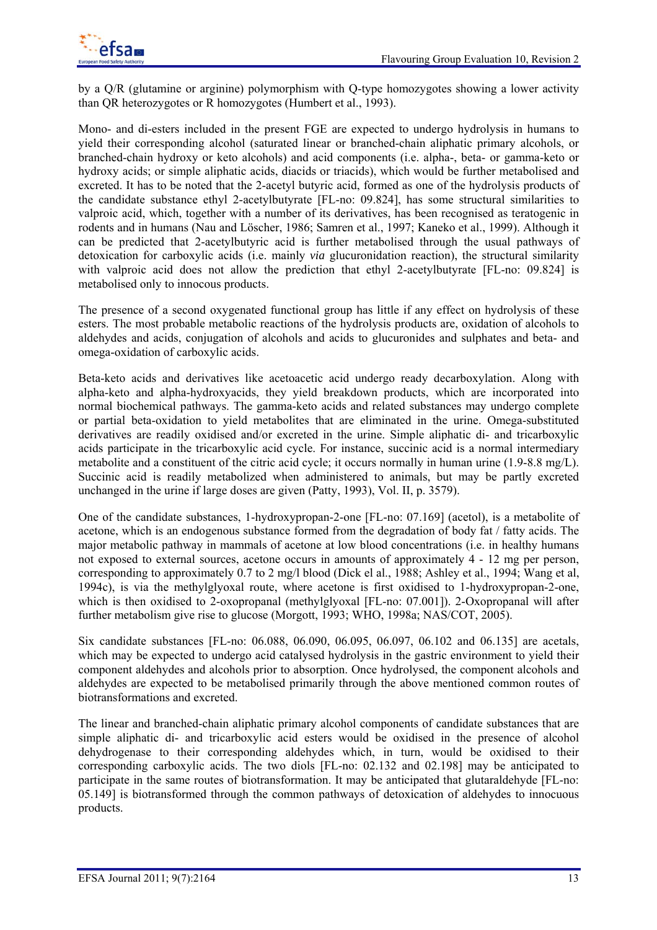

by a Q/R (glutamine or arginine) polymorphism with Q-type homozygotes showing a lower activity than QR heterozygotes or R homozygotes (Humbert et al., 1993).

Mono- and di-esters included in the present FGE are expected to undergo hydrolysis in humans to yield their corresponding alcohol (saturated linear or branched-chain aliphatic primary alcohols, or branched-chain hydroxy or keto alcohols) and acid components (i.e. alpha-, beta- or gamma-keto or hydroxy acids; or simple aliphatic acids, diacids or triacids), which would be further metabolised and excreted. It has to be noted that the 2-acetyl butyric acid, formed as one of the hydrolysis products of the candidate substance ethyl 2-acetylbutyrate [FL-no: 09.824], has some structural similarities to valproic acid, which, together with a number of its derivatives, has been recognised as teratogenic in rodents and in humans (Nau and Löscher, 1986; Samren et al., 1997; Kaneko et al., 1999). Although it can be predicted that 2-acetylbutyric acid is further metabolised through the usual pathways of detoxication for carboxylic acids (i.e. mainly *via* glucuronidation reaction), the structural similarity with valproic acid does not allow the prediction that ethyl 2-acetylbutyrate [FL-no: 09.824] is metabolised only to innocous products.

The presence of a second oxygenated functional group has little if any effect on hydrolysis of these esters. The most probable metabolic reactions of the hydrolysis products are, oxidation of alcohols to aldehydes and acids, conjugation of alcohols and acids to glucuronides and sulphates and beta- and omega-oxidation of carboxylic acids.

Beta-keto acids and derivatives like acetoacetic acid undergo ready decarboxylation. Along with alpha-keto and alpha-hydroxyacids, they yield breakdown products, which are incorporated into normal biochemical pathways. The gamma-keto acids and related substances may undergo complete or partial beta-oxidation to yield metabolites that are eliminated in the urine. Omega-substituted derivatives are readily oxidised and/or excreted in the urine. Simple aliphatic di- and tricarboxylic acids participate in the tricarboxylic acid cycle. For instance, succinic acid is a normal intermediary metabolite and a constituent of the citric acid cycle; it occurs normally in human urine (1.9-8.8 mg/L). Succinic acid is readily metabolized when administered to animals, but may be partly excreted unchanged in the urine if large doses are given (Patty, 1993), Vol. II, p. 3579).

One of the candidate substances, 1-hydroxypropan-2-one [FL-no: 07.169] (acetol), is a metabolite of acetone, which is an endogenous substance formed from the degradation of body fat / fatty acids. The major metabolic pathway in mammals of acetone at low blood concentrations (i.e. in healthy humans not exposed to external sources, acetone occurs in amounts of approximately 4 - 12 mg per person, corresponding to approximately 0.7 to 2 mg/l blood (Dick el al., 1988; Ashley et al., 1994; Wang et al, 1994c), is via the methylglyoxal route, where acetone is first oxidised to 1-hydroxypropan-2-one, which is then oxidised to 2-oxopropanal (methylglyoxal [FL-no: 07.001]). 2-Oxopropanal will after further metabolism give rise to glucose (Morgott, 1993; WHO, 1998a; NAS/COT, 2005).

Six candidate substances [FL-no: 06.088, 06.090, 06.095, 06.097, 06.102 and 06.135] are acetals, which may be expected to undergo acid catalysed hydrolysis in the gastric environment to yield their component aldehydes and alcohols prior to absorption. Once hydrolysed, the component alcohols and aldehydes are expected to be metabolised primarily through the above mentioned common routes of biotransformations and excreted.

The linear and branched-chain aliphatic primary alcohol components of candidate substances that are simple aliphatic di- and tricarboxylic acid esters would be oxidised in the presence of alcohol dehydrogenase to their corresponding aldehydes which, in turn, would be oxidised to their corresponding carboxylic acids. The two diols [FL-no: 02.132 and 02.198] may be anticipated to participate in the same routes of biotransformation. It may be anticipated that glutaraldehyde [FL-no: 05.149] is biotransformed through the common pathways of detoxication of aldehydes to innocuous products.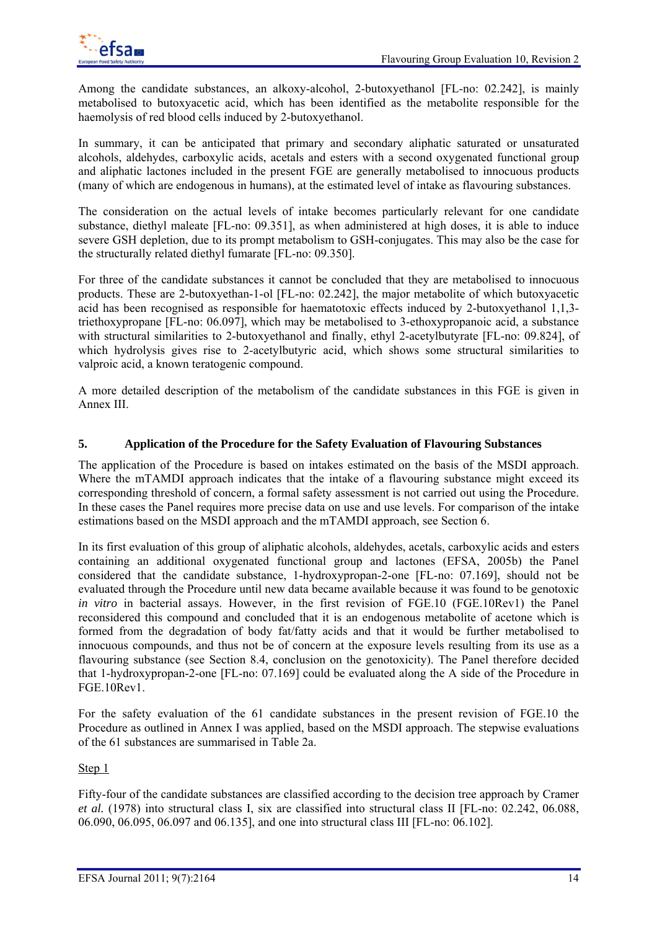

Among the candidate substances, an alkoxy-alcohol, 2-butoxyethanol [FL-no: 02.242], is mainly metabolised to butoxyacetic acid, which has been identified as the metabolite responsible for the haemolysis of red blood cells induced by 2-butoxyethanol.

In summary, it can be anticipated that primary and secondary aliphatic saturated or unsaturated alcohols, aldehydes, carboxylic acids, acetals and esters with a second oxygenated functional group and aliphatic lactones included in the present FGE are generally metabolised to innocuous products (many of which are endogenous in humans), at the estimated level of intake as flavouring substances.

The consideration on the actual levels of intake becomes particularly relevant for one candidate substance, diethyl maleate [FL-no: 09.351], as when administered at high doses, it is able to induce severe GSH depletion, due to its prompt metabolism to GSH-conjugates. This may also be the case for the structurally related diethyl fumarate [FL-no: 09.350].

For three of the candidate substances it cannot be concluded that they are metabolised to innocuous products. These are 2-butoxyethan-1-ol [FL-no: 02.242], the major metabolite of which butoxyacetic acid has been recognised as responsible for haematotoxic effects induced by 2-butoxyethanol 1,1,3 triethoxypropane [FL-no: 06.097], which may be metabolised to 3-ethoxypropanoic acid, a substance with structural similarities to 2-butoxyethanol and finally, ethyl 2-acetylbutyrate [FL-no: 09.824], of which hydrolysis gives rise to 2-acetylbutyric acid, which shows some structural similarities to valproic acid, a known teratogenic compound.

A more detailed description of the metabolism of the candidate substances in this FGE is given in Annex III.

# **5. Application of the Procedure for the Safety Evaluation of Flavouring Substances**

The application of the Procedure is based on intakes estimated on the basis of the MSDI approach. Where the mTAMDI approach indicates that the intake of a flavouring substance might exceed its corresponding threshold of concern, a formal safety assessment is not carried out using the Procedure. In these cases the Panel requires more precise data on use and use levels. For comparison of the intake estimations based on the MSDI approach and the mTAMDI approach, see Section 6.

In its first evaluation of this group of aliphatic alcohols, aldehydes, acetals, carboxylic acids and esters containing an additional oxygenated functional group and lactones (EFSA, 2005b) the Panel considered that the candidate substance, 1-hydroxypropan-2-one [FL-no: 07.169], should not be evaluated through the Procedure until new data became available because it was found to be genotoxic *in vitro* in bacterial assays. However, in the first revision of FGE.10 (FGE.10Rev1) the Panel reconsidered this compound and concluded that it is an endogenous metabolite of acetone which is formed from the degradation of body fat/fatty acids and that it would be further metabolised to innocuous compounds, and thus not be of concern at the exposure levels resulting from its use as a flavouring substance (see Section 8.4, conclusion on the genotoxicity). The Panel therefore decided that 1-hydroxypropan-2-one [FL-no: 07.169] could be evaluated along the A side of the Procedure in FGE.10Rev1.

For the safety evaluation of the 61 candidate substances in the present revision of FGE.10 the Procedure as outlined in Annex I was applied, based on the MSDI approach. The stepwise evaluations of the 61 substances are summarised in Table 2a.

## Step 1

Fifty-four of the candidate substances are classified according to the decision tree approach by Cramer *et al.* (1978) into structural class I, six are classified into structural class II [FL-no: 02.242, 06.088, 06.090, 06.095, 06.097 and 06.135], and one into structural class III [FL-no: 06.102].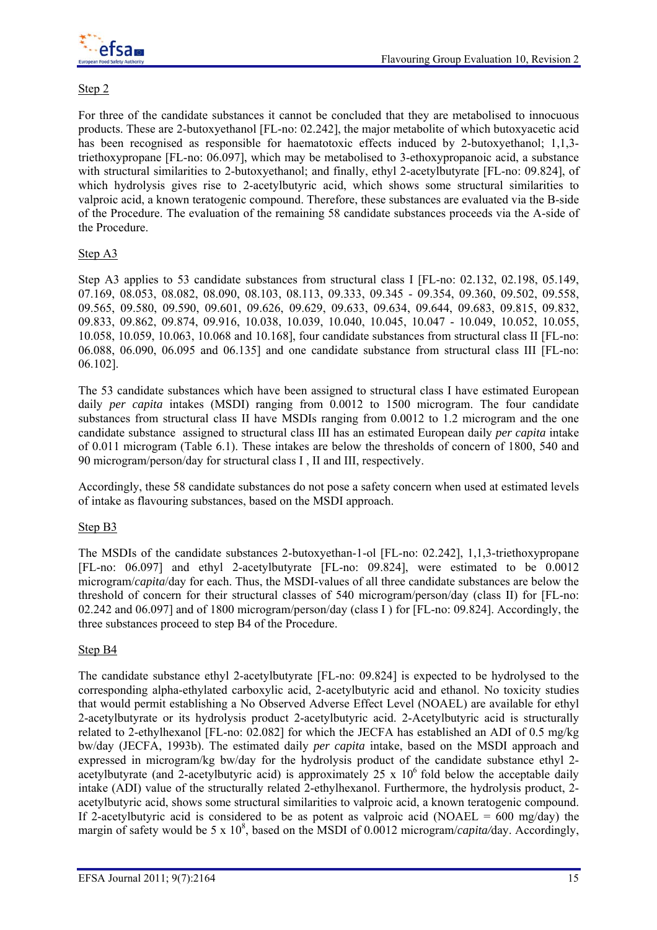

## Step 2

For three of the candidate substances it cannot be concluded that they are metabolised to innocuous products. These are 2-butoxyethanol [FL-no: 02.242], the major metabolite of which butoxyacetic acid has been recognised as responsible for haematotoxic effects induced by 2-butoxyethanol; 1,1,3triethoxypropane [FL-no: 06.097], which may be metabolised to 3-ethoxypropanoic acid, a substance with structural similarities to 2-butoxyethanol; and finally, ethyl 2-acetylbutyrate [FL-no: 09.824], of which hydrolysis gives rise to 2-acetylbutyric acid, which shows some structural similarities to valproic acid, a known teratogenic compound. Therefore, these substances are evaluated via the B-side of the Procedure. The evaluation of the remaining 58 candidate substances proceeds via the A-side of the Procedure.

## Step A3

Step A3 applies to 53 candidate substances from structural class I [FL-no: 02.132, 02.198, 05.149, 07.169, 08.053, 08.082, 08.090, 08.103, 08.113, 09.333, 09.345 - 09.354, 09.360, 09.502, 09.558, 09.565, 09.580, 09.590, 09.601, 09.626, 09.629, 09.633, 09.634, 09.644, 09.683, 09.815, 09.832, 09.833, 09.862, 09.874, 09.916, 10.038, 10.039, 10.040, 10.045, 10.047 - 10.049, 10.052, 10.055, 10.058, 10.059, 10.063, 10.068 and 10.168], four candidate substances from structural class II [FL-no: 06.088, 06.090, 06.095 and 06.135] and one candidate substance from structural class III [FL-no: 06.102].

The 53 candidate substances which have been assigned to structural class I have estimated European daily *per capita* intakes (MSDI) ranging from 0.0012 to 1500 microgram. The four candidate substances from structural class II have MSDIs ranging from 0.0012 to 1.2 microgram and the one candidate substance assigned to structural class III has an estimated European daily *per capita* intake of 0.011 microgram (Table 6.1). These intakes are below the thresholds of concern of 1800, 540 and 90 microgram/person/day for structural class I , II and III, respectively.

Accordingly, these 58 candidate substances do not pose a safety concern when used at estimated levels of intake as flavouring substances, based on the MSDI approach.

## Step B3

The MSDIs of the candidate substances 2-butoxyethan-1-ol [FL-no: 02.242], 1,1,3-triethoxypropane [FL-no: 06.097] and ethyl 2-acetylbutyrate [FL-no: 09.824], were estimated to be 0.0012 microgram/*capita*/day for each. Thus, the MSDI-values of all three candidate substances are below the threshold of concern for their structural classes of 540 microgram/person/day (class II) for [FL-no: 02.242 and 06.097] and of 1800 microgram/person/day (class I ) for [FL-no: 09.824]. Accordingly, the three substances proceed to step B4 of the Procedure.

## Step B4

The candidate substance ethyl 2-acetylbutyrate [FL-no: 09.824] is expected to be hydrolysed to the corresponding alpha-ethylated carboxylic acid, 2-acetylbutyric acid and ethanol. No toxicity studies that would permit establishing a No Observed Adverse Effect Level (NOAEL) are available for ethyl 2-acetylbutyrate or its hydrolysis product 2-acetylbutyric acid. 2-Acetylbutyric acid is structurally related to 2-ethylhexanol [FL-no: 02.082] for which the JECFA has established an ADI of 0.5 mg/kg bw/day (JECFA, 1993b). The estimated daily *per capita* intake, based on the MSDI approach and expressed in microgram/kg bw/day for the hydrolysis product of the candidate substance ethyl 2 acetylbutyrate (and 2-acetylbutyric acid) is approximately 25 x  $10<sup>6</sup>$  fold below the acceptable daily intake (ADI) value of the structurally related 2-ethylhexanol. Furthermore, the hydrolysis product, 2 acetylbutyric acid, shows some structural similarities to valproic acid, a known teratogenic compound. If 2-acetylbutyric acid is considered to be as potent as valproic acid (NOAEL =  $600 \text{ mg/day}$ ) the margin of safety would be 5 x 10<sup>8</sup>, based on the MSDI of 0.0012 microgram/*capita/day*. Accordingly,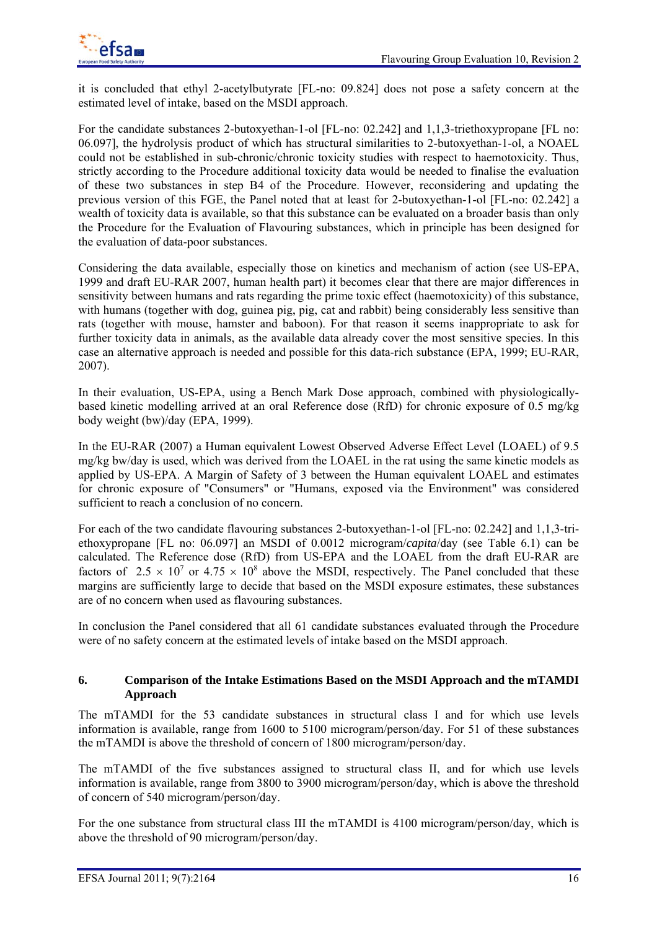it is concluded that ethyl 2-acetylbutyrate [FL-no: 09.824] does not pose a safety concern at the estimated level of intake, based on the MSDI approach.

For the candidate substances 2-butoxyethan-1-ol [FL-no: 02.242] and 1,1,3-triethoxypropane [FL no: 06.097], the hydrolysis product of which has structural similarities to 2-butoxyethan-1-ol, a NOAEL could not be established in sub-chronic/chronic toxicity studies with respect to haemotoxicity. Thus, strictly according to the Procedure additional toxicity data would be needed to finalise the evaluation of these two substances in step B4 of the Procedure. However, reconsidering and updating the previous version of this FGE, the Panel noted that at least for 2-butoxyethan-1-ol [FL-no: 02.242] a wealth of toxicity data is available, so that this substance can be evaluated on a broader basis than only the Procedure for the Evaluation of Flavouring substances, which in principle has been designed for the evaluation of data-poor substances.

Considering the data available, especially those on kinetics and mechanism of action (see US-EPA, 1999 and draft EU-RAR 2007, human health part) it becomes clear that there are major differences in sensitivity between humans and rats regarding the prime toxic effect (haemotoxicity) of this substance, with humans (together with dog, guinea pig, pig, cat and rabbit) being considerably less sensitive than rats (together with mouse, hamster and baboon). For that reason it seems inappropriate to ask for further toxicity data in animals, as the available data already cover the most sensitive species. In this case an alternative approach is needed and possible for this data-rich substance (EPA, 1999; EU-RAR, 2007).

In their evaluation, US-EPA, using a Bench Mark Dose approach, combined with physiologicallybased kinetic modelling arrived at an oral Reference dose (RfD) for chronic exposure of 0.5 mg/kg body weight (bw)/day (EPA, 1999).

In the EU-RAR (2007) a Human equivalent Lowest Observed Adverse Effect Level (LOAEL) of 9.5 mg/kg bw/day is used, which was derived from the LOAEL in the rat using the same kinetic models as applied by US-EPA. A Margin of Safety of 3 between the Human equivalent LOAEL and estimates for chronic exposure of "Consumers" or "Humans, exposed via the Environment" was considered sufficient to reach a conclusion of no concern.

For each of the two candidate flavouring substances 2-butoxyethan-1-ol [FL-no: 02.242] and 1,1,3-triethoxypropane [FL no: 06.097] an MSDI of 0.0012 microgram/*capita*/day (see Table 6.1) can be calculated. The Reference dose (RfD) from US-EPA and the LOAEL from the draft EU-RAR are factors of  $2.5 \times 10^7$  or  $4.75 \times 10^8$  above the MSDI, respectively. The Panel concluded that these margins are sufficiently large to decide that based on the MSDI exposure estimates, these substances are of no concern when used as flavouring substances.

In conclusion the Panel considered that all 61 candidate substances evaluated through the Procedure were of no safety concern at the estimated levels of intake based on the MSDI approach.

## **6. Comparison of the Intake Estimations Based on the MSDI Approach and the mTAMDI Approach**

The mTAMDI for the 53 candidate substances in structural class I and for which use levels information is available, range from 1600 to 5100 microgram/person/day. For 51 of these substances the mTAMDI is above the threshold of concern of 1800 microgram/person/day.

The mTAMDI of the five substances assigned to structural class II, and for which use levels information is available, range from 3800 to 3900 microgram/person/day, which is above the threshold of concern of 540 microgram/person/day.

For the one substance from structural class III the mTAMDI is 4100 microgram/person/day, which is above the threshold of 90 microgram/person/day.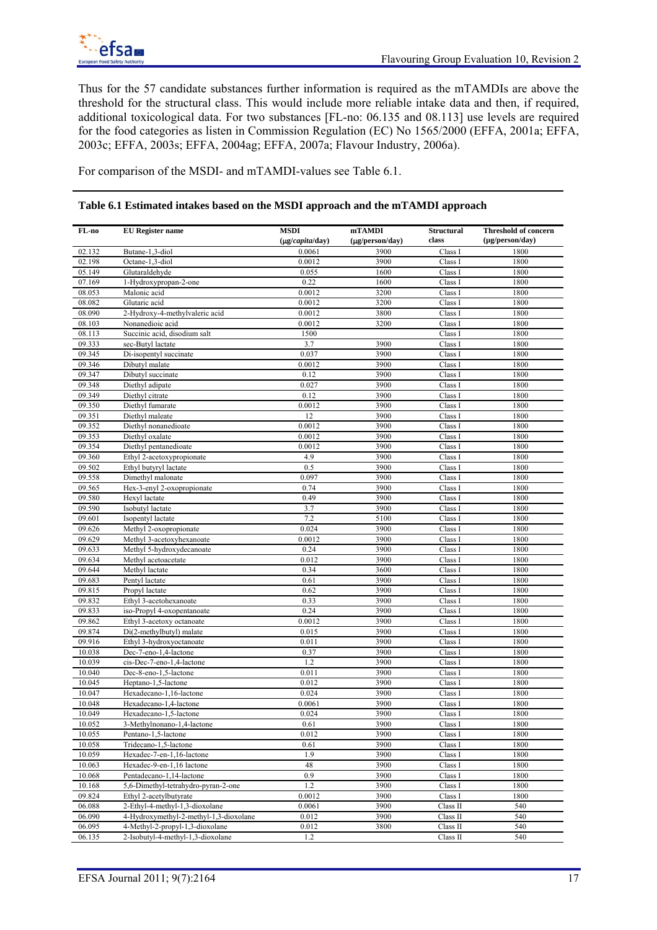Thus for the 57 candidate substances further information is required as the mTAMDIs are above the threshold for the structural class. This would include more reliable intake data and then, if required, additional toxicological data. For two substances [FL-no: 06.135 and 08.113] use levels are required for the food categories as listen in Commission Regulation (EC) No 1565/2000 (EFFA, 2001a; EFFA, 2003c; EFFA, 2003s; EFFA, 2004ag; EFFA, 2007a; Flavour Industry, 2006a).

For comparison of the MSDI- and mTAMDI-values see Table 6.1.

## **Table 6.1 Estimated intakes based on the MSDI approach and the mTAMDI approach**

| FL-no  | <b>EU</b> Register name                | MSDI<br>(µg/capita/day) | mTAMDI<br>$(\mu$ g/person/day) | <b>Structural</b><br>class | <b>Threshold of concern</b><br>$(\mu g/person/day)$ |
|--------|----------------------------------------|-------------------------|--------------------------------|----------------------------|-----------------------------------------------------|
| 02.132 | Butane-1,3-diol                        | 0.0061                  | 3900                           | Class I                    | 1800                                                |
| 02.198 | Octane-1,3-diol                        | 0.0012                  | 3900                           | Class I                    | 1800                                                |
| 05.149 | Glutaraldehyde                         | 0.055                   | 1600                           | Class I                    | 1800                                                |
| 07.169 | 1-Hydroxypropan-2-one                  | 0.22                    | 1600                           | Class I                    | 1800                                                |
| 08.053 | Malonic acid                           | 0.0012                  | 3200                           | Class I                    | 1800                                                |
| 08.082 | Glutaric acid                          | 0.0012                  | 3200                           | Class I                    | 1800                                                |
| 08.090 | 2-Hydroxy-4-methylvaleric acid         | 0.0012                  | 3800                           | Class I                    | 1800                                                |
| 08.103 | Nonanedioic acid                       | 0.0012                  | 3200                           | Class I                    | 1800                                                |
| 08.113 | Succinic acid, disodium salt           | 1500                    |                                | Class I                    | 1800                                                |
| 09.333 | sec-Butyl lactate                      | 3.7                     | 3900                           | Class I                    | 1800                                                |
| 09.345 | Di-isopentyl succinate                 | 0.037                   | 3900                           | Class I                    | 1800                                                |
| 09.346 | Dibutyl malate                         | 0.0012                  | 3900                           | Class I                    | 1800                                                |
| 09.347 | Dibutyl succinate                      | 0.12                    | 3900                           | Class I                    | 1800                                                |
| 09.348 | Diethyl adipate                        | 0.027                   | 3900                           | Class I                    | 1800                                                |
| 09.349 | Diethyl citrate                        | 0.12                    | 3900                           | Class 1                    | 1800                                                |
| 09.350 | Diethyl fumarate                       | 0.0012                  | 3900                           | Class I                    | 1800                                                |
| 09.351 | Diethyl maleate                        | 12                      | 3900                           | Class I                    | 1800                                                |
| 09.352 | Diethyl nonanedioate                   | 0.0012                  | 3900                           | Class I                    | 1800                                                |
| 09.353 | Diethyl oxalate                        | 0.0012                  | 3900                           | Class I                    | 1800                                                |
| 09.354 | Diethyl pentanedioate                  | 0.0012                  | 3900                           | Class I                    | 1800                                                |
| 09.360 | Ethyl 2-acetoxypropionate              | 4.9                     | 3900                           | Class I                    | 1800                                                |
| 09.502 | Ethyl butyryl lactate                  | 0.5                     | 3900                           | Class I                    | 1800                                                |
| 09.558 | Dimethyl malonate                      | 0.097                   | 3900                           | Class I                    | 1800                                                |
| 09.565 | Hex-3-enyl 2-oxopropionate             | 0.74                    | 3900                           | Class I                    | 1800                                                |
| 09.580 | Hexyl lactate                          | 0.49                    | 3900                           | Class I                    | 1800                                                |
| 09.590 | Isobutyl lactate                       | 3.7                     | 3900                           | Class I                    | 1800                                                |
| 09.601 | Isopentyl lactate                      | 7.2                     | 5100                           | Class I                    | 1800                                                |
| 09.626 | Methyl 2-oxopropionate                 | 0.024                   | 3900                           | Class I                    | 1800                                                |
| 09.629 | Methyl 3-acetoxyhexanoate              | 0.0012                  | 3900                           | Class I                    | 1800                                                |
| 09.633 | Methyl 5-hydroxydecanoate              | 0.24                    | 3900                           | Class I                    | 1800                                                |
| 09.634 | Methyl acetoacetate                    | 0.012                   | 3900                           | Class I                    | 1800                                                |
| 09.644 | Methyl lactate                         | 0.34                    | 3600                           | Class I                    | 1800                                                |
| 09.683 | Pentyl lactate                         | 0.61                    | 3900                           | Class I                    | 1800                                                |
| 09.815 | Propyl lactate                         | 0.62                    | 3900                           | Class I                    | 1800                                                |
| 09.832 | Ethyl 3-acetohexanoate                 | 0.33                    | 3900                           | Class I                    | 1800                                                |
| 09.833 | iso-Propyl 4-oxopentanoate             | 0.24                    | 3900                           | Class I                    | 1800                                                |
| 09.862 | Ethyl 3-acetoxy octanoate              | 0.0012                  | 3900                           | Class I                    | 1800                                                |
| 09.874 | Di(2-methylbutyl) malate               | 0.015                   | 3900                           | Class I                    | 1800                                                |
| 09.916 | Ethyl 3-hydroxyoctanoate               | 0.011                   | 3900                           | Class I                    | 1800                                                |
| 10.038 | Dec-7-eno-1,4-lactone                  | 0.37                    | 3900                           | Class I                    | 1800                                                |
| 10.039 | cis-Dec-7-eno-1,4-lactone              | 1.2                     | 3900                           | Class I                    | 1800                                                |
| 10.040 | Dec-8-eno-1,5-lactone                  | 0.011                   | 3900                           | Class I                    | 1800                                                |
| 10.045 | Heptano-1,5-lactone                    | 0.012                   | 3900                           | Class I                    | 1800                                                |
| 10.047 | Hexadecano-1,16-lactone                | 0.024                   | 3900                           | Class 1                    | 1800                                                |
| 10.048 | Hexadecano-1,4-lactone                 | 0.0061                  | 3900                           | Class I                    | 1800                                                |
| 10.049 | Hexadecano-1,5-lactone                 | 0.024                   | 3900                           | Class I                    | 1800                                                |
| 10.052 | 3-Methylnonano-1,4-lactone             | 0.61                    | 3900                           | Class I                    | 1800                                                |
| 10.055 | Pentano-1,5-lactone                    | 0.012                   | 3900                           | Class I                    | 1800                                                |
| 10.058 | Tridecano-1,5-lactone                  | 0.61                    | 3900                           | Class I                    | 1800                                                |
| 10.059 | Hexadec-7-en-1,16-lactone              | 1.9                     | 3900                           | Class I                    | 1800                                                |
| 10.063 | Hexadec-9-en-1,16 lactone              | 48                      | 3900                           | Class I                    | 1800                                                |
| 10.068 | Pentadecano-1,14-lactone               | 0.9                     | 3900                           | Class I                    | 1800                                                |
| 10.168 | 5,6-Dimethyl-tetrahydro-pyran-2-one    | 1.2                     | 3900                           | Class I                    | 1800                                                |
| 09.824 | Ethyl 2-acetylbutyrate                 | 0.0012                  | 3900                           | Class I                    | 1800                                                |
| 06.088 | 2-Ethyl-4-methyl-1,3-dioxolane         | 0.0061                  | 3900                           | Class II                   | 540                                                 |
| 06.090 | 4-Hydroxymethyl-2-methyl-1,3-dioxolane | 0.012                   | 3900                           | Class II                   | 540                                                 |
| 06.095 | 4-Methyl-2-propyl-1,3-dioxolane        | 0.012                   | 3800                           | Class II                   | 540                                                 |
| 06.135 | 2-Isobutyl-4-methyl-1,3-dioxolane      | $1.2\,$                 |                                | Class II                   | 540                                                 |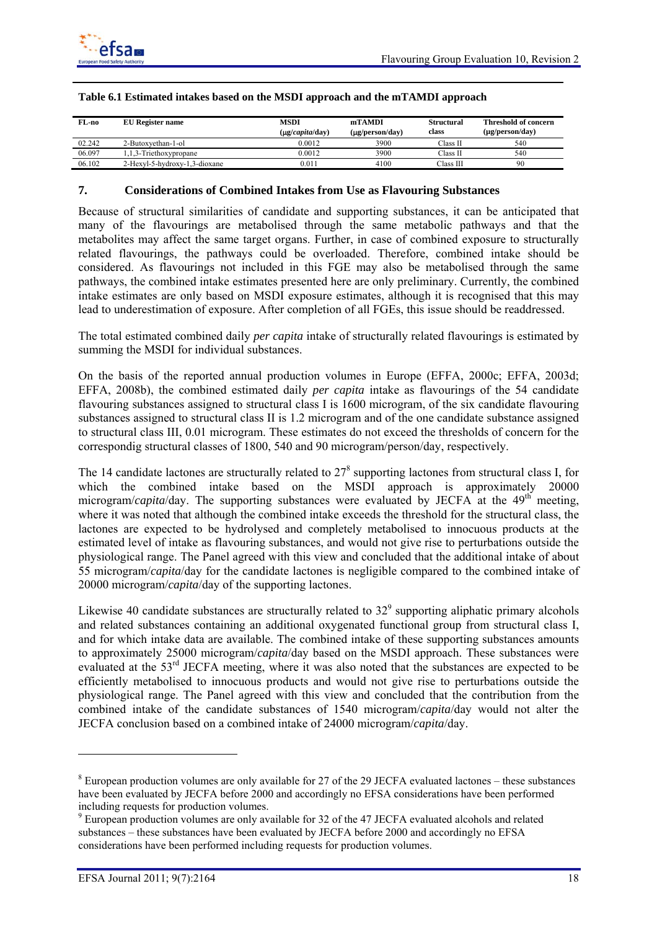

| FL-no  | EU Register name              | MSDI<br>$(\mu$ g/capita/day) | mTAMDI<br>$(\mu$ g/person/day) | Structural<br>class | <b>Threshold of concern</b><br>$(\mu$ g/person/day) |
|--------|-------------------------------|------------------------------|--------------------------------|---------------------|-----------------------------------------------------|
| 02.242 | 2-Butoxvethan-1-ol            | 0.0012                       | 3900                           | Class II            | 540                                                 |
| 06.097 | 1.1.3-Triethoxypropane        | 0.0012                       | 3900                           | Class II            | 540                                                 |
| 06.102 | 2-Hexyl-5-hydroxy-1,3-dioxane | 0.011                        | 4100                           | Class III           | 90                                                  |

### **Table 6.1 Estimated intakes based on the MSDI approach and the mTAMDI approach**

## **7. Considerations of Combined Intakes from Use as Flavouring Substances**

Because of structural similarities of candidate and supporting substances, it can be anticipated that many of the flavourings are metabolised through the same metabolic pathways and that the metabolites may affect the same target organs. Further, in case of combined exposure to structurally related flavourings, the pathways could be overloaded. Therefore, combined intake should be considered. As flavourings not included in this FGE may also be metabolised through the same pathways, the combined intake estimates presented here are only preliminary. Currently, the combined intake estimates are only based on MSDI exposure estimates, although it is recognised that this may lead to underestimation of exposure. After completion of all FGEs, this issue should be readdressed.

The total estimated combined daily *per capita* intake of structurally related flavourings is estimated by summing the MSDI for individual substances.

On the basis of the reported annual production volumes in Europe (EFFA, 2000c; EFFA, 2003d; EFFA, 2008b), the combined estimated daily *per capita* intake as flavourings of the 54 candidate flavouring substances assigned to structural class I is 1600 microgram, of the six candidate flavouring substances assigned to structural class II is 1.2 microgram and of the one candidate substance assigned to structural class III, 0.01 microgram. These estimates do not exceed the thresholds of concern for the correspondig structural classes of 1800, 540 and 90 microgram/person/day, respectively.

The 14 candidate lactones are structurally related to  $27<sup>8</sup>$  supporting lactones from structural class I, for which the combined intake based on the MSDI approach is approximately 20000 microgram/*capita*/day. The supporting substances were evaluated by JECFA at the 49<sup>th</sup> meeting, where it was noted that although the combined intake exceeds the threshold for the structural class, the lactones are expected to be hydrolysed and completely metabolised to innocuous products at the estimated level of intake as flavouring substances, and would not give rise to perturbations outside the physiological range. The Panel agreed with this view and concluded that the additional intake of about 55 microgram/*capita*/day for the candidate lactones is negligible compared to the combined intake of 20000 microgram/*capita*/day of the supporting lactones.

Likewise 40 candidate substances are structurally related to  $32^{\circ}$  supporting aliphatic primary alcohols and related substances containing an additional oxygenated functional group from structural class I, and for which intake data are available. The combined intake of these supporting substances amounts to approximately 25000 microgram/*capita*/day based on the MSDI approach. These substances were evaluated at the 53<sup>rd</sup> JECFA meeting, where it was also noted that the substances are expected to be efficiently metabolised to innocuous products and would not give rise to perturbations outside the physiological range. The Panel agreed with this view and concluded that the contribution from the combined intake of the candidate substances of 1540 microgram/*capita*/day would not alter the JECFA conclusion based on a combined intake of 24000 microgram/*capita*/day.

l

 $8$  European production volumes are only available for 27 of the 29 JECFA evaluated lactones – these substances have been evaluated by JECFA before 2000 and accordingly no EFSA considerations have been performed including requests for production volumes.

<sup>&</sup>lt;sup>9</sup> European production volumes are only available for 32 of the 47 JECFA evaluated alcohols and related substances – these substances have been evaluated by JECFA before 2000 and accordingly no EFSA considerations have been performed including requests for production volumes.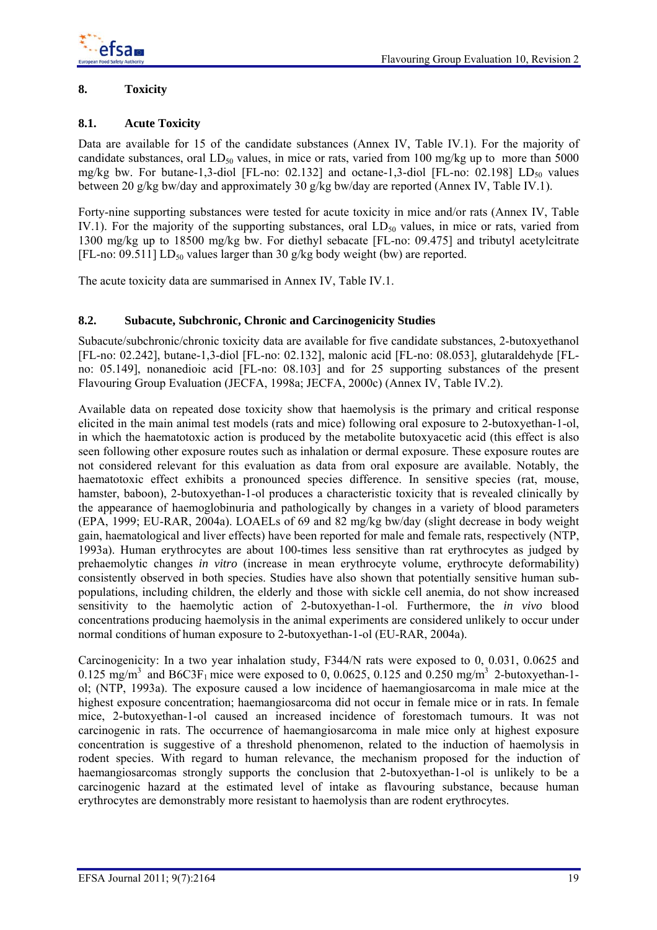# **8. Toxicity**

# **8.1. Acute Toxicity**

Data are available for 15 of the candidate substances (Annex IV, Table IV.1). For the majority of candidate substances, oral  $LD_{50}$  values, in mice or rats, varied from 100 mg/kg up to more than 5000 mg/kg bw. For butane-1,3-diol [FL-no: 02.132] and octane-1,3-diol [FL-no: 02.198]  $LD_{50}$  values between 20 g/kg bw/day and approximately 30 g/kg bw/day are reported (Annex IV, Table IV.1).

Forty-nine supporting substances were tested for acute toxicity in mice and/or rats (Annex IV, Table IV.1). For the majority of the supporting substances, oral  $LD_{50}$  values, in mice or rats, varied from 1300 mg/kg up to 18500 mg/kg bw. For diethyl sebacate [FL-no: 09.475] and tributyl acetylcitrate [FL-no: 09.511]  $LD_{50}$  values larger than 30 g/kg body weight (bw) are reported.

The acute toxicity data are summarised in Annex IV, Table IV.1.

## **8.2. Subacute, Subchronic, Chronic and Carcinogenicity Studies**

Subacute/subchronic/chronic toxicity data are available for five candidate substances, 2-butoxyethanol [FL-no: 02.242], butane-1,3-diol [FL-no: 02.132], malonic acid [FL-no: 08.053], glutaraldehyde [FLno: 05.149], nonanedioic acid [FL-no: 08.103] and for 25 supporting substances of the present Flavouring Group Evaluation (JECFA, 1998a; JECFA, 2000c) (Annex IV, Table IV.2).

Available data on repeated dose toxicity show that haemolysis is the primary and critical response elicited in the main animal test models (rats and mice) following oral exposure to 2-butoxyethan-1-ol, in which the haematotoxic action is produced by the metabolite butoxyacetic acid (this effect is also seen following other exposure routes such as inhalation or dermal exposure. These exposure routes are not considered relevant for this evaluation as data from oral exposure are available. Notably, the haematotoxic effect exhibits a pronounced species difference. In sensitive species (rat, mouse, hamster, baboon), 2-butoxyethan-1-ol produces a characteristic toxicity that is revealed clinically by the appearance of haemoglobinuria and pathologically by changes in a variety of blood parameters (EPA, 1999; EU-RAR, 2004a). LOAELs of 69 and 82 mg/kg bw/day (slight decrease in body weight gain, haematological and liver effects) have been reported for male and female rats, respectively (NTP, 1993a). Human erythrocytes are about 100-times less sensitive than rat erythrocytes as judged by prehaemolytic changes *in vitro* (increase in mean erythrocyte volume, erythrocyte deformability) consistently observed in both species. Studies have also shown that potentially sensitive human subpopulations, including children, the elderly and those with sickle cell anemia, do not show increased sensitivity to the haemolytic action of 2-butoxyethan-1-ol. Furthermore, the *in vivo* blood concentrations producing haemolysis in the animal experiments are considered unlikely to occur under normal conditions of human exposure to 2-butoxyethan-1-ol (EU-RAR, 2004a).

Carcinogenicity: In a two year inhalation study, F344/N rats were exposed to 0, 0.031, 0.0625 and  $0.125 \text{ mg/m}^3$  and B6C3F<sub>1</sub> mice were exposed to 0, 0.0625, 0.125 and 0.250 mg/m<sup>3</sup> 2-butoxyethan-1ol; (NTP, 1993a). The exposure caused a low incidence of haemangiosarcoma in male mice at the highest exposure concentration; haemangiosarcoma did not occur in female mice or in rats. In female mice, 2-butoxyethan-1-ol caused an increased incidence of forestomach tumours. It was not carcinogenic in rats. The occurrence of haemangiosarcoma in male mice only at highest exposure concentration is suggestive of a threshold phenomenon, related to the induction of haemolysis in rodent species. With regard to human relevance, the mechanism proposed for the induction of haemangiosarcomas strongly supports the conclusion that 2-butoxyethan-1-ol is unlikely to be a carcinogenic hazard at the estimated level of intake as flavouring substance, because human erythrocytes are demonstrably more resistant to haemolysis than are rodent erythrocytes.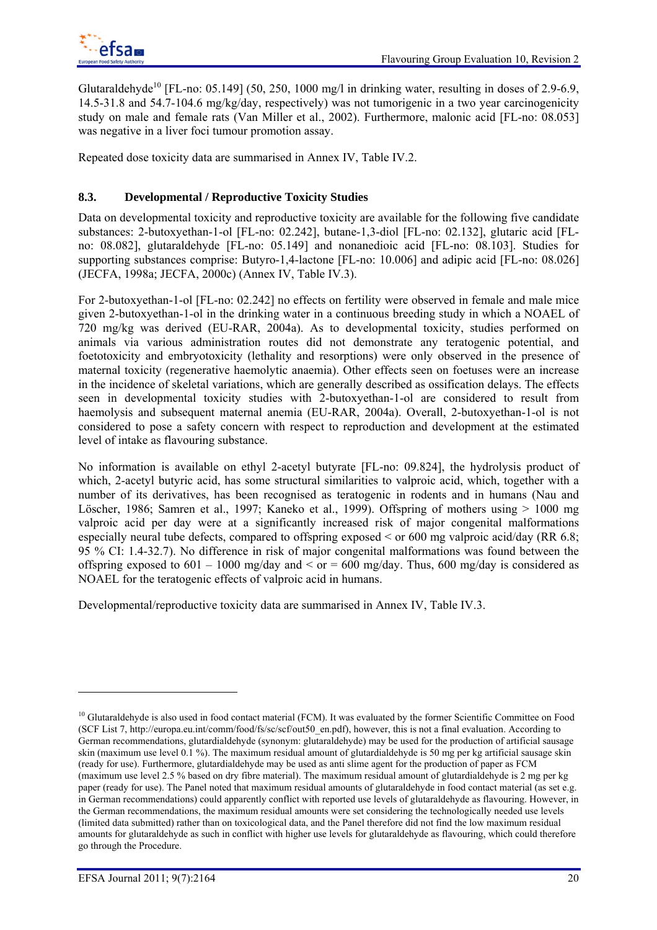Glutaraldehyde<sup>10</sup> [FL-no: 05.149] (50, 250, 1000 mg/l in drinking water, resulting in doses of 2.9-6.9, 14.5-31.8 and 54.7-104.6 mg/kg/day, respectively) was not tumorigenic in a two year carcinogenicity study on male and female rats (Van Miller et al., 2002). Furthermore, malonic acid [FL-no: 08.053] was negative in a liver foci tumour promotion assay.

Repeated dose toxicity data are summarised in Annex IV, Table IV.2.

# **8.3. Developmental / Reproductive Toxicity Studies**

Data on developmental toxicity and reproductive toxicity are available for the following five candidate substances: 2-butoxyethan-1-ol [FL-no: 02.242], butane-1,3-diol [FL-no: 02.132], glutaric acid [FLno: 08.082], glutaraldehyde [FL-no: 05.149] and nonanedioic acid [FL-no: 08.103]. Studies for supporting substances comprise: Butyro-1,4-lactone [FL-no: 10.006] and adipic acid [FL-no: 08.026] (JECFA, 1998a; JECFA, 2000c) (Annex IV, Table IV.3).

For 2-butoxyethan-1-ol [FL-no: 02.242] no effects on fertility were observed in female and male mice given 2-butoxyethan-1-ol in the drinking water in a continuous breeding study in which a NOAEL of 720 mg/kg was derived (EU-RAR, 2004a). As to developmental toxicity, studies performed on animals via various administration routes did not demonstrate any teratogenic potential, and foetotoxicity and embryotoxicity (lethality and resorptions) were only observed in the presence of maternal toxicity (regenerative haemolytic anaemia). Other effects seen on foetuses were an increase in the incidence of skeletal variations, which are generally described as ossification delays. The effects seen in developmental toxicity studies with 2-butoxyethan-1-ol are considered to result from haemolysis and subsequent maternal anemia (EU-RAR, 2004a). Overall, 2-butoxyethan-1-ol is not considered to pose a safety concern with respect to reproduction and development at the estimated level of intake as flavouring substance.

No information is available on ethyl 2-acetyl butyrate [FL-no: 09.824], the hydrolysis product of which, 2-acetyl butyric acid, has some structural similarities to valproic acid, which, together with a number of its derivatives, has been recognised as teratogenic in rodents and in humans (Nau and Löscher, 1986; Samren et al., 1997; Kaneko et al., 1999). Offspring of mothers using > 1000 mg valproic acid per day were at a significantly increased risk of major congenital malformations especially neural tube defects, compared to offspring exposed < or 600 mg valproic acid/day (RR 6.8; 95 % CI: 1.4-32.7). No difference in risk of major congenital malformations was found between the offspring exposed to  $601 - 1000$  mg/day and  $\le$  or  $= 600$  mg/day. Thus,  $600$  mg/day is considered as NOAEL for the teratogenic effects of valproic acid in humans.

Developmental/reproductive toxicity data are summarised in Annex IV, Table IV.3.

l

<sup>&</sup>lt;sup>10</sup> Glutaraldehyde is also used in food contact material (FCM). It was evaluated by the former Scientific Committee on Food (SCF List 7, http://europa.eu.int/comm/food/fs/sc/scf/out50\_en.pdf), however, this is not a final evaluation. According to German recommendations, glutardialdehyde (synonym: glutaraldehyde) may be used for the production of artificial sausage skin (maximum use level 0.1 %). The maximum residual amount of glutardialdehyde is 50 mg per kg artificial sausage skin (ready for use). Furthermore, glutardialdehyde may be used as anti slime agent for the production of paper as FCM (maximum use level 2.5 % based on dry fibre material). The maximum residual amount of glutardialdehyde is 2 mg per kg paper (ready for use). The Panel noted that maximum residual amounts of glutaraldehyde in food contact material (as set e.g. in German recommendations) could apparently conflict with reported use levels of glutaraldehyde as flavouring. However, in the German recommendations, the maximum residual amounts were set considering the technologically needed use levels (limited data submitted) rather than on toxicological data, and the Panel therefore did not find the low maximum residual amounts for glutaraldehyde as such in conflict with higher use levels for glutaraldehyde as flavouring, which could therefore go through the Procedure.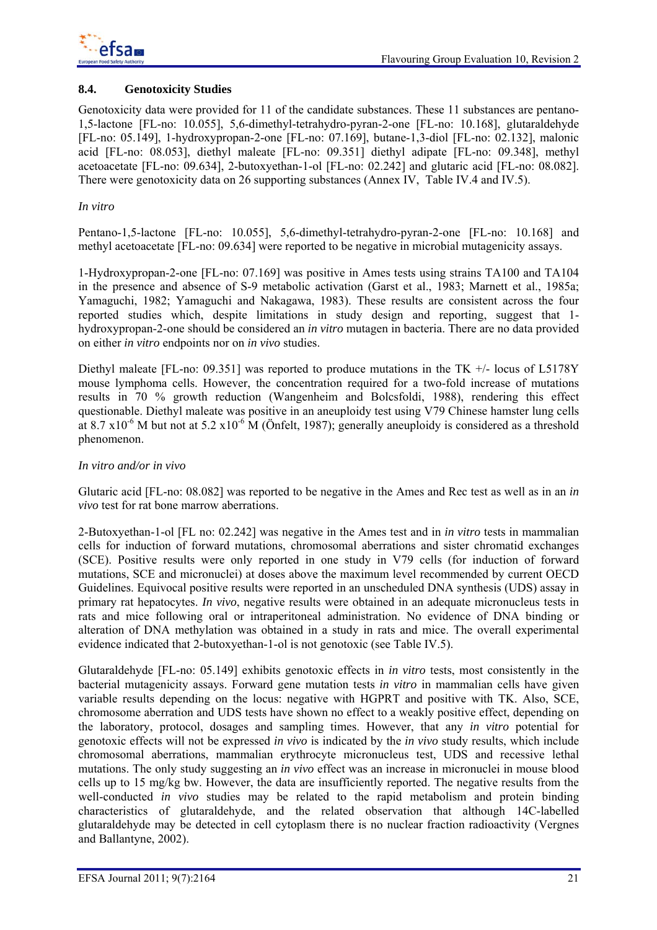

## **8.4. Genotoxicity Studies**

Genotoxicity data were provided for 11 of the candidate substances. These 11 substances are pentano-1,5-lactone [FL-no: 10.055], 5,6-dimethyl-tetrahydro-pyran-2-one [FL-no: 10.168], glutaraldehyde [FL-no: 05.149], 1-hydroxypropan-2-one [FL-no: 07.169], butane-1,3-diol [FL-no: 02.132], malonic acid [FL-no: 08.053], diethyl maleate [FL-no: 09.351] diethyl adipate [FL-no: 09.348], methyl acetoacetate [FL-no: 09.634], 2-butoxyethan-1-ol [FL-no: 02.242] and glutaric acid [FL-no: 08.082]. There were genotoxicity data on 26 supporting substances (Annex IV, Table IV.4 and IV.5).

## *In vitro*

Pentano-1,5-lactone [FL-no: 10.055], 5,6-dimethyl-tetrahydro-pyran-2-one [FL-no: 10.168] and methyl acetoacetate [FL-no: 09.634] were reported to be negative in microbial mutagenicity assays.

1-Hydroxypropan-2-one [FL-no: 07.169] was positive in Ames tests using strains TA100 and TA104 in the presence and absence of S-9 metabolic activation (Garst et al., 1983; Marnett et al., 1985a; Yamaguchi, 1982; Yamaguchi and Nakagawa, 1983). These results are consistent across the four reported studies which, despite limitations in study design and reporting, suggest that 1 hydroxypropan-2-one should be considered an *in vitro* mutagen in bacteria. There are no data provided on either *in vitro* endpoints nor on *in vivo* studies.

Diethyl maleate [FL-no: 09.351] was reported to produce mutations in the TK  $+/-$  locus of L5178Y mouse lymphoma cells. However, the concentration required for a two-fold increase of mutations results in 70 % growth reduction (Wangenheim and Bolcsfoldi, 1988), rendering this effect questionable. Diethyl maleate was positive in an aneuploidy test using V79 Chinese hamster lung cells at  $8.7 \times 10^{-6}$  M but not at  $5.2 \times 10^{-6}$  M (Önfelt, 1987); generally aneuploidy is considered as a threshold phenomenon.

## *In vitro and/or in vivo*

Glutaric acid [FL-no: 08.082] was reported to be negative in the Ames and Rec test as well as in an *in vivo* test for rat bone marrow aberrations.

2-Butoxyethan-1-ol [FL no: 02.242] was negative in the Ames test and in *in vitro* tests in mammalian cells for induction of forward mutations, chromosomal aberrations and sister chromatid exchanges (SCE). Positive results were only reported in one study in V79 cells (for induction of forward mutations, SCE and micronuclei) at doses above the maximum level recommended by current OECD Guidelines. Equivocal positive results were reported in an unscheduled DNA synthesis (UDS) assay in primary rat hepatocytes. *In vivo*, negative results were obtained in an adequate micronucleus tests in rats and mice following oral or intraperitoneal administration. No evidence of DNA binding or alteration of DNA methylation was obtained in a study in rats and mice. The overall experimental evidence indicated that 2-butoxyethan-1-ol is not genotoxic (see Table IV.5).

Glutaraldehyde [FL-no: 05.149] exhibits genotoxic effects in *in vitro* tests, most consistently in the bacterial mutagenicity assays. Forward gene mutation tests *in vitro* in mammalian cells have given variable results depending on the locus: negative with HGPRT and positive with TK. Also, SCE, chromosome aberration and UDS tests have shown no effect to a weakly positive effect, depending on the laboratory, protocol, dosages and sampling times. However, that any *in vitro* potential for genotoxic effects will not be expressed *in vivo* is indicated by the *in vivo* study results, which include chromosomal aberrations, mammalian erythrocyte micronucleus test, UDS and recessive lethal mutations. The only study suggesting an *in vivo* effect was an increase in micronuclei in mouse blood cells up to 15 mg/kg bw. However, the data are insufficiently reported. The negative results from the well-conducted *in vivo* studies may be related to the rapid metabolism and protein binding characteristics of glutaraldehyde, and the related observation that although 14C-labelled glutaraldehyde may be detected in cell cytoplasm there is no nuclear fraction radioactivity (Vergnes and Ballantyne, 2002).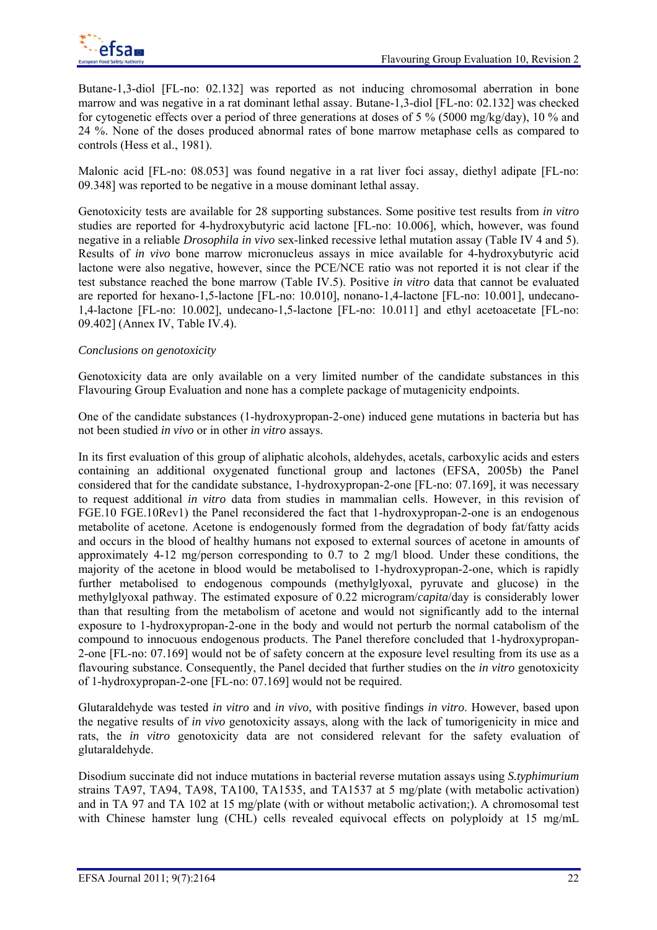Butane-1,3-diol [FL-no: 02.132] was reported as not inducing chromosomal aberration in bone marrow and was negative in a rat dominant lethal assay. Butane-1,3-diol [FL-no: 02.132] was checked for cytogenetic effects over a period of three generations at doses of 5 % (5000 mg/kg/day), 10 % and 24 %. None of the doses produced abnormal rates of bone marrow metaphase cells as compared to controls (Hess et al., 1981).

Malonic acid [FL-no: 08.053] was found negative in a rat liver foci assay, diethyl adipate [FL-no: 09.348] was reported to be negative in a mouse dominant lethal assay.

Genotoxicity tests are available for 28 supporting substances. Some positive test results from *in vitro* studies are reported for 4-hydroxybutyric acid lactone [FL-no: 10.006], which, however, was found negative in a reliable *Drosophila in vivo* sex-linked recessive lethal mutation assay (Table IV 4 and 5). Results of *in vivo* bone marrow micronucleus assays in mice available for 4-hydroxybutyric acid lactone were also negative, however, since the PCE/NCE ratio was not reported it is not clear if the test substance reached the bone marrow (Table IV.5). Positive *in vitro* data that cannot be evaluated are reported for hexano-1,5-lactone [FL-no: 10.010], nonano-1,4-lactone [FL-no: 10.001], undecano-1,4-lactone [FL-no: 10.002], undecano-1,5-lactone [FL-no: 10.011] and ethyl acetoacetate [FL-no: 09.402] (Annex IV, Table IV.4).

## *Conclusions on genotoxicity*

Genotoxicity data are only available on a very limited number of the candidate substances in this Flavouring Group Evaluation and none has a complete package of mutagenicity endpoints.

One of the candidate substances (1-hydroxypropan-2-one) induced gene mutations in bacteria but has not been studied *in vivo* or in other *in vitro* assays.

In its first evaluation of this group of aliphatic alcohols, aldehydes, acetals, carboxylic acids and esters containing an additional oxygenated functional group and lactones (EFSA, 2005b) the Panel considered that for the candidate substance, 1-hydroxypropan-2-one [FL-no: 07.169], it was necessary to request additional *in vitro* data from studies in mammalian cells. However, in this revision of FGE.10 FGE.10Rev1) the Panel reconsidered the fact that 1-hydroxypropan-2-one is an endogenous metabolite of acetone. Acetone is endogenously formed from the degradation of body fat/fatty acids and occurs in the blood of healthy humans not exposed to external sources of acetone in amounts of approximately 4-12 mg/person corresponding to 0.7 to 2 mg/l blood. Under these conditions, the majority of the acetone in blood would be metabolised to 1-hydroxypropan-2-one, which is rapidly further metabolised to endogenous compounds (methylglyoxal, pyruvate and glucose) in the methylglyoxal pathway. The estimated exposure of 0.22 microgram/*capita*/day is considerably lower than that resulting from the metabolism of acetone and would not significantly add to the internal exposure to 1-hydroxypropan-2-one in the body and would not perturb the normal catabolism of the compound to innocuous endogenous products. The Panel therefore concluded that 1-hydroxypropan-2-one [FL-no: 07.169] would not be of safety concern at the exposure level resulting from its use as a flavouring substance. Consequently, the Panel decided that further studies on the *in vitro* genotoxicity of 1-hydroxypropan-2-one [FL-no: 07.169] would not be required.

Glutaraldehyde was tested *in vitro* and *in vivo*, with positive findings *in vitro*. However, based upon the negative results of *in vivo* genotoxicity assays, along with the lack of tumorigenicity in mice and rats, the *in vitro* genotoxicity data are not considered relevant for the safety evaluation of glutaraldehyde.

Disodium succinate did not induce mutations in bacterial reverse mutation assays using *S.typhimurium* strains TA97, TA94, TA98, TA100, TA1535, and TA1537 at 5 mg/plate (with metabolic activation) and in TA 97 and TA 102 at 15 mg/plate (with or without metabolic activation;). A chromosomal test with Chinese hamster lung (CHL) cells revealed equivocal effects on polyploidy at 15 mg/mL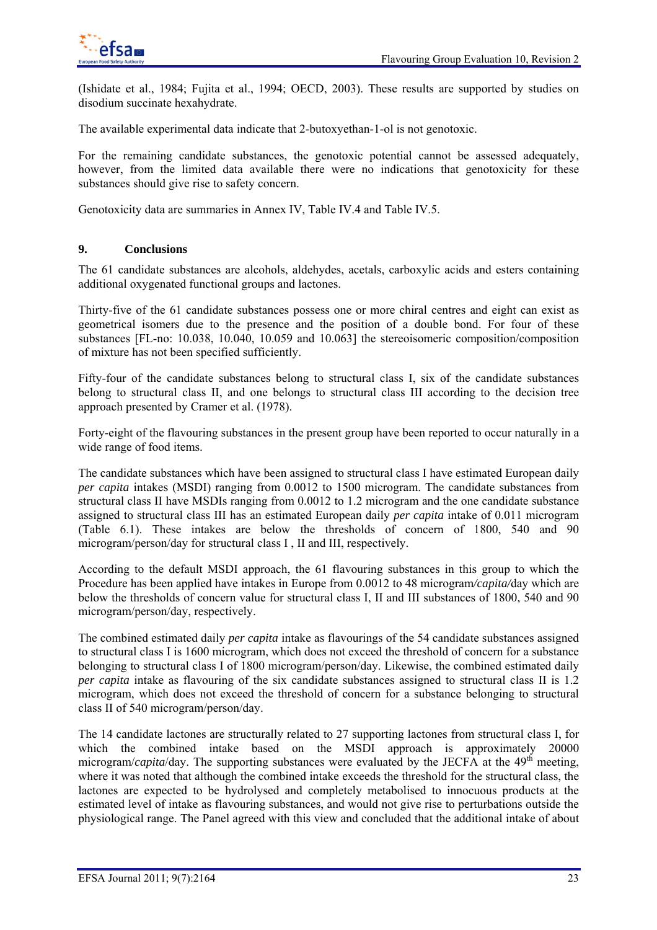(Ishidate et al., 1984; Fujita et al., 1994; OECD, 2003). These results are supported by studies on disodium succinate hexahydrate.

The available experimental data indicate that 2-butoxyethan-1-ol is not genotoxic.

For the remaining candidate substances, the genotoxic potential cannot be assessed adequately, however, from the limited data available there were no indications that genotoxicity for these substances should give rise to safety concern.

Genotoxicity data are summaries in Annex IV, Table IV.4 and Table IV.5.

## **9. Conclusions**

The 61 candidate substances are alcohols, aldehydes, acetals, carboxylic acids and esters containing additional oxygenated functional groups and lactones.

Thirty-five of the 61 candidate substances possess one or more chiral centres and eight can exist as geometrical isomers due to the presence and the position of a double bond. For four of these substances [FL-no: 10.038, 10.040, 10.059 and 10.063] the stereoisomeric composition/composition of mixture has not been specified sufficiently.

Fifty-four of the candidate substances belong to structural class I, six of the candidate substances belong to structural class II, and one belongs to structural class III according to the decision tree approach presented by Cramer et al. (1978).

Forty-eight of the flavouring substances in the present group have been reported to occur naturally in a wide range of food items.

The candidate substances which have been assigned to structural class I have estimated European daily *per capita* intakes (MSDI) ranging from 0.0012 to 1500 microgram. The candidate substances from structural class II have MSDIs ranging from 0.0012 to 1.2 microgram and the one candidate substance assigned to structural class III has an estimated European daily *per capita* intake of 0.011 microgram (Table 6.1). These intakes are below the thresholds of concern of 1800, 540 and 90 microgram/person/day for structural class I , II and III, respectively.

According to the default MSDI approach, the 61 flavouring substances in this group to which the Procedure has been applied have intakes in Europe from 0.0012 to 48 microgram*/capita/*day which are below the thresholds of concern value for structural class I, II and III substances of 1800, 540 and 90 microgram/person/day, respectively.

The combined estimated daily *per capita* intake as flavourings of the 54 candidate substances assigned to structural class I is 1600 microgram, which does not exceed the threshold of concern for a substance belonging to structural class I of 1800 microgram/person/day. Likewise, the combined estimated daily *per capita* intake as flavouring of the six candidate substances assigned to structural class II is 1.2 microgram, which does not exceed the threshold of concern for a substance belonging to structural class II of 540 microgram/person/day.

The 14 candidate lactones are structurally related to 27 supporting lactones from structural class I, for which the combined intake based on the MSDI approach is approximately 20000 microgram/*capita*/day. The supporting substances were evaluated by the JECFA at the  $49<sup>th</sup>$  meeting, where it was noted that although the combined intake exceeds the threshold for the structural class, the lactones are expected to be hydrolysed and completely metabolised to innocuous products at the estimated level of intake as flavouring substances, and would not give rise to perturbations outside the physiological range. The Panel agreed with this view and concluded that the additional intake of about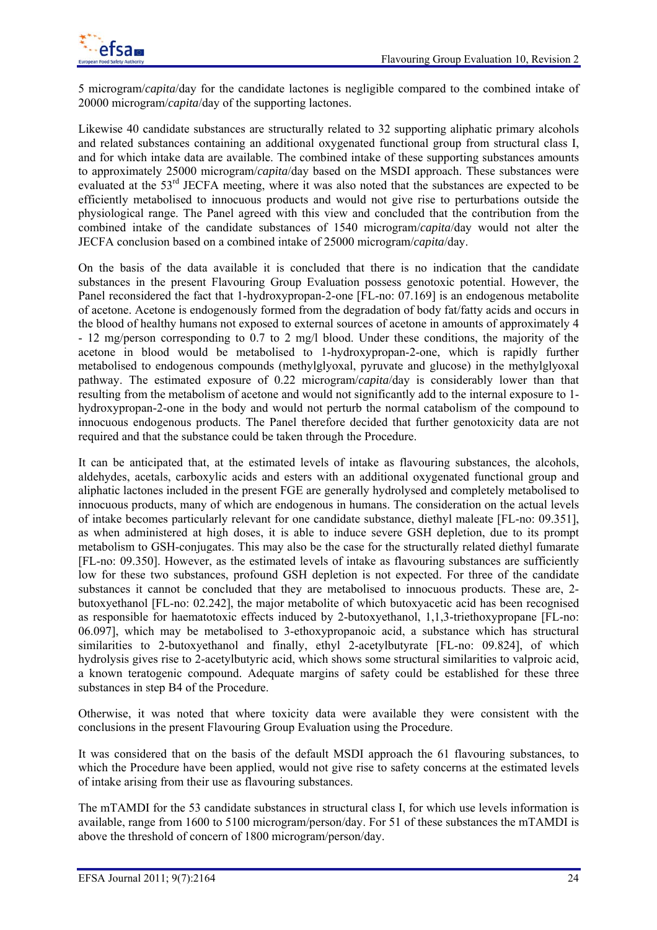

5 microgram/*capita*/day for the candidate lactones is negligible compared to the combined intake of 20000 microgram/*capita*/day of the supporting lactones.

Likewise 40 candidate substances are structurally related to 32 supporting aliphatic primary alcohols and related substances containing an additional oxygenated functional group from structural class I, and for which intake data are available. The combined intake of these supporting substances amounts to approximately 25000 microgram/*capita*/day based on the MSDI approach. These substances were evaluated at the 53<sup>rd</sup> JECFA meeting, where it was also noted that the substances are expected to be efficiently metabolised to innocuous products and would not give rise to perturbations outside the physiological range. The Panel agreed with this view and concluded that the contribution from the combined intake of the candidate substances of 1540 microgram/*capita*/day would not alter the JECFA conclusion based on a combined intake of 25000 microgram/*capita*/day.

On the basis of the data available it is concluded that there is no indication that the candidate substances in the present Flavouring Group Evaluation possess genotoxic potential. However, the Panel reconsidered the fact that 1-hydroxypropan-2-one [FL-no: 07.169] is an endogenous metabolite of acetone. Acetone is endogenously formed from the degradation of body fat/fatty acids and occurs in the blood of healthy humans not exposed to external sources of acetone in amounts of approximately 4 - 12 mg/person corresponding to 0.7 to 2 mg/l blood. Under these conditions, the majority of the acetone in blood would be metabolised to 1-hydroxypropan-2-one, which is rapidly further metabolised to endogenous compounds (methylglyoxal, pyruvate and glucose) in the methylglyoxal pathway. The estimated exposure of 0.22 microgram/*capita*/day is considerably lower than that resulting from the metabolism of acetone and would not significantly add to the internal exposure to 1 hydroxypropan-2-one in the body and would not perturb the normal catabolism of the compound to innocuous endogenous products. The Panel therefore decided that further genotoxicity data are not required and that the substance could be taken through the Procedure.

It can be anticipated that, at the estimated levels of intake as flavouring substances, the alcohols, aldehydes, acetals, carboxylic acids and esters with an additional oxygenated functional group and aliphatic lactones included in the present FGE are generally hydrolysed and completely metabolised to innocuous products, many of which are endogenous in humans. The consideration on the actual levels of intake becomes particularly relevant for one candidate substance, diethyl maleate [FL-no: 09.351], as when administered at high doses, it is able to induce severe GSH depletion, due to its prompt metabolism to GSH-conjugates. This may also be the case for the structurally related diethyl fumarate [FL-no: 09.350]. However, as the estimated levels of intake as flavouring substances are sufficiently low for these two substances, profound GSH depletion is not expected. For three of the candidate substances it cannot be concluded that they are metabolised to innocuous products. These are, 2 butoxyethanol [FL-no: 02.242], the major metabolite of which butoxyacetic acid has been recognised as responsible for haematotoxic effects induced by 2-butoxyethanol, 1,1,3-triethoxypropane [FL-no: 06.097], which may be metabolised to 3-ethoxypropanoic acid, a substance which has structural similarities to 2-butoxyethanol and finally, ethyl 2-acetylbutyrate [FL-no: 09.824], of which hydrolysis gives rise to 2-acetylbutyric acid, which shows some structural similarities to valproic acid, a known teratogenic compound. Adequate margins of safety could be established for these three substances in step B4 of the Procedure.

Otherwise, it was noted that where toxicity data were available they were consistent with the conclusions in the present Flavouring Group Evaluation using the Procedure.

It was considered that on the basis of the default MSDI approach the 61 flavouring substances, to which the Procedure have been applied, would not give rise to safety concerns at the estimated levels of intake arising from their use as flavouring substances.

The mTAMDI for the 53 candidate substances in structural class I, for which use levels information is available, range from 1600 to 5100 microgram/person/day. For 51 of these substances the mTAMDI is above the threshold of concern of 1800 microgram/person/day.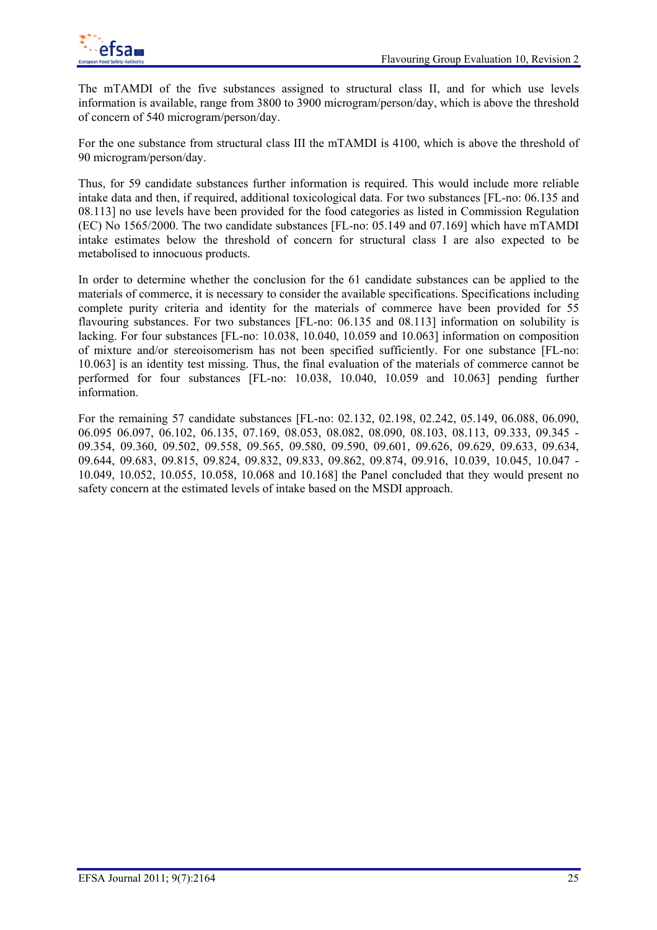The mTAMDI of the five substances assigned to structural class II, and for which use levels information is available, range from 3800 to 3900 microgram/person/day, which is above the threshold of concern of 540 microgram/person/day.

For the one substance from structural class III the mTAMDI is 4100, which is above the threshold of 90 microgram/person/day.

Thus, for 59 candidate substances further information is required. This would include more reliable intake data and then, if required, additional toxicological data. For two substances [FL-no: 06.135 and 08.113] no use levels have been provided for the food categories as listed in Commission Regulation (EC) No 1565/2000. The two candidate substances [FL-no: 05.149 and 07.169] which have mTAMDI intake estimates below the threshold of concern for structural class I are also expected to be metabolised to innocuous products.

In order to determine whether the conclusion for the 61 candidate substances can be applied to the materials of commerce, it is necessary to consider the available specifications. Specifications including complete purity criteria and identity for the materials of commerce have been provided for 55 flavouring substances. For two substances [FL-no: 06.135 and 08.113] information on solubility is lacking. For four substances [FL-no: 10.038, 10.040, 10.059 and 10.063] information on composition of mixture and/or stereoisomerism has not been specified sufficiently. For one substance [FL-no: 10.063] is an identity test missing. Thus, the final evaluation of the materials of commerce cannot be performed for four substances [FL-no: 10.038, 10.040, 10.059 and 10.063] pending further information.

For the remaining 57 candidate substances [FL-no: 02.132, 02.198, 02.242, 05.149, 06.088, 06.090, 06.095 06.097, 06.102, 06.135, 07.169, 08.053, 08.082, 08.090, 08.103, 08.113, 09.333, 09.345 - 09.354, 09.360, 09.502, 09.558, 09.565, 09.580, 09.590, 09.601, 09.626, 09.629, 09.633, 09.634, 09.644, 09.683, 09.815, 09.824, 09.832, 09.833, 09.862, 09.874, 09.916, 10.039, 10.045, 10.047 - 10.049, 10.052, 10.055, 10.058, 10.068 and 10.168] the Panel concluded that they would present no safety concern at the estimated levels of intake based on the MSDI approach.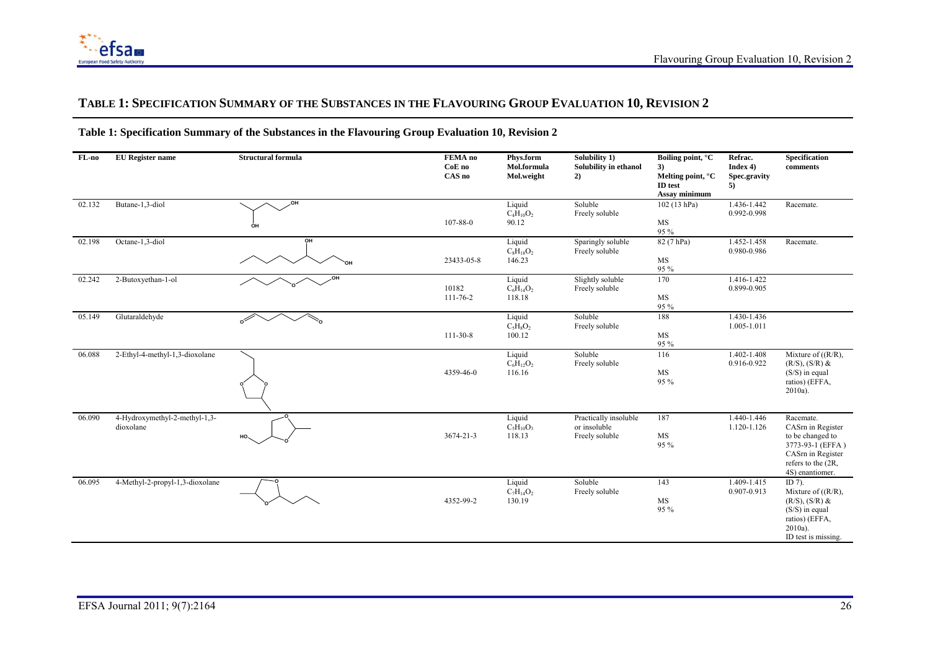## **TABLE 1: SPECIFICATION SUMMARY OF THE SUBSTANCES IN THE FLAVOURING GROUP EVALUATION 10, REVISION 2**

| FL-no  | <b>EU</b> Register name                    | <b>Structural formula</b> | FEMA no<br>CoE no<br>CAS no | Phys.form<br>Mol.formula<br>Mol.weight  | Solubility 1)<br>Solubility in ethanol<br>2)            | Boiling point, °C<br>3)<br>Melting point, °C<br>ID test<br>Assay minimum | Refrac.<br>Index 4)<br>Spec.gravity<br>5) | Specification<br>comments                                                                                                             |
|--------|--------------------------------------------|---------------------------|-----------------------------|-----------------------------------------|---------------------------------------------------------|--------------------------------------------------------------------------|-------------------------------------------|---------------------------------------------------------------------------------------------------------------------------------------|
| 02.132 | Butane-1,3-diol                            | ,OH<br>ÓН                 | 107-88-0                    | Liquid<br>$C_4H_{10}O_2$<br>90.12       | Soluble<br>Freely soluble                               | 102 (13 hPa)<br>$\rm MS$<br>95 %                                         | 1.436-1.442<br>0.992-0.998                | Racemate.                                                                                                                             |
| 02.198 | Octane-1,3-diol                            | OH<br>ЮH                  | 23433-05-8                  | Liquid<br>$C_8H_{18}O_2$<br>146.23      | Sparingly soluble<br>Freely soluble                     | 82(7 hPa)<br>MS<br>95 %                                                  | 1.452-1.458<br>0.980-0.986                | Racemate.                                                                                                                             |
| 02.242 | 2-Butoxyethan-1-ol                         | ,OH                       | 10182<br>111-76-2           | Liquid<br>$\rm{C_6H_{14}O_2}$<br>118.18 | Slightly soluble<br>Freely soluble                      | 170<br>MS<br>95 %                                                        | 1.416-1.422<br>0.899-0.905                |                                                                                                                                       |
| 05.149 | Glutaraldehyde                             | $\mathcal{C}$             | $111-30-8$                  | Liquid<br>$C_5H_8O_2$<br>100.12         | Soluble<br>Freely soluble                               | 188<br>MS<br>95 %                                                        | 1.430-1.436<br>1.005-1.011                |                                                                                                                                       |
| 06.088 | 2-Ethyl-4-methyl-1,3-dioxolane             |                           | 4359-46-0                   | Liquid<br>$C_6H_{12}O_2$<br>116.16      | Soluble<br>Freely soluble                               | 116<br>MS<br>95 %                                                        | 1.402-1.408<br>0.916-0.922                | Mixture of $((R/R))$ ,<br>$(R/S)$ , $(S/R)$ &<br>$(S/S)$ in equal<br>ratios) (EFFA,<br>$2010a$ ).                                     |
| 06.090 | 4-Hydroxymethyl-2-methyl-1,3-<br>dioxolane | HO.                       | 3674-21-3                   | Liquid<br>$C_5H_{10}O_3$<br>118.13      | Practically insoluble<br>or insoluble<br>Freely soluble | 187<br>MS<br>95 %                                                        | 1.440-1.446<br>1.120-1.126                | Racemate.<br>CASm in Register<br>to be changed to<br>3773-93-1 (EFFA)<br>CASm in Register<br>refers to the (2R,<br>4S) enantiomer.    |
| 06.095 | 4-Methyl-2-propyl-1,3-dioxolane            |                           | 4352-99-2                   | Liquid<br>$C_7H_{14}O_2$<br>130.19      | Soluble<br>Freely soluble                               | 143<br>MS<br>95 %                                                        | 1.409-1.415<br>0.907-0.913                | ID $7$ ).<br>Mixture of $((R/R))$ ,<br>$(R/S)$ , $(S/R)$ &<br>$(S/S)$ in equal<br>ratios) (EFFA,<br>$2010a$ ).<br>ID test is missing. |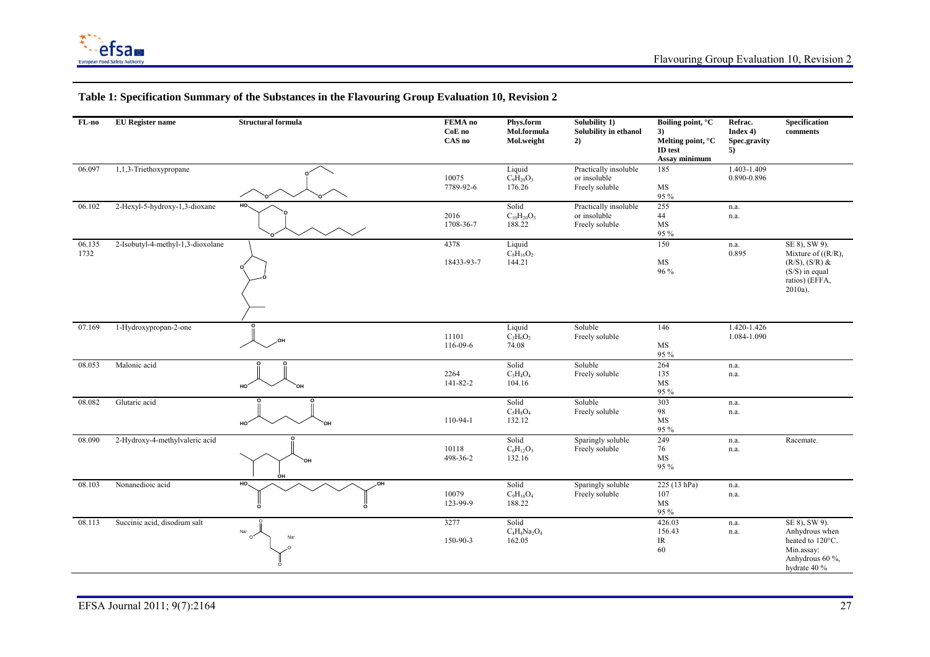

| $FL-no$        | <b>EU</b> Register name           | <b>Structural formula</b>               | FEMA no<br>CoE no<br>CAS no | Phys.form<br>Mol.formula<br>Mol.weight | Solubility 1)<br>Solubility in ethanol<br>2)            | Boiling point, °C<br>3)<br>Melting point, °C<br>ID test<br>Assay minimum | Refrac.<br>Index 4)<br>Spec.gravity<br>5) | Specification<br>comments                                                                                          |
|----------------|-----------------------------------|-----------------------------------------|-----------------------------|----------------------------------------|---------------------------------------------------------|--------------------------------------------------------------------------|-------------------------------------------|--------------------------------------------------------------------------------------------------------------------|
| 06.097         | 1,1,3-Triethoxypropane            |                                         | 10075<br>7789-92-6          | Liquid<br>$C_9H_{20}O_3$<br>176.26     | Practically insoluble<br>or insoluble<br>Freely soluble | 185<br>$\rm{MS}$<br>95 %                                                 | 1.403-1.409<br>0.890-0.896                |                                                                                                                    |
| 06.102         | 2-Hexyl-5-hydroxy-1,3-dioxane     | HO.                                     | 2016<br>1708-36-7           | Solid<br>$C_{10}H_{20}O_3$<br>188.22   | Practically insoluble<br>or insoluble<br>Freely soluble | 255<br>44<br>MS<br>95 %                                                  | n.a.<br>n.a.                              |                                                                                                                    |
| 06.135<br>1732 | 2-Isobutyl-4-methyl-1,3-dioxolane |                                         | 4378<br>18433-93-7          | Liquid<br>$C_8H_{16}O_2$<br>144.21     |                                                         | 150<br>MS<br>96 %                                                        | n.a.<br>0.895                             | SE 8), SW 9).<br>Mixture of $((R/R))$ ,<br>$(R/S)$ , $(S/R)$ &<br>$(S/S)$ in equal<br>ratios) (EFFA,<br>$2010a$ ). |
| 07.169         | 1-Hydroxypropan-2-one             | .OH                                     | 11101<br>116-09-6           | Liquid<br>$C_3H_6O_2$<br>74.08         | Soluble<br>Freely soluble                               | 146<br>MS<br>95 %                                                        | 1.420-1.426<br>1.084-1.090                |                                                                                                                    |
| 08.053         | Malonic acid                      | HO <sub>1</sub><br>`OH                  | 2264<br>141-82-2            | Solid<br>$C_3H_4O_4$<br>104.16         | Soluble<br>Freely soluble                               | 264<br>135<br>MS<br>95 %                                                 | n.a.<br>n.a.                              |                                                                                                                    |
| 08.082         | Glutaric acid                     | HO <sup>-</sup><br>`OH                  | 110-94-1                    | Solid<br>$C_5H_8O_4$<br>132.12         | Soluble<br>Freely soluble                               | 303<br>98<br>$\rm{MS}$<br>95 %                                           | n.a.<br>n.a.                              |                                                                                                                    |
| 08.090         | 2-Hydroxy-4-methylvaleric acid    | `OH<br>OH                               | 10118<br>498-36-2           | Solid<br>$C_6H_{12}O_3$<br>132.16      | Sparingly soluble<br>Freely soluble                     | 249<br>76<br>$\rm{MS}$<br>95 %                                           | n.a.<br>n.a.                              | Racemate.                                                                                                          |
| 08.103         | Nonanedioic acid                  | HO<br>HQ.<br>$\Omega$                   | 10079<br>123-99-9           | Solid<br>$C_{9}H_{16}O_{4}$<br>188.22  | Sparingly soluble<br>Freely soluble                     | 225 (13 hPa)<br>107<br>$\rm MS$<br>95 %                                  | n.a.<br>n.a.                              |                                                                                                                    |
| 08.113         | Succinic acid, disodium salt      | Na <sup>+</sup><br>ി<br>Na <sup>+</sup> | 3277<br>150-90-3            | Solid<br>$C_4H_4Na_2O_4$<br>162.05     |                                                         | 426.03<br>156.43<br>$\ensuremath{\mathsf{IR}}\xspace$<br>60              | n.a.<br>n.a.                              | SE 8), SW 9).<br>Anhydrous when<br>heated to 120°C.<br>Min.assay:<br>Anhydrous 60 %,<br>hydrate 40 %               |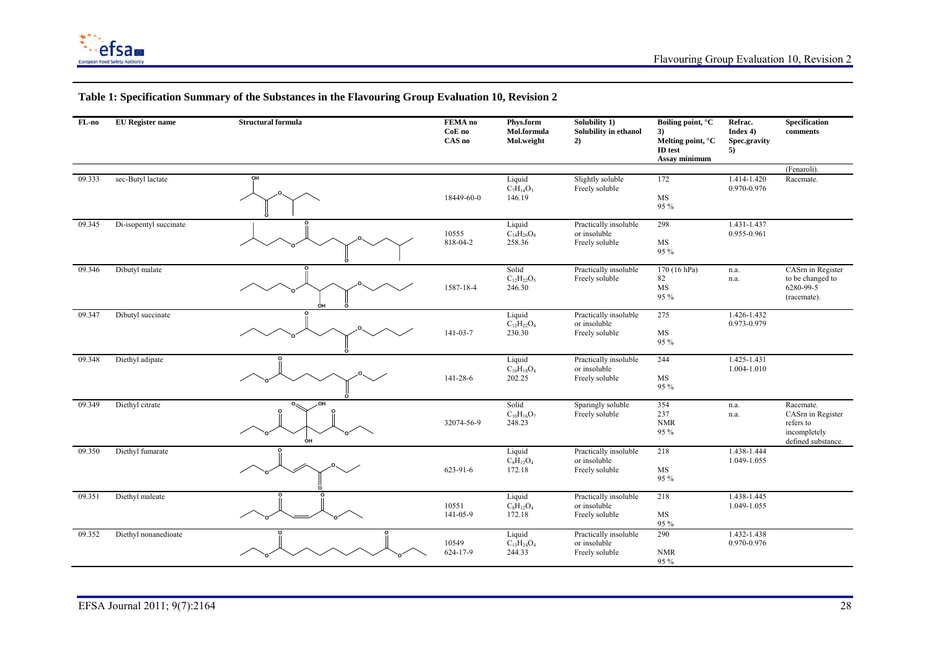

| FL-no  | <b>EU</b> Register name | <b>Structural formula</b> | FEMA no<br>CoE no<br>CAS no | Phys.form<br>Mol.formula<br>Mol.weight                                | Solubility 1)<br>Solubility in ethanol<br>2)            | Boiling point, °C<br>3)<br>Melting point, °C<br><b>ID</b> test<br>Assay minimum | Refrac.<br>Index 4<br>Spec.gravity<br>5) | Specification<br>comments                                                        |
|--------|-------------------------|---------------------------|-----------------------------|-----------------------------------------------------------------------|---------------------------------------------------------|---------------------------------------------------------------------------------|------------------------------------------|----------------------------------------------------------------------------------|
|        |                         |                           |                             |                                                                       |                                                         |                                                                                 |                                          | (Fenaroli).                                                                      |
| 09.333 | sec-Butyl lactate       | OH                        | 18449-60-0                  | Liquid<br>$C_7H_{14}O_3$<br>146.19                                    | Slightly soluble<br>Freely soluble                      | 172<br>MS<br>95 %                                                               | 1.414-1.420<br>0.970-0.976               | Racemate.                                                                        |
| 09.345 | Di-isopentyl succinate  |                           | 10555<br>818-04-2           | Liquid<br>$C_1$ <sub>4</sub> H <sub>26</sub> O <sub>4</sub><br>258.36 | Practically insoluble<br>or insoluble<br>Freely soluble | 298<br>$\rm MS$<br>95 %                                                         | 1.431-1.437<br>0.955-0.961               |                                                                                  |
| 09.346 | Dibutyl malate          | ÓН                        | 1587-18-4                   | Solid<br>$C_{12}H_{22}O_5$<br>246.30                                  | Practically insoluble<br>Freely soluble                 | 170 (16 hPa)<br>82<br>$\rm{MS}$<br>95 %                                         | n.a.<br>n.a.                             | CASm in Register<br>to be changed to<br>6280-99-5<br>(racemate).                 |
| 09.347 | Dibutyl succinate       | $\Omega$                  | $141 - 03 - 7$              | Liquid<br>$C_{12}H_{22}O_4$<br>230.30                                 | Practically insoluble<br>or insoluble<br>Freely soluble | 275<br>MS<br>95 %                                                               | $1.426 - 1.432$<br>0.973-0.979           |                                                                                  |
| 09.348 | Diethyl adipate         |                           | 141-28-6                    | Liquid<br>$C_{10}H_{18}O_4$<br>202.25                                 | Practically insoluble<br>or insoluble<br>Freely soluble | 244<br>MS<br>95 %                                                               | 1.425-1.431<br>1.004-1.010               |                                                                                  |
| 09.349 | Diethyl citrate         | OН<br>ÒН                  | 32074-56-9                  | Solid<br>$C_{10}H_{16}O_7$<br>248.23                                  | Sparingly soluble<br>Freely soluble                     | 354<br>237<br><b>NMR</b><br>95 %                                                | n.a.<br>n.a.                             | Racemate.<br>CASm in Register<br>refers to<br>incompletely<br>defined substance. |
| 09.350 | Diethyl fumarate        |                           | 623-91-6                    | Liquid<br>$C_8H_{12}O_4$<br>172.18                                    | Practically insoluble<br>or insoluble<br>Freely soluble | 218<br>MS<br>95 %                                                               | 1.438-1.444<br>1.049-1.055               |                                                                                  |
| 09.351 | Diethyl maleate         |                           | 10551<br>141-05-9           | Liquid<br>$C_8H_{12}O_4$<br>172.18                                    | Practically insoluble<br>or insoluble<br>Freely soluble | 218<br>MS<br>95 %                                                               | 1.438-1.445<br>1.049-1.055               |                                                                                  |
| 09.352 | Diethyl nonanedioate    |                           | 10549<br>624-17-9           | Liquid<br>$C_{13}H_{24}O_4$<br>244.33                                 | Practically insoluble<br>or insoluble<br>Freely soluble | 290<br><b>NMR</b><br>95 %                                                       | 1.432-1.438<br>0.970-0.976               |                                                                                  |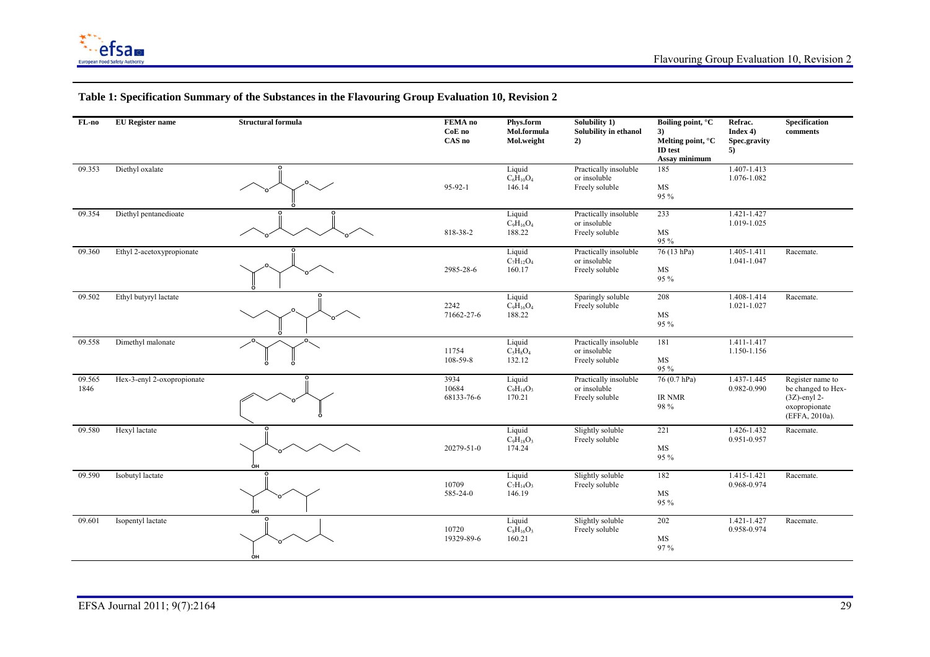

| FL-no               | <b>EU</b> Register name    | <b>Structural formula</b> | FEMA no<br>CoE no<br>CAS no | Phys.form<br>Mol.formula<br>Mol.weight | Solubility 1)<br>Solubility in ethanol<br>2)            | Boiling point, °C<br>3)<br>Melting point, °C<br>ID test<br>Assay minimum | Refrac.<br>Index 4<br>Spec.gravity<br>5) | <b>Specification</b><br>comments                                                             |
|---------------------|----------------------------|---------------------------|-----------------------------|----------------------------------------|---------------------------------------------------------|--------------------------------------------------------------------------|------------------------------------------|----------------------------------------------------------------------------------------------|
| $\overline{09.353}$ | Diethyl oxalate            |                           | 95-92-1                     | Liquid<br>$C_6H_{10}O_4$<br>146.14     | Practically insoluble<br>or insoluble<br>Freely soluble | 185<br>MS<br>95 %                                                        | 1.407-1.413<br>1.076-1.082               |                                                                                              |
| 09.354              | Diethyl pentanedioate      |                           | 818-38-2                    | Liquid<br>$C_9H_{16}O_4$<br>188.22     | Practically insoluble<br>or insoluble<br>Freely soluble | 233<br>MS<br>95 %                                                        | 1.421-1.427<br>1.019-1.025               |                                                                                              |
| 09.360              | Ethyl 2-acetoxypropionate  |                           | 2985-28-6                   | Liquid<br>$C_7H_{12}O_4$<br>160.17     | Practically insoluble<br>or insoluble<br>Freely soluble | 76 (13 hPa)<br>MS<br>95 %                                                | 1.405-1.411<br>1.041-1.047               | Racemate.                                                                                    |
| 09.502              | Ethyl butyryl lactate      |                           | 2242<br>71662-27-6          | Liquid<br>$C_9H_{16}O_4$<br>188.22     | Sparingly soluble<br>Freely soluble                     | 208<br>MS<br>95 %                                                        | 1.408-1.414<br>1.021-1.027               | Racemate.                                                                                    |
| 09.558              | Dimethyl malonate          | ö<br>o                    | 11754<br>108-59-8           | Liquid<br>$C_5H_8O_4$<br>132.12        | Practically insoluble<br>or insoluble<br>Freely soluble | 181<br>MS<br>95 %                                                        | 1.411-1.417<br>1.150-1.156               |                                                                                              |
| 09.565<br>1846      | Hex-3-enyl 2-oxopropionate |                           | 3934<br>10684<br>68133-76-6 | Liquid<br>$C_9H_{14}O_3$<br>170.21     | Practically insoluble<br>or insoluble<br>Freely soluble | 76 (0.7 hPa)<br>IR NMR<br>98 %                                           | 1.437-1.445<br>0.982-0.990               | Register name to<br>be changed to Hex-<br>$(3Z)$ -enyl 2-<br>oxopropionate<br>(EFFA, 2010a). |
| 09.580              | Hexyl lactate              | ÒН                        | 20279-51-0                  | Liquid<br>$C_9H_{18}O_3$<br>174.24     | Slightly soluble<br>Freely soluble                      | 221<br>MS<br>95 %                                                        | 1.426-1.432<br>0.951-0.957               | Racemate.                                                                                    |
| 09.590              | Isobutyl lactate           | ÓН                        | 10709<br>585-24-0           | Liquid<br>$C_7H_{14}O_3$<br>146.19     | Slightly soluble<br>Freely soluble                      | 182<br>MS<br>95 %                                                        | 1.415-1.421<br>0.968-0.974               | Racemate.                                                                                    |
| 09.601              | Isopentyl lactate          | OH                        | 10720<br>19329-89-6         | Liquid<br>$C_8H_{16}O_3$<br>160.21     | Slightly soluble<br>Freely soluble                      | 202<br>MS<br>97%                                                         | 1.421-1.427<br>0.958-0.974               | Racemate.                                                                                    |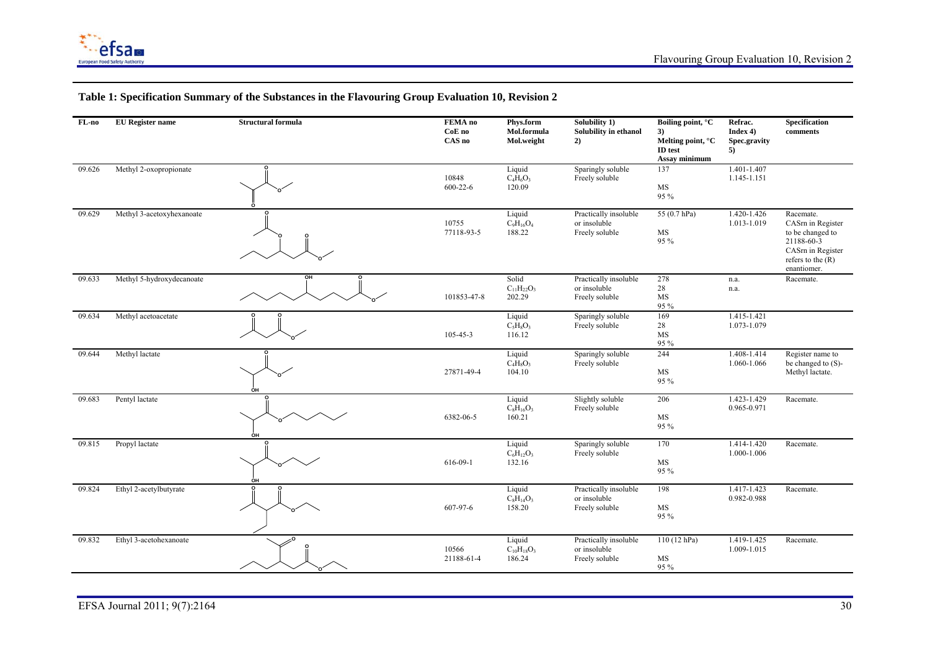

| FL-no  | <b>EU</b> Register name   | <b>Structural formula</b> | FEMA no<br>CoE no<br>CAS no | Phys.form<br>Mol.formula<br>Mol.weight | Solubility 1)<br>Solubility in ethanol<br>2)            | Boiling point, °C<br>3)<br>Melting point, °C<br>ID test<br>Assay minimum | Refrac.<br>Index $4$ )<br>Spec.gravity<br>5) | Specification<br>comments                                                                                                 |
|--------|---------------------------|---------------------------|-----------------------------|----------------------------------------|---------------------------------------------------------|--------------------------------------------------------------------------|----------------------------------------------|---------------------------------------------------------------------------------------------------------------------------|
| 09.626 | Methyl 2-oxopropionate    |                           | 10848<br>$600 - 22 - 6$     | Liquid<br>$C_4H_6O_3$<br>120.09        | Sparingly soluble<br>Freely soluble                     | 137<br>MS<br>95 %                                                        | 1.401-1.407<br>1.145-1.151                   |                                                                                                                           |
| 09.629 | Methyl 3-acetoxyhexanoate |                           | 10755<br>77118-93-5         | Liquid<br>$C_9H_{16}O_4$<br>188.22     | Practically insoluble<br>or insoluble<br>Freely soluble | 55 (0.7 hPa)<br>MS<br>95 %                                               | 1.420-1.426<br>1.013-1.019                   | Racemate.<br>CASm in Register<br>to be changed to<br>21188-60-3<br>CASm in Register<br>refers to the $(R)$<br>enantiomer. |
| 09.633 | Methyl 5-hydroxydecanoate | OH<br>о                   | 101853-47-8                 | Solid<br>$C_{11}H_{22}O_3$<br>202.29   | Practically insoluble<br>or insoluble<br>Freely soluble | 278<br>$28\,$<br>MS<br>95 %                                              | n.a.<br>n.a.                                 | Racemate.                                                                                                                 |
| 09.634 | Methyl acetoacetate       |                           | 105-45-3                    | Liquid<br>$C_5H_8O_3$<br>116.12        | Sparingly soluble<br>Freely soluble                     | 169<br>28<br>MS<br>95 %                                                  | 1.415-1.421<br>1.073-1.079                   |                                                                                                                           |
| 09.644 | Methyl lactate            | ÓН                        | 27871-49-4                  | Liquid<br>$C_4H_8O_3$<br>104.10        | Sparingly soluble<br>Freely soluble                     | 244<br>MS<br>95 %                                                        | 1.408-1.414<br>1.060-1.066                   | Register name to<br>be changed to (S)-<br>Methyl lactate.                                                                 |
| 09.683 | Pentyl lactate            | OH                        | 6382-06-5                   | Liquid<br>$C_8H_{16}O_3$<br>160.21     | Slightly soluble<br>Freely soluble                      | 206<br>MS<br>95 %                                                        | 1.423-1.429<br>0.965-0.971                   | Racemate.                                                                                                                 |
| 09.815 | Propyl lactate            | ÓН                        | 616-09-1                    | Liquid<br>$C_6H_{12}O_3$<br>132.16     | Sparingly soluble<br>Freely soluble                     | 170<br>MS<br>95 %                                                        | 1.414-1.420<br>1.000-1.006                   | Racemate.                                                                                                                 |
| 09.824 | Ethyl 2-acetylbutyrate    |                           | 607-97-6                    | Liquid<br>$C_8H_{14}O_3$<br>158.20     | Practically insoluble<br>or insoluble<br>Freely soluble | 198<br>MS<br>95 %                                                        | 1.417-1.423<br>0.982-0.988                   | Racemate.                                                                                                                 |
| 09.832 | Ethyl 3-acetohexanoate    |                           | 10566<br>21188-61-4         | Liquid<br>$C_{10}H_{18}O_3$<br>186.24  | Practically insoluble<br>or insoluble<br>Freely soluble | 110(12 hPa)<br>MS<br>95 %                                                | 1.419-1.425<br>1.009-1.015                   | Racemate.                                                                                                                 |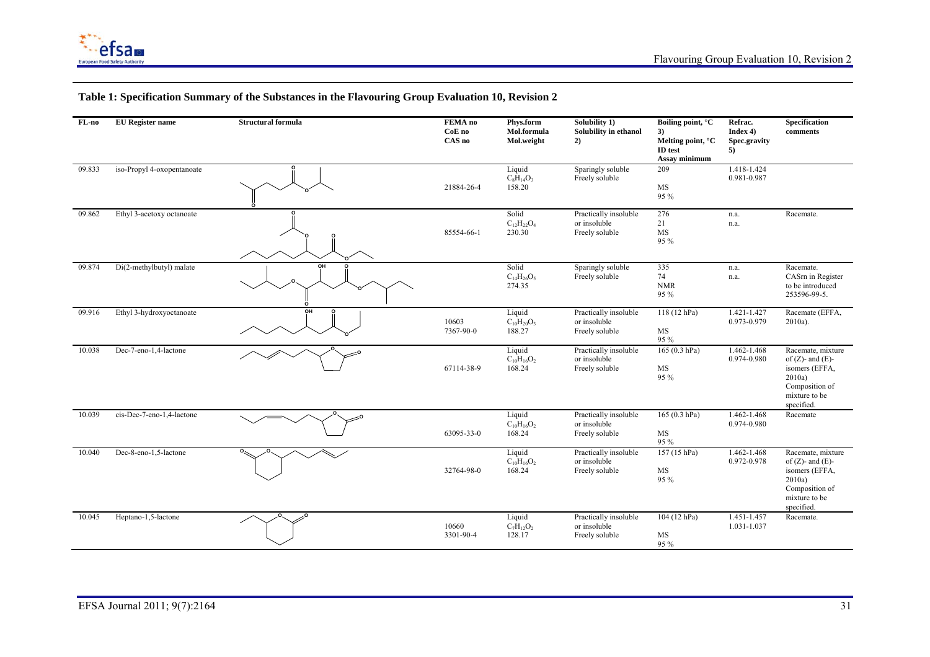

#### **FL-no EU Register name Structural formula FEMA no CoE no CAS no Phys.form Mol.formula Mol.weight Solubility 1) Solubility in ethanol 2) Boiling point, °C 3) Melting point, °C ID test Assay minimum Refrac. Index 4) Spec.gravity 5) Specification comments** 09.833 iso-Propyl 4-oxopentanoate **O**21884-26-4 Liquid  $C_8H_{14}O_3$ 158.20 Sparingly soluble Freely soluble 209 MS 95 % 1.418-1.424 0.981-0.987 09.862 Ethyl 3-acetoxy octanoate **O**85554-66-1 Solid  $C_1$ <sub>2</sub>H<sub>22</sub>O<sub>4</sub> 230.30 Practically insoluble or insoluble Freely soluble 276 21 MS 95 % n.a. n.a. Racemate. 09.874 Di(2-methylbutyl) malate **OH O**Solid  $\mathrm{C_{14}H_{26}O_5}$ 274.35 Sparingly soluble Freely soluble 335 74 NMR 95 % n.a. n.a. Racemate. CASrn in Register to be introduced 253596-99-5. 09.916 Ethyl 3-hydroxyoctanoate **OH O**10603 7367-90-0 Liquid  $C_{10}H_{20}O_3$ 188.27 Practically insoluble or insoluble Freely soluble 118 (12 hPa) MS 95 % 1.421-1.427 0.973-0.979 Racemate (EFFA, 2010a). 10.038 Dec-7-eno-1,4-lactone 67114-38-9 Liquid  $\rm C_{10}H_{16}O_2$ 168.24 Practically insoluble or insoluble Freely soluble 165 (0.3 hPa) MS 95 % 1.462-1.468 0.974-0.980 Racemate, mixture of  $(Z)$ - and  $(E)$ isomers (EFFA, 2010a) Composition of mixture to be specified. 10.039 cis-Dec-7-eno-1,4-lactone 63095-33-0 Liquid  $C_{10}H_{16}O_2$ 168.24 Practically insoluble or insoluble Freely soluble 165 (0.3 hPa) MS 95 % 1.462-1.468 0.974-0.980 Racemate 10.040 Dec-8-eno-1,5-lactone 32764-98-0 Liquid  $C_{10}H_{16}O_2$ 168.24 Practically insoluble or insoluble Freely soluble 157 (15 hPa) MS 95 % 1.462-1.468 0.972-0.978 Racemate, mixture of  $(Z)$ - and  $(E)$ isomers (EFFA, 2010a) Composition of mixture to be specified. 10.045 **Heptano-1,5-lactone** 10660 3301-90-4 Liquid  $C_7H_{12}O_2$ 128.17 Practically insoluble or insoluble Freely soluble 104 (12 hPa) MS 95 % 1.451-1.457 1.031-1.037 Racemate.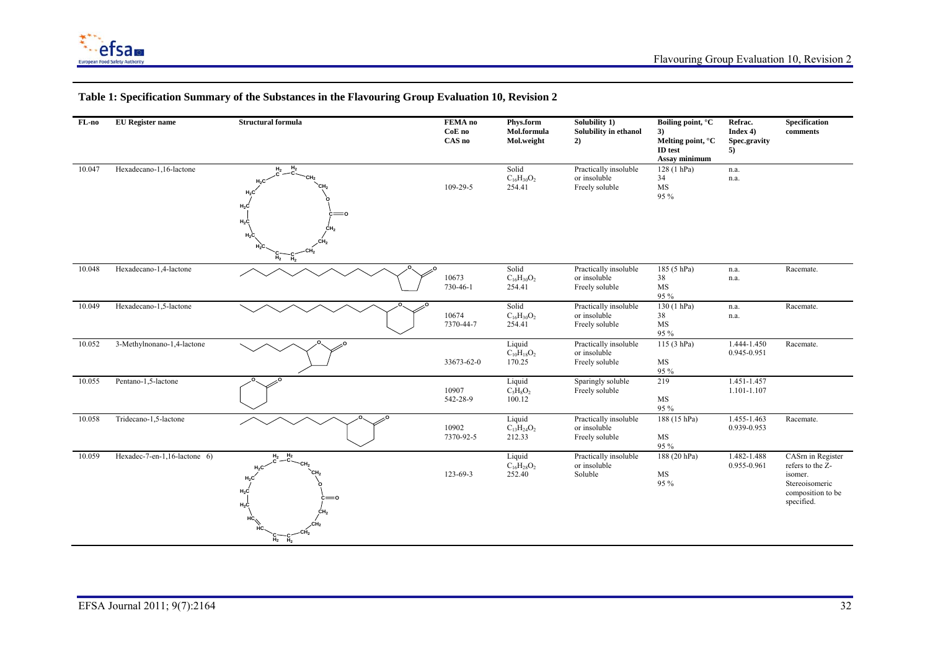

#### **FL-no EU Register name Structural formula FEMA no CoE no CAS no Phys.form Mol.formula Mol.weight Solubility 1) Solubility in ethanol 2) Boiling point, °C 3) Melting point, °C ID test Assay minimum Refrac. Index 4) Spec.gravity 5) Specification comments**  10.047 Hexadecano-1,16-lactone **CCH2**СН<sub>2</sub> **CH2 C** $_{\rm H_{2}}$ **C H2 H2C H2C H2C H2C H2C H2C**  $\mathsf{H}_2$ **CH2CCH2CH2**109-29-5 Solid  $C_{16}H_{30}O_2$ 254.41 Practically insoluble or insoluble Freely soluble 128 (1 hPa) 34 MS 95 % n.a. n.a. 10.048 Hexadecano-1,4-lactone 10673 730-46-1 Solid  $\rm C_{16}H_{30}O_2$ 254.41 Practically insoluble or insoluble Freely soluble 185 (5 hPa) 38 MS 95 % n.a. n.a. Racemate. 10.049 Hexadecano-1,5-lactone 10674 7370-44-7 Solid  $\rm C_{16}H_{30}O_2$ 254.41 Practically insoluble or insoluble Freely soluble 130 (1 hPa) 38 MS 95 % n.a. n.a. Racemate. 10.052 3-Methylnonano-1,4-lactone 33673-62-0 Liquid  $\rm{C_{10}H_{18}O_2}$ 170.25 Practically insoluble or insoluble Freely soluble 115 (3 hPa) MS 95 % 1.444-1.450 0.945-0.951 Racemate. 10.055 Pentano-1,5-lactone 10907 542-28-9 Liquid  $C_5H_8O_2$  100.12 Sparingly soluble Freely soluble 219 MS 95 % 1.451-1.457 1.101-1.107 10.058 Tridecano-1,5-lactone 10902 7370-92-5 Liquid  $C_{13}H_{24}O_2$ 212.33 Practically insoluble or insoluble Freely soluble 188 (15 hPa) MS 95 % 1.455-1.463 0.939-0.953 Racemate. 10.059 Hexadec-7-en-1,16-lactone 6) **C OCH2CH2СН**2 **C**<br>**H**<sub>2</sub><sup><del>C</sup></del></sup> **HCHCH2C H2C**  $_{\rm H_2C}$  $_{\rm H_2C}$ **H2CH2C CH2СН**2 123-69-3 Liquid  $C_{16}H_{28}O_2$ 252.40 Practically insoluble or insoluble Soluble 188 (20 hPa) MS 95 % 1.482-1.488 0.955-0.961 CASrn in Register refers to the Zisomer. Stereoisomeric composition to be specified.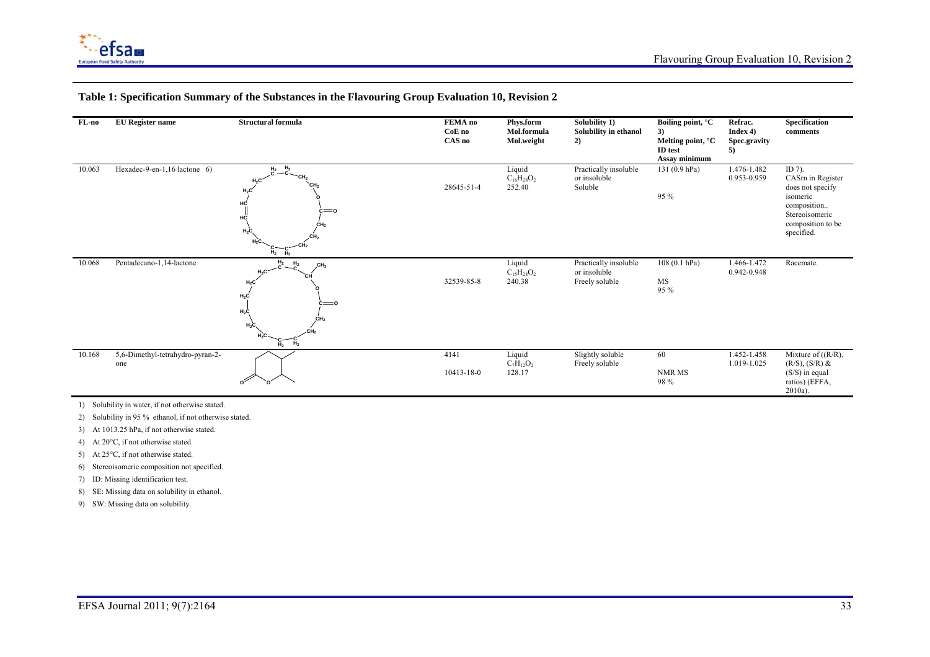

#### **FL-no EU Register name Structural formula FEMA no CoE no CAS no Phys.form Mol.formula Mol.weight Solubility 1) Solubility in ethanol 2) Boiling point, °C 3) Melting point, °C ID test Assay minimum Refrac. Index 4) Spec.gravity 5) Specification comments**  10.063 Hexadec-9-en-1,16 lactone 6) **C OCH2CH2СН**2 **C**<br>**H**<sub>2</sub><sup>C</sup> **H2C H2C HCHC** $_{\rm H_2C}$ **H2C H2CH2C CH2**СН<sub>2</sub> 28645-51-4 Liquid  $C_{16}H_{28}O_2$ 252.40 Practically insoluble or insoluble Soluble 131 (0.9 hPa) 95 % 1.476-1.482 0.953-0.959 ID 7). CASrn in Register does not specify isomeric composition.. Stereoisomeric composition to be specified. 10.068 Pentadecano-1,14-lactone **CCH2СН**2 **H2 CH2H2C H2C H2C H2C H2C H2C H2CH2CCHCH3O**32539-85-8 Liquid  $C_{15}H_{28}O_2$ 240.38 Practically insoluble or insoluble Freely soluble 108 (0.1 hPa) MS 95 % 1.466-1.472 0.942-0.948 Racemate. 10.168 5,6-Dimethyl-tetrahydro-pyran-2 one **O O** 4141 10413-18-0 Liquid  $C_7H_{12}O_2$ 128.17 Slightly soluble Freely soluble 60 NMR MS 98 % 1.452-1.458 1.019-1.025 Mixture of ((R/R),  $(R/S)$ ,  $(S/R)$  & (S/S) in equal ratios) (EFFA, 2010a).

### **Table 1: Specification Summary of the Substances in the Flavouring Group Evaluation 10, Revision 2**

1) Solubility in water, if not otherwise stated.

2) Solubility in 95 % ethanol, if not otherwise stated.

- 3) At 1013.25 hPa, if not otherwise stated.
- 4) At 20°C, if not otherwise stated.
- 5) At 25°C, if not otherwise stated.
- 6) Stereoisomeric composition not specified.
- 7) ID: Missing identification test.
- 8) SE: Missing data on solubility in ethanol.
- 9) SW: Missing data on solubility.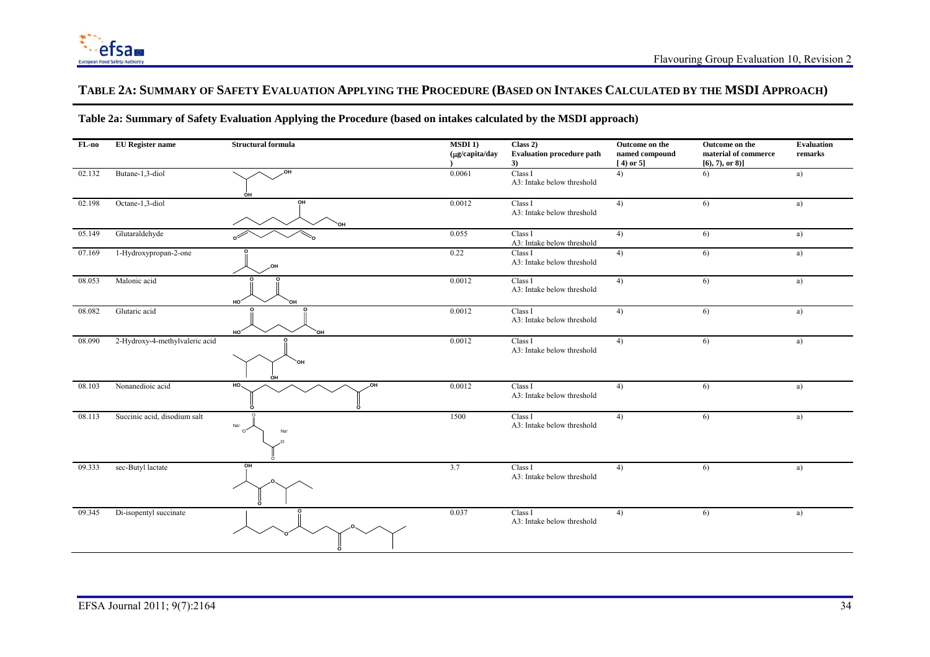

## **TABLE 2A: SUMMARY OF SAFETY EVALUATION APPLYING THE PROCEDURE (BASED ON INTAKES CALCULATED BY THE MSDI APPROACH)**

## **Table 2a: Summary of Safety Evaluation Applying the Procedure (based on intakes calculated by the MSDI approach)**

| FL-no  | <b>EU</b> Register name        | <b>Structural formula</b>    | <b>MSDI</b> 1)<br>$(\mu g/capita/day$ | Class 2)<br><b>Evaluation procedure path</b><br>3) | Outcome on the<br>named compound<br>$[4)$ or 5] | Outcome on the<br>material of commerce<br>$[6, 7),$ or 8)] | <b>Evaluation</b><br>remarks |
|--------|--------------------------------|------------------------------|---------------------------------------|----------------------------------------------------|-------------------------------------------------|------------------------------------------------------------|------------------------------|
| 02.132 | Butane-1,3-diol                | ,он<br>OH                    | 0.0061                                | Class I<br>A3: Intake below threshold              | 4)                                              | 6)                                                         | a)                           |
| 02.198 | Octane-1,3-diol                | ΟН                           | 0.0012                                | Class I<br>A3: Intake below threshold              | 4)                                              | 6)                                                         | a)                           |
| 05.149 | Glutaraldehyde                 |                              | 0.055                                 | Class I<br>A3: Intake below threshold              | 4)                                              | 6)                                                         | a)                           |
| 07.169 | 1-Hydroxypropan-2-one          |                              | 0.22                                  | Class I<br>A3: Intake below threshold              | 4)                                              | 6)                                                         | a)                           |
| 08.053 | Malonic acid                   | HO'<br>ΟН                    | 0.0012                                | Class I<br>A3: Intake below threshold              | 4)                                              | 6)                                                         | a)                           |
| 08.082 | Glutaric acid                  | HO <sup>-</sup><br>ЮH        | 0.0012                                | Class I<br>A3: Intake below threshold              | 4)                                              | 6)                                                         | a)                           |
| 08.090 | 2-Hydroxy-4-methylvaleric acid | `OH<br>он                    | 0.0012                                | Class I<br>A3: Intake below threshold              | 4)                                              | 6)                                                         | a)                           |
| 08.103 | Nonanedioic acid               | HO <sub>1</sub><br><b>HO</b> | 0.0012                                | Class I<br>A3: Intake below threshold              | 4)                                              | 6)                                                         | a)                           |
| 08.113 | Succinic acid, disodium salt   | Na <sup>+</sup><br>.O.<br>Na | 1500                                  | Class I<br>A3: Intake below threshold              | 4)                                              | 6)                                                         | a)                           |
| 09.333 | sec-Butyl lactate              | OH                           | 3.7                                   | Class I<br>A3: Intake below threshold              | 4)                                              | 6)                                                         | a)                           |
| 09.345 | Di-isopentyl succinate         |                              | 0.037                                 | Class I<br>A3: Intake below threshold              | 4)                                              | 6)                                                         | a)                           |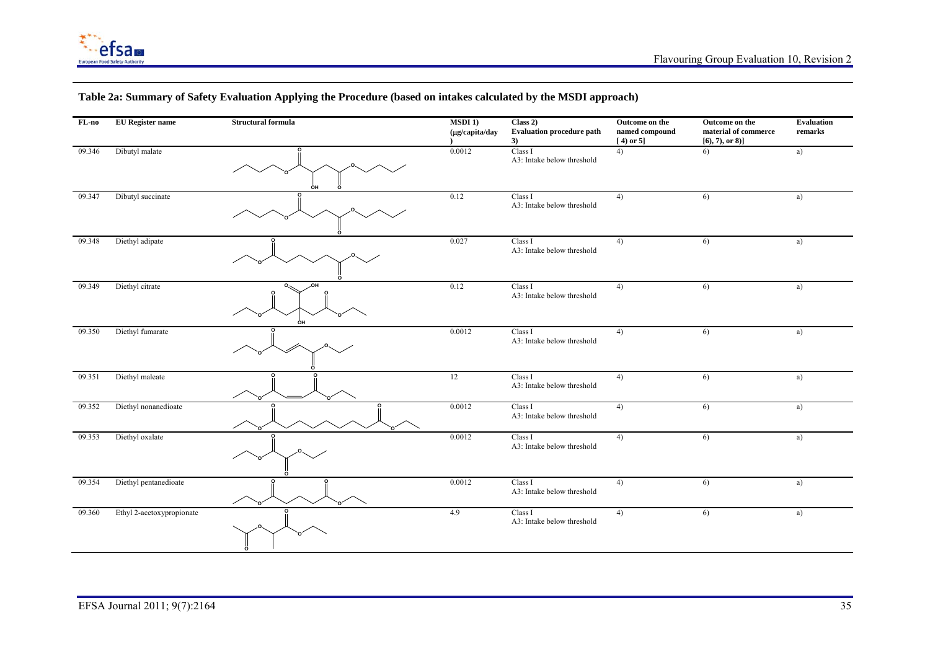

| $FL-no$ | <b>EU</b> Register name   | <b>Structural formula</b> | $MSDI$ 1)<br>(µg/capita/day | Class 2)<br><b>Evaluation procedure path</b><br>3) | Outcome on the<br>named compound<br>$[4]$ or 5] | Outcome on the<br>material of commerce<br>$[6, 7),$ or 8)] | Evaluation<br>remarks |
|---------|---------------------------|---------------------------|-----------------------------|----------------------------------------------------|-------------------------------------------------|------------------------------------------------------------|-----------------------|
| 09.346  | Dibutyl malate            | OH                        | 0.0012                      | Class I<br>A3: Intake below threshold              | 4)                                              | 6)                                                         | a)                    |
| 09.347  | Dibutyl succinate         |                           | 0.12                        | Class I<br>A3: Intake below threshold              | 4)                                              | 6)                                                         | a)                    |
| 09.348  | Diethyl adipate           |                           | 0.027                       | Class I<br>A3: Intake below threshold              | 4)                                              | 6)                                                         | a)                    |
| 09.349  | Diethyl citrate           | ÒН                        | 0.12                        | Class I<br>A3: Intake below threshold              | 4)                                              | 6)                                                         | a)                    |
| 09.350  | Diethyl fumarate          |                           | 0.0012                      | Class I<br>A3: Intake below threshold              | 4)                                              | 6)                                                         | a)                    |
| 09.351  | Diethyl maleate           |                           | 12                          | Class I<br>A3: Intake below threshold              | 4)                                              | 6)                                                         | a)                    |
| 09.352  | Diethyl nonanedioate      |                           | 0.0012                      | Class I<br>A3: Intake below threshold              | 4)                                              | 6)                                                         | a)                    |
| 09.353  | Diethyl oxalate           |                           | 0.0012                      | Class I<br>A3: Intake below threshold              | 4)                                              | 6)                                                         | a)                    |
| 09.354  | Diethyl pentanedioate     |                           | 0.0012                      | Class I<br>A3: Intake below threshold              | 4)                                              | 6)                                                         | a)                    |
| 09.360  | Ethyl 2-acetoxypropionate |                           | 4.9                         | Class I<br>A3: Intake below threshold              | 4)                                              | 6)                                                         | a)                    |

# **Table 2a: Summary of Safety Evaluation Applying the Procedure (based on intakes calculated by the MSDI approach)**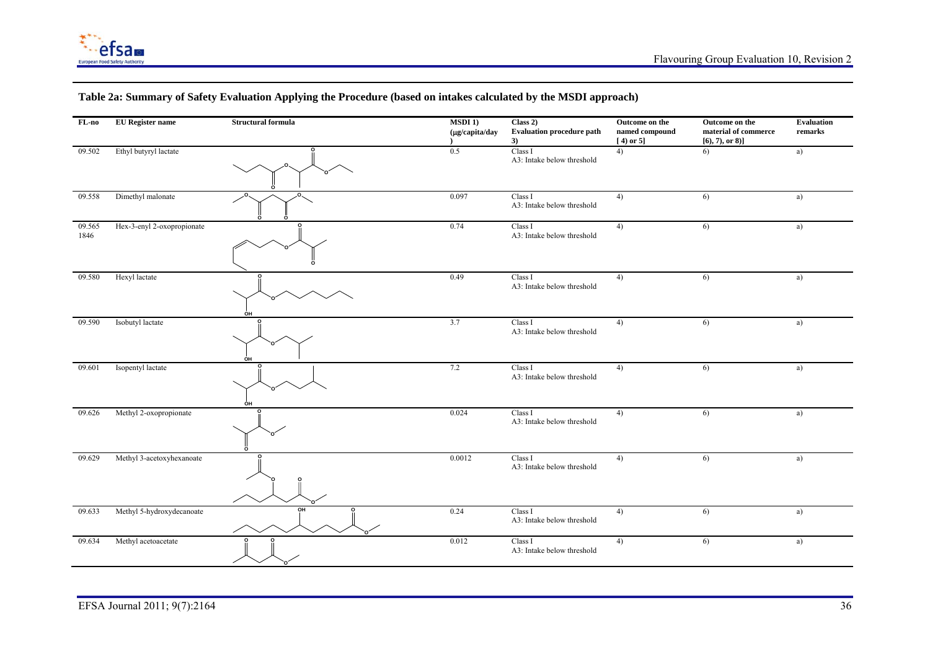

| FL-no          | <b>EU</b> Register name    | <b>Structural formula</b> | $MSDI$ 1)<br>$(\mu g/capita/day$ | Class 2)<br><b>Evaluation procedure path</b><br>3) | Outcome on the<br>named compound<br>$[4)$ or 5] | Outcome on the<br>material of commerce<br>[6, 7), or 8] | <b>Evaluation</b><br>remarks |
|----------------|----------------------------|---------------------------|----------------------------------|----------------------------------------------------|-------------------------------------------------|---------------------------------------------------------|------------------------------|
| 09.502         | Ethyl butyryl lactate      |                           | 0.5                              | Class I<br>A3: Intake below threshold              | 4)                                              | 6)                                                      | a)                           |
| 09.558         | Dimethyl malonate          |                           | 0.097                            | Class I<br>A3: Intake below threshold              | 4)                                              | 6)                                                      | a)                           |
| 09.565<br>1846 | Hex-3-enyl 2-oxopropionate |                           | 0.74                             | Class I<br>A3: Intake below threshold              | 4)                                              | 6)                                                      | a)                           |
| 09.580         | Hexyl lactate              | ÒН                        | 0.49                             | Class I<br>A3: Intake below threshold              | 4)                                              | 6)                                                      | a)                           |
| 09.590         | Isobutyl lactate           | о<br>ÒН                   | 3.7                              | Class I<br>A3: Intake below threshold              | 4)                                              | 6)                                                      | a)                           |
| 09.601         | Isopentyl lactate          | ÓН                        | 7.2                              | Class I<br>A3: Intake below threshold              | 4)                                              | 6)                                                      | a)                           |
| 09.626         | Methyl 2-oxopropionate     |                           | 0.024                            | Class I<br>A3: Intake below threshold              | 4)                                              | 6)                                                      | a)                           |
| 09.629         | Methyl 3-acetoxyhexanoate  |                           | 0.0012                           | Class I<br>A3: Intake below threshold              | 4)                                              | 6)                                                      | a)                           |
| 09.633         | Methyl 5-hydroxydecanoate  | OH                        | 0.24                             | Class I<br>A3: Intake below threshold              | 4)                                              | 6)                                                      | a)                           |
| 09.634         | Methyl acetoacetate        |                           | 0.012                            | Class I<br>A3: Intake below threshold              | 4)                                              | 6)                                                      | a)                           |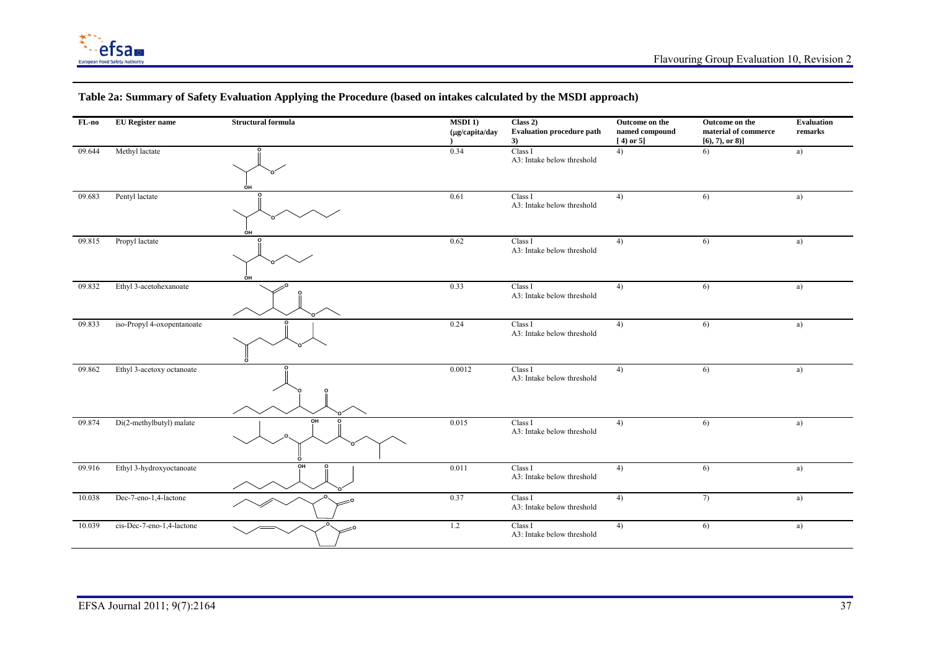

| FL-no  | <b>EU</b> Register name    | <b>Structural formula</b> | $MSDI$ 1)<br>(µg/capita/day | Class 2)<br><b>Evaluation procedure path</b><br>3) | Outcome on the<br>named compound<br>$[4)$ or 5] | Outcome on the<br>material of commerce<br>$[6, 7),$ or 8)] | <b>Evaluation</b><br>remarks |
|--------|----------------------------|---------------------------|-----------------------------|----------------------------------------------------|-------------------------------------------------|------------------------------------------------------------|------------------------------|
| 09.644 | Methyl lactate             | OH                        | 0.34                        | Class I<br>A3: Intake below threshold              | 4)                                              | 6)                                                         | a)                           |
| 09.683 | Pentyl lactate             | ÒН                        | 0.61                        | Class I<br>A3: Intake below threshold              | 4)                                              | 6)                                                         | a)                           |
| 09.815 | Propyl lactate             | OH                        | 0.62                        | Class I<br>A3: Intake below threshold              | 4)                                              | 6)                                                         | a)                           |
| 09.832 | Ethyl 3-acetohexanoate     |                           | 0.33                        | Class I<br>A3: Intake below threshold              | 4)                                              | 6)                                                         | a)                           |
| 09.833 | iso-Propyl 4-oxopentanoate |                           | 0.24                        | Class I<br>A3: Intake below threshold              | 4)                                              | 6)                                                         | a)                           |
| 09.862 | Ethyl 3-acetoxy octanoate  |                           | 0.0012                      | Class I<br>A3: Intake below threshold              | 4)                                              | 6)                                                         | a)                           |
| 09.874 | Di(2-methylbutyl) malate   | OH                        | 0.015                       | Class I<br>A3: Intake below threshold              | 4)                                              | 6)                                                         | a)                           |
| 09.916 | Ethyl 3-hydroxyoctanoate   | OH                        | 0.011                       | Class I<br>A3: Intake below threshold              | 4)                                              | 6)                                                         | a)                           |
| 10.038 | Dec-7-eno-1,4-lactone      |                           | 0.37                        | Class I<br>A3: Intake below threshold              | 4)                                              | 7)                                                         | a)                           |
| 10.039 | cis-Dec-7-eno-1,4-lactone  |                           | 1.2                         | Class I<br>A3: Intake below threshold              | 4)                                              | 6)                                                         | a)                           |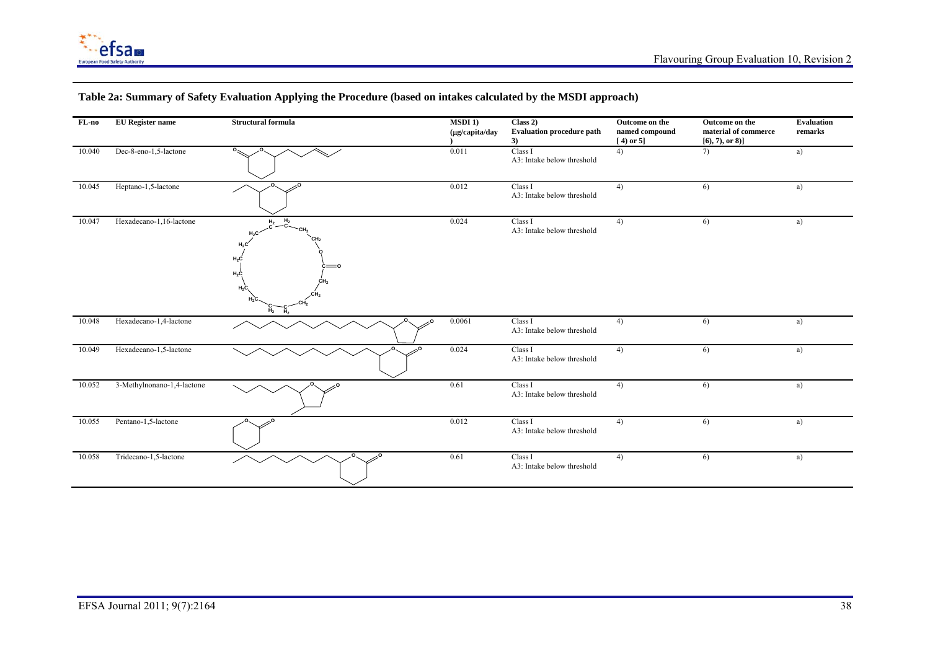

| FL-no  | <b>EU</b> Register name    | <b>Structural formula</b>                                   | $MSDI$ 1)<br>$(\mu g/capita/day)$ | Class 2)<br><b>Evaluation procedure path</b><br>3) | Outcome on the<br>$\bf named\ compound$<br>$[4)$ or 5] | Outcome on the<br>material of commerce<br>$[6, 7),$ or 8)] | <b>Evaluation</b><br>remarks |
|--------|----------------------------|-------------------------------------------------------------|-----------------------------------|----------------------------------------------------|--------------------------------------------------------|------------------------------------------------------------|------------------------------|
| 10.040 | Dec-8-eno-1,5-lactone      | $\circ$                                                     | 0.011                             | Class I<br>A3: Intake below threshold              | 4)                                                     | 7)                                                         | a)                           |
| 10.045 | Heptano-1,5-lactone        |                                                             | 0.012                             | Class I<br>A3: Intake below threshold              | 4)                                                     | 6)                                                         | a)                           |
| 10.047 | Hexadecano-1,16-lactone    | $-C2$<br>H <sub>2</sub><br>$H_2C$<br>=٥<br>$H_2C$<br>$H_2C$ | 0.024                             | Class I<br>A3: Intake below threshold              | 4)                                                     | 6)                                                         | a)                           |
| 10.048 | Hexadecano-1,4-lactone     |                                                             | 0.0061                            | Class I<br>A3: Intake below threshold              | 4)                                                     | 6)                                                         | a)                           |
| 10.049 | Hexadecano-1,5-lactone     |                                                             | 0.024                             | Class I<br>A3: Intake below threshold              | 4)                                                     | 6)                                                         | a)                           |
| 10.052 | 3-Methylnonano-1,4-lactone |                                                             | 0.61                              | Class I<br>A3: Intake below threshold              | 4)                                                     | 6)                                                         | a)                           |
| 10.055 | Pentano-1,5-lactone        |                                                             | 0.012                             | Class I<br>A3: Intake below threshold              | 4)                                                     | 6)                                                         | a)                           |
| 10.058 | Tridecano-1,5-lactone      |                                                             | 0.61                              | Class I<br>A3: Intake below threshold              | 4)                                                     | 6)                                                         | a)                           |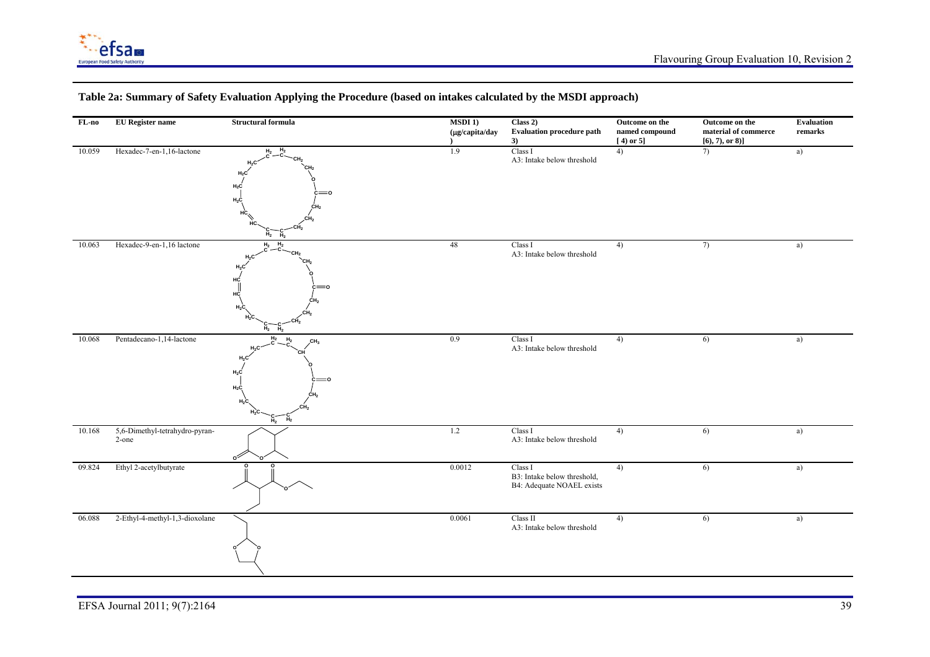

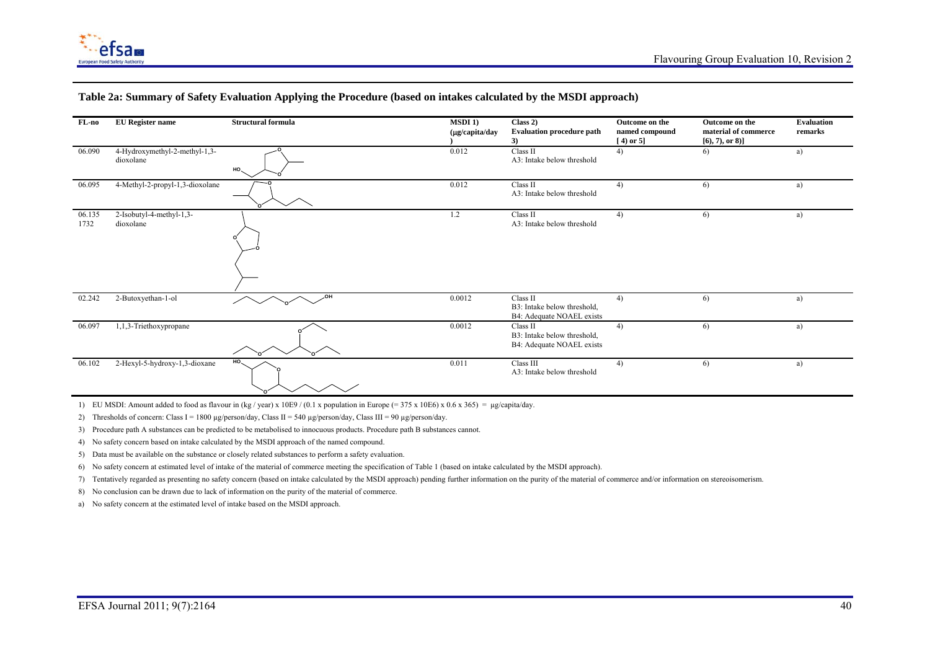

| FL-no          | <b>EU</b> Register name                    | Structural formula | $MSDI$ 1)<br>$(\mu g/capita/day)$ | Class 2)<br><b>Evaluation procedure path</b><br>3)                   | Outcome on the<br>named compound<br>$(4)$ or 5] | Outcome on the<br>material of commerce<br>$[6, 7),$ or 8)] | <b>Evaluation</b><br>remarks |
|----------------|--------------------------------------------|--------------------|-----------------------------------|----------------------------------------------------------------------|-------------------------------------------------|------------------------------------------------------------|------------------------------|
| 06.090         | 4-Hydroxymethyl-2-methyl-1,3-<br>dioxolane | $HO_{\sim}$        | 0.012                             | Class II<br>A3: Intake below threshold                               | 4)                                              | 6)                                                         | a)                           |
| 06.095         | 4-Methyl-2-propyl-1,3-dioxolane            |                    | 0.012                             | Class II<br>A3: Intake below threshold                               | 4)                                              | 6)                                                         | a)                           |
| 06.135<br>1732 | 2-Isobutyl-4-methyl-1,3-<br>dioxolane      |                    | 1.2                               | Class II<br>A3: Intake below threshold                               | 4)                                              | 6)                                                         | a)                           |
| 02.242         | 2-Butoxyethan-1-ol                         | OH,                | 0.0012                            | Class II<br>B3: Intake below threshold,<br>B4: Adequate NOAEL exists | 4)                                              | 6)                                                         | a)                           |
| 06.097         | 1,1,3-Triethoxypropane                     |                    | 0.0012                            | Class II<br>B3: Intake below threshold,<br>B4: Adequate NOAEL exists | 4)                                              | 6)                                                         | a)                           |
| 06.102         | 2-Hexyl-5-hydroxy-1,3-dioxane              | HO.                | 0.011                             | Class III<br>A3: Intake below threshold                              | 4)                                              | 6)                                                         | a)                           |

1) EU MSDI: Amount added to food as flavour in (kg / year) x 10E9 / (0.1 x population in Europe (= 375 x 10E6) x 0.6 x 365) = µg/capita/day.

2) Thresholds of concern: Class I = 1800 µg/person/day, Class II = 540 µg/person/day, Class III = 90 µg/person/day.

3) Procedure path A substances can be predicted to be metabolised to innocuous products. Procedure path B substances cannot.

4) No safety concern based on intake calculated by the MSDI approach of the named compound.

5) Data must be available on the substance or closely related substances to perform a safety evaluation.

6) No safety concern at estimated level of intake of the material of commerce meeting the specification of Table 1 (based on intake calculated by the MSDI approach).

7) Tentatively regarded as presenting no safety concern (based on intake calculated by the MSDI approach) pending further information on the purity of the material of commerce and/or information on stereoisomerism.

8) No conclusion can be drawn due to lack of information on the purity of the material of commerce.

a) No safety concern at the estimated level of intake based on the MSDI approach.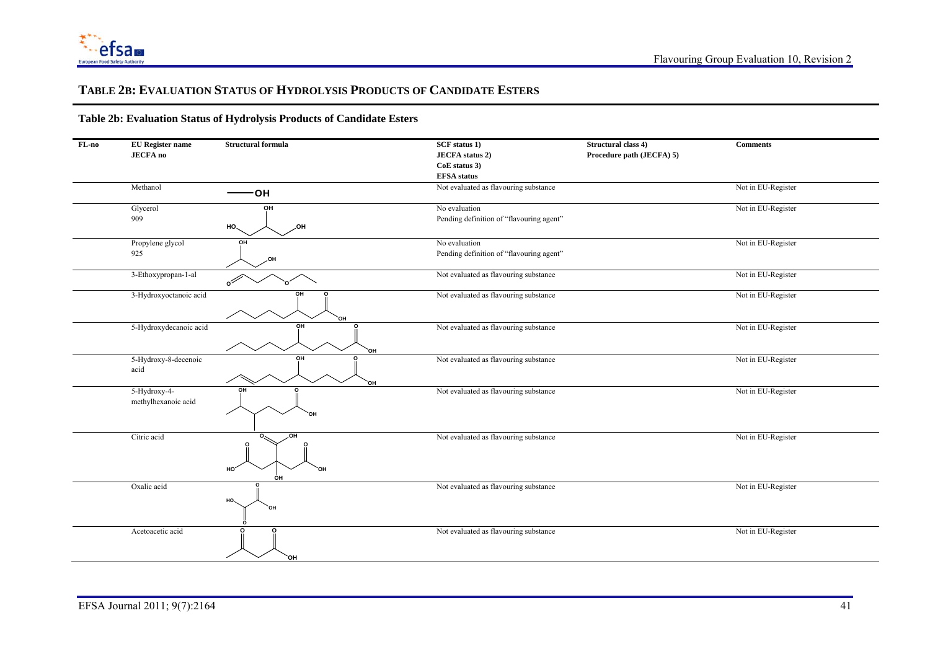

#### **TABLE 2B: EVALUATION STATUS OF HYDROLYSIS PRODUCTS OF CANDIDATE ESTERS**

| FL-no | <b>EU</b> Register name             | <b>Structural formula</b>          | SCF status 1)                            | Structural class 4)       | <b>Comments</b>    |
|-------|-------------------------------------|------------------------------------|------------------------------------------|---------------------------|--------------------|
|       | <b>JECFA</b> no                     |                                    | <b>JECFA</b> status 2)                   | Procedure path (JECFA) 5) |                    |
|       |                                     |                                    | CoE status 3)                            |                           |                    |
|       |                                     |                                    | <b>EFSA</b> status                       |                           |                    |
|       | Methanol                            |                                    | Not evaluated as flavouring substance    |                           | Not in EU-Register |
|       |                                     | ЮH                                 |                                          |                           |                    |
|       | Glycerol                            | OH                                 | No evaluation                            |                           | Not in EU-Register |
|       | 909                                 | $HO_{\sim}$<br>,OH                 | Pending definition of "flavouring agent" |                           |                    |
|       | Propylene glycol                    | OH                                 | No evaluation                            |                           | Not in EU-Register |
|       | 925                                 | ,OH                                | Pending definition of "flavouring agent" |                           |                    |
|       | 3-Ethoxypropan-1-al                 | റ്                                 | Not evaluated as flavouring substance    |                           | Not in EU-Register |
|       | 3-Hydroxyoctanoic acid              | OH<br>o<br>OН                      | Not evaluated as flavouring substance    |                           | Not in EU-Register |
|       | 5-Hydroxydecanoic acid              | OH<br>`OH                          | Not evaluated as flavouring substance    |                           | Not in EU-Register |
|       | 5-Hydroxy-8-decenoic<br>acid        | OH<br>`OH                          | Not evaluated as flavouring substance    |                           | Not in EU-Register |
|       | 5-Hydroxy-4-<br>methylhexanoic acid | O <sub>H</sub><br>OН               | Not evaluated as flavouring substance    |                           | Not in EU-Register |
|       | Citric acid                         | ,OH<br>HO <sub>.</sub><br>OН<br>ÓН | Not evaluated as flavouring substance    |                           | Not in EU-Register |
|       | Oxalic acid                         | HO.<br>ЮÓ                          | Not evaluated as flavouring substance    |                           | Not in EU-Register |
|       | Acetoacetic acid                    | `OH                                | Not evaluated as flavouring substance    |                           | Not in EU-Register |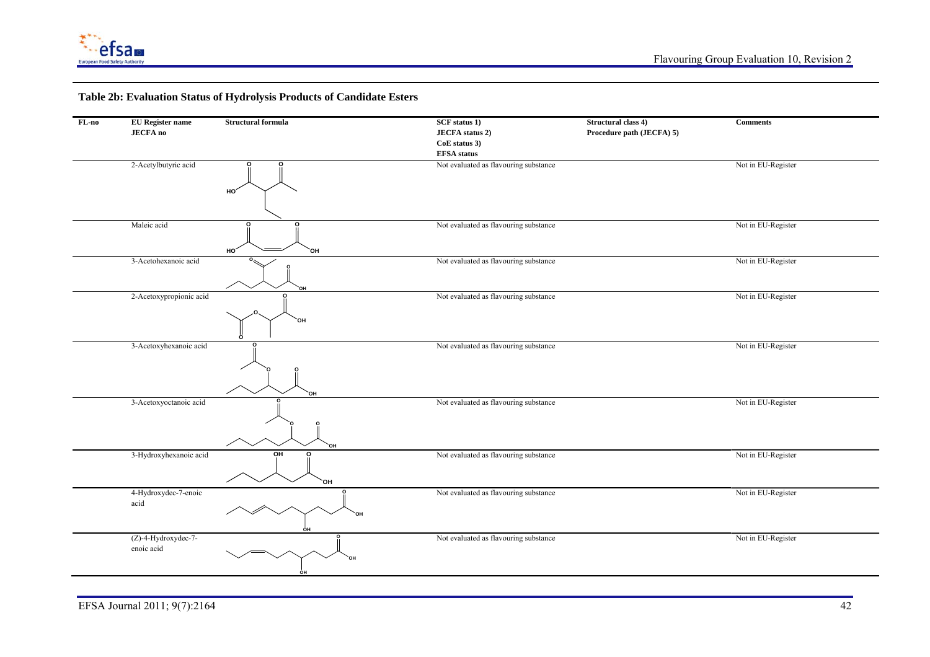

| FL-no | <b>EU</b> Register name | <b>Structural formula</b> | <b>SCF</b> status 1)                  | Structural class 4)       | <b>Comments</b>    |
|-------|-------------------------|---------------------------|---------------------------------------|---------------------------|--------------------|
|       | <b>JECFA</b> no         |                           | <b>JECFA</b> status 2)                | Procedure path (JECFA) 5) |                    |
|       |                         |                           | CoE status 3)                         |                           |                    |
|       |                         |                           | <b>EFSA</b> status                    |                           |                    |
|       | 2-Acetylbutyric acid    | о<br>HO'                  | Not evaluated as flavouring substance |                           | Not in EU-Register |
|       |                         |                           |                                       |                           |                    |
|       | Maleic acid             | O<br>C<br>HO'<br>`OH      | Not evaluated as flavouring substance |                           | Not in EU-Register |
|       | 3-Acetohexanoic acid    |                           | Not evaluated as flavouring substance |                           | Not in EU-Register |
|       |                         | HO.                       |                                       |                           |                    |
|       | 2-Acetoxypropionic acid |                           | Not evaluated as flavouring substance |                           | Not in EU-Register |
|       |                         | `OH                       |                                       |                           |                    |
|       | 3-Acetoxyhexanoic acid  | ЮH                        | Not evaluated as flavouring substance |                           | Not in EU-Register |
|       | 3-Acetoxyoctanoic acid  | `OH                       | Not evaluated as flavouring substance |                           | Not in EU-Register |
|       | 3-Hydroxyhexanoic acid  | OH<br>ົ<br>`OH            | Not evaluated as flavouring substance |                           | Not in EU-Register |
|       | 4-Hydroxydec-7-enoic    |                           | Not evaluated as flavouring substance |                           | Not in EU-Register |
|       | acid                    |                           |                                       |                           |                    |
|       | (Z)-4-Hydroxydec-7-     |                           | Not evaluated as flavouring substance |                           | Not in EU-Register |
|       | enoic acid              | ÓН                        |                                       |                           |                    |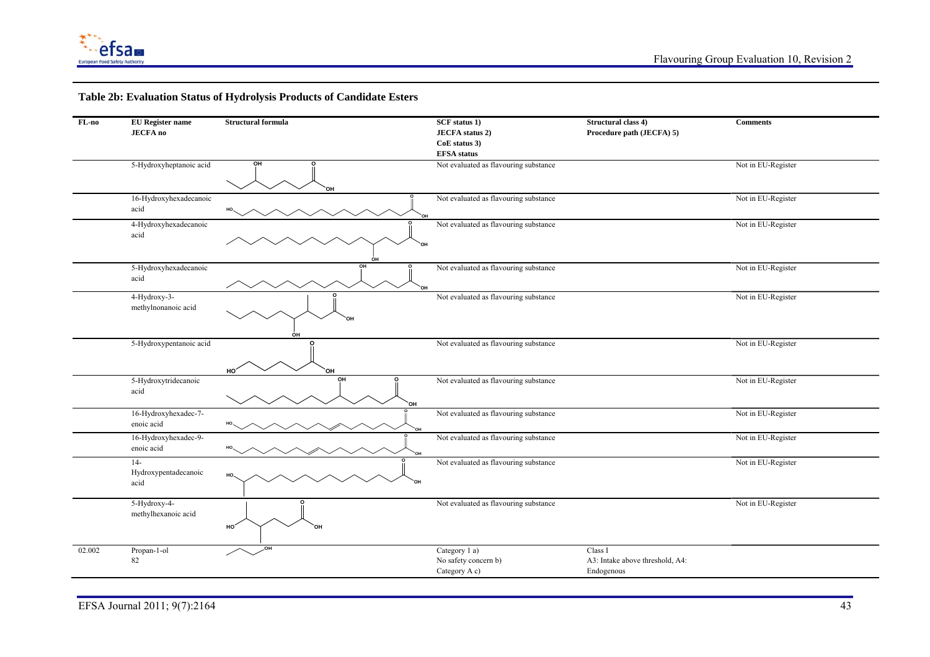

| $FL-no$ | <b>EU</b> Register name            | <b>Structural formula</b> | <b>SCF</b> status 1)                  | Structural class 4)             | <b>Comments</b>    |
|---------|------------------------------------|---------------------------|---------------------------------------|---------------------------------|--------------------|
|         | <b>JECFA</b> no                    |                           | <b>JECFA</b> status 2)                | Procedure path (JECFA) 5)       |                    |
|         |                                    |                           | CoE status 3)                         |                                 |                    |
|         |                                    |                           | <b>EFSA</b> status                    |                                 |                    |
|         | 5-Hydroxyheptanoic acid            | ΟН                        | Not evaluated as flavouring substance |                                 | Not in EU-Register |
|         |                                    |                           |                                       |                                 |                    |
|         |                                    |                           |                                       |                                 |                    |
|         | 16-Hydroxyhexadecanoic             |                           | Not evaluated as flavouring substance |                                 | Not in EU-Register |
|         | acid                               |                           |                                       |                                 |                    |
|         | 4-Hydroxyhexadecanoic              |                           | Not evaluated as flavouring substance |                                 | Not in EU-Register |
|         | acid                               |                           |                                       |                                 |                    |
|         |                                    |                           |                                       |                                 |                    |
|         | 5-Hydroxyhexadecanoic              | OH                        | Not evaluated as flavouring substance |                                 | Not in EU-Register |
|         | acid                               |                           |                                       |                                 |                    |
|         |                                    | `oн                       |                                       |                                 |                    |
|         | 4-Hydroxy-3-                       |                           | Not evaluated as flavouring substance |                                 | Not in EU-Register |
|         | methylnonanoic acid                |                           |                                       |                                 |                    |
|         |                                    | ΩH                        |                                       |                                 |                    |
|         |                                    | OH                        |                                       |                                 |                    |
|         | 5-Hydroxypentanoic acid            | ი                         | Not evaluated as flavouring substance |                                 | Not in EU-Register |
|         |                                    |                           |                                       |                                 |                    |
|         |                                    | HO'<br>OН                 |                                       |                                 |                    |
|         | 5-Hydroxytridecanoic               | OH<br>O                   | Not evaluated as flavouring substance |                                 | Not in EU-Register |
|         | acid                               |                           |                                       |                                 |                    |
|         | 16-Hydroxyhexadec-7-               | `OH                       | Not evaluated as flavouring substance |                                 | Not in EU-Register |
|         | enoic acid                         |                           |                                       |                                 |                    |
|         |                                    |                           |                                       |                                 |                    |
|         | 16-Hydroxyhexadec-9-<br>enoic acid |                           | Not evaluated as flavouring substance |                                 | Not in EU-Register |
|         |                                    |                           |                                       |                                 |                    |
|         | $14-$<br>Hydroxypentadecanoic      |                           | Not evaluated as flavouring substance |                                 | Not in EU-Register |
|         | acid                               | HO.<br>`OH                |                                       |                                 |                    |
|         |                                    |                           |                                       |                                 |                    |
|         | 5-Hydroxy-4-                       |                           | Not evaluated as flavouring substance |                                 | Not in EU-Register |
|         | methylhexanoic acid                |                           |                                       |                                 |                    |
|         |                                    | HO                        |                                       |                                 |                    |
|         |                                    |                           |                                       |                                 |                    |
| 02.002  | Propan-1-ol                        | ,OН                       | Category 1 a)                         | Class I                         |                    |
|         | 82                                 |                           | No safety concern b)                  | A3: Intake above threshold, A4: |                    |
|         |                                    |                           | Category A c)                         | Endogenous                      |                    |
|         |                                    |                           |                                       |                                 |                    |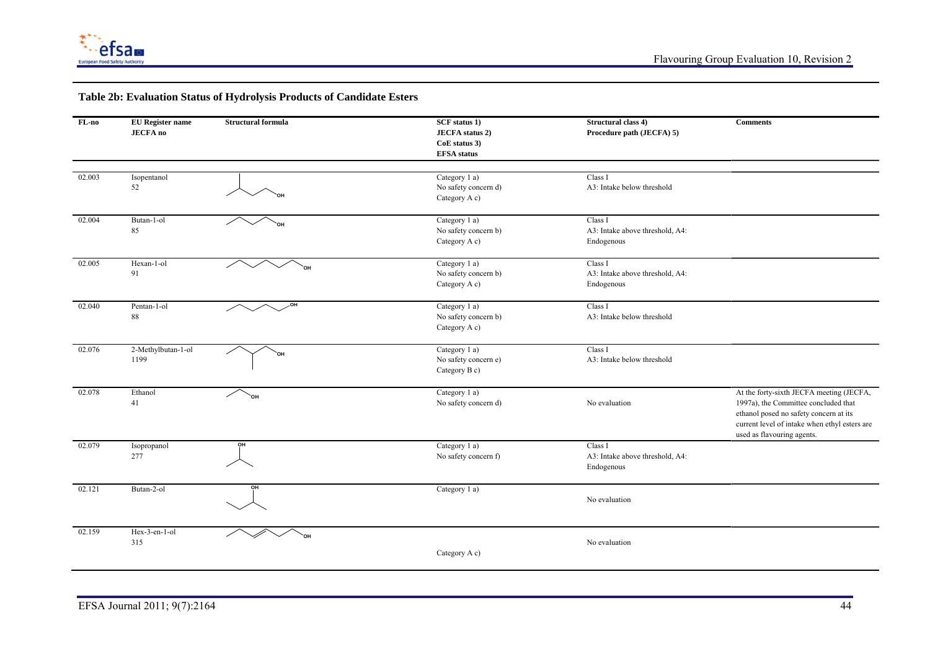

| $FL-no$ | <b>EU</b> Register name | <b>Structural formula</b> | <b>SCF</b> status 1)                | Structural class 4)             | <b>Comments</b>                               |
|---------|-------------------------|---------------------------|-------------------------------------|---------------------------------|-----------------------------------------------|
|         | <b>JECFA</b> no         |                           | <b>JECFA</b> status 2)              | Procedure path (JECFA) 5)       |                                               |
|         |                         |                           | CoE status 3)<br><b>EFSA</b> status |                                 |                                               |
|         |                         |                           |                                     |                                 |                                               |
| 02.003  | Isopentanol             |                           | Category 1 a)                       | Class I                         |                                               |
|         | 52                      |                           | No safety concern d)                | A3: Intake below threshold      |                                               |
|         |                         |                           | Category A c)                       |                                 |                                               |
|         |                         |                           |                                     |                                 |                                               |
| 02.004  | Butan-1-ol              |                           | Category $1$ a)                     | Class I                         |                                               |
|         | 85                      |                           | No safety concern b)                | A3: Intake above threshold, A4: |                                               |
|         |                         |                           | Category A c)                       | Endogenous                      |                                               |
| 02.005  | Hexan-1-ol              |                           | Category 1 a)                       | Class I                         |                                               |
|         | 91                      |                           | No safety concern b)                | A3: Intake above threshold, A4: |                                               |
|         |                         |                           | Category A c)                       | Endogenous                      |                                               |
| 02.040  | Pentan-1-ol             | ,OH                       | Category 1 a)                       | Class I                         |                                               |
|         | 88                      |                           | No safety concern b)                | A3: Intake below threshold      |                                               |
|         |                         |                           | Category A c)                       |                                 |                                               |
|         |                         |                           |                                     |                                 |                                               |
| 02.076  | 2-Methylbutan-1-ol      | `ОН                       | Category 1 a)                       | Class I                         |                                               |
|         | 1199                    |                           | No safety concern e)                | A3: Intake below threshold      |                                               |
|         |                         |                           | Category B c)                       |                                 |                                               |
| 02.078  | Ethanol                 | `он                       | Category 1 a)                       |                                 | At the forty-sixth JECFA meeting (JECFA,      |
|         | 41                      |                           | No safety concern d)                | No evaluation                   | 1997a), the Committee concluded that          |
|         |                         |                           |                                     |                                 | ethanol posed no safety concern at its        |
|         |                         |                           |                                     |                                 | current level of intake when ethyl esters are |
|         |                         | OH                        |                                     | Class I                         | used as flavouring agents.                    |
| 02.079  | Isopropanol<br>277      |                           | Category 1 a)                       | A3: Intake above threshold, A4: |                                               |
|         |                         |                           | No safety concern f)                | Endogenous                      |                                               |
|         |                         |                           |                                     |                                 |                                               |
| 02.121  | Butan-2-ol              | OH                        | Category 1 a)                       |                                 |                                               |
|         |                         |                           |                                     | No evaluation                   |                                               |
|         |                         |                           |                                     |                                 |                                               |
| 02.159  | Hex-3-en-1-ol           | `он                       |                                     |                                 |                                               |
|         | 315                     |                           |                                     | No evaluation                   |                                               |
|         |                         |                           | Category A c)                       |                                 |                                               |
|         |                         |                           |                                     |                                 |                                               |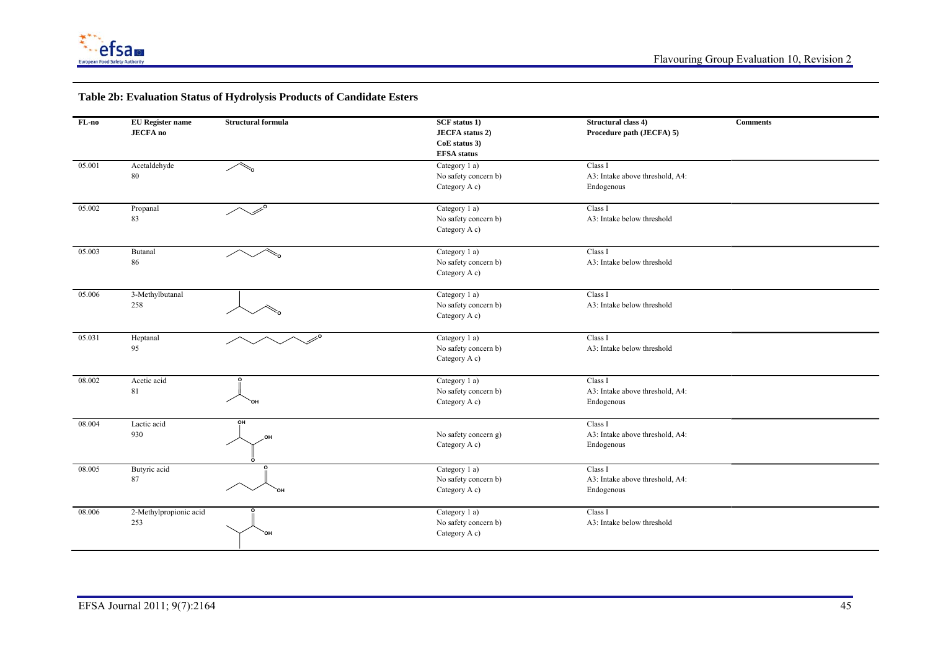

| FL-no  | <b>EU</b> Register name | <b>Structural formula</b>    | <b>SCF</b> status 1)   | Structural class 4)             | <b>Comments</b> |
|--------|-------------------------|------------------------------|------------------------|---------------------------------|-----------------|
|        | <b>JECFA</b> no         |                              | <b>JECFA</b> status 2) | Procedure path (JECFA) 5)       |                 |
|        |                         |                              | CoE status 3)          |                                 |                 |
|        |                         |                              | <b>EFSA</b> status     |                                 |                 |
| 05.001 | Acetaldehyde            | $\bar\triangle_{\mathrm{o}}$ | Category 1 a)          | Class I                         |                 |
|        | 80                      |                              | No safety concern b)   | A3: Intake above threshold, A4: |                 |
|        |                         |                              | Category A c)          | Endogenous                      |                 |
|        |                         |                              |                        |                                 |                 |
| 05.002 | Propanal                | $\mathscr{L}^{\circ}$        | Category 1 a)          | Class I                         |                 |
|        | 83                      |                              | No safety concern b)   | A3: Intake below threshold      |                 |
|        |                         |                              | Category A c)          |                                 |                 |
| 05.003 | Butanal                 | ัก                           | Category 1 a)          | Class I                         |                 |
|        | 86                      |                              | No safety concern b)   | A3: Intake below threshold      |                 |
|        |                         |                              | Category A c)          |                                 |                 |
| 05.006 | 3-Methylbutanal         |                              | Category 1 a)          | Class I                         |                 |
|        | 258                     |                              | No safety concern b)   | A3: Intake below threshold      |                 |
|        |                         |                              | Category A c)          |                                 |                 |
|        |                         |                              |                        |                                 |                 |
| 05.031 | Heptanal                |                              | Category 1 a)          | Class I                         |                 |
|        | 95                      |                              | No safety concern b)   | A3: Intake below threshold      |                 |
|        |                         |                              | Category A c)          |                                 |                 |
| 08.002 | Acetic acid             |                              | Category 1 a)          | Class I                         |                 |
|        | 81                      |                              | No safety concern b)   | A3: Intake above threshold, A4: |                 |
|        |                         |                              | Category A c)          | Endogenous                      |                 |
| 08.004 | Lactic acid             | OH                           |                        | Class I                         |                 |
|        | 930                     | HO.                          | No safety concern g)   | A3: Intake above threshold, A4: |                 |
|        |                         |                              | Category A c)          | Endogenous                      |                 |
|        |                         |                              |                        |                                 |                 |
| 08.005 | Butyric acid            |                              | Category 1 a)          | Class I                         |                 |
|        | 87                      |                              | No safety concern b)   | A3: Intake above threshold, A4: |                 |
|        |                         | `ОH                          | Category A c)          | Endogenous                      |                 |
| 08.006 | 2-Methylpropionic acid  |                              | Category 1 a)          | Class I                         |                 |
|        | 253                     |                              | No safety concern b)   | A3: Intake below threshold      |                 |
|        |                         | `OH                          | Category A c)          |                                 |                 |
|        |                         |                              |                        |                                 |                 |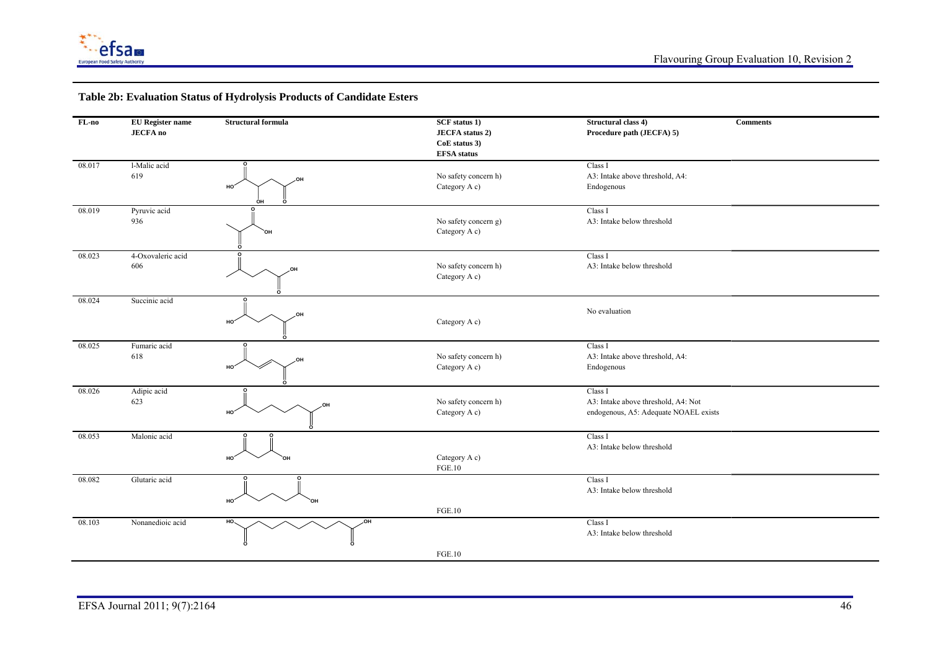

| $FL-no$ | <b>EU</b> Register name<br><b>JECFA</b> no | <b>Structural formula</b> | <b>SCF</b> status 1)<br><b>JECFA</b> status 2)<br>CoE status 3)<br><b>EFSA</b> status | Structural class 4)<br>Procedure path (JECFA) 5)                                        | <b>Comments</b> |
|---------|--------------------------------------------|---------------------------|---------------------------------------------------------------------------------------|-----------------------------------------------------------------------------------------|-----------------|
| 08.017  | l-Malic acid<br>619                        | HO'                       | No safety concern h)<br>Category A c)                                                 | Class I<br>A3: Intake above threshold, A4:<br>Endogenous                                |                 |
| 08.019  | Pyruvic acid<br>936                        | `OH                       | No safety concern g)<br>Category A c)                                                 | Class I<br>A3: Intake below threshold                                                   |                 |
| 08.023  | 4-Oxovaleric acid<br>606                   |                           | No safety concern h)<br>Category A c)                                                 | Class I<br>A3: Intake below threshold                                                   |                 |
| 08.024  | Succinic acid                              | HQ.<br>HO'                | Category A c)                                                                         | No evaluation                                                                           |                 |
| 08.025  | Fumaric acid<br>618                        | HO'                       | No safety concern h)<br>Category A c)                                                 | Class I<br>A3: Intake above threshold, A4:<br>Endogenous                                |                 |
| 08.026  | Adipic acid<br>623                         | HO.                       | No safety concern h)<br>Category A c)                                                 | Class I<br>A3: Intake above threshold, A4: Not<br>endogenous, A5: Adequate NOAEL exists |                 |
| 08.053  | Malonic acid                               | HO.                       | Category A c)<br><b>FGE.10</b>                                                        | Class I<br>A3: Intake below threshold                                                   |                 |
| 08.082  | Glutaric acid                              | HO <sub>1</sub><br>OН     | <b>FGE.10</b>                                                                         | Class I<br>A3: Intake below threshold                                                   |                 |
| 08.103  | Nonanedioic acid                           | .OH<br>HO.                |                                                                                       | Class I<br>A3: Intake below threshold                                                   |                 |
|         |                                            |                           | <b>FGE.10</b>                                                                         |                                                                                         |                 |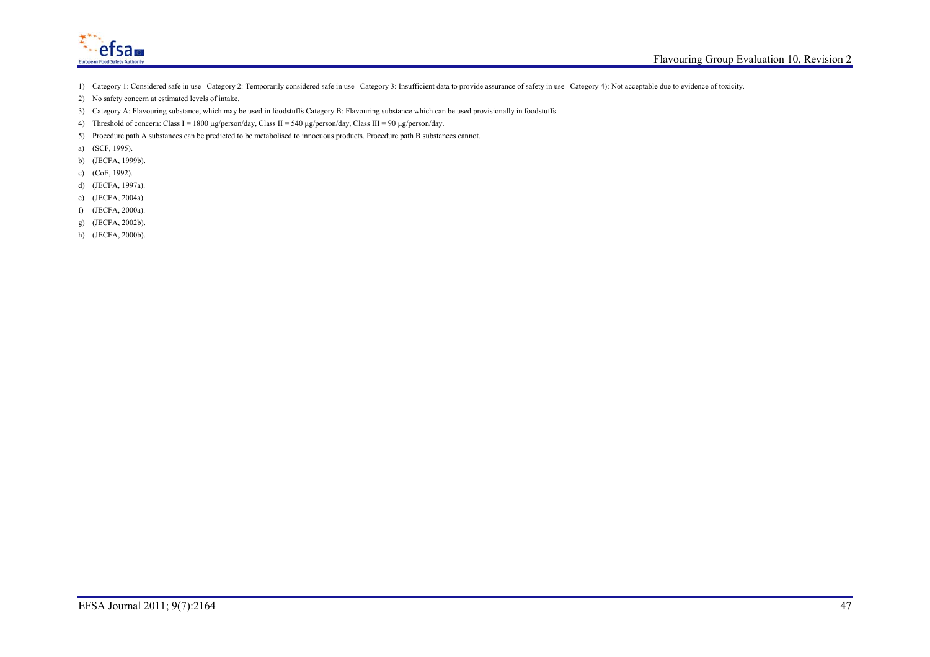

- 1) Category 1: Considered safe in use Category 2: Temporarily considered safe in use Category 3: Insufficient data to provide assurance of safety in use Category 4): Not acceptable due to evidence of toxicity.
- 2) No safety concern at estimated levels of intake.
- 3) Category A: Flavouring substance, which may be used in foodstuffs Category B: Flavouring substance which can be used provisionally in foodstuffs.
- 4) Threshold of concern: Class I = 1800 µg/person/day, Class II = 540 µg/person/day, Class III = 90 µg/person/day.
- 5) Procedure path A substances can be predicted to be metabolised to innocuous products. Procedure path B substances cannot.
- a) (SCF, 1995).
- b) (JECFA, 1999b).
- c) (CoE, 1992).
- d) (JECFA, 1997a).
- e) (JECFA, 2004a).
- f) (JECFA, 2000a).
- g) (JECFA, 2002b).
- h) (JECFA, 2000b).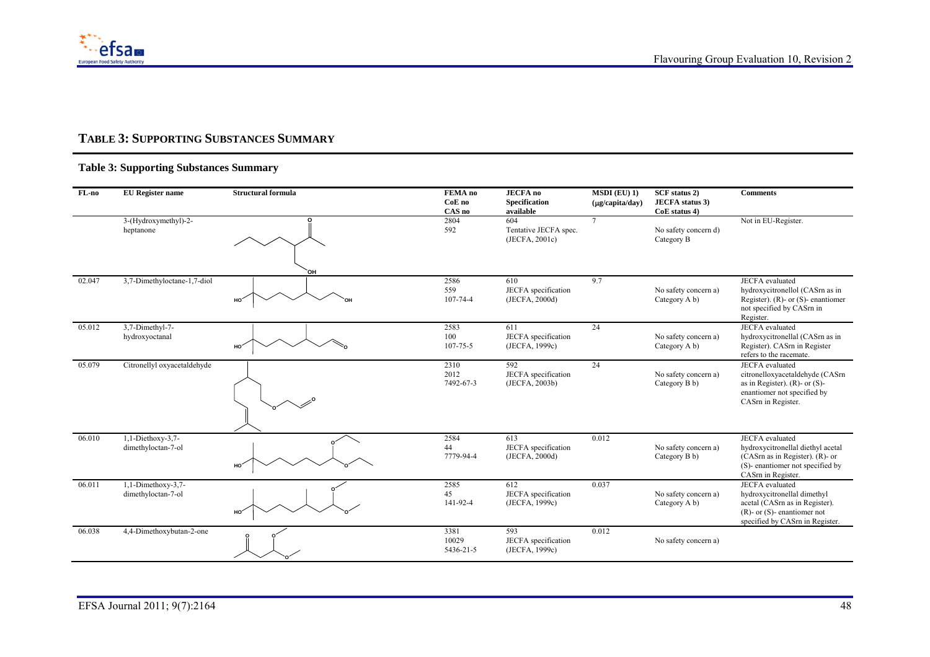

### **TABLE 3: SUPPORTING SUBSTANCES SUMMARY**

| FL-no  | <b>EU</b> Register name                   | <b>Structural formula</b> | FEMA no<br>CoE no<br>CAS no | <b>JECFA</b> no<br>Specification<br>available  | $MSDI$ (EU) 1)<br>(µg/capita/day) | SCF status 2)<br><b>JECFA</b> status 3)<br>CoE status 4) | <b>Comments</b>                                                                                                                                                 |
|--------|-------------------------------------------|---------------------------|-----------------------------|------------------------------------------------|-----------------------------------|----------------------------------------------------------|-----------------------------------------------------------------------------------------------------------------------------------------------------------------|
|        | 3-(Hydroxymethyl)-2-<br>heptanone         | OН                        | 2804<br>592                 | 604<br>Tentative JECFA spec.<br>(JECFA, 2001c) | $\tau$                            | No safety concern d)<br>Category B                       | Not in EU-Register.                                                                                                                                             |
| 02.047 | 3,7-Dimethyloctane-1,7-diol               | HO.                       | 2586<br>559<br>107-74-4     | 610<br>JECFA specification<br>(JECFA, 2000d)   | 9.7                               | No safety concern a)<br>Category A b)                    | <b>JECFA</b> evaluated<br>hydroxycitronellol (CASrn as in<br>Register). (R)- or $(S)$ - enantiomer<br>not specified by CASrn in<br>Register.                    |
| 05.012 | 3,7-Dimethyl-7-<br>hydroxyoctanal         | HO.                       | 2583<br>100<br>107-75-5     | 611<br>JECFA specification<br>(JECFA, 1999c)   | 24                                | No safety concern a)<br>Category A b)                    | <b>JECFA</b> evaluated<br>hydroxycitronellal (CASrn as in<br>Register). CASrn in Register<br>refers to the racemate.                                            |
| 05.079 | Citronellyl oxyacetaldehyde               |                           | 2310<br>2012<br>7492-67-3   | 592<br>JECFA specification<br>(JECFA, 2003b)   | 24                                | No safety concern a)<br>Category B b)                    | <b>JECFA</b> evaluated<br>citronelloxyacetaldehyde (CASrn<br>as in Register). (R)- or $(S)$ -<br>enantiomer not specified by<br>CASrn in Register.              |
| 06.010 | $1,1-Diethoxy-3,7-$<br>dimethyloctan-7-ol | HO.                       | 2584<br>44<br>7779-94-4     | 613<br>JECFA specification<br>(JECFA, 2000d)   | 0.012                             | No safety concern a)<br>Category B b)                    | <b>JECFA</b> evaluated<br>hydroxycitronellal diethyl acetal<br>(CAS $rn$ as in Register). (R)- or<br>(S)-enantiomer not specified by<br>CASrn in Register.      |
| 06.011 | 1,1-Dimethoxy-3,7-<br>dimethyloctan-7-ol  | HO                        | 2585<br>45<br>141-92-4      | 612<br>JECFA specification<br>(JECFA, 1999c)   | 0.037                             | No safety concern a)<br>Category A b)                    | <b>JECFA</b> evaluated<br>hydroxycitronellal dimethyl<br>acetal (CASrn as in Register).<br>$(R)$ - or $(S)$ - enantiomer not<br>specified by CASrn in Register. |
| 06.038 | 4,4-Dimethoxybutan-2-one                  |                           | 3381<br>10029<br>5436-21-5  | 593<br>JECFA specification<br>(JECFA, 1999c)   | 0.012                             | No safety concern a)                                     |                                                                                                                                                                 |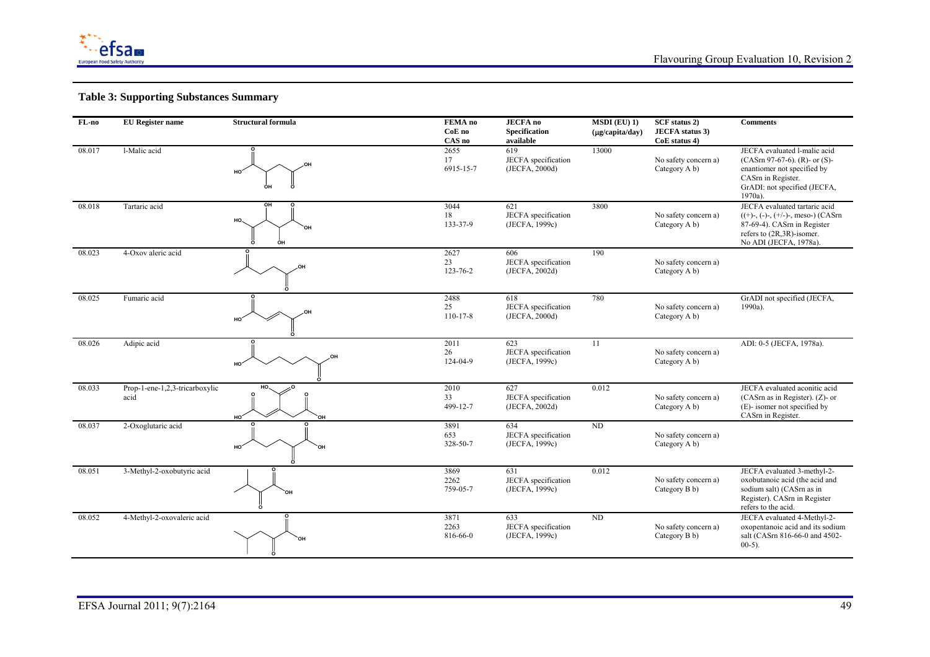

| FL-no  | <b>EU</b> Register name                | <b>Structural formula</b>     | FEMA no<br>CoE no<br>CAS no  | <b>JECFA</b> no<br>Specification<br>available | $MSDI$ (EU) 1)<br>$(\mu g/capita/day)$ | <b>SCF</b> status 2)<br><b>JECFA</b> status 3)<br>CoE status 4) | <b>Comments</b>                                                                                                                                                    |
|--------|----------------------------------------|-------------------------------|------------------------------|-----------------------------------------------|----------------------------------------|-----------------------------------------------------------------|--------------------------------------------------------------------------------------------------------------------------------------------------------------------|
| 08.017 | l-Malic acid                           | .OH<br>HO <sub>.</sub><br>OН  | 2655<br>17<br>6915-15-7      | 619<br>JECFA specification<br>(JECFA, 2000d)  | 13000                                  | No safety concern a)<br>Category A b)                           | JECFA evaluated l-malic acid<br>$(CASrn 97-67-6)$ . (R)- or (S)-<br>enantiomer not specified by<br>CASrn in Register.<br>GrADI: not specified (JECFA,<br>1970a).   |
| 08.018 | Tartaric acid                          | OH<br>HO.<br>OН<br>ÒН         | 3044<br>18<br>133-37-9       | 621<br>JECFA specification<br>(JECFA, 1999c)  | 3800                                   | No safety concern a)<br>Category A b)                           | JECFA evaluated tartaric acid<br>$((+)$ -, $(-)$ -, $(+/-)$ -, meso-) (CASrn<br>87-69-4). CASrn in Register<br>refers to (2R,3R)-isomer.<br>No ADI (JECFA, 1978a). |
| 08.023 | 4-Oxov aleric acid                     |                               | 2627<br>23<br>123-76-2       | 606<br>JECFA specification<br>(JECFA, 2002d)  | 190                                    | No safety concern a)<br>Category A b)                           |                                                                                                                                                                    |
| 08.025 | Fumaric acid                           | ,OH                           | 2488<br>25<br>$110 - 17 - 8$ | 618<br>JECFA specification<br>(JECFA, 2000d)  | 780                                    | No safety concern a)<br>Category A b)                           | GrADI not specified (JECFA,<br>1990a).                                                                                                                             |
| 08.026 | Adipic acid                            | HO <sup>*</sup>               | 2011<br>26<br>124-04-9       | 623<br>JECFA specification<br>(JECFA, 1999c)  | 11                                     | No safety concern a)<br>Category A b)                           | ADI: 0-5 (JECFA, 1978a).                                                                                                                                           |
| 08.033 | Prop-1-ene-1,2,3-tricarboxylic<br>acid | HO.<br>HO <sup>-</sup><br>`ОH | 2010<br>33<br>499-12-7       | 627<br>JECFA specification<br>(JECFA, 2002d)  | 0.012                                  | No safety concern a)<br>Category A b)                           | JECFA evaluated aconitic acid<br>(CASrn as in Register). (Z)- or<br>(E)- isomer not specified by<br>CASrn in Register.                                             |
| 08.037 | 2-Oxoglutaric acid                     | HO <sup>-</sup><br>'nп,       | 3891<br>653<br>328-50-7      | 634<br>JECFA specification<br>(JECFA, 1999c)  | ND                                     | No safety concern a)<br>Category A b)                           |                                                                                                                                                                    |
| 08.051 | 3-Methyl-2-oxobutyric acid             | `OH                           | 3869<br>2262<br>759-05-7     | 631<br>JECFA specification<br>(JECFA, 1999c)  | 0.012                                  | No safety concern a)<br>Category B b)                           | JECFA evaluated 3-methyl-2-<br>oxobutanoic acid (the acid and<br>sodium salt) (CASrn as in<br>Register). CASrn in Register<br>refers to the acid.                  |
| 08.052 | 4-Methyl-2-oxovaleric acid             |                               | 3871<br>2263<br>816-66-0     | 633<br>JECFA specification<br>(JECFA, 1999c)  | ND                                     | No safety concern a)<br>Category B b)                           | JECFA evaluated 4-Methyl-2-<br>oxopentanoic acid and its sodium<br>salt (CASrn 816-66-0 and 4502-<br>$00-5$ ).                                                     |

<u> 1980 - Johann Barn, amerikan berlindar (h. 1980).</u>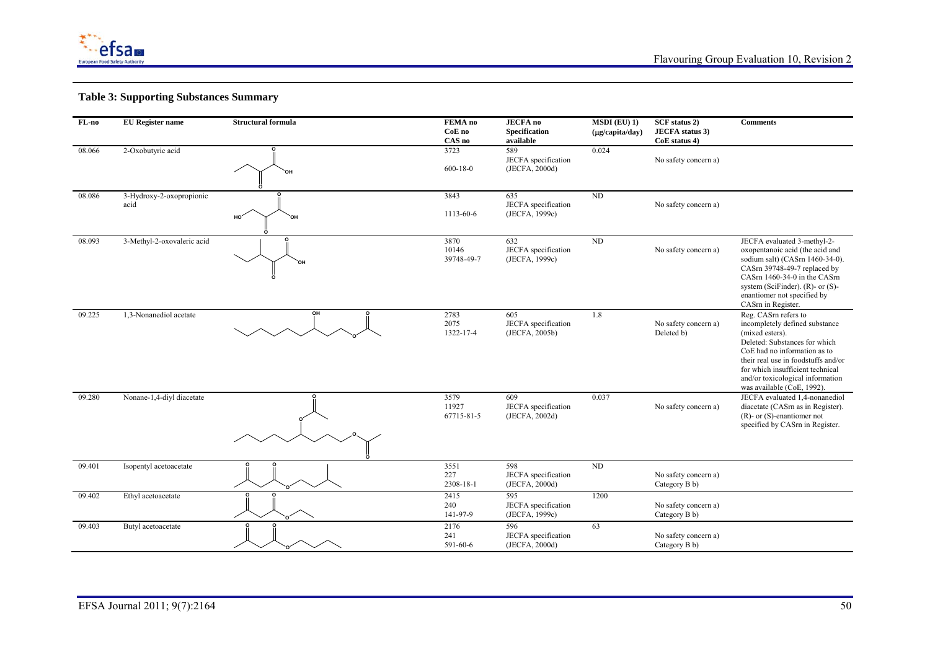

| $FL-no$ | <b>EU</b> Register name          | <b>Structural formula</b> | FEMA no<br>CoE no<br>CAS no | <b>JECFA</b> no<br>Specification<br>available | $MSDI$ (EU) 1)<br>$(\mu g/capita/day)$ | <b>SCF</b> status 2)<br><b>JECFA</b> status 3)<br>CoE status 4) | <b>Comments</b>                                                                                                                                                                                                                                                                        |
|---------|----------------------------------|---------------------------|-----------------------------|-----------------------------------------------|----------------------------------------|-----------------------------------------------------------------|----------------------------------------------------------------------------------------------------------------------------------------------------------------------------------------------------------------------------------------------------------------------------------------|
| 08.066  | 2-Oxobutyric acid                | `NH                       | 3723<br>$600 - 18 - 0$      | 589<br>JECFA specification<br>(JECFA, 2000d)  | 0.024                                  | No safety concern a)                                            |                                                                                                                                                                                                                                                                                        |
| 08.086  | 3-Hydroxy-2-oxopropionic<br>acid | HO <sup>2</sup><br>`он    | 3843<br>1113-60-6           | 635<br>JECFA specification<br>(JECFA, 1999c)  | $\rm ND$                               | No safety concern a)                                            |                                                                                                                                                                                                                                                                                        |
| 08.093  | 3-Methyl-2-oxovaleric acid       | OН                        | 3870<br>10146<br>39748-49-7 | 632<br>JECFA specification<br>(JECFA, 1999c)  | $\mbox{\sc ND}$                        | No safety concern a)                                            | JECFA evaluated 3-methyl-2-<br>oxopentanoic acid (the acid and<br>sodium salt) (CASrn 1460-34-0).<br>CASrn 39748-49-7 replaced by<br>CASrn 1460-34-0 in the CASrn<br>system (SciFinder). $(R)$ - or $(S)$ -<br>enantiomer not specified by<br>CASrn in Register.                       |
| 09.225  | 1,3-Nonanediol acetate           | OH                        | 2783<br>2075<br>1322-17-4   | 605<br>JECFA specification<br>(JECFA, 2005b)  | 1.8                                    | No safety concern a)<br>Deleted b)                              | Reg. CASm refers to<br>incompletely defined substance<br>(mixed esters).<br>Deleted: Substances for which<br>CoE had no information as to<br>their real use in foodstuffs and/or<br>for which insufficient technical<br>and/or toxicological information<br>was available (CoE, 1992). |
| 09.280  | Nonane-1,4-divl diacetate        | C                         | 3579<br>11927<br>67715-81-5 | 609<br>JECFA specification<br>(JECFA, 2002d)  | 0.037                                  | No safety concern a)                                            | JECFA evaluated 1,4-nonanediol<br>diacetate (CASrn as in Register).<br>$(R)$ - or $(S)$ -enantiomer not<br>specified by CASrn in Register.                                                                                                                                             |
| 09.401  | Isopentyl acetoacetate           |                           | 3551<br>227<br>2308-18-1    | 598<br>JECFA specification<br>(JECFA, 2000d)  | ND                                     | No safety concern a)<br>Category B b)                           |                                                                                                                                                                                                                                                                                        |
| 09.402  | Ethyl acetoacetate               |                           | 2415<br>240<br>141-97-9     | 595<br>JECFA specification<br>(JECFA, 1999c)  | 1200                                   | No safety concern a)<br>Category B b)                           |                                                                                                                                                                                                                                                                                        |
| 09.403  | Butyl acetoacetate               |                           | 2176<br>241<br>591-60-6     | 596<br>JECFA specification<br>(JECFA, 2000d)  | 63                                     | No safety concern a)<br>Category B b)                           |                                                                                                                                                                                                                                                                                        |

<u> 1980 - Johann Barn, amerikan bernama (h. 1980).</u>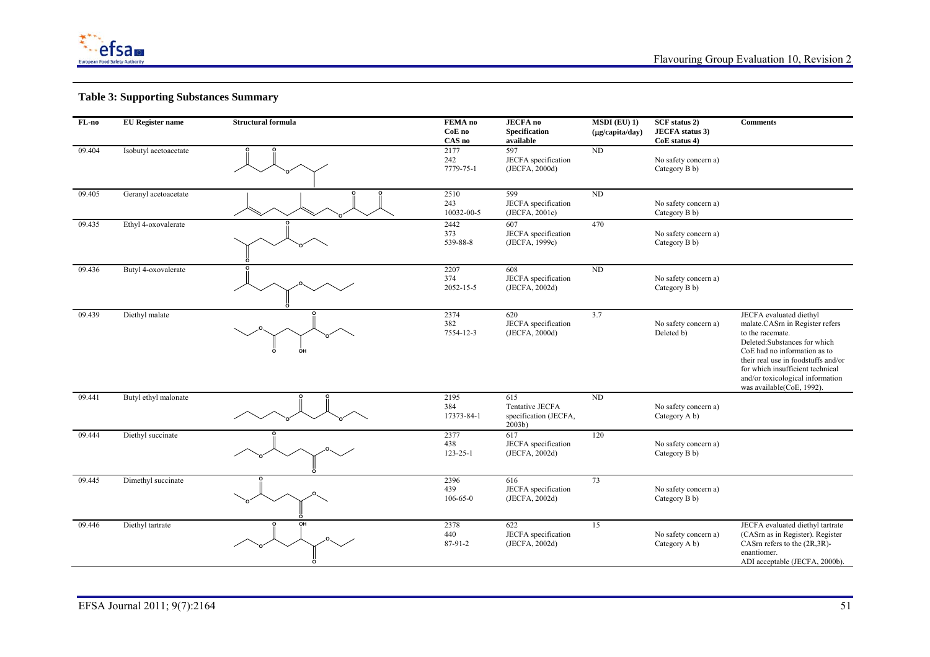

| $FL-no$ | <b>EU</b> Register name | <b>Structural formula</b> | <b>FEMA</b> no<br>CoE no<br>CAS no | <b>JECFA</b> no<br>Specification<br>available                       | $MSDI$ (EU) 1)<br>$(\mu g/capita/day)$ | <b>SCF</b> status 2)<br><b>JECFA</b> status 3)<br>CoE status 4) | <b>Comments</b>                                                                                                                                                                                                                                                                           |
|---------|-------------------------|---------------------------|------------------------------------|---------------------------------------------------------------------|----------------------------------------|-----------------------------------------------------------------|-------------------------------------------------------------------------------------------------------------------------------------------------------------------------------------------------------------------------------------------------------------------------------------------|
| 09.404  | Isobutyl acetoacetate   |                           | 2177<br>242<br>7779-75-1           | 597<br>JECFA specification<br>(JECFA, 2000d)                        | ND                                     | No safety concern a)<br>Category B b)                           |                                                                                                                                                                                                                                                                                           |
| 09.405  | Geranyl acetoacetate    |                           | 2510<br>243<br>10032-00-5          | 599<br>JECFA specification<br>(JECFA, 2001c)                        | ND                                     | No safety concern a)<br>Category B b)                           |                                                                                                                                                                                                                                                                                           |
| 09.435  | Ethyl 4-oxovalerate     |                           | 2442<br>373<br>539-88-8            | 607<br>JECFA specification<br>(JECFA, 1999c)                        | 470                                    | No safety concern a)<br>Category B b)                           |                                                                                                                                                                                                                                                                                           |
| 09.436  | Butyl 4-oxovalerate     |                           | 2207<br>374<br>2052-15-5           | 608<br>JECFA specification<br>(JECFA, 2002d)                        | ND                                     | No safety concern a)<br>Category B b)                           |                                                                                                                                                                                                                                                                                           |
| 09.439  | Diethyl malate          | ÒН                        | 2374<br>382<br>7554-12-3           | 620<br>JECFA specification<br>(JECFA, 2000d)                        | 3.7                                    | No safety concern a)<br>Deleted b)                              | JECFA evaluated diethyl<br>malate.CASm in Register refers<br>to the racemate.<br>Deleted:Substances for which<br>CoE had no information as to<br>their real use in foodstuffs and/or<br>for which insufficient technical<br>and/or toxicological information<br>was available(CoE, 1992). |
| 09.441  | Butyl ethyl malonate    |                           | 2195<br>384<br>17373-84-1          | 615<br><b>Tentative JECFA</b><br>specification (JECFA,<br>$2003b$ ) | ND                                     | No safety concern a)<br>Category A b)                           |                                                                                                                                                                                                                                                                                           |
| 09.444  | Diethyl succinate       |                           | 2377<br>438<br>$123 - 25 - 1$      | 617<br>JECFA specification<br>(JECFA, 2002d)                        | 120                                    | No safety concern a)<br>Category B b)                           |                                                                                                                                                                                                                                                                                           |
| 09.445  | Dimethyl succinate      |                           | 2396<br>439<br>$106 - 65 - 0$      | 616<br>JECFA specification<br>(JECFA, 2002d)                        | 73                                     | No safety concern a)<br>Category B b)                           |                                                                                                                                                                                                                                                                                           |
| 09.446  | Diethyl tartrate        | ᇭ                         | 2378<br>440<br>87-91-2             | 622<br>JECFA specification<br>(JECFA, 2002d)                        | 15                                     | No safety concern a)<br>Category A b)                           | JECFA evaluated diethyl tartrate<br>(CASrn as in Register). Register<br>CASrn refers to the (2R,3R)-<br>enantiomer.<br>ADI acceptable (JECFA, 2000b).                                                                                                                                     |

<u> 1980 - Johann Barn, amerikan berlindar (h. 1980).</u>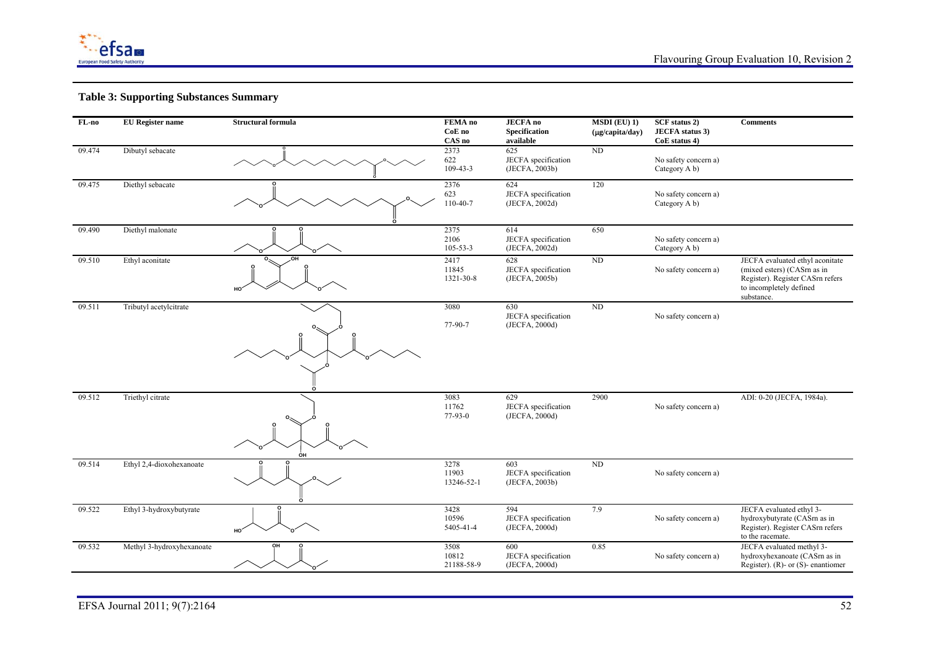

| FL-no  | <b>EU</b> Register name   | <b>Structural formula</b> | FEMA no<br>CoE no<br>CAS no    | <b>JECFA</b> no<br>Specification<br>available | $MSDI$ (EU) 1)<br>(µg/capita/day) | <b>SCF</b> status 2)<br><b>JECFA</b> status 3)<br>CoE status 4) | <b>Comments</b>                                                                                                                            |
|--------|---------------------------|---------------------------|--------------------------------|-----------------------------------------------|-----------------------------------|-----------------------------------------------------------------|--------------------------------------------------------------------------------------------------------------------------------------------|
| 09.474 | Dibutyl sebacate          |                           | 2373<br>622<br>$109 - 43 - 3$  | 625<br>JECFA specification<br>(JECFA, 2003b)  | $\rm ND$                          | No safety concern a)<br>Category A b)                           |                                                                                                                                            |
| 09.475 | Diethyl sebacate          |                           | 2376<br>623<br>110-40-7        | 624<br>JECFA specification<br>(JECFA, 2002d)  | 120                               | No safety concern a)<br>Category A b)                           |                                                                                                                                            |
| 09.490 | Diethyl malonate          |                           | 2375<br>2106<br>$105 - 53 - 3$ | 614<br>JECFA specification<br>(JECFA, 2002d)  | 650                               | No safety concern a)<br>Category A b)                           |                                                                                                                                            |
| 09.510 | Ethyl aconitate           | nн<br>HO <sup>-</sup>     | 2417<br>11845<br>1321-30-8     | 628<br>JECFA specification<br>(JECFA, 2005b)  | ND                                | No safety concern a)                                            | JECFA evaluated ethyl aconitate<br>(mixed esters) (CASrn as in<br>Register). Register CASm refers<br>to incompletely defined<br>substance. |
| 09.511 | Tributyl acetylcitrate    |                           | 3080<br>77-90-7                | 630<br>JECFA specification<br>(JECFA, 2000d)  | ND                                | No safety concern a)                                            |                                                                                                                                            |
| 09.512 | Triethyl citrate          | ÓН                        | 3083<br>11762<br>77-93-0       | 629<br>JECFA specification<br>(JECFA, 2000d)  | 2900                              | No safety concern a)                                            | ADI: 0-20 (JECFA, 1984a).                                                                                                                  |
| 09.514 | Ethyl 2,4-dioxohexanoate  |                           | 3278<br>11903<br>13246-52-1    | 603<br>JECFA specification<br>(JECFA, 2003b)  | $\rm ND$                          | No safety concern a)                                            |                                                                                                                                            |
| 09.522 | Ethyl 3-hydroxybutyrate   | HO'                       | 3428<br>10596<br>5405-41-4     | 594<br>JECFA specification<br>(JECFA, 2000d)  | 7.9                               | No safety concern a)                                            | JECFA evaluated ethyl 3-<br>hydroxybutyrate (CASrn as in<br>Register). Register CASm refers<br>to the racemate.                            |
| 09.532 | Methyl 3-hydroxyhexanoate | OН                        | 3508<br>10812<br>21188-58-9    | 600<br>JECFA specification<br>(JECFA, 2000d)  | 0.85                              | No safety concern a)                                            | JECFA evaluated methyl 3-<br>hydroxyhexanoate (CASrn as in<br>Register). (R)- or $(S)$ - enantiomer                                        |

<u> 1989 - Johann Stein, marwolaethau a bhann an t-Amhainn an t-Amhainn an t-Amhainn an t-Amhainn an t-Amhainn a</u>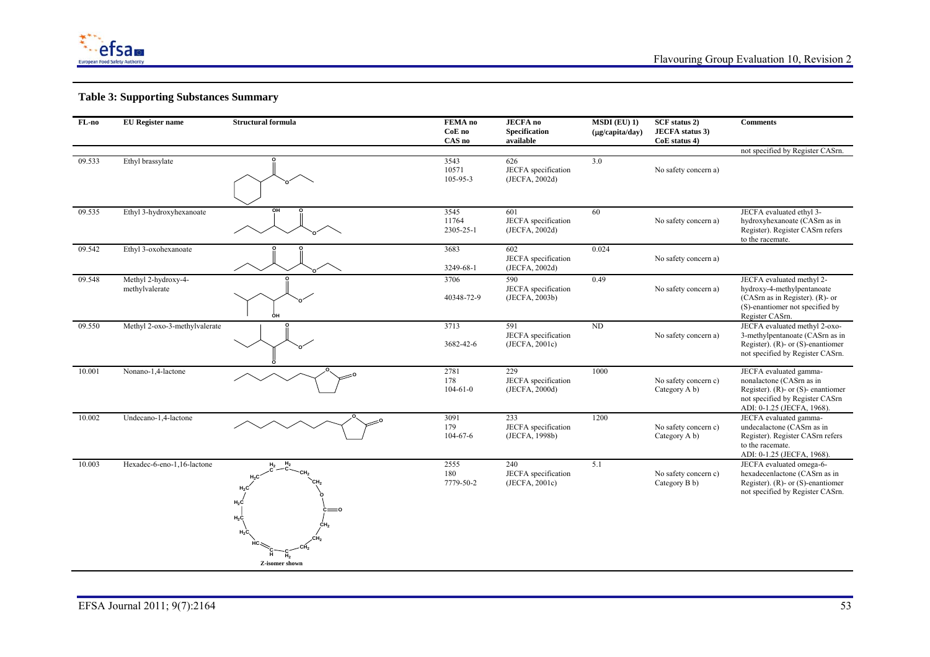

| FL-no<br><b>EU</b> Register name |                                       | <b>Structural formula</b>                    | FEMA no<br>CoE no<br>CAS no | <b>JECFA</b> no<br><b>Specification</b><br>available | $MSDI$ (EU) 1)<br>(µg/capita/day) | <b>SCF</b> status 2)<br><b>JECFA</b> status 3)<br>CoE status 4) | <b>Comments</b>                                                                                                                                                 |
|----------------------------------|---------------------------------------|----------------------------------------------|-----------------------------|------------------------------------------------------|-----------------------------------|-----------------------------------------------------------------|-----------------------------------------------------------------------------------------------------------------------------------------------------------------|
|                                  |                                       |                                              |                             |                                                      |                                   |                                                                 | not specified by Register CASrn.                                                                                                                                |
| 09.533                           | Ethyl brassylate                      |                                              | 3543<br>10571<br>105-95-3   | 626<br>JECFA specification<br>(JECFA, 2002d)         | $\overline{3.0}$                  | No safety concern a)                                            |                                                                                                                                                                 |
| 09.535                           | Ethyl 3-hydroxyhexanoate              |                                              | 3545<br>11764<br>2305-25-1  | 601<br>JECFA specification<br>(JECFA, 2002d)         | 60                                | No safety concern a)                                            | JECFA evaluated ethyl 3-<br>hydroxyhexanoate (CASrn as in<br>Register). Register CASm refers<br>to the racemate.                                                |
| 09.542                           | Ethyl 3-oxohexanoate                  |                                              | 3683<br>3249-68-1           | 602<br>JECFA specification<br>(JECFA, 2002d)         | 0.024                             | No safety concern a)                                            |                                                                                                                                                                 |
| 09.548                           | Methyl 2-hydroxy-4-<br>methylvalerate | ÓН                                           | 3706<br>40348-72-9          | 590<br>JECFA specification<br>(JECFA, 2003b)         | 0.49                              | No safety concern a)                                            | JECFA evaluated methyl 2-<br>hydroxy-4-methylpentanoate<br>(CASrn as in Register). (R)- or<br>(S)-enantiomer not specified by<br>Register CASrn.                |
| 09.550                           | Methyl 2-oxo-3-methylvalerate         |                                              | 3713<br>3682-42-6           | 591<br>JECFA specification<br>(JECFA, 2001c)         | $\rm ND$                          | No safety concern a)                                            | JECFA evaluated methyl 2-oxo-<br>3-methylpentanoate (CASrn as in<br>Register). (R)- or $(S)$ -enantiomer<br>not specified by Register CASrn.                    |
| 10.001                           | Nonano-1,4-lactone                    |                                              | 2781<br>178<br>$104-61-0$   | 229<br>JECFA specification<br>(JECFA, 2000d)         | 1000                              | No safety concern c)<br>Category A b)                           | JECFA evaluated gamma-<br>nonalactone (CASrn as in<br>Register). $(R)$ - or $(S)$ - enantiomer<br>not specified by Register CASrn<br>ADI: 0-1.25 (JECFA, 1968). |
| 10.002                           | Undecano-1,4-lactone                  |                                              | 3091<br>179<br>$104-67-6$   | 233<br>JECFA specification<br>(JECFA, 1998b)         | 1200                              | No safety concern c)<br>Category A b)                           | JECFA evaluated gamma-<br>undecalactone (CASm as in<br>Register). Register CASm refers<br>to the racemate.<br>ADI: 0-1.25 (JECFA, 1968).                        |
| 10.003                           | Hexadec-6-eno-1,16-lactone            | $H_2C$<br>$H_2C$<br>$H_2C$<br>Z-isomer shown | 2555<br>180<br>7779-50-2    | 240<br>JECFA specification<br>(JECFA, 2001c)         | 5.1                               | No safety concern c)<br>Category B b)                           | JECFA evaluated omega-6-<br>hexadecenlactone (CASrn as in<br>Register). (R)- or $(S)$ -enantiomer<br>not specified by Register CASrn.                           |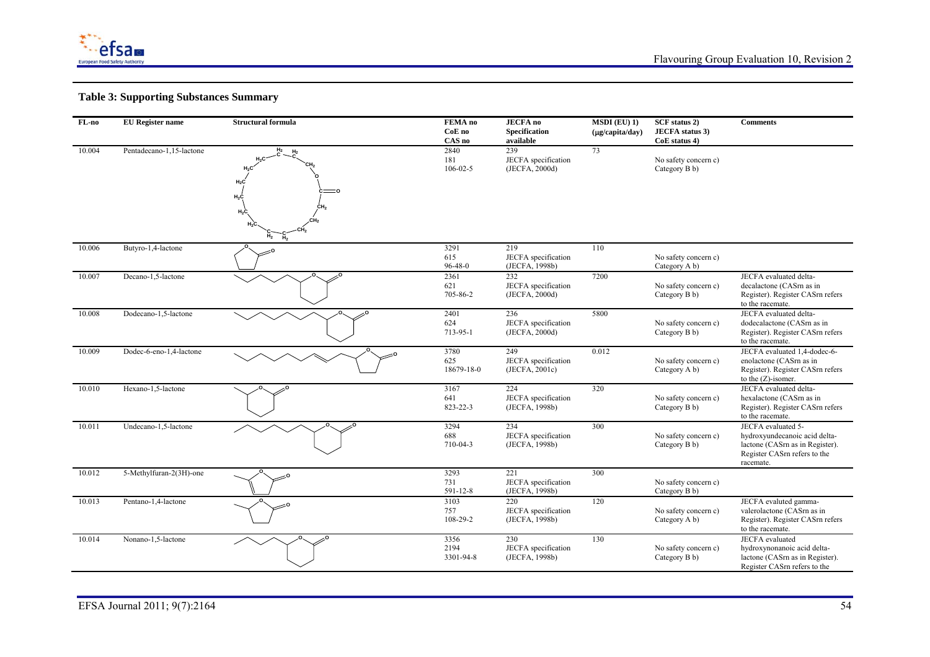

| FL-no  | <b>EU</b> Register name  | <b>Structural formula</b>                             | FEMA no<br>CoE no<br>CAS no   | <b>JECFA</b> no<br><b>Specification</b><br>available | $MSDI$ (EU) 1)<br>$(\mu$ g/capita/day) | SCF status 2)<br><b>JECFA</b> status 3)<br>CoE status 4) | <b>Comments</b>                                                                                                                     |
|--------|--------------------------|-------------------------------------------------------|-------------------------------|------------------------------------------------------|----------------------------------------|----------------------------------------------------------|-------------------------------------------------------------------------------------------------------------------------------------|
| 10.004 | Pentadecano-1,15-lactone | $H_2$<br>H <sub>2</sub><br>$H_2C$<br>$H_2C$<br>$H_2C$ | 2840<br>181<br>$106 - 02 - 5$ | 239<br>JECFA specification<br>(JECFA, 2000d)         | 73                                     | No safety concern c)<br>Category B b)                    |                                                                                                                                     |
| 10.006 | Butyro-1,4-lactone       |                                                       | 3291<br>615<br>$96 - 48 - 0$  | 219<br>JECFA specification<br>(JECFA, 1998b)         | 110                                    | No safety concern c)<br>Category A b)                    |                                                                                                                                     |
| 10.007 | Decano-1,5-lactone       |                                                       | 2361<br>621<br>705-86-2       | 232<br>JECFA specification<br>(JECFA, 2000d)         | 7200                                   | No safety concern c)<br>Category B b)                    | JECFA evaluated delta-<br>decalactone (CASrn as in<br>Register). Register CASrn refers<br>to the racemate.                          |
| 10.008 | Dodecano-1,5-lactone     |                                                       | 2401<br>624<br>713-95-1       | 236<br>JECFA specification<br>(JECFA, 2000d)         | 5800                                   | No safety concern c)<br>Category B b)                    | JECFA evaluated delta-<br>dodecalactone (CASm as in<br>Register). Register CASm refers<br>to the racemate.                          |
| 10.009 | Dodec-6-eno-1,4-lactone  |                                                       | 3780<br>625<br>18679-18-0     | 249<br>JECFA specification<br>(JECFA, 2001c)         | 0.012                                  | No safety concern c)<br>Category A b)                    | JECFA evaluated 1,4-dodec-6-<br>enolactone (CASrn as in<br>Register). Register CASm refers<br>to the $(Z)$ -isomer.                 |
| 10.010 | Hexano-1,5-lactone       |                                                       | 3167<br>641<br>823-22-3       | 224<br>JECFA specification<br>(JECFA, 1998b)         | 320                                    | No safety concern c)<br>Category B b)                    | JECFA evaluated delta-<br>hexalactone (CASrn as in<br>Register). Register CASrn refers<br>to the racemate.                          |
| 10.011 | Undecano-1,5-lactone     |                                                       | 3294<br>688<br>710-04-3       | 234<br>JECFA specification<br>(JECFA, 1998b)         | 300                                    | No safety concern c)<br>Category B b)                    | JECFA evaluated 5-<br>hydroxyundecanoic acid delta-<br>lactone (CASrn as in Register).<br>Register CASrn refers to the<br>racemate. |
| 10.012 | 5-Methylfuran-2(3H)-one  |                                                       | 3293<br>731<br>591-12-8       | 221<br>JECFA specification<br>(JECFA, 1998b)         | 300                                    | No safety concern c)<br>Category B b)                    |                                                                                                                                     |
| 10.013 | Pentano-1,4-lactone      |                                                       | 3103<br>757<br>108-29-2       | 220<br>JECFA specification<br>(JECFA, 1998b)         | 120                                    | No safety concern c)<br>Category A b)                    | JECFA evaluted gamma-<br>valerolactone (CASrn as in<br>Register). Register CASm refers<br>to the racemate.                          |
| 10.014 | Nonano-1,5-lactone       |                                                       | 3356<br>2194<br>3301-94-8     | 230<br>JECFA specification<br>(JECFA, 1998b)         | 130                                    | No safety concern c)<br>Category B b)                    | JECFA evaluated<br>hydroxynonanoic acid delta-<br>lactone (CASrn as in Register).<br>Register CASrn refers to the                   |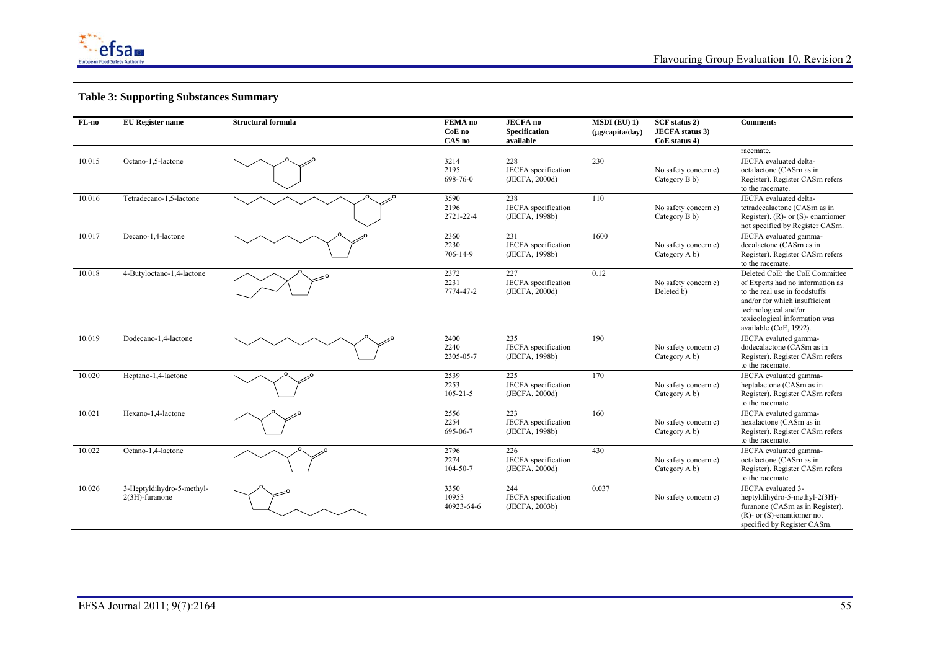

| $FL-no$ | <b>EU</b> Register name                     | <b>Structural formula</b> | FEMA no<br>CoE no<br>CAS no    | <b>JECFA</b> no<br><b>Specification</b><br>available | $MSDI$ (EU) 1)<br>$(\mu g/capita/day)$ | SCF status 2)<br><b>JECFA</b> status 3)<br>CoE status 4) | <b>Comments</b>                                                                                                                                                                                                         |
|---------|---------------------------------------------|---------------------------|--------------------------------|------------------------------------------------------|----------------------------------------|----------------------------------------------------------|-------------------------------------------------------------------------------------------------------------------------------------------------------------------------------------------------------------------------|
|         |                                             |                           |                                |                                                      |                                        |                                                          | racemate.                                                                                                                                                                                                               |
| 10.015  | Octano-1,5-lactone                          |                           | 3214<br>2195<br>698-76-0       | 228<br>JECFA specification<br>(JECFA, 2000d)         | 230                                    | No safety concern c)<br>Category B b)                    | JECFA evaluated delta-<br>octalactone (CASrn as in<br>Register). Register CASrn refers<br>to the racemate.                                                                                                              |
| 10.016  | Tetradecano-1,5-lactone                     |                           | 3590<br>2196<br>2721-22-4      | 238<br>JECFA specification<br>(JECFA, 1998b)         | 110                                    | No safety concern c)<br>Category B b)                    | JECFA evaluated delta-<br>tetradecalactone (CASrn as in<br>Register). $(R)$ - or $(S)$ - enantiomer<br>not specified by Register CASrn.                                                                                 |
| 10.017  | Decano-1,4-lactone                          |                           | 2360<br>2230<br>706-14-9       | 231<br>JECFA specification<br>(JECFA, 1998b)         | 1600                                   | No safety concern c)<br>Category A b)                    | JECFA evaluated gamma-<br>decalactone (CASrn as in<br>Register). Register CASrn refers<br>to the racemate.                                                                                                              |
| 10.018  | 4-Butyloctano-1,4-lactone                   |                           | 2372<br>2231<br>7774-47-2      | 227<br>JECFA specification<br>(JECFA, 2000d)         | 0.12                                   | No safety concern c)<br>Deleted b)                       | Deleted CoE: the CoE Committee<br>of Experts had no information as<br>to the real use in foodstuffs<br>and/or for which insufficient<br>technological and/or<br>toxicological information was<br>available (CoE, 1992). |
| 10.019  | Dodecano-1,4-lactone                        |                           | 2400<br>2240<br>2305-05-7      | 235<br>JECFA specification<br>(JECFA, 1998b)         | 190                                    | No safety concern c)<br>Category A b)                    | JECFA evaluted gamma-<br>dodecalactone (CASm as in<br>Register). Register CASrn refers<br>to the racemate.                                                                                                              |
| 10.020  | Heptano-1,4-lactone                         |                           | 2539<br>2253<br>$105 - 21 - 5$ | 225<br>JECFA specification<br>(JECFA, 2000d)         | 170                                    | No safety concern c)<br>Category A b)                    | JECFA evaluated gamma-<br>heptalactone (CASrn as in<br>Register). Register CASm refers<br>to the racemate.                                                                                                              |
| 10.021  | Hexano-1,4-lactone                          |                           | 2556<br>2254<br>695-06-7       | 223<br>JECFA specification<br>(JECFA, 1998b)         | 160                                    | No safety concern c)<br>Category A b)                    | JECFA evaluted gamma-<br>hexalactone (CASrn as in<br>Register). Register CASm refers<br>to the racemate.                                                                                                                |
| 10.022  | Octano-1,4-lactone                          |                           | 2796<br>2274<br>104-50-7       | 226<br>JECFA specification<br>(JECFA, 2000d)         | 430                                    | No safety concern c)<br>Category A b)                    | JECFA evaluated gamma-<br>octalactone (CASrn as in<br>Register). Register CASrn refers<br>to the racemate.                                                                                                              |
| 10.026  | 3-Heptyldihydro-5-methyl-<br>2(3H)-furanone |                           | 3350<br>10953<br>40923-64-6    | 244<br>JECFA specification<br>(JECFA, 2003b)         | 0.037                                  | No safety concern c)                                     | JECFA evaluated 3-<br>heptyldihydro-5-methyl-2(3H)-<br>furanone (CASrn as in Register).<br>$(R)$ - or $(S)$ -enantiomer not<br>specified by Register CASrn.                                                             |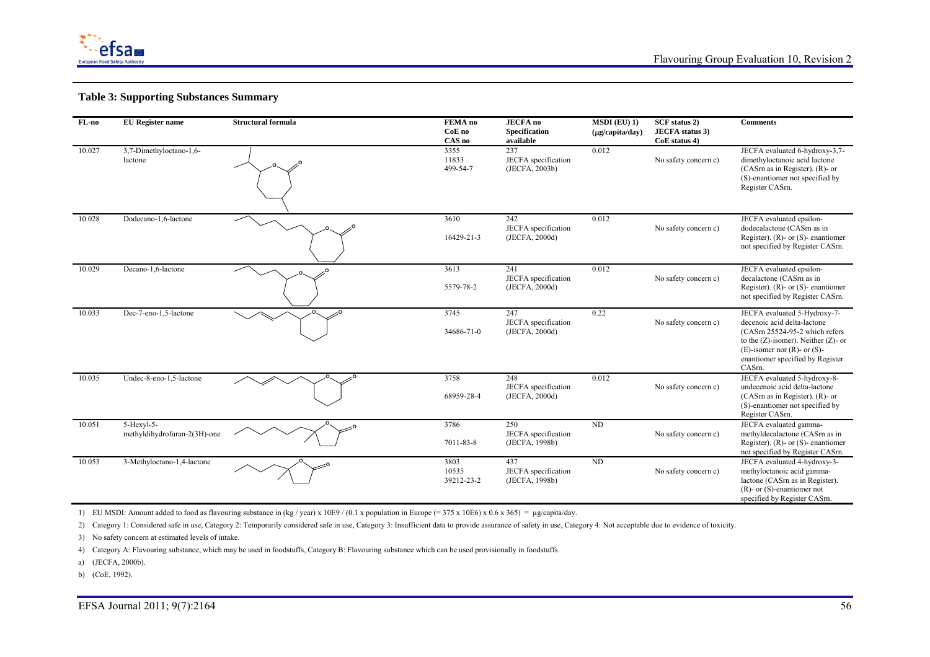

| FL-no  | <b>EU</b> Register name                      | <b>Structural formula</b> | FEMA no<br>CoE no<br>CAS no | <b>JECFA</b> no<br>Specification<br>available | $MSDI$ (EU) 1)<br>(µg/capita/day) | SCF status 2)<br><b>JECFA</b> status 3)<br>CoE status 4) | <b>Comments</b>                                                                                                                                                                                                                  |
|--------|----------------------------------------------|---------------------------|-----------------------------|-----------------------------------------------|-----------------------------------|----------------------------------------------------------|----------------------------------------------------------------------------------------------------------------------------------------------------------------------------------------------------------------------------------|
| 10.027 | 3,7-Dimethyloctano-1,6-<br>lactone           |                           | 3355<br>11833<br>499-54-7   | 237<br>JECFA specification<br>(JECFA, 2003b)  | 0.012                             | No safety concern c)                                     | JECFA evaluated 6-hydroxy-3,7-<br>dimethyloctanoic acid lactone<br>$(CASrn as in Register)$ . $(R)$ - or<br>(S)-enantiomer not specified by<br>Register CASrn.                                                                   |
| 10.028 | Dodecano-1,6-lactone                         |                           | 3610<br>16429-21-3          | 242<br>JECFA specification<br>(JECFA, 2000d)  | 0.012                             | No safety concern c)                                     | JECFA evaluated epsilon-<br>dodecalactone (CASm as in<br>Register). (R)- or $(S)$ - enantiomer<br>not specified by Register CASrn.                                                                                               |
| 10.029 | Decano-1,6-lactone                           |                           | 3613<br>5579-78-2           | 241<br>JECFA specification<br>(JECFA, 2000d)  | 0.012                             | No safety concern c)                                     | JECFA evaluated epsilon-<br>decalactone (CASrn as in<br>Register). (R)- or $(S)$ - enantiomer<br>not specified by Register CASrn.                                                                                                |
| 10.033 | Dec-7-eno-1,5-lactone                        |                           | 3745<br>34686-71-0          | 247<br>JECFA specification<br>(JECFA, 2000d)  | 0.22                              | No safety concern c)                                     | JECFA evaluated 5-Hydroxy-7-<br>decenoic acid delta-lactone<br>(CASrn 25524-95-2 which refers<br>to the $(Z)$ -isomer). Neither $(Z)$ - or<br>$(E)$ -isomer nor $(R)$ - or $(S)$ -<br>enantiomer specified by Register<br>CASrn. |
| 10.035 | Undec-8-eno-1,5-lactone                      |                           | 3758<br>68959-28-4          | 248<br>JECFA specification<br>(JECFA, 2000d)  | 0.012                             | No safety concern c)                                     | JECFA evaluated 5-hydroxy-8-<br>undecenoic acid delta-lactone<br>$(CASrn as in Register)$ . $(R)$ - or<br>(S)-enantiomer not specified by<br>Register CASrn.                                                                     |
| 10.051 | $5-Hexvl-5-$<br>methyldihydrofuran-2(3H)-one |                           | 3786<br>7011-83-8           | 250<br>JECFA specification<br>(JECFA, 1998b)  | ND                                | No safety concern c)                                     | JECFA evaluated gamma-<br>methyldecalactone (CASrn as in<br>Register). (R)- or $(S)$ - enantiomer<br>not specified by Register CASrn.                                                                                            |
| 10.053 | 3-Methyloctano-1,4-lactone                   |                           | 3803<br>10535<br>39212-23-2 | 437<br>JECFA specification<br>(JECFA, 1998b)  | $\rm ND$                          | No safety concern c)                                     | JECFA evaluated 4-hydroxy-3-<br>methyloctanoic acid gamma-<br>lactone (CASrn as in Register).<br>$(R)$ - or $(S)$ -enantiomer not<br>specified by Register CASrn.                                                                |

1) EU MSDI: Amount added to food as flavouring substance in (kg / year) x 10E9 / (0.1 x population in Europe (= 375 x 10E6) x 0.6 x 365) = µg/capita/day.

2) Category 1: Considered safe in use, Category 2: Temporarily considered safe in use, Category 3: Insufficient data to provide assurance of safety in use, Category 4: Not acceptable due to evidence of toxicity.

3) No safety concern at estimated levels of intake.

4) Category A: Flavouring substance, which may be used in foodstuffs, Category B: Flavouring substance which can be used provisionally in foodstuffs.

a) (JECFA, 2000b).

b) (CoE, 1992).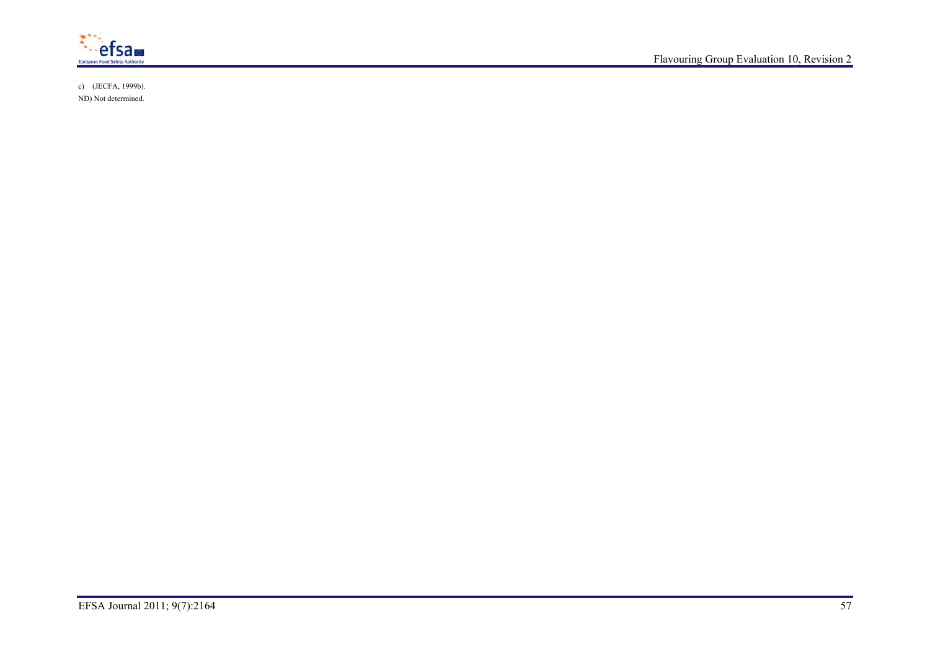

c) (JECFA, 1999b). ND) Not determined.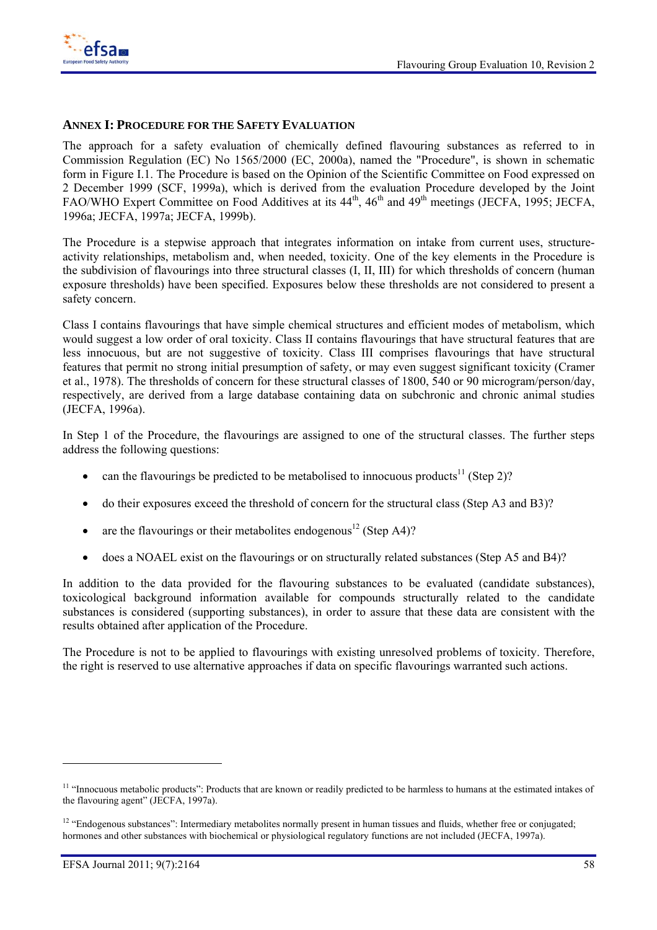

#### **ANNEX I: PROCEDURE FOR THE SAFETY EVALUATION**

The approach for a safety evaluation of chemically defined flavouring substances as referred to in Commission Regulation (EC) No 1565/2000 (EC, 2000a), named the "Procedure", is shown in schematic form in Figure I.1. The Procedure is based on the Opinion of the Scientific Committee on Food expressed on 2 December 1999 (SCF, 1999a), which is derived from the evaluation Procedure developed by the Joint FAO/WHO Expert Committee on Food Additives at its 44<sup>th</sup>, 46<sup>th</sup> and 49<sup>th</sup> meetings (JECFA, 1995; JECFA, 1996a; JECFA, 1997a; JECFA, 1999b).

The Procedure is a stepwise approach that integrates information on intake from current uses, structureactivity relationships, metabolism and, when needed, toxicity. One of the key elements in the Procedure is the subdivision of flavourings into three structural classes (I, II, III) for which thresholds of concern (human exposure thresholds) have been specified. Exposures below these thresholds are not considered to present a safety concern.

Class I contains flavourings that have simple chemical structures and efficient modes of metabolism, which would suggest a low order of oral toxicity. Class II contains flavourings that have structural features that are less innocuous, but are not suggestive of toxicity. Class III comprises flavourings that have structural features that permit no strong initial presumption of safety, or may even suggest significant toxicity (Cramer et al., 1978). The thresholds of concern for these structural classes of 1800, 540 or 90 microgram/person/day, respectively, are derived from a large database containing data on subchronic and chronic animal studies (JECFA, 1996a).

In Step 1 of the Procedure, the flavourings are assigned to one of the structural classes. The further steps address the following questions:

- can the flavourings be predicted to be metabolised to innocuous products<sup>11</sup> (Step 2)?
- do their exposures exceed the threshold of concern for the structural class (Step A3 and B3)?
- are the flavourings or their metabolites endogenous<sup>12</sup> (Step A4)?
- does a NOAEL exist on the flavourings or on structurally related substances (Step A5 and B4)?

In addition to the data provided for the flavouring substances to be evaluated (candidate substances), toxicological background information available for compounds structurally related to the candidate substances is considered (supporting substances), in order to assure that these data are consistent with the results obtained after application of the Procedure.

The Procedure is not to be applied to flavourings with existing unresolved problems of toxicity. Therefore, the right is reserved to use alternative approaches if data on specific flavourings warranted such actions.

l

<sup>&</sup>lt;sup>11</sup> "Innocuous metabolic products": Products that are known or readily predicted to be harmless to humans at the estimated intakes of the flavouring agent" (JECFA, 1997a).

<sup>&</sup>lt;sup>12</sup> "Endogenous substances": Intermediary metabolites normally present in human tissues and fluids, whether free or conjugated; hormones and other substances with biochemical or physiological regulatory functions are not included (JECFA, 1997a).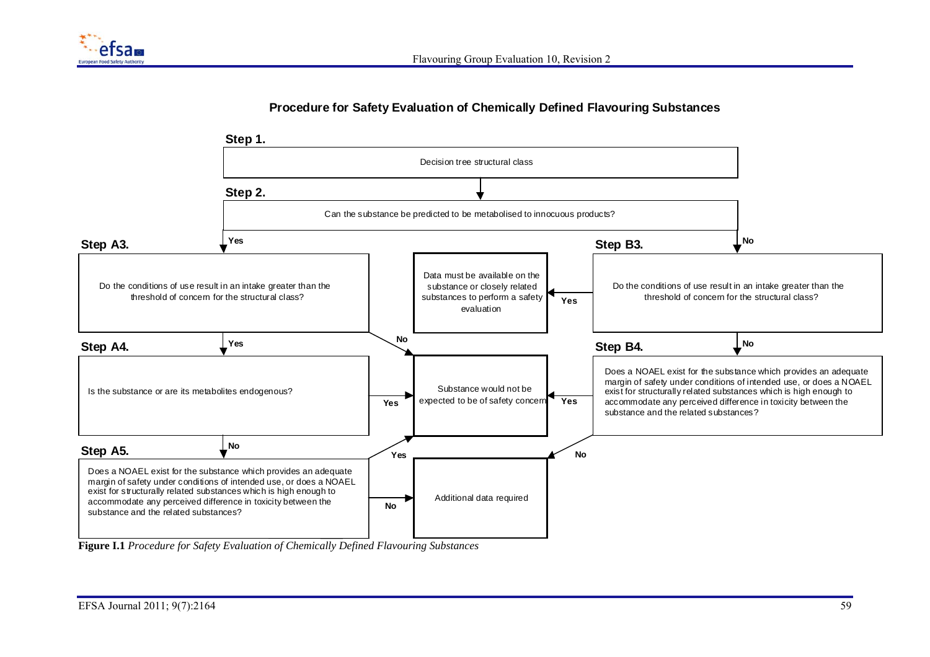

### **Procedure for Safety Evaluation of Chemically Defined Flavouring Substances**



**Figure I.1** *Procedure for Safety Evaluation of Chemically Defined Flavouring Substances*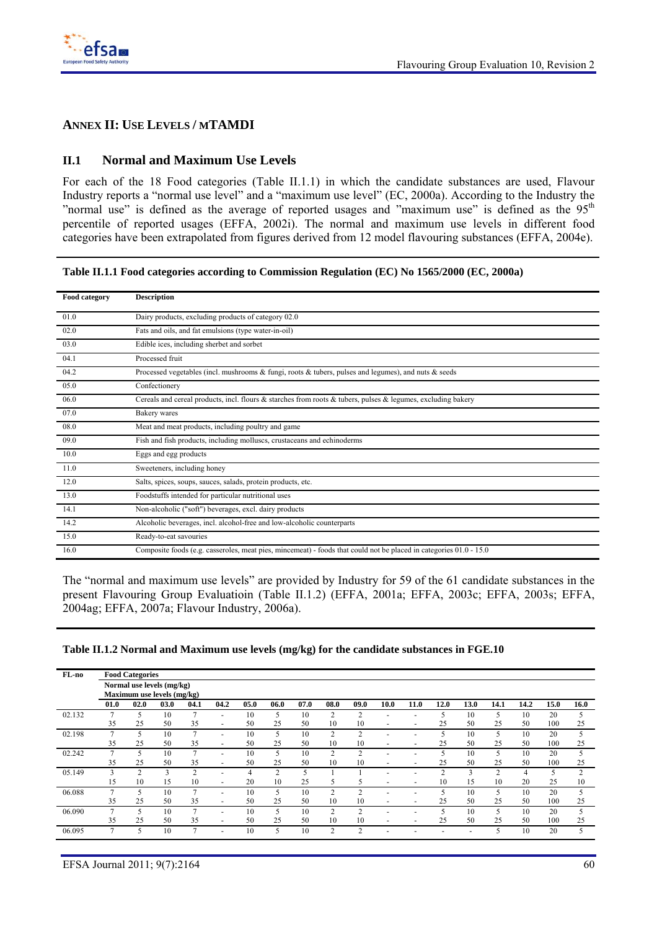

## **ANNEX II: USE LEVELS / MTAMDI**

### **II.1 Normal and Maximum Use Levels**

For each of the 18 Food categories (Table II.1.1) in which the candidate substances are used, Flavour Industry reports a "normal use level" and a "maximum use level" (EC, 2000a). According to the Industry the "normal use" is defined as the average of reported usages and "maximum use" is defined as the  $95<sup>th</sup>$ percentile of reported usages (EFFA, 2002i). The normal and maximum use levels in different food categories have been extrapolated from figures derived from 12 model flavouring substances (EFFA, 2004e).

**Table II.1.1 Food categories according to Commission Regulation (EC) No 1565/2000 (EC, 2000a)** 

| Food category | <b>Description</b>                                                                                                 |
|---------------|--------------------------------------------------------------------------------------------------------------------|
| 01.0          | Dairy products, excluding products of category 02.0                                                                |
| 02.0          | Fats and oils, and fat emulsions (type water-in-oil)                                                               |
| 03.0          | Edible ices, including sherbet and sorbet                                                                          |
| 04.1          | Processed fruit                                                                                                    |
| 04.2          | Processed vegetables (incl. mushrooms $\&$ fungi, roots $\&$ tubers, pulses and legumes), and nuts $\&$ seeds      |
| 05.0          | Confectionery                                                                                                      |
| 06.0          | Cereals and cereal products, incl. flours & starches from roots & tubers, pulses & legumes, excluding bakery       |
| 07.0          | Bakery wares                                                                                                       |
| 08.0          | Meat and meat products, including poultry and game                                                                 |
| 09.0          | Fish and fish products, including molluscs, crustaceans and echinoderms                                            |
| 10.0          | Eggs and egg products                                                                                              |
| 11.0          | Sweeteners, including honey                                                                                        |
| 12.0          | Salts, spices, soups, sauces, salads, protein products, etc.                                                       |
| 13.0          | Foodstuffs intended for particular nutritional uses                                                                |
| 14.1          | Non-alcoholic ("soft") beverages, excl. dairy products                                                             |
| 14.2          | Alcoholic beverages, incl. alcohol-free and low-alcoholic counterparts                                             |
| 15.0          | Ready-to-eat savouries                                                                                             |
| 16.0          | Composite foods (e.g. casseroles, meat pies, mincemeat) - foods that could not be placed in categories 01.0 - 15.0 |

The "normal and maximum use levels" are provided by Industry for 59 of the 61 candidate substances in the present Flavouring Group Evaluatioin (Table II.1.2) (EFFA, 2001a; EFFA, 2003c; EFFA, 2003s; EFFA, 2004ag; EFFA, 2007a; Flavour Industry, 2006a).

|  | Table II.1.2 Normal and Maximum use levels (mg/kg) for the candidate substances in FGE.10 |  |  |  |
|--|-------------------------------------------------------------------------------------------|--|--|--|
|  |                                                                                           |  |  |  |

| FL-no  |                | <b>Food Categories</b> |                            |      |                          |      |                |      |                |                |                          |                          |      |      |        |      |      |                          |
|--------|----------------|------------------------|----------------------------|------|--------------------------|------|----------------|------|----------------|----------------|--------------------------|--------------------------|------|------|--------|------|------|--------------------------|
|        |                |                        | Normal use levels (mg/kg)  |      |                          |      |                |      |                |                |                          |                          |      |      |        |      |      |                          |
|        |                |                        | Maximum use levels (mg/kg) |      |                          |      |                |      |                |                |                          |                          |      |      |        |      |      |                          |
|        | 01.0           | 02.0                   | 03.0                       | 04.1 | 04.2                     | 05.0 | 06.0           | 07.0 | 08.0           | 09.0           | 10.0                     | 11.0                     | 12.0 | 13.0 | 14.1   | 14.2 | 15.0 | 16.0                     |
| 02.132 | ∍              | 5                      | 10                         | ∍    | ÷                        | 10   | 5              | 10   | 2              | $\overline{c}$ |                          |                          | 5    | 10   | 5      | 10   | 20   | 5                        |
|        | 35             | 25                     | 50                         | 35   | $\overline{\phantom{a}}$ | 50   | 25             | 50   | 10             | 10             | $\overline{\phantom{0}}$ | -                        | 25   | 50   | 25     | 50   | 100  | 25                       |
| 02.198 | 7              | 5                      | 10                         | ∍    |                          | 10   | 5              | 10   | $\overline{c}$ | $\mathcal{D}$  |                          |                          | 5    | 10   | 5      | 10   | 20   | 5                        |
|        | 35             | 25                     | 50                         | 35   | ٠                        | 50   | 25             | 50   | 10             | 10             | $\overline{\phantom{0}}$ |                          | 25   | 50   | 25     | 50   | 100  | 25                       |
| 02.242 | ∍              |                        | 10                         |      |                          | 10   | 5              | 10   | 2              | 2              |                          |                          |      | 10   |        | 10   | 20   | 5                        |
|        | 35             | 25                     | 50                         | 35   | -                        | 50   | 25             | 50   | 10             | 10             |                          |                          | 25   | 50   | 25     | 50   | 100  | 25                       |
| 05.149 | 3              | $\sim$                 | 3                          | ◠    |                          | 4    | $\overline{2}$ | 5    |                |                |                          |                          | ◠    | 3    | $\sim$ |      |      | $\overline{c}$           |
|        | 15             | 10                     | 15                         | 10   | $\overline{\phantom{a}}$ | 20   | 10             | 25   | 5              | 5              | -                        | $\overline{\phantom{a}}$ | 10   | 15   | 10     | 20   | 25   | 10                       |
| 06.088 | 7              |                        | 10                         |      |                          | 10   | 5              | 10   | $\overline{c}$ | C              |                          |                          | 5    | 10   |        | 10   | 20   | 5                        |
|        | 35             | 25                     | 50                         | 35   | $\overline{\phantom{0}}$ | 50   | 25             | 50   | 10             | 10             |                          |                          | 25   | 50   | 25     | 50   | 100  | 25                       |
| 06.090 | $\overline{ }$ |                        | 10                         | ∍    |                          | 10   | 5              | 10   | 2              | $\overline{c}$ |                          |                          | 5    | 10   |        | 10   | 20   | $\overline{\phantom{1}}$ |
|        | 35             | 25                     | 50                         | 35   | $\overline{\phantom{a}}$ | 50   | 25             | 50   | 10             | 10             | $\overline{\phantom{0}}$ |                          | 25   | 50   | 25     | 50   | 100  | 25                       |
| 06.095 | ∍              |                        | 10                         |      | ۰                        | 10   | 5              | 10   | $\overline{2}$ | C              |                          |                          |      |      |        | 10   | 20   | 5                        |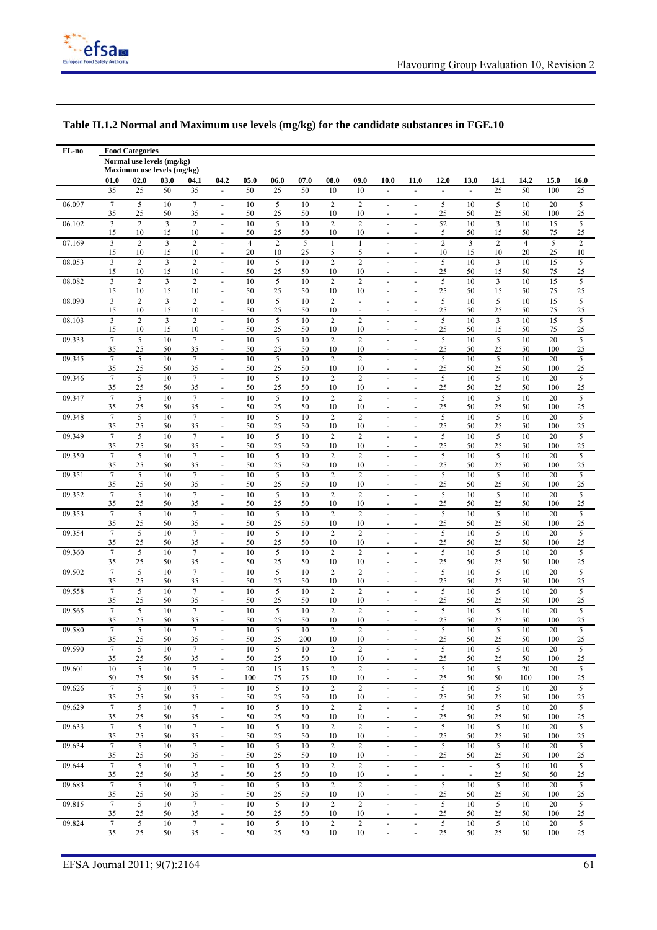

| FL-no  |                               | <b>Food Categories</b>     |          |                        |                                            |                      |                      |           |                      |                                  |                                            |                                            |                                    |                                    |                         |                      |           |                      |
|--------|-------------------------------|----------------------------|----------|------------------------|--------------------------------------------|----------------------|----------------------|-----------|----------------------|----------------------------------|--------------------------------------------|--------------------------------------------|------------------------------------|------------------------------------|-------------------------|----------------------|-----------|----------------------|
|        |                               | Normal use levels (mg/kg)  |          |                        |                                            |                      |                      |           |                      |                                  |                                            |                                            |                                    |                                    |                         |                      |           |                      |
|        |                               | Maximum use levels (mg/kg) |          |                        |                                            |                      |                      |           |                      |                                  |                                            |                                            |                                    |                                    |                         |                      |           |                      |
|        | 01.0                          | 02.0                       | 03.0     | 04.1                   | 04.2                                       | 05.0                 | 06.0                 | 07.0      | 08.0                 | 09.0                             | 10.0                                       | 11.0                                       | 12.0                               | 13.0                               | 14.1                    | 14.2                 | 15.0      | 16.0                 |
|        | 35                            | 25                         | 50       | 35                     | ÷,                                         | 50                   | 25                   | 50        | 10                   | 10                               | ÷,                                         | $\blacksquare$                             | ÷,                                 | $\blacksquare$                     | 25                      | 50                   | 100       | 25                   |
| 06.097 | $\overline{7}$<br>35          | $\sqrt{5}$<br>25           | 10<br>50 | $\overline{7}$<br>35   | $\overline{\phantom{a}}$<br>$\overline{a}$ | 10<br>50             | 5<br>25              | 10<br>50  | $\overline{c}$<br>10 | $\overline{c}$<br>10             | ٠<br>٠                                     | $\blacksquare$                             | 5<br>25                            | 10<br>50                           | 5<br>25                 | 10<br>50             | 20<br>100 | 5<br>$25\,$          |
| 06.102 | 3<br>15                       | $\overline{2}$<br>10       | 3<br>15  | $\overline{2}$<br>10   | ÷,<br>$\overline{a}$                       | 10<br>50             | 5<br>25              | 10<br>50  | $\overline{c}$<br>10 | $\overline{c}$<br>10             | ٠<br>L,                                    | ä,                                         | 52<br>5                            | 10<br>50                           | 3<br>15                 | 10<br>50             | 15<br>75  | 5<br>25              |
| 07.169 | 3                             | $\overline{c}$<br>10       | 3<br>15  | $\overline{2}$<br>10   | $\overline{a}$<br>ä,                       | $\overline{4}$<br>20 | $\overline{c}$<br>10 | 5<br>25   | $\mathbf{1}$<br>5    | $\mathbf{1}$<br>5                | $\ddot{\phantom{1}}$                       | $\ddot{\phantom{1}}$                       | $\overline{2}$<br>10               | 3<br>15                            | $\overline{2}$<br>10    | $\overline{4}$<br>20 | 5<br>25   | $\overline{c}$<br>10 |
| 08.053 | 15<br>$\overline{3}$          | $\overline{c}$             | 3        | $\overline{2}$         | $\blacksquare$                             | 10                   | 5                    | 10        | $\overline{c}$       | $\overline{c}$                   | ÷,<br>٠                                    |                                            | 5                                  | 10                                 | $\overline{\mathbf{3}}$ | 10                   | 15        | 5                    |
| 08.082 | 15<br>$\overline{3}$          | 10<br>$\overline{c}$       | 15<br>3  | 10<br>$\overline{2}$   | $\overline{\phantom{a}}$                   | 50<br>10             | 25<br>5              | 50<br>10  | 10<br>$\sqrt{2}$     | 10<br>$\overline{c}$             | ٠                                          | $\blacksquare$                             | 25<br>5                            | 50<br>10                           | 15<br>$\overline{3}$    | 50<br>10             | 75<br>15  | 25<br>5              |
| 08.090 | 15<br>$\overline{3}$          | 10<br>$\overline{c}$       | 15<br>3  | 10<br>$\overline{2}$   | $\blacksquare$<br>$\overline{a}$           | 50<br>10             | 25<br>5              | 50<br>10  | 10<br>$\overline{c}$ | 10<br>÷.                         | ٠<br>Ē,                                    | $\blacksquare$                             | 25<br>5                            | 50<br>10                           | 15<br>5                 | 50<br>10             | 75<br>15  | 25<br>5              |
| 08.103 | 15<br>$\overline{\mathbf{3}}$ | 10<br>$\overline{c}$       | 15<br>3  | 10<br>$\overline{2}$   | $\blacksquare$                             | 50<br>10             | 25<br>$\sqrt{5}$     | 50<br>10  | 10<br>$\overline{c}$ | $\blacksquare$<br>$\overline{c}$ |                                            |                                            | 25<br>5                            | 50<br>10                           | 25<br>3                 | 50<br>10             | 75<br>15  | $25\,$<br>5          |
| 09.333 | 15<br>$7\phantom{.0}$         | 10<br>5                    | 15<br>10 | 10<br>$\overline{7}$   | $\blacksquare$                             | 50<br>10             | 25<br>5              | 50<br>10  | 10<br>$\overline{c}$ | 10<br>$\mathbf{2}$               | ٠<br>$\overline{a}$                        |                                            | 25<br>5                            | 50<br>10                           | 15<br>5                 | 50<br>10             | 75<br>20  | 25<br>5              |
| 09.345 | 35<br>$\overline{7}$          | 25<br>5                    | 50<br>10 | 35<br>$\overline{7}$   | ÷.                                         | 50<br>10             | 25<br>5              | 50<br>10  | 10<br>$\overline{c}$ | 10<br>$\overline{2}$             | ä,                                         | $\ddot{\phantom{1}}$                       | 25<br>5                            | 50<br>10                           | 25<br>5                 | 50<br>10             | 100<br>20 | 25<br>$\overline{5}$ |
| 09.346 | 35<br>$\overline{7}$          | 25<br>5                    | 50<br>10 | 35<br>$\overline{7}$   | ÷,                                         | 50<br>10             | 25<br>$\sqrt{5}$     | 50<br>10  | 10<br>$\overline{c}$ | 10<br>$\boldsymbol{2}$           | ٠<br>L,                                    | $\ddot{\phantom{1}}$                       | 25<br>5                            | 50<br>10                           | 25<br>5                 | 50<br>10             | 100<br>20 | 25<br>$\sqrt{5}$     |
| 09.347 | 35<br>$\overline{7}$          | 25<br>5                    | 50<br>10 | 35<br>$\overline{7}$   | ÷                                          | 50<br>10             | 25<br>5              | 50<br>10  | 10<br>$\overline{c}$ | 10<br>$\overline{2}$             |                                            |                                            | 25<br>5                            | 50<br>10                           | 25<br>5                 | 50<br>10             | 100<br>20 | 25<br>5              |
| 09.348 | 35<br>$\overline{7}$          | 25<br>5                    | 50<br>10 | 35<br>$\overline{7}$   | $\overline{\phantom{a}}$                   | 50<br>10             | 25<br>$\overline{5}$ | 50<br>10  | 10<br>$\overline{c}$ | 10<br>$\boldsymbol{2}$           | ٠<br>ä,                                    | ٠                                          | 25<br>5                            | 50<br>10                           | 25<br>5                 | 50<br>10             | 100<br>20 | 25<br>5              |
|        | 35                            | 25                         | 50       | 35                     | $\blacksquare$                             | 50                   | 25                   | 50        | 10                   | 10                               | ٠                                          | $\blacksquare$                             | 25                                 | 50                                 | 25                      | 50                   | 100       | 25                   |
| 09.349 | $\overline{7}$<br>35          | 5<br>25                    | 10<br>50 | $\overline{7}$<br>35   | $\blacksquare$                             | 10<br>50             | 5<br>25              | 10<br>50  | $\overline{c}$<br>10 | $\boldsymbol{2}$<br>10           | L,<br>٠                                    | ÷,                                         | 5<br>25                            | 10<br>50                           | 5<br>25                 | 10<br>50             | 20<br>100 | 5<br>25              |
| 09.350 | $7\phantom{.0}$<br>35         | 5<br>25                    | 10<br>50 | $\tau$<br>35           | ä,<br>$\overline{a}$                       | 10<br>50             | 5<br>25              | 10<br>50  | $\sqrt{2}$<br>10     | $\overline{c}$<br>10             | $\overline{a}$<br>L,                       |                                            | 5<br>25                            | 10<br>50                           | 5<br>25                 | 10<br>50             | 20<br>100 | 5<br>$25\,$          |
| 09.351 | $7\phantom{.0}$<br>35         | 5<br>25                    | 10<br>50 | $\tau$<br>35           | $\overline{a}$<br>ä,                       | 10<br>50             | 5<br>25              | 10<br>50  | $\overline{c}$<br>10 | $\overline{c}$<br>10             | ä,<br>÷,                                   | ÷.                                         | 5<br>25                            | 10<br>50                           | 5<br>25                 | 10<br>50             | 20<br>100 | 5<br>25              |
| 09.352 | $7\phantom{.0}$<br>35         | 5<br>25                    | 10<br>50 | $\overline{7}$<br>35   | ÷.<br>$\overline{\phantom{a}}$             | 10<br>50             | 5<br>25              | 10<br>50  | $\sqrt{2}$<br>10     | $\overline{c}$<br>10             | ä,<br>÷,                                   | $\ddot{\phantom{1}}$<br>$\blacksquare$     | 5<br>25                            | 10<br>50                           | 5<br>25                 | 10<br>50             | 20<br>100 | $\sqrt{5}$<br>25     |
| 09.353 | $\overline{7}$<br>35          | 5<br>25                    | 10<br>50 | $\overline{7}$<br>35   | $\blacksquare$<br>$\overline{\phantom{a}}$ | 10<br>50             | 5<br>25              | 10<br>50  | $\overline{c}$<br>10 | $\overline{c}$<br>10             | ÷,<br>٠                                    | $\overline{\phantom{a}}$                   | 5<br>25                            | 10<br>50                           | 5<br>25                 | 10<br>50             | 20<br>100 | 5<br>25              |
| 09.354 | $7\phantom{.0}$<br>35         | 5<br>25                    | 10<br>50 | $\overline{7}$<br>35   | $\blacksquare$                             | 10<br>50             | 5<br>25              | 10<br>50  | $\sqrt{2}$<br>10     | $\overline{c}$<br>10             | ä,<br>٠                                    | $\overline{\phantom{a}}$                   | 5<br>25                            | 10<br>50                           | 5<br>25                 | 10<br>50             | 20<br>100 | 5<br>25              |
| 09.360 | $\overline{7}$<br>35          | 5<br>25                    | 10<br>50 | $\tau$<br>35           |                                            | 10<br>50             | $\sqrt{5}$<br>25     | 10<br>50  | $\overline{c}$<br>10 | $\boldsymbol{2}$<br>10           |                                            |                                            | 5<br>25                            | 10<br>50                           | 5<br>25                 | 10<br>50             | 20<br>100 | $\sqrt{5}$<br>25     |
| 09.502 | $\overline{7}$<br>35          | 5                          | 10<br>50 | $\overline{7}$<br>35   |                                            | 10<br>50             | 5<br>25              | 10<br>50  | $\sqrt{2}$<br>10     | $\overline{c}$<br>10             | ÷                                          |                                            | 5                                  | 10<br>50                           | 5                       | 10<br>50             | 20<br>100 | 5<br>25              |
| 09.558 | $\overline{7}$                | 25<br>5                    | 10       | $7\phantom{.0}$        | ÷.                                         | 10                   | 5                    | 10        | $\overline{c}$       | $\overline{c}$                   | $\overline{a}$                             |                                            | 25<br>5                            | 10                                 | 25<br>5                 | 10                   | 20        | 5                    |
| 09.565 | 35<br>$\overline{7}$          | 25<br>5                    | 50<br>10 | 35<br>$\tau$           | $\overline{a}$                             | 50<br>10             | 25<br>5              | 50<br>10  | 10<br>$\overline{c}$ | 10<br>$\overline{c}$             | $\overline{a}$                             | $\ddot{\phantom{1}}$                       | 25<br>5                            | 50<br>10                           | 25<br>5                 | 50<br>10             | 100<br>20 | 25<br>5              |
| 09.580 | 35<br>$\overline{7}$          | 25<br>5                    | 50<br>10 | 35<br>$\overline{7}$   |                                            | 50<br>10             | 25<br>5              | 50<br>10  | 10<br>$\overline{c}$ | 10<br>$\overline{c}$             | ٠                                          | $\ddot{\phantom{1}}$                       | 25<br>5                            | 50<br>10                           | 25<br>5                 | 50<br>10             | 100<br>20 | 25<br>5              |
| 09.590 | 35<br>$\overline{7}$          | 25<br>5                    | 50<br>10 | 35<br>$\overline{7}$   | $\overline{\phantom{a}}$                   | 50<br>10             | 25<br>5              | 200<br>10 | 10<br>$\overline{c}$ | 10<br>$\mathbf{2}$               | $\overline{\phantom{a}}$                   |                                            | 25<br>5                            | 50<br>10                           | 5                       | 50<br>10             | 100<br>20 | 25<br>5              |
| 09.601 | 35<br>10                      | 25<br>5                    | 50<br>10 | 35<br>$\tau$           | $\overline{\phantom{a}}$                   | 50<br>20             | 25<br>15             | 50<br>15  | 10<br>$\overline{c}$ | 10<br>$\overline{c}$             | ٠<br>$\blacksquare$                        | $\blacksquare$<br>÷,                       | 25<br>5                            | 50<br>10                           | 25<br>5                 | 50<br>20             | 100<br>20 | 25<br>5              |
| 09.626 | 50<br>$\tau$                  | 75<br>5                    | 50<br>10 | 35<br>$\tau$           | $\blacksquare$                             | 100<br>10            | 75<br>5              | 75<br>10  | 10<br>$\sqrt{2}$     | 10<br>$\mathbf{2}$               | $\qquad \qquad \blacksquare$<br>÷,         | ÷,                                         | 25<br>5                            | 50<br>10                           | 50<br>5                 | 100<br>10            | 100<br>20 | 25<br>5              |
| 09.629 | 35<br>$\tau$                  | 25<br>5                    | 50<br>10 | 35<br>$\tau$           | $\overline{\phantom{a}}$                   | 50<br>10             | 25<br>5              | 50<br>10  | 10<br>$\overline{2}$ | 10<br>$\overline{c}$             | ٠<br>٠                                     | $\blacksquare$<br>٠                        | 25<br>5                            | 50<br>10                           | 25<br>5                 | 50<br>10             | 100<br>20 | 25<br>5              |
|        | 35                            | 25                         | 50       | 35                     |                                            | 50                   | 25                   | 50        | 10                   | 10                               | ä,                                         |                                            | 25                                 | 50                                 | 25                      | 50                   | 100       | 25                   |
| 09.633 | $\tau$<br>35                  | 5<br>25                    | 10<br>50 | 7<br>35                | $\blacksquare$                             | 10<br>50             | 5<br>25              | 10<br>50  | $\overline{2}$<br>10 | $\overline{c}$<br>10             | $\omega$<br>٠                              | $\blacksquare$<br>ä,                       | 5<br>25                            | 10<br>50                           | 5<br>25                 | 10<br>50             | 20<br>100 | 5<br>25              |
| 09.634 | $\boldsymbol{7}$<br>35        | 5<br>25                    | 10<br>50 | $\boldsymbol{7}$<br>35 | ä,<br>$\overline{\phantom{a}}$             | 10<br>50             | 5<br>25              | 10<br>50  | $\sqrt{2}$<br>10     | $\overline{c}$<br>10             | $\overline{\phantom{a}}$<br>ä,             | $\blacksquare$<br>ä,                       | 5<br>25                            | 10<br>50                           | 5<br>25                 | 10<br>50             | 20<br>100 | 5<br>25              |
| 09.644 | $\overline{7}$<br>35          | 5<br>25                    | 10<br>50 | $\tau$<br>35           | $\overline{\phantom{a}}$                   | 10<br>50             | 5<br>25              | 10<br>50  | $\overline{c}$<br>10 | $\overline{c}$<br>10             | ä,<br>$\sim$                               | $\blacksquare$<br>$\overline{\phantom{a}}$ | $\sim$<br>$\overline{\phantom{a}}$ | $\sim$<br>$\overline{\phantom{a}}$ | 5<br>25                 | 10<br>50             | 10<br>50  | 5<br>25              |
| 09.683 | $\overline{7}$<br>35          | 5<br>25                    | 10<br>50 | $\overline{7}$<br>35   | ä,<br>$\overline{\phantom{a}}$             | 10<br>50             | $\overline{5}$<br>25 | 10<br>50  | $\sqrt{2}$<br>10     | $\overline{c}$<br>10             | $\overline{a}$<br>$\overline{\phantom{a}}$ | $\blacksquare$<br>$\overline{\phantom{a}}$ | 5<br>25                            | 10<br>50                           | 5<br>25                 | 10<br>50             | 20<br>100 | 5<br>25              |
| 09.815 | $\overline{7}$<br>35          | 5<br>25                    | 10<br>50 | $\overline{7}$<br>35   | ٠                                          | 10<br>50             | 5<br>25              | 10<br>50  | $\overline{c}$<br>10 | $\overline{c}$<br>10             | ÷.                                         | $\blacksquare$                             | 5<br>25                            | 10<br>50                           | 5<br>25                 | 10<br>50             | 20<br>100 | 5<br>25              |
| 09.824 | $\overline{7}$                | 5                          | 10       | $\overline{7}$         |                                            | 10                   | 5                    | 10        | $\overline{c}$       | $\overline{c}$                   | $\overline{a}$                             |                                            | 5                                  | 10                                 | 5                       | 10                   | 20        | 5                    |
|        | 35                            | 25                         | 50       | 35                     | $\blacksquare$                             | 50                   | 25                   | 50        | 10                   | 10                               | ۰                                          |                                            | 25                                 | 50                                 | 25                      | 50                   | 100       | 25                   |

#### **Table II.1.2 Normal and Maximum use levels (mg/kg) for the candidate substances in FGE.10**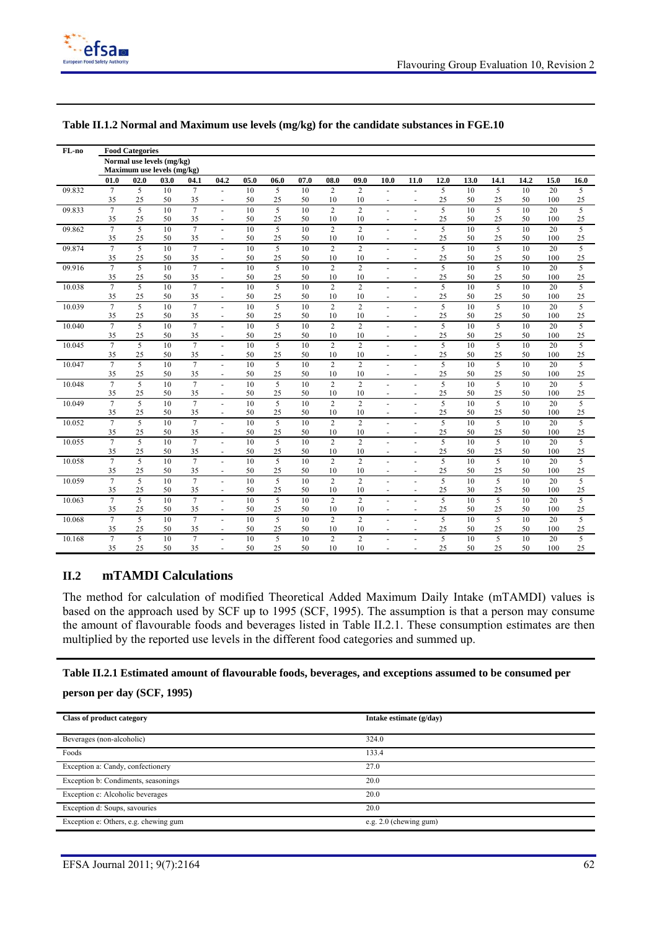

| FL-no  |                      | <b>Food Categories</b>     |          |                      |                          |          |                      |          |                      |                      |                                        |                          |                      |          |                      |          |           |                      |
|--------|----------------------|----------------------------|----------|----------------------|--------------------------|----------|----------------------|----------|----------------------|----------------------|----------------------------------------|--------------------------|----------------------|----------|----------------------|----------|-----------|----------------------|
|        |                      | Normal use levels (mg/kg)  |          |                      |                          |          |                      |          |                      |                      |                                        |                          |                      |          |                      |          |           |                      |
|        |                      | Maximum use levels (mg/kg) |          |                      |                          |          |                      |          |                      |                      |                                        |                          |                      |          |                      |          |           |                      |
|        | 01.0                 | 02.0                       | 03.0     | 04.1                 | 04.2                     | 05.0     | 06.0                 | 07.0     | 08.0                 | 09.0                 | 10.0                                   | 11.0                     | 12.0                 | 13.0     | 14.1                 | 14.2     | 15.0      | 16.0                 |
| 09.832 | $7\phantom{.0}$      | 5                          | 10       | $\tau$               | $\blacksquare$           | 10       | 5                    | 10       | $\overline{2}$       | $\overline{c}$       |                                        |                          | 5                    | 10       | 5                    | 10       | 20        | 5                    |
|        | 35                   | 25                         | 50       | 35                   | $\sim$                   | 50       | 25                   | 50       | 10                   | 10                   | $\overline{\phantom{a}}$               |                          | 25                   | 50       | 25                   | 50       | 100       | 25                   |
| 09.833 | $\overline{7}$       | 5                          | 10       | $\overline{7}$       | ä,                       | 10       | 5                    | 10       | $\overline{c}$       | $\overline{2}$       | ä,                                     | L.                       | 5                    | 10       | 5                    | 10       | 20        | 5                    |
|        | 35                   | 25                         | 50       | 35                   | $\overline{\phantom{a}}$ | 50       | 25                   | 50       | 10                   | 10                   | $\blacksquare$                         | $\blacksquare$           | 25                   | 50       | 25                   | 50       | 100       | 25                   |
| 09.862 | $\overline{7}$       | 5                          | 10       | $\overline{7}$       | $\overline{a}$           | 10       | 5                    | 10       | $\sqrt{2}$           | $\overline{2}$       | ÷.                                     | ÷,                       | $\overline{5}$       | 10       | $\overline{5}$       | 10       | 20        | $\overline{5}$       |
|        | 35                   | 25                         | 50       | 35                   | $\blacksquare$           | 50       | 25                   | 50       | 10                   | 10                   |                                        |                          | 25                   | 50       | 25                   | 50       | 100       | 25                   |
| 09.874 | $\overline{7}$       | 5                          | 10       | $\overline{7}$       | $\blacksquare$           | 10       | $\overline{5}$       | 10       | $\overline{2}$       | $\overline{2}$       | ÷.                                     |                          | 5                    | 10       | $\overline{5}$       | 10       | 20        | $\overline{5}$       |
|        | 35                   | 25                         | 50       | 35                   | $\overline{\phantom{a}}$ | 50       | 25                   | 50       | 10                   | 10                   | $\blacksquare$                         | $\overline{\phantom{a}}$ | 25                   | 50       | 25                   | 50       | 100       | 25                   |
| 09.916 | $\overline{7}$       | 5                          | 10       | $\overline{7}$       | ä,                       | 10       | $\overline{5}$       | 10       | $\overline{2}$       | $\overline{2}$       | $\blacksquare$                         |                          | $\overline{5}$       | 10       | $\overline{5}$       | 10       | 20        | $\overline{5}$       |
|        | 35                   | 25                         | 50       | 35                   |                          | 50       | 25                   | 50       | 10                   | 10                   | ٠                                      |                          | 25                   | 50       | 25                   | 50       | 100       | 25                   |
| 10.038 | $\overline{7}$       | 5                          | 10       | $\overline{7}$       | L.                       | 10       | $\overline{5}$       | 10       | $\overline{c}$       | $\overline{c}$       | ä,                                     |                          | $\overline{5}$       | 10       | 5                    | 10       | 20        | $\overline{5}$       |
|        | 35                   | 25                         | 50       | 35                   | $\overline{\phantom{a}}$ | 50       | 25                   | 50       | 10                   | 10                   | $\blacksquare$                         | $\overline{\phantom{a}}$ | 25                   | 50       | 25                   | 50       | 100       | 25                   |
| 10.039 | $\overline{7}$       | 5                          | 10       | $\overline{7}$       | ÷                        | 10<br>50 | 5                    | 10       | $\overline{c}$<br>10 | $\overline{2}$       | ä,                                     | ÷.                       | 5                    | 10       | 5                    | 10       | 20        | $\overline{5}$       |
|        | 35<br>$\overline{7}$ | 25                         | 50       | 35                   | $\sim$                   |          | 25                   | 50       |                      | 10                   | $\blacksquare$                         | ÷,                       | 25                   | 50       | 25                   | 50       | 100       | 25                   |
| 10.040 | 35                   | 5<br>25                    | 10       | $\overline{7}$<br>35 | $\blacksquare$           | 10<br>50 | $\overline{5}$<br>25 | 10<br>50 | $\overline{c}$<br>10 | $\overline{2}$<br>10 | ä,                                     | ٠                        | $\overline{5}$<br>25 | 10       | $\overline{5}$<br>25 | 10       | 20<br>100 | $\overline{5}$<br>25 |
|        | $\overline{7}$       |                            | 50<br>10 |                      | $\overline{\phantom{a}}$ |          |                      |          | $\overline{2}$       |                      | $\blacksquare$                         | $\overline{\phantom{a}}$ |                      | 50<br>10 |                      | 50<br>10 |           | 5                    |
| 10.045 | 35                   | 5<br>25                    | 50       | $\tau$<br>35         | ä,<br>$\overline{a}$     | 10<br>50 | 5<br>25              | 10<br>50 | 10                   | $\overline{c}$<br>10 | $\blacksquare$<br>$\ddot{\phantom{1}}$ | ٠<br>٠                   | 5<br>25              | 50       | 5<br>25              | 50       | 20<br>100 | 25                   |
| 10.047 | $\overline{7}$       | 5                          | 10       | $\overline{7}$       | ÷,                       | 10       | 5                    | 10       | $\overline{c}$       | $\overline{2}$       | ä,                                     |                          | 5                    | 10       | 5                    | 10       | 20        | 5                    |
|        | 35                   | 25                         | 50       | 35                   | $\overline{\phantom{a}}$ | 50       | 25                   | 50       | 10                   | 10                   | $\overline{\phantom{a}}$               | $\blacksquare$           | 25                   | 50       | 25                   | 50       | 100       | 25                   |
| 10.048 | $\overline{7}$       | $\overline{5}$             | 10       | $\overline{7}$       | ä,                       | 10       | $\overline{5}$       | 10       | $\overline{2}$       | $\overline{2}$       |                                        |                          | $\overline{5}$       | 10       | $\overline{5}$       | 10       | 20        | $\overline{5}$       |
|        | 35                   | 25                         | 50       | 35                   | $\sim$                   | 50       | 25                   | 50       | 10                   | 10                   | $\blacksquare$                         | ٠                        | 25                   | 50       | 25                   | 50       | 100       | 25                   |
| 10.049 | $\overline{7}$       | 5                          | 10       | $\overline{7}$       | L.                       | 10       | 5                    | 10       | $\overline{c}$       | $\overline{2}$       | ä,                                     |                          | 5                    | 10       | 5                    | 10       | 20        | $\overline{5}$       |
|        | 35                   | 25                         | 50       | 35                   | $\blacksquare$           | 50       | 25                   | 50       | 10                   | 10                   | ä,                                     | $\blacksquare$           | 25                   | 50       | 25                   | 50       | 100       | 25                   |
| 10.052 | $\overline{7}$       | 5                          | 10       | $\overline{7}$       | $\blacksquare$           | 10       | 5                    | 10       | $\overline{c}$       | $\overline{2}$       | ٠                                      | ÷,                       | 5                    | 10       | 5                    | 10       | 20        | 5                    |
|        | 35                   | 25                         | 50       | 35                   | $\overline{a}$           | 50       | 25                   | 50       | 10                   | 10                   | $\ddot{\phantom{1}}$                   | ٠                        | 25                   | 50       | 25                   | 50       | 100       | 25                   |
| 10.055 | $\overline{7}$       | 5                          | 10       | $\overline{7}$       | $\overline{a}$           | 10       | $\overline{5}$       | 10       | $\overline{c}$       | $\overline{c}$       | ä,                                     | ÷.                       | 5                    | 10       | 5                    | 10       | 20        | 5                    |
|        | 35                   | 25                         | 50       | 35                   | $\overline{\phantom{a}}$ | 50       | 25                   | 50       | 10                   | 10                   | $\blacksquare$                         | $\overline{\phantom{a}}$ | 25                   | 50       | 25                   | 50       | 100       | 25                   |
| 10.058 | $\overline{7}$       | 5                          | 10       | $\overline{7}$       | $\blacksquare$           | 10       | 5                    | 10       | $\sqrt{2}$           | $\overline{c}$       | $\overline{\phantom{a}}$               | ٠                        | 5                    | 10       | 5                    | 10       | 20        | 5                    |
|        | 35                   | 25                         | 50       | 35                   | $\blacksquare$           | 50       | 25                   | 50       | 10                   | 10                   | $\sim$                                 | $\blacksquare$           | 25                   | 50       | 25                   | 50       | 100       | 25                   |
| 10.059 | $7\phantom{.0}$      | 5                          | 10       | $\overline{7}$       | ä,                       | 10       | 5                    | 10       | $\overline{2}$       | $\overline{2}$       | ÷,                                     | ÷.                       | 5                    | 10       | 5                    | 10       | 20        | 5                    |
|        | 35                   | 25                         | 50       | 35                   | $\blacksquare$           | 50       | 25                   | 50       | 10                   | 10                   | $\overline{\phantom{a}}$               | $\overline{\phantom{a}}$ | 25                   | 30       | 25                   | 50       | 100       | 25                   |
| 10.063 | $\overline{7}$       | 5                          | 10       | $\overline{7}$       | ä,                       | 10       | 5                    | 10       | $\overline{c}$       | $\overline{c}$       | $\blacksquare$                         | ÷.                       | 5                    | 10       | 5                    | 10       | 20        | 5                    |
|        | 35                   | 25                         | 50       | 35                   | $\overline{a}$           | 50       | 25                   | 50       | 10                   | 10                   | $\ddot{\phantom{1}}$                   | ٠                        | 25                   | 50       | 25                   | 50       | 100       | 25                   |
| 10.068 | $\overline{7}$       | 5                          | 10       | $\overline{7}$       | $\overline{a}$           | 10       | $\overline{5}$       | 10       | $\overline{2}$       | $\overline{2}$       | ÷.                                     | $\sim$                   | 5                    | 10       | $\overline{5}$       | 10       | 20        | $\overline{5}$       |
|        | 35                   | 25                         | 50       | 35                   | $\blacksquare$           | 50       | 25                   | 50       | 10                   | 10                   | $\blacksquare$                         | $\blacksquare$           | 25                   | 50       | 25                   | 50       | 100       | 25                   |
| 10.168 | $\overline{7}$       | 5                          | 10       | $\overline{7}$       | $\overline{\phantom{a}}$ | 10       | 5                    | 10       | $\overline{c}$       | $\overline{2}$       | $\blacksquare$                         | ٠                        | 5                    | 10       | 5                    | 10       | 20        | 5                    |
|        | 35                   | 25                         | 50       | 35                   | $\overline{a}$           | 50       | 25                   | 50       | 10                   | 10                   |                                        | ÷                        | 25                   | 50       | 25                   | 50       | 100       | 25                   |

#### **Table II.1.2 Normal and Maximum use levels (mg/kg) for the candidate substances in FGE.10**

#### **II.2 mTAMDI Calculations**

The method for calculation of modified Theoretical Added Maximum Daily Intake (mTAMDI) values is based on the approach used by SCF up to 1995 (SCF, 1995). The assumption is that a person may consume the amount of flavourable foods and beverages listed in Table II.2.1. These consumption estimates are then multiplied by the reported use levels in the different food categories and summed up.

#### **Table II.2.1 Estimated amount of flavourable foods, beverages, and exceptions assumed to be consumed per**

#### **person per day (SCF, 1995)**

| <b>Class of product category</b>      | Intake estimate (g/day)  |
|---------------------------------------|--------------------------|
| Beverages (non-alcoholic)             | 324.0                    |
| Foods                                 | 133.4                    |
| Exception a: Candy, confectionery     | 27.0                     |
| Exception b: Condiments, seasonings   | 20.0                     |
| Exception c: Alcoholic beverages      | 20.0                     |
| Exception d: Soups, savouries         | 20.0                     |
| Exception e: Others, e.g. chewing gum | e.g. $2.0$ (chewing gum) |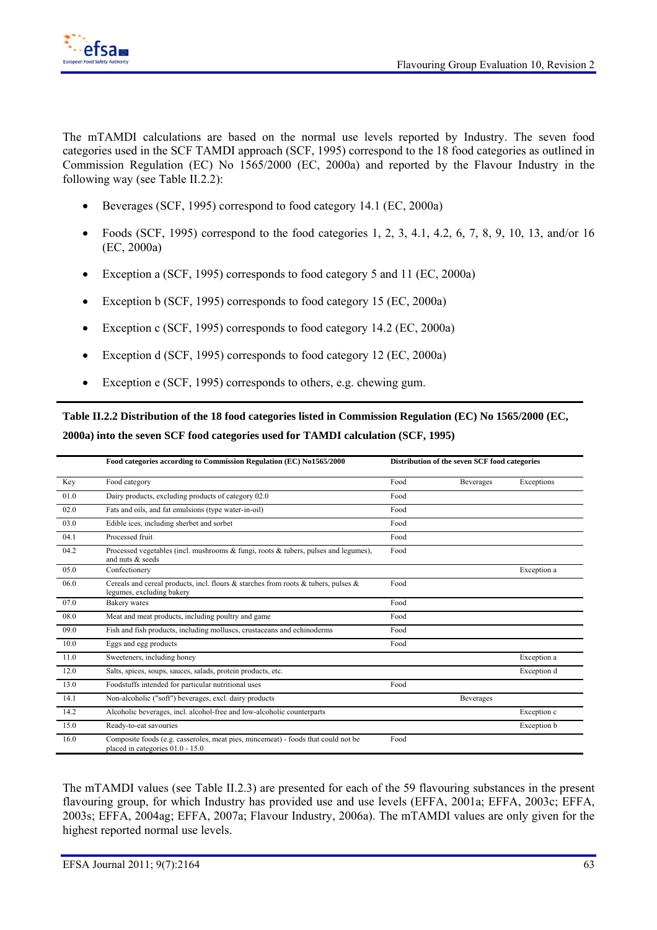

The mTAMDI calculations are based on the normal use levels reported by Industry. The seven food categories used in the SCF TAMDI approach (SCF, 1995) correspond to the 18 food categories as outlined in Commission Regulation (EC) No 1565/2000 (EC, 2000a) and reported by the Flavour Industry in the following way (see Table II.2.2):

- Beverages (SCF, 1995) correspond to food category 14.1 (EC, 2000a)
- Foods (SCF, 1995) correspond to the food categories 1, 2, 3, 4.1, 4.2, 6, 7, 8, 9, 10, 13, and/or 16 (EC, 2000a)
- Exception a (SCF, 1995) corresponds to food category 5 and 11 (EC, 2000a)
- Exception b (SCF, 1995) corresponds to food category 15 (EC, 2000a)
- Exception c (SCF, 1995) corresponds to food category 14.2 (EC, 2000a)
- Exception d (SCF, 1995) corresponds to food category 12 (EC, 2000a)
- Exception e (SCF, 1995) corresponds to others, e.g. chewing gum.

**Table II.2.2 Distribution of the 18 food categories listed in Commission Regulation (EC) No 1565/2000 (EC, 2000a) into the seven SCF food categories used for TAMDI calculation (SCF, 1995)** 

|      | Food categories according to Commission Regulation (EC) No1565/2000                                                   | Distribution of the seven SCF food categories |                  |             |
|------|-----------------------------------------------------------------------------------------------------------------------|-----------------------------------------------|------------------|-------------|
| Key  | Food category                                                                                                         | Food                                          | <b>Beverages</b> | Exceptions  |
| 01.0 | Dairy products, excluding products of category 02.0                                                                   | Food                                          |                  |             |
| 02.0 | Fats and oils, and fat emulsions (type water-in-oil)                                                                  | Food                                          |                  |             |
| 03.0 | Edible ices, including sherbet and sorbet                                                                             | Food                                          |                  |             |
| 04.1 | Processed fruit                                                                                                       | Food                                          |                  |             |
| 04.2 | Processed vegetables (incl. mushrooms & fungi, roots & tubers, pulses and legumes),<br>and nuts & seeds               | Food                                          |                  |             |
| 05.0 | Confectionery                                                                                                         |                                               |                  | Exception a |
| 06.0 | Cereals and cereal products, incl. flours & starches from roots & tubers, pulses &<br>legumes, excluding bakery       | Food                                          |                  |             |
| 07.0 | Bakery wares                                                                                                          | Food                                          |                  |             |
| 08.0 | Meat and meat products, including poultry and game                                                                    | Food                                          |                  |             |
| 09.0 | Fish and fish products, including molluscs, crustaceans and echinoderms                                               | Food                                          |                  |             |
| 10.0 | Eggs and egg products                                                                                                 | Food                                          |                  |             |
| 11.0 | Sweeteners, including honey                                                                                           |                                               |                  | Exception a |
| 12.0 | Salts, spices, soups, sauces, salads, protein products, etc.                                                          |                                               |                  | Exception d |
| 13.0 | Foodstuffs intended for particular nutritional uses                                                                   | Food                                          |                  |             |
| 14.1 | Non-alcoholic ("soft") beverages, excl. dairy products                                                                |                                               | Beverages        |             |
| 14.2 | Alcoholic beverages, incl. alcohol-free and low-alcoholic counterparts                                                |                                               |                  | Exception c |
| 15.0 | Ready-to-eat savouries                                                                                                |                                               |                  | Exception b |
| 16.0 | Composite foods (e.g. casseroles, meat pies, mincemeat) - foods that could not be<br>placed in categories 01.0 - 15.0 | Food                                          |                  |             |

The mTAMDI values (see Table II.2.3) are presented for each of the 59 flavouring substances in the present flavouring group, for which Industry has provided use and use levels (EFFA, 2001a; EFFA, 2003c; EFFA, 2003s; EFFA, 2004ag; EFFA, 2007a; Flavour Industry, 2006a). The mTAMDI values are only given for the highest reported normal use levels.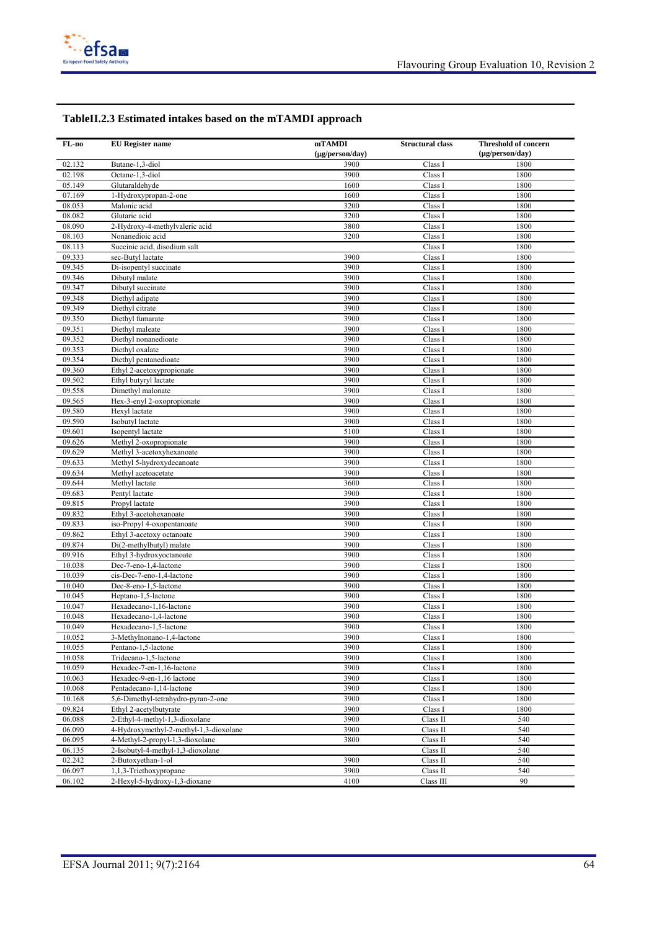

#### **TableII.2.3 Estimated intakes based on the mTAMDI approach**

| FL-no  | <b>EU</b> Register name                | mTAMDI          | <b>Structural class</b> | <b>Threshold of concern</b> |
|--------|----------------------------------------|-----------------|-------------------------|-----------------------------|
|        |                                        | (µg/person/day) |                         | (µg/person/day)             |
| 02.132 | Butane-1,3-diol                        | 3900            | Class I                 | 1800                        |
| 02.198 | Octane-1,3-diol                        | 3900            | Class I                 | 1800                        |
| 05.149 | Glutaraldehyde                         | 1600            | Class I                 | 1800                        |
| 07.169 | 1-Hydroxypropan-2-one                  | 1600            | Class I                 | 1800                        |
| 08.053 | Malonic acid                           | 3200            | Class I                 | 1800                        |
| 08.082 | Glutaric acid                          | 3200            | Class I                 | 1800                        |
| 08.090 | 2-Hydroxy-4-methylvaleric acid         | 3800            | Class I                 | 1800                        |
| 08.103 | Nonanedioic acid                       | 3200            | Class I                 | 1800                        |
| 08.113 | Succinic acid, disodium salt           |                 | Class I                 | 1800                        |
| 09.333 | sec-Butyl lactate                      | 3900            | Class I                 | 1800                        |
| 09.345 | Di-isopentyl succinate                 | 3900            | Class I                 | 1800                        |
| 09.346 | Dibutyl malate                         | 3900            | Class I                 | 1800                        |
| 09.347 | Dibutyl succinate                      | 3900            | Class I                 | 1800                        |
| 09.348 | Diethyl adipate                        | 3900            | Class I                 | 1800                        |
| 09.349 | Diethyl citrate                        | 3900            | Class I                 | 1800                        |
| 09.350 | Diethyl fumarate                       | 3900            | Class I                 | 1800                        |
| 09.351 | Diethyl maleate                        | 3900            | Class I                 | 1800                        |
| 09.352 | Diethyl nonanedioate                   | 3900            | Class I                 | 1800                        |
| 09.353 | Diethyl oxalate                        | 3900            | Class I                 | 1800                        |
| 09.354 | Diethyl pentanedioate                  | 3900            | Class I                 | 1800                        |
| 09.360 | Ethyl 2-acetoxypropionate              | 3900            | Class I                 | 1800                        |
| 09.502 | Ethyl butyryl lactate                  | 3900            | Class I                 | 1800                        |
| 09.558 | Dimethyl malonate                      | 3900            | Class I                 | 1800                        |
| 09.565 | Hex-3-enyl 2-oxopropionate             | 3900            | Class I                 | 1800                        |
| 09.580 | Hexyl lactate                          | 3900            | Class I                 | 1800                        |
| 09.590 | Isobutyl lactate                       | 3900            | Class I                 | 1800                        |
| 09.601 | Isopentyl lactate                      | 5100            | Class I                 | 1800                        |
| 09.626 | Methyl 2-oxopropionate                 | 3900            | Class I                 | 1800                        |
| 09.629 | Methyl 3-acetoxyhexanoate              | 3900            | Class I                 | 1800                        |
| 09.633 | Methyl 5-hydroxydecanoate              | 3900            | Class I                 | 1800                        |
| 09.634 | Methyl acetoacetate                    | 3900            | Class I                 | 1800                        |
| 09.644 | Methyl lactate                         | 3600            | Class I                 | 1800                        |
| 09.683 | Pentyl lactate                         | 3900            | Class I                 | 1800                        |
| 09.815 | Propyl lactate                         | 3900            | Class I                 | 1800                        |
| 09.832 | Ethyl 3-acetohexanoate                 | 3900            | Class I                 | 1800                        |
| 09.833 | iso-Propyl 4-oxopentanoate             | 3900            | Class I                 | 1800                        |
| 09.862 | Ethyl 3-acetoxy octanoate              | 3900            | Class I                 | 1800                        |
| 09.874 | Di(2-methylbutyl) malate               | 3900            | Class I                 | 1800                        |
| 09.916 | Ethyl 3-hydroxyoctanoate               | 3900            | Class I                 | 1800                        |
| 10.038 | Dec-7-eno-1,4-lactone                  | 3900            | Class I                 | 1800                        |
| 10.039 | cis-Dec-7-eno-1,4-lactone              | 3900            | Class I                 | 1800                        |
| 10.040 | Dec-8-eno-1,5-lactone                  | 3900            | Class I                 | 1800                        |
| 10.045 | Heptano-1,5-lactone                    | 3900            | Class I                 | 1800                        |
| 10.047 | Hexadecano-1,16-lactone                | 3900            | Class I                 | 1800                        |
| 10.048 | Hexadecano-1,4-lactone                 | 3900            | Class I                 | 1800                        |
| 10.049 | Hexadecano-1.5-lactone                 | 3900            | Class I                 | 1800                        |
| 10.052 | 3-Methylnonano-1,4-lactone             | 3900            | Class I                 | 1800                        |
| 10.055 | Pentano-1,5-lactone                    | 3900            | Class I                 | 1800                        |
| 10.058 | Tridecano-1,5-lactone                  | 3900            | Class I                 | 1800                        |
| 10.059 | Hexadec-7-en-1,16-lactone              | 3900            | Class I                 | 1800                        |
| 10.063 | Hexadec-9-en-1,16 lactone              | 3900            | Class I                 | 1800                        |
| 10.068 | Pentadecano-1,14-lactone               | 3900            | Class I                 | 1800                        |
| 10.168 | 5,6-Dimethyl-tetrahydro-pyran-2-one    | 3900            | Class I                 | 1800                        |
| 09.824 | Ethyl 2-acetylbutyrate                 | 3900            | Class I                 | 1800                        |
| 06.088 | 2-Ethyl-4-methyl-1,3-dioxolane         | 3900            | Class II                | 540                         |
| 06.090 | 4-Hydroxymethyl-2-methyl-1,3-dioxolane | 3900            | Class II                | 540                         |
| 06.095 | 4-Methyl-2-propyl-1,3-dioxolane        | 3800            | Class II                | 540                         |
| 06.135 | 2-Isobutyl-4-methyl-1,3-dioxolane      |                 | Class II                | 540                         |
| 02.242 | 2-Butoxyethan-1-ol                     | 3900            | Class II                | 540                         |
| 06.097 | 1,1,3-Triethoxypropane                 | 3900            | Class II                | 540                         |
| 06.102 | 2-Hexyl-5-hydroxy-1,3-dioxane          | 4100            | Class III               | 90                          |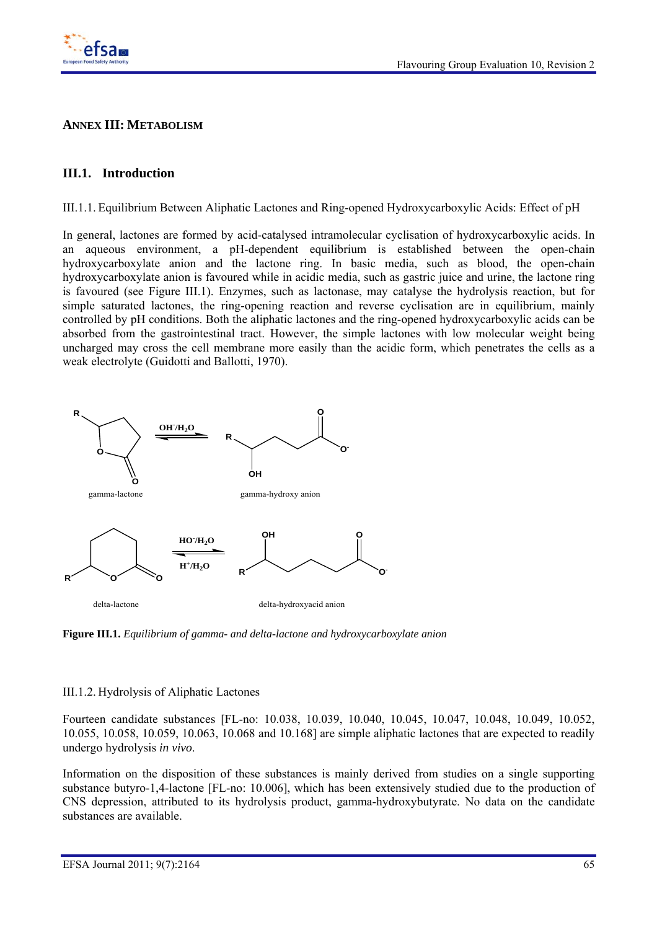

### **ANNEX III: METABOLISM**

### **III.1. Introduction**

III.1.1. Equilibrium Between Aliphatic Lactones and Ring-opened Hydroxycarboxylic Acids: Effect of pH

In general, lactones are formed by acid-catalysed intramolecular cyclisation of hydroxycarboxylic acids. In an aqueous environment, a pH-dependent equilibrium is established between the open-chain hydroxycarboxylate anion and the lactone ring. In basic media, such as blood, the open-chain hydroxycarboxylate anion is favoured while in acidic media, such as gastric juice and urine, the lactone ring is favoured (see Figure III.1). Enzymes, such as lactonase, may catalyse the hydrolysis reaction, but for simple saturated lactones, the ring-opening reaction and reverse cyclisation are in equilibrium, mainly controlled by pH conditions. Both the aliphatic lactones and the ring-opened hydroxycarboxylic acids can be absorbed from the gastrointestinal tract. However, the simple lactones with low molecular weight being uncharged may cross the cell membrane more easily than the acidic form, which penetrates the cells as a weak electrolyte (Guidotti and Ballotti, 1970).



**Figure III.1.** *Equilibrium of gamma- and delta-lactone and hydroxycarboxylate anion*

#### III.1.2. Hydrolysis of Aliphatic Lactones

Fourteen candidate substances [FL-no: 10.038, 10.039, 10.040, 10.045, 10.047, 10.048, 10.049, 10.052, 10.055, 10.058, 10.059, 10.063, 10.068 and 10.168] are simple aliphatic lactones that are expected to readily undergo hydrolysis *in vivo*.

Information on the disposition of these substances is mainly derived from studies on a single supporting substance butyro-1,4-lactone [FL-no: 10.006], which has been extensively studied due to the production of CNS depression, attributed to its hydrolysis product, gamma-hydroxybutyrate. No data on the candidate substances are available.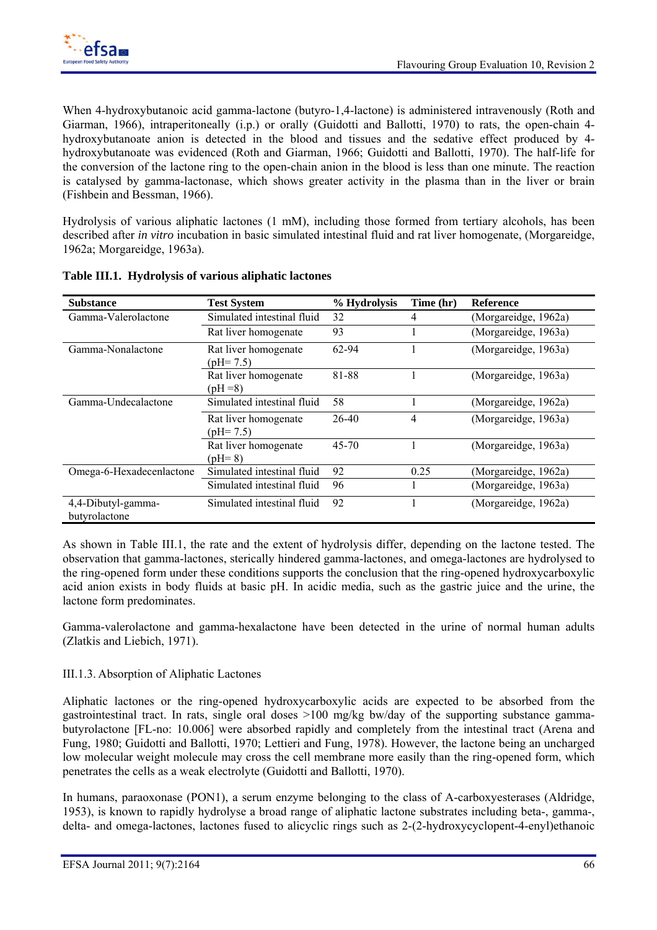When 4-hydroxybutanoic acid gamma-lactone (butyro-1,4-lactone) is administered intravenously (Roth and Giarman, 1966), intraperitoneally (i.p.) or orally (Guidotti and Ballotti, 1970) to rats, the open-chain 4 hydroxybutanoate anion is detected in the blood and tissues and the sedative effect produced by 4 hydroxybutanoate was evidenced (Roth and Giarman, 1966; Guidotti and Ballotti, 1970). The half-life for the conversion of the lactone ring to the open-chain anion in the blood is less than one minute. The reaction is catalysed by gamma-lactonase, which shows greater activity in the plasma than in the liver or brain (Fishbein and Bessman, 1966).

Hydrolysis of various aliphatic lactones (1 mM), including those formed from tertiary alcohols, has been described after *in vitro* incubation in basic simulated intestinal fluid and rat liver homogenate, (Morgareidge, 1962a; Morgareidge, 1963a).

| <b>Substance</b>                    | <b>Test System</b>                         | % Hydrolysis | Time (hr) | <b>Reference</b>     |
|-------------------------------------|--------------------------------------------|--------------|-----------|----------------------|
| Gamma-Valerolactone                 | Simulated intestinal fluid                 | 32           | 4         | (Morgareidge, 1962a) |
|                                     | Rat liver homogenate                       | 93           |           | (Morgareidge, 1963a) |
| Gamma-Nonalactone                   | Rat liver homogenate<br>$\text{(pH= 7.5)}$ | 62-94        |           | (Morgareidge, 1963a) |
|                                     | Rat liver homogenate<br>$(pH = 8)$         | 81-88        |           | (Morgareidge, 1963a) |
| Gamma-Undecalactone                 | Simulated intestinal fluid                 | 58           |           | (Morgareidge, 1962a) |
|                                     | Rat liver homogenate<br>$\text{(pH= 7.5)}$ | 26-40        | 4         | (Morgareidge, 1963a) |
|                                     | Rat liver homogenate<br>$(pH=8)$           | $45 - 70$    |           | (Morgareidge, 1963a) |
| Omega-6-Hexadecenlactone            | Simulated intestinal fluid                 | 92           | 0.25      | (Morgareidge, 1962a) |
|                                     | Simulated intestinal fluid                 | 96           |           | (Morgareidge, 1963a) |
| 4,4-Dibutyl-gamma-<br>butyrolactone | Simulated intestinal fluid                 | 92           |           | (Morgareidge, 1962a) |

#### **Table III.1. Hydrolysis of various aliphatic lactones**

As shown in Table III.1, the rate and the extent of hydrolysis differ, depending on the lactone tested. The observation that gamma-lactones, sterically hindered gamma-lactones, and omega-lactones are hydrolysed to the ring-opened form under these conditions supports the conclusion that the ring-opened hydroxycarboxylic acid anion exists in body fluids at basic pH. In acidic media, such as the gastric juice and the urine, the lactone form predominates.

Gamma-valerolactone and gamma-hexalactone have been detected in the urine of normal human adults (Zlatkis and Liebich, 1971).

### III.1.3. Absorption of Aliphatic Lactones

Aliphatic lactones or the ring-opened hydroxycarboxylic acids are expected to be absorbed from the gastrointestinal tract. In rats, single oral doses >100 mg/kg bw/day of the supporting substance gammabutyrolactone [FL-no: 10.006] were absorbed rapidly and completely from the intestinal tract (Arena and Fung, 1980; Guidotti and Ballotti, 1970; Lettieri and Fung, 1978). However, the lactone being an uncharged low molecular weight molecule may cross the cell membrane more easily than the ring-opened form, which penetrates the cells as a weak electrolyte (Guidotti and Ballotti, 1970).

In humans, paraoxonase (PON1), a serum enzyme belonging to the class of A-carboxyesterases (Aldridge, 1953), is known to rapidly hydrolyse a broad range of aliphatic lactone substrates including beta-, gamma-, delta- and omega-lactones, lactones fused to alicyclic rings such as 2-(2-hydroxycyclopent-4-enyl)ethanoic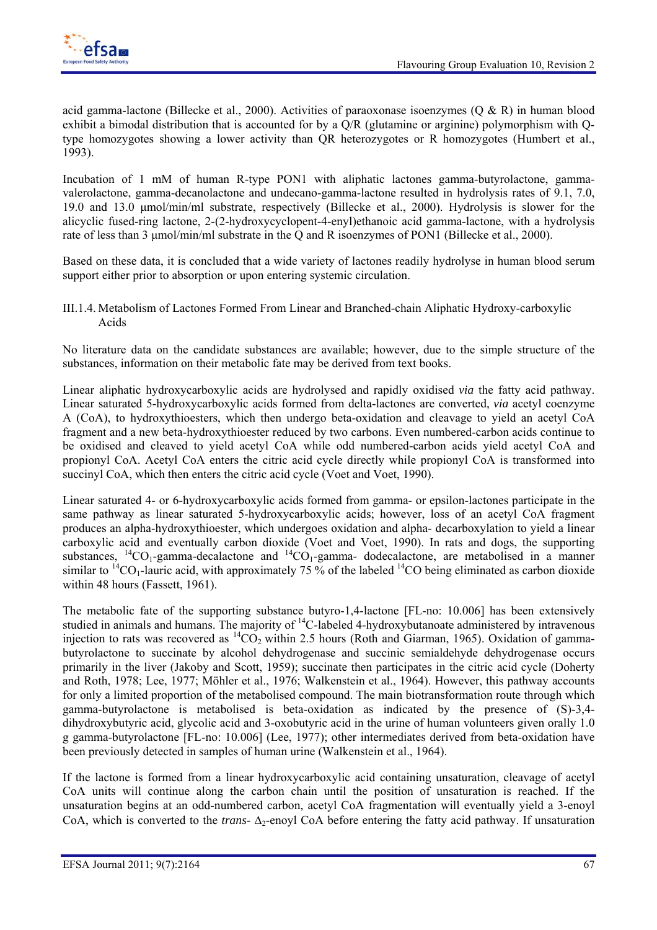

acid gamma-lactone (Billecke et al., 2000). Activities of paraoxonase isoenzymes (Q & R) in human blood exhibit a bimodal distribution that is accounted for by a Q/R (glutamine or arginine) polymorphism with Qtype homozygotes showing a lower activity than QR heterozygotes or R homozygotes (Humbert et al., 1993).

Incubation of 1 mM of human R-type PON1 with aliphatic lactones gamma-butyrolactone, gammavalerolactone, gamma-decanolactone and undecano-gamma-lactone resulted in hydrolysis rates of 9.1, 7.0, 19.0 and 13.0 μmol/min/ml substrate, respectively (Billecke et al., 2000). Hydrolysis is slower for the alicyclic fused-ring lactone, 2-(2-hydroxycyclopent-4-enyl)ethanoic acid gamma-lactone, with a hydrolysis rate of less than 3 μmol/min/ml substrate in the Q and R isoenzymes of PON1 (Billecke et al., 2000).

Based on these data, it is concluded that a wide variety of lactones readily hydrolyse in human blood serum support either prior to absorption or upon entering systemic circulation.

III.1.4. Metabolism of Lactones Formed From Linear and Branched-chain Aliphatic Hydroxy-carboxylic Acids

No literature data on the candidate substances are available; however, due to the simple structure of the substances, information on their metabolic fate may be derived from text books.

Linear aliphatic hydroxycarboxylic acids are hydrolysed and rapidly oxidised *via* the fatty acid pathway. Linear saturated 5-hydroxycarboxylic acids formed from delta-lactones are converted, *via* acetyl coenzyme A (CoA), to hydroxythioesters, which then undergo beta-oxidation and cleavage to yield an acetyl CoA fragment and a new beta-hydroxythioester reduced by two carbons. Even numbered-carbon acids continue to be oxidised and cleaved to yield acetyl CoA while odd numbered-carbon acids yield acetyl CoA and propionyl CoA. Acetyl CoA enters the citric acid cycle directly while propionyl CoA is transformed into succinyl CoA, which then enters the citric acid cycle (Voet and Voet, 1990).

Linear saturated 4- or 6-hydroxycarboxylic acids formed from gamma- or epsilon-lactones participate in the same pathway as linear saturated 5-hydroxycarboxylic acids; however, loss of an acetyl CoA fragment produces an alpha-hydroxythioester, which undergoes oxidation and alpha- decarboxylation to yield a linear carboxylic acid and eventually carbon dioxide (Voet and Voet, 1990). In rats and dogs, the supporting substances,  ${}^{14}CO_1$ -gamma-decalactone and  ${}^{14}CO_1$ -gamma- dodecalactone, are metabolised in a manner similar to <sup>14</sup>CO<sub>1</sub>-lauric acid, with approximately 75 % of the labeled <sup>14</sup>CO being eliminated as carbon dioxide within 48 hours (Fassett, 1961).

The metabolic fate of the supporting substance butyro-1,4-lactone [FL-no: 10.006] has been extensively studied in animals and humans. The majority of <sup>14</sup>C-labeled 4-hydroxybutanoate administered by intravenous injection to rats was recovered as  ${}^{14}CO_2$  within 2.5 hours (Roth and Giarman, 1965). Oxidation of gammabutyrolactone to succinate by alcohol dehydrogenase and succinic semialdehyde dehydrogenase occurs primarily in the liver (Jakoby and Scott, 1959); succinate then participates in the citric acid cycle (Doherty and Roth, 1978; Lee, 1977; Möhler et al., 1976; Walkenstein et al., 1964). However, this pathway accounts for only a limited proportion of the metabolised compound. The main biotransformation route through which gamma-butyrolactone is metabolised is beta-oxidation as indicated by the presence of (S)-3,4 dihydroxybutyric acid, glycolic acid and 3-oxobutyric acid in the urine of human volunteers given orally 1.0 g gamma-butyrolactone [FL-no: 10.006] (Lee, 1977); other intermediates derived from beta-oxidation have been previously detected in samples of human urine (Walkenstein et al., 1964).

If the lactone is formed from a linear hydroxycarboxylic acid containing unsaturation, cleavage of acetyl CoA units will continue along the carbon chain until the position of unsaturation is reached. If the unsaturation begins at an odd-numbered carbon, acetyl CoA fragmentation will eventually yield a 3-enoyl CoA, which is converted to the *trans*- Δ<sub>2</sub>-enoyl CoA before entering the fatty acid pathway. If unsaturation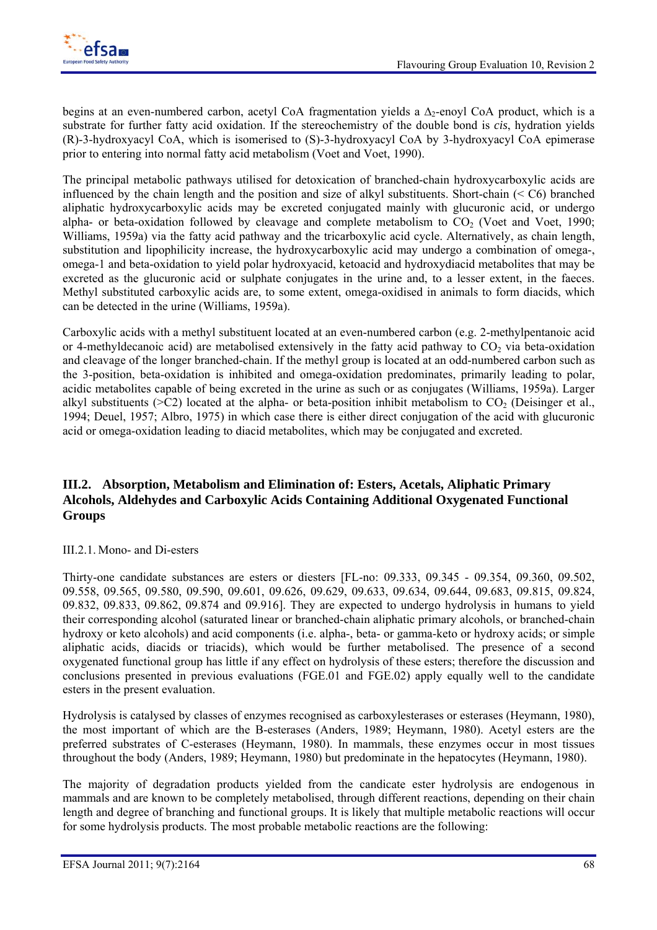

begins at an even-numbered carbon, acetyl CoA fragmentation yields a  $\Delta_2$ -enoyl CoA product, which is a substrate for further fatty acid oxidation. If the stereochemistry of the double bond is *cis*, hydration yields (R)-3-hydroxyacyl CoA, which is isomerised to (S)-3-hydroxyacyl CoA by 3-hydroxyacyl CoA epimerase prior to entering into normal fatty acid metabolism (Voet and Voet, 1990).

The principal metabolic pathways utilised for detoxication of branched-chain hydroxycarboxylic acids are influenced by the chain length and the position and size of alkyl substituents. Short-chain (< C6) branched aliphatic hydroxycarboxylic acids may be excreted conjugated mainly with glucuronic acid, or undergo alpha- or beta-oxidation followed by cleavage and complete metabolism to  $CO<sub>2</sub>$  (Voet and Voet, 1990; Williams, 1959a) via the fatty acid pathway and the tricarboxylic acid cycle. Alternatively, as chain length, substitution and lipophilicity increase, the hydroxycarboxylic acid may undergo a combination of omega-, omega-1 and beta-oxidation to yield polar hydroxyacid, ketoacid and hydroxydiacid metabolites that may be excreted as the glucuronic acid or sulphate conjugates in the urine and, to a lesser extent, in the faeces. Methyl substituted carboxylic acids are, to some extent, omega-oxidised in animals to form diacids, which can be detected in the urine (Williams, 1959a).

Carboxylic acids with a methyl substituent located at an even-numbered carbon (e.g. 2-methylpentanoic acid or 4-methyldecanoic acid) are metabolised extensively in the fatty acid pathway to  $CO<sub>2</sub>$  via beta-oxidation and cleavage of the longer branched-chain. If the methyl group is located at an odd-numbered carbon such as the 3-position, beta-oxidation is inhibited and omega-oxidation predominates, primarily leading to polar, acidic metabolites capable of being excreted in the urine as such or as conjugates (Williams, 1959a). Larger alkyl substituents ( $>$ C2) located at the alpha- or beta-position inhibit metabolism to CO<sub>2</sub> (Deisinger et al., 1994; Deuel, 1957; Albro, 1975) in which case there is either direct conjugation of the acid with glucuronic acid or omega-oxidation leading to diacid metabolites, which may be conjugated and excreted.

### **III.2. Absorption, Metabolism and Elimination of: Esters, Acetals, Aliphatic Primary Alcohols, Aldehydes and Carboxylic Acids Containing Additional Oxygenated Functional Groups**

### III.2.1. Mono- and Di-esters

Thirty-one candidate substances are esters or diesters [FL-no: 09.333, 09.345 - 09.354, 09.360, 09.502, 09.558, 09.565, 09.580, 09.590, 09.601, 09.626, 09.629, 09.633, 09.634, 09.644, 09.683, 09.815, 09.824, 09.832, 09.833, 09.862, 09.874 and 09.916]. They are expected to undergo hydrolysis in humans to yield their corresponding alcohol (saturated linear or branched-chain aliphatic primary alcohols, or branched-chain hydroxy or keto alcohols) and acid components (i.e. alpha-, beta- or gamma-keto or hydroxy acids; or simple aliphatic acids, diacids or triacids), which would be further metabolised. The presence of a second oxygenated functional group has little if any effect on hydrolysis of these esters; therefore the discussion and conclusions presented in previous evaluations (FGE.01 and FGE.02) apply equally well to the candidate esters in the present evaluation.

Hydrolysis is catalysed by classes of enzymes recognised as carboxylesterases or esterases (Heymann, 1980), the most important of which are the B-esterases (Anders, 1989; Heymann, 1980). Acetyl esters are the preferred substrates of C-esterases (Heymann, 1980). In mammals, these enzymes occur in most tissues throughout the body (Anders, 1989; Heymann, 1980) but predominate in the hepatocytes (Heymann, 1980).

The majority of degradation products yielded from the candicate ester hydrolysis are endogenous in mammals and are known to be completely metabolised, through different reactions, depending on their chain length and degree of branching and functional groups. It is likely that multiple metabolic reactions will occur for some hydrolysis products. The most probable metabolic reactions are the following: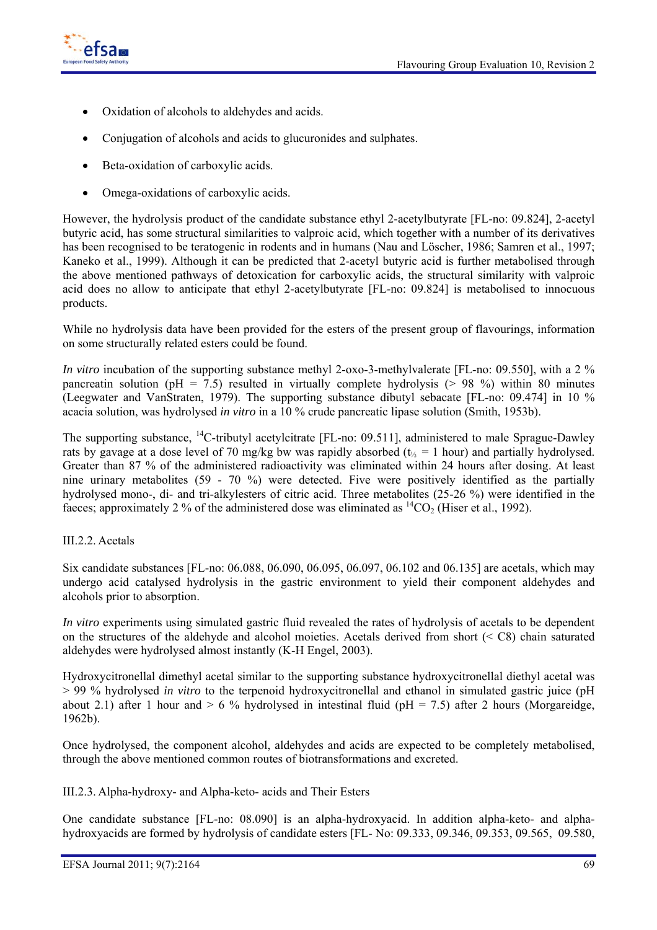

- Oxidation of alcohols to aldehydes and acids.
- Conjugation of alcohols and acids to glucuronides and sulphates.
- Beta-oxidation of carboxylic acids.
- Omega-oxidations of carboxylic acids.

However, the hydrolysis product of the candidate substance ethyl 2-acetylbutyrate [FL-no: 09.824], 2-acetyl butyric acid, has some structural similarities to valproic acid, which together with a number of its derivatives has been recognised to be teratogenic in rodents and in humans (Nau and Löscher, 1986; Samren et al., 1997; Kaneko et al., 1999). Although it can be predicted that 2-acetyl butyric acid is further metabolised through the above mentioned pathways of detoxication for carboxylic acids, the structural similarity with valproic acid does no allow to anticipate that ethyl 2-acetylbutyrate [FL-no: 09.824] is metabolised to innocuous products.

While no hydrolysis data have been provided for the esters of the present group of flavourings, information on some structurally related esters could be found.

*In vitro* incubation of the supporting substance methyl 2-oxo-3-methylvalerate [FL-no: 09.550], with a 2 % pancreatin solution (pH = 7.5) resulted in virtually complete hydrolysis ( $> 98\%$ ) within 80 minutes (Leegwater and VanStraten, 1979). The supporting substance dibutyl sebacate [FL-no: 09.474] in 10 % acacia solution, was hydrolysed *in vitro* in a 10 % crude pancreatic lipase solution (Smith, 1953b).

The supporting substance, <sup>14</sup>C-tributyl acetylcitrate [FL-no: 09.511], administered to male Sprague-Dawley rats by gavage at a dose level of 70 mg/kg bw was rapidly absorbed ( $t_{\%} = 1$  hour) and partially hydrolysed. Greater than 87 % of the administered radioactivity was eliminated within 24 hours after dosing. At least nine urinary metabolites (59 - 70 %) were detected. Five were positively identified as the partially hydrolysed mono-, di- and tri-alkylesters of citric acid. Three metabolites (25-26 %) were identified in the faeces; approximately 2 % of the administered dose was eliminated as  ${}^{14}CO_2$  (Hiser et al., 1992).

### III.2.2. Acetals

Six candidate substances [FL-no: 06.088, 06.090, 06.095, 06.097, 06.102 and 06.135] are acetals, which may undergo acid catalysed hydrolysis in the gastric environment to yield their component aldehydes and alcohols prior to absorption.

*In vitro* experiments using simulated gastric fluid revealed the rates of hydrolysis of acetals to be dependent on the structures of the aldehyde and alcohol moieties. Acetals derived from short (< C8) chain saturated aldehydes were hydrolysed almost instantly (K-H Engel, 2003).

Hydroxycitronellal dimethyl acetal similar to the supporting substance hydroxycitronellal diethyl acetal was > 99 % hydrolysed *in vitro* to the terpenoid hydroxycitronellal and ethanol in simulated gastric juice (pH about 2.1) after 1 hour and  $> 6\%$  hydrolysed in intestinal fluid (pH = 7.5) after 2 hours (Morgareidge, 1962b).

Once hydrolysed, the component alcohol, aldehydes and acids are expected to be completely metabolised, through the above mentioned common routes of biotransformations and excreted.

III.2.3. Alpha-hydroxy- and Alpha-keto- acids and Their Esters

One candidate substance [FL-no: 08.090] is an alpha-hydroxyacid. In addition alpha-keto- and alphahydroxyacids are formed by hydrolysis of candidate esters [FL- No: 09.333, 09.346, 09.353, 09.565, 09.580,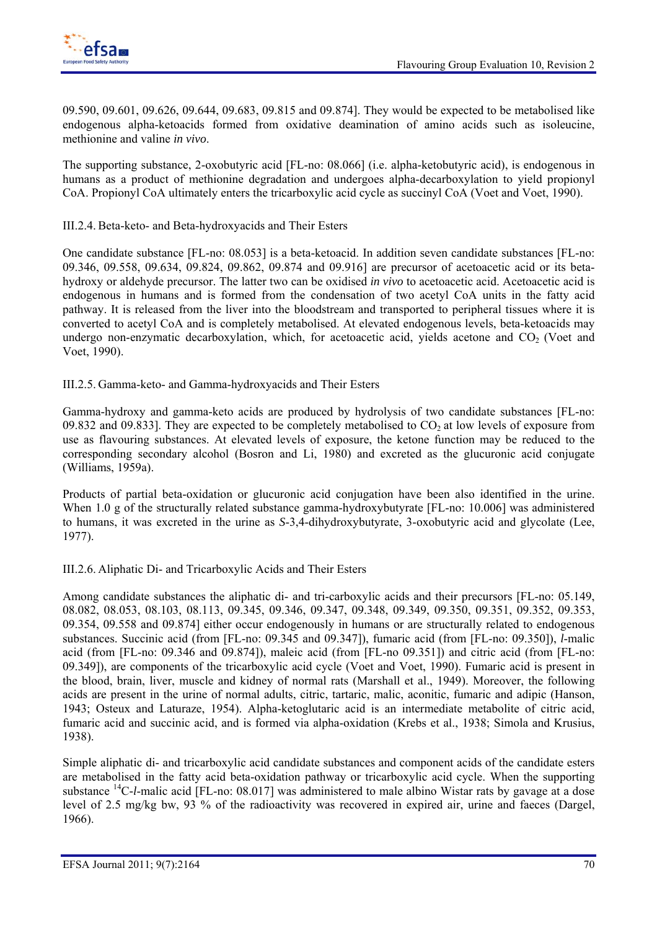

09.590, 09.601, 09.626, 09.644, 09.683, 09.815 and 09.874]. They would be expected to be metabolised like endogenous alpha-ketoacids formed from oxidative deamination of amino acids such as isoleucine, methionine and valine *in vivo*.

The supporting substance, 2-oxobutyric acid [FL-no: 08.066] (i.e. alpha-ketobutyric acid), is endogenous in humans as a product of methionine degradation and undergoes alpha-decarboxylation to yield propionyl CoA. Propionyl CoA ultimately enters the tricarboxylic acid cycle as succinyl CoA (Voet and Voet, 1990).

### III.2.4. Beta-keto- and Beta-hydroxyacids and Their Esters

One candidate substance [FL-no: 08.053] is a beta-ketoacid. In addition seven candidate substances [FL-no: 09.346, 09.558, 09.634, 09.824, 09.862, 09.874 and 09.916] are precursor of acetoacetic acid or its betahydroxy or aldehyde precursor. The latter two can be oxidised *in vivo* to acetoacetic acid. Acetoacetic acid is endogenous in humans and is formed from the condensation of two acetyl CoA units in the fatty acid pathway. It is released from the liver into the bloodstream and transported to peripheral tissues where it is converted to acetyl CoA and is completely metabolised. At elevated endogenous levels, beta-ketoacids may undergo non-enzymatic decarboxylation, which, for acetoacetic acid, yields acetone and  $CO<sub>2</sub>$  (Voet and Voet, 1990).

III.2.5. Gamma-keto- and Gamma-hydroxyacids and Their Esters

Gamma-hydroxy and gamma-keto acids are produced by hydrolysis of two candidate substances [FL-no: 09.832 and 09.833]. They are expected to be completely metabolised to  $CO<sub>2</sub>$  at low levels of exposure from use as flavouring substances. At elevated levels of exposure, the ketone function may be reduced to the corresponding secondary alcohol (Bosron and Li, 1980) and excreted as the glucuronic acid conjugate (Williams, 1959a).

Products of partial beta-oxidation or glucuronic acid conjugation have been also identified in the urine. When 1.0 g of the structurally related substance gamma-hydroxybutyrate [FL-no: 10.006] was administered to humans, it was excreted in the urine as *S*-3,4-dihydroxybutyrate, 3-oxobutyric acid and glycolate (Lee, 1977).

III.2.6. Aliphatic Di- and Tricarboxylic Acids and Their Esters

Among candidate substances the aliphatic di- and tri-carboxylic acids and their precursors [FL-no: 05.149, 08.082, 08.053, 08.103, 08.113, 09.345, 09.346, 09.347, 09.348, 09.349, 09.350, 09.351, 09.352, 09.353, 09.354, 09.558 and 09.874] either occur endogenously in humans or are structurally related to endogenous substances. Succinic acid (from [FL-no: 09.345 and 09.347]), fumaric acid (from [FL-no: 09.350]), *l*-malic acid (from [FL-no: 09.346 and 09.874]), maleic acid (from [FL-no 09.351]) and citric acid (from [FL-no: 09.349]), are components of the tricarboxylic acid cycle (Voet and Voet, 1990). Fumaric acid is present in the blood, brain, liver, muscle and kidney of normal rats (Marshall et al., 1949). Moreover, the following acids are present in the urine of normal adults, citric, tartaric, malic, aconitic, fumaric and adipic (Hanson, 1943; Osteux and Laturaze, 1954). Alpha-ketoglutaric acid is an intermediate metabolite of citric acid, fumaric acid and succinic acid, and is formed via alpha-oxidation (Krebs et al., 1938; Simola and Krusius, 1938).

Simple aliphatic di- and tricarboxylic acid candidate substances and component acids of the candidate esters are metabolised in the fatty acid beta-oxidation pathway or tricarboxylic acid cycle. When the supporting substance 14C*-l*-malic acid [FL-no: 08.017] was administered to male albino Wistar rats by gavage at a dose level of 2.5 mg/kg bw, 93 % of the radioactivity was recovered in expired air, urine and faeces (Dargel, 1966).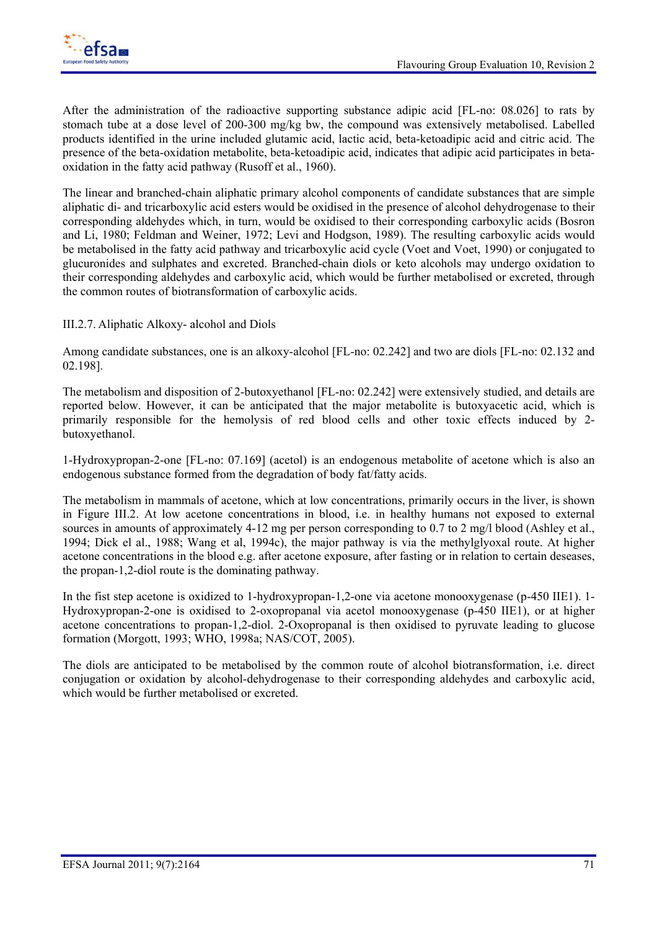After the administration of the radioactive supporting substance adipic acid [FL-no: 08.026] to rats by stomach tube at a dose level of 200-300 mg/kg bw, the compound was extensively metabolised. Labelled products identified in the urine included glutamic acid, lactic acid, beta-ketoadipic acid and citric acid. The presence of the beta-oxidation metabolite, beta-ketoadipic acid, indicates that adipic acid participates in betaoxidation in the fatty acid pathway (Rusoff et al., 1960).

The linear and branched-chain aliphatic primary alcohol components of candidate substances that are simple aliphatic di- and tricarboxylic acid esters would be oxidised in the presence of alcohol dehydrogenase to their corresponding aldehydes which, in turn, would be oxidised to their corresponding carboxylic acids (Bosron and Li, 1980; Feldman and Weiner, 1972; Levi and Hodgson, 1989). The resulting carboxylic acids would be metabolised in the fatty acid pathway and tricarboxylic acid cycle (Voet and Voet, 1990) or conjugated to glucuronides and sulphates and excreted. Branched-chain diols or keto alcohols may undergo oxidation to their corresponding aldehydes and carboxylic acid, which would be further metabolised or excreted, through the common routes of biotransformation of carboxylic acids.

III.2.7. Aliphatic Alkoxy- alcohol and Diols

Among candidate substances, one is an alkoxy-alcohol [FL-no: 02.242] and two are diols [FL-no: 02.132 and 02.198].

The metabolism and disposition of 2-butoxyethanol [FL-no: 02.242] were extensively studied, and details are reported below. However, it can be anticipated that the major metabolite is butoxyacetic acid, which is primarily responsible for the hemolysis of red blood cells and other toxic effects induced by 2 butoxyethanol.

1-Hydroxypropan-2-one [FL-no: 07.169] (acetol) is an endogenous metabolite of acetone which is also an endogenous substance formed from the degradation of body fat/fatty acids.

The metabolism in mammals of acetone, which at low concentrations, primarily occurs in the liver, is shown in Figure III.2. At low acetone concentrations in blood, i.e. in healthy humans not exposed to external sources in amounts of approximately 4-12 mg per person corresponding to 0.7 to 2 mg/l blood (Ashley et al., 1994; Dick el al., 1988; Wang et al, 1994c), the major pathway is via the methylglyoxal route. At higher acetone concentrations in the blood e.g. after acetone exposure, after fasting or in relation to certain deseases, the propan-1,2-diol route is the dominating pathway.

In the fist step acetone is oxidized to 1-hydroxypropan-1,2-one via acetone monooxygenase (p-450 IIE1). 1- Hydroxypropan-2-one is oxidised to 2-oxopropanal via acetol monooxygenase (p-450 IIE1), or at higher acetone concentrations to propan-1,2-diol. 2-Oxopropanal is then oxidised to pyruvate leading to glucose formation (Morgott, 1993; WHO, 1998a; NAS/COT, 2005).

The diols are anticipated to be metabolised by the common route of alcohol biotransformation, i.e. direct conjugation or oxidation by alcohol-dehydrogenase to their corresponding aldehydes and carboxylic acid, which would be further metabolised or excreted.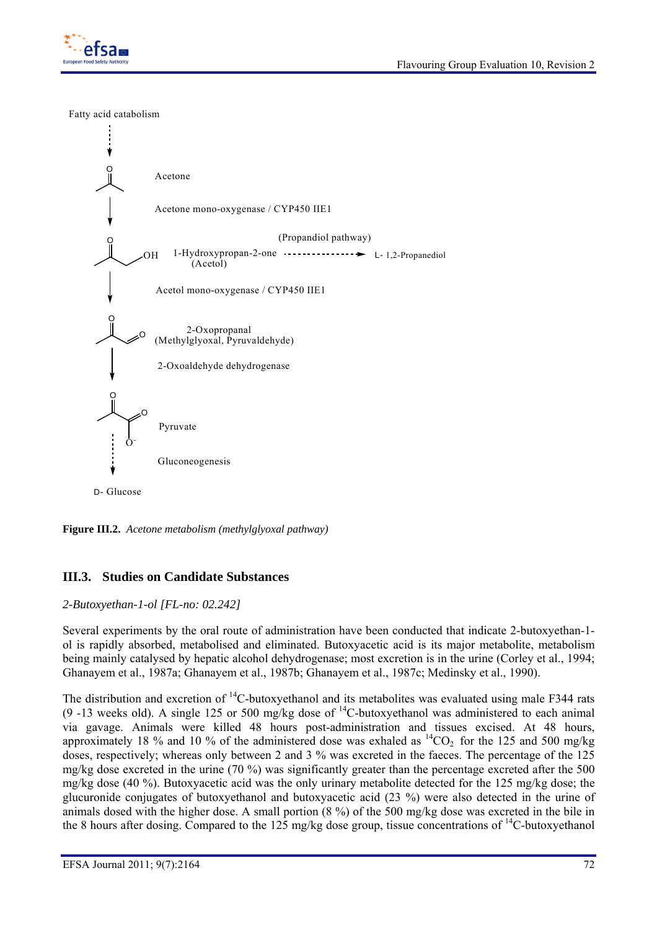

Fatty acid catabolism



**Figure III.2.** *Acetone metabolism (methylglyoxal pathway)* 

## **III.3. Studies on Candidate Substances**

### *2-Butoxyethan-1-ol [FL-no: 02.242]*

Several experiments by the oral route of administration have been conducted that indicate 2-butoxyethan-1 ol is rapidly absorbed, metabolised and eliminated. Butoxyacetic acid is its major metabolite, metabolism being mainly catalysed by hepatic alcohol dehydrogenase; most excretion is in the urine (Corley et al., 1994; Ghanayem et al., 1987a; Ghanayem et al., 1987b; Ghanayem et al., 1987c; Medinsky et al., 1990).

The distribution and excretion of <sup>14</sup>C-butoxyethanol and its metabolites was evaluated using male F344 rats (9 -13 weeks old). A single 125 or 500 mg/kg dose of 14C-butoxyethanol was administered to each animal via gavage. Animals were killed 48 hours post-administration and tissues excised. At 48 hours, approximately 18 % and 10 % of the administered dose was exhaled as  ${}^{14}CO_2$  for the 125 and 500 mg/kg doses, respectively; whereas only between 2 and 3 % was excreted in the faeces. The percentage of the 125 mg/kg dose excreted in the urine (70 %) was significantly greater than the percentage excreted after the 500 mg/kg dose (40 %). Butoxyacetic acid was the only urinary metabolite detected for the 125 mg/kg dose; the glucuronide conjugates of butoxyethanol and butoxyacetic acid (23 %) were also detected in the urine of animals dosed with the higher dose. A small portion (8 %) of the 500 mg/kg dose was excreted in the bile in the 8 hours after dosing. Compared to the 125 mg/kg dose group, tissue concentrations of <sup>14</sup>C-butoxyethanol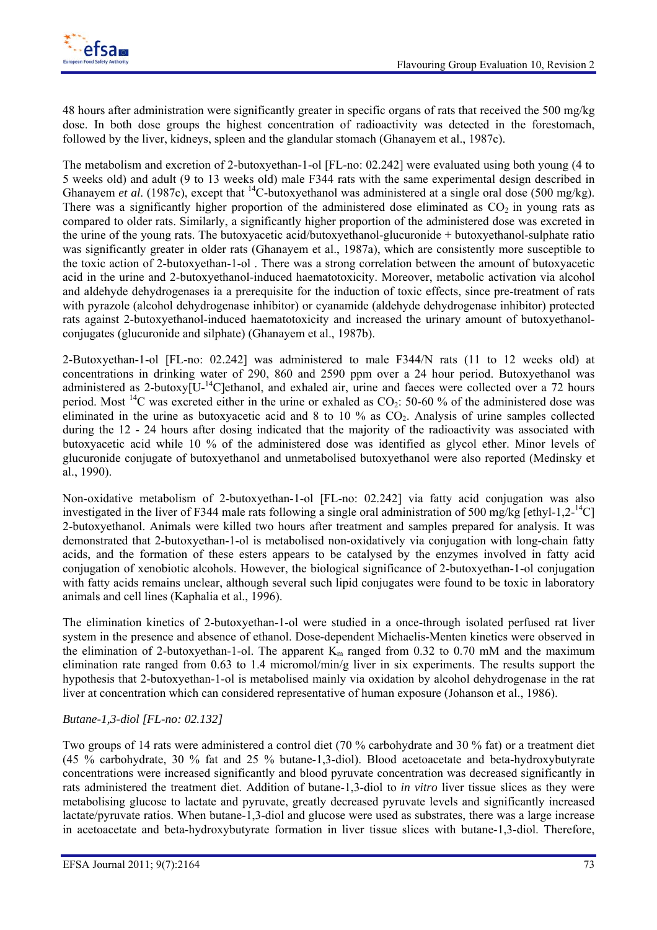

48 hours after administration were significantly greater in specific organs of rats that received the 500 mg/kg dose. In both dose groups the highest concentration of radioactivity was detected in the forestomach, followed by the liver, kidneys, spleen and the glandular stomach (Ghanayem et al., 1987c).

The metabolism and excretion of 2-butoxyethan-1-ol [FL-no: 02.242] were evaluated using both young (4 to 5 weeks old) and adult (9 to 13 weeks old) male F344 rats with the same experimental design described in Ghanayem *et al.* (1987c), except that <sup>14</sup>C-butoxyethanol was administered at a single oral dose (500 mg/kg). There was a significantly higher proportion of the administered dose eliminated as  $CO<sub>2</sub>$  in young rats as compared to older rats. Similarly, a significantly higher proportion of the administered dose was excreted in the urine of the young rats. The butoxyacetic acid/butoxyethanol-glucuronide + butoxyethanol-sulphate ratio was significantly greater in older rats (Ghanayem et al., 1987a), which are consistently more susceptible to the toxic action of 2-butoxyethan-1-ol . There was a strong correlation between the amount of butoxyacetic acid in the urine and 2-butoxyethanol-induced haematotoxicity. Moreover, metabolic activation via alcohol and aldehyde dehydrogenases ia a prerequisite for the induction of toxic effects, since pre-treatment of rats with pyrazole (alcohol dehydrogenase inhibitor) or cyanamide (aldehyde dehydrogenase inhibitor) protected rats against 2-butoxyethanol-induced haematotoxicity and increased the urinary amount of butoxyethanolconjugates (glucuronide and silphate) (Ghanayem et al., 1987b).

2-Butoxyethan-1-ol [FL-no: 02.242] was administered to male F344/N rats (11 to 12 weeks old) at concentrations in drinking water of 290, 860 and 2590 ppm over a 24 hour period. Butoxyethanol was administered as 2-butoxy<sup>[U-14</sup>C]ethanol, and exhaled air, urine and faeces were collected over a 72 hours period. Most <sup>14</sup>C was excreted either in the urine or exhaled as  $CO<sub>2</sub>$ : 50-60 % of the administered dose was eliminated in the urine as butoxyacetic acid and 8 to 10 % as  $CO<sub>2</sub>$ . Analysis of urine samples collected during the 12 - 24 hours after dosing indicated that the majority of the radioactivity was associated with butoxyacetic acid while 10 % of the administered dose was identified as glycol ether. Minor levels of glucuronide conjugate of butoxyethanol and unmetabolised butoxyethanol were also reported (Medinsky et al., 1990).

Non-oxidative metabolism of 2-butoxyethan-1-ol [FL-no: 02.242] via fatty acid conjugation was also investigated in the liver of F344 male rats following a single oral administration of 500 mg/kg [ethyl-1,2- $^{14}$ C] 2-butoxyethanol. Animals were killed two hours after treatment and samples prepared for analysis. It was demonstrated that 2-butoxyethan-1-ol is metabolised non-oxidatively via conjugation with long-chain fatty acids, and the formation of these esters appears to be catalysed by the enzymes involved in fatty acid conjugation of xenobiotic alcohols. However, the biological significance of 2-butoxyethan-1-ol conjugation with fatty acids remains unclear, although several such lipid conjugates were found to be toxic in laboratory animals and cell lines (Kaphalia et al., 1996).

The elimination kinetics of 2-butoxyethan-1-ol were studied in a once-through isolated perfused rat liver system in the presence and absence of ethanol. Dose-dependent Michaelis-Menten kinetics were observed in the elimination of 2-butoxyethan-1-ol. The apparent  $K_m$  ranged from 0.32 to 0.70 mM and the maximum elimination rate ranged from 0.63 to 1.4 micromol/min/g liver in six experiments. The results support the hypothesis that 2-butoxyethan-1-ol is metabolised mainly via oxidation by alcohol dehydrogenase in the rat liver at concentration which can considered representative of human exposure (Johanson et al., 1986).

### *Butane-1,3-diol [FL-no: 02.132]*

Two groups of 14 rats were administered a control diet (70 % carbohydrate and 30 % fat) or a treatment diet (45 % carbohydrate, 30 % fat and 25 % butane-1,3-diol). Blood acetoacetate and beta-hydroxybutyrate concentrations were increased significantly and blood pyruvate concentration was decreased significantly in rats administered the treatment diet. Addition of butane-1,3-diol to *in vitro* liver tissue slices as they were metabolising glucose to lactate and pyruvate, greatly decreased pyruvate levels and significantly increased lactate/pyruvate ratios. When butane-1,3-diol and glucose were used as substrates, there was a large increase in acetoacetate and beta-hydroxybutyrate formation in liver tissue slices with butane-1,3-diol. Therefore,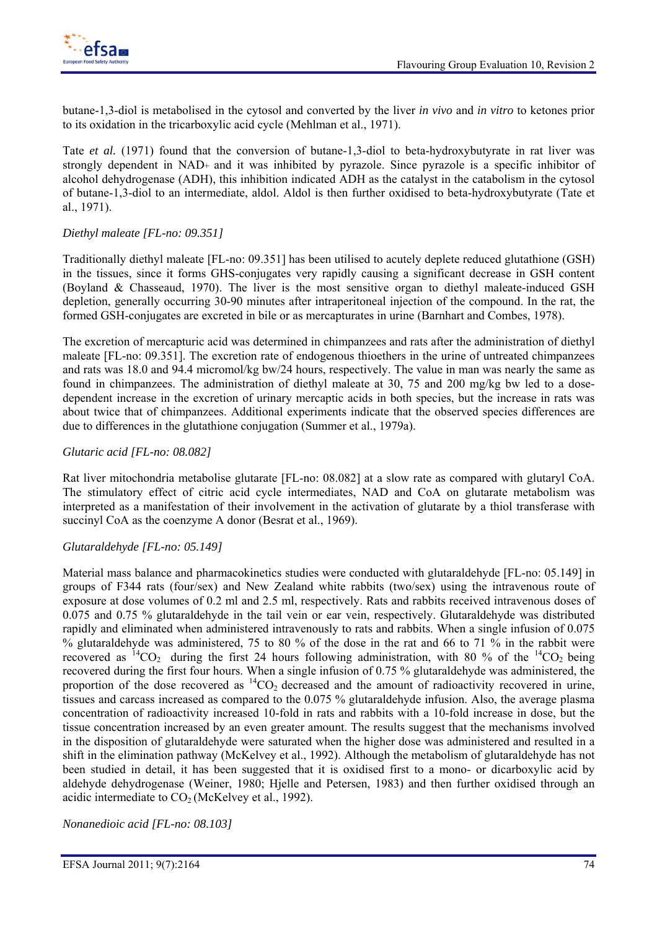

butane-1,3-diol is metabolised in the cytosol and converted by the liver *in vivo* and *in vitro* to ketones prior to its oxidation in the tricarboxylic acid cycle (Mehlman et al., 1971).

Tate *et al.* (1971) found that the conversion of butane-1,3-diol to beta-hydroxybutyrate in rat liver was strongly dependent in NAD+ and it was inhibited by pyrazole. Since pyrazole is a specific inhibitor of alcohol dehydrogenase (ADH), this inhibition indicated ADH as the catalyst in the catabolism in the cytosol of butane-1,3-diol to an intermediate, aldol. Aldol is then further oxidised to beta-hydroxybutyrate (Tate et al., 1971).

### *Diethyl maleate [FL-no: 09.351]*

Traditionally diethyl maleate [FL-no: 09.351] has been utilised to acutely deplete reduced glutathione (GSH) in the tissues, since it forms GHS-conjugates very rapidly causing a significant decrease in GSH content (Boyland & Chasseaud, 1970). The liver is the most sensitive organ to diethyl maleate-induced GSH depletion, generally occurring 30-90 minutes after intraperitoneal injection of the compound. In the rat, the formed GSH-conjugates are excreted in bile or as mercapturates in urine (Barnhart and Combes, 1978).

The excretion of mercapturic acid was determined in chimpanzees and rats after the administration of diethyl maleate [FL-no: 09.351]. The excretion rate of endogenous thioethers in the urine of untreated chimpanzees and rats was 18.0 and 94.4 micromol/kg bw/24 hours, respectively. The value in man was nearly the same as found in chimpanzees. The administration of diethyl maleate at 30, 75 and 200 mg/kg bw led to a dosedependent increase in the excretion of urinary mercaptic acids in both species, but the increase in rats was about twice that of chimpanzees. Additional experiments indicate that the observed species differences are due to differences in the glutathione conjugation (Summer et al., 1979a).

### *Glutaric acid [FL-no: 08.082]*

Rat liver mitochondria metabolise glutarate [FL-no: 08.082] at a slow rate as compared with glutaryl CoA. The stimulatory effect of citric acid cycle intermediates, NAD and CoA on glutarate metabolism was interpreted as a manifestation of their involvement in the activation of glutarate by a thiol transferase with succinyl CoA as the coenzyme A donor (Besrat et al., 1969).

### *Glutaraldehyde [FL-no: 05.149]*

Material mass balance and pharmacokinetics studies were conducted with glutaraldehyde [FL-no: 05.149] in groups of F344 rats (four/sex) and New Zealand white rabbits (two/sex) using the intravenous route of exposure at dose volumes of 0.2 ml and 2.5 ml, respectively. Rats and rabbits received intravenous doses of 0.075 and 0.75 % glutaraldehyde in the tail vein or ear vein, respectively. Glutaraldehyde was distributed rapidly and eliminated when administered intravenously to rats and rabbits. When a single infusion of 0.075 % glutaraldehyde was administered, 75 to 80 % of the dose in the rat and 66 to 71 % in the rabbit were recovered as  ${}^{14}CO_2$  during the first 24 hours following administration, with 80 % of the  ${}^{14}CO_2$  being recovered during the first four hours. When a single infusion of 0.75 % glutaraldehyde was administered, the proportion of the dose recovered as  ${}^{14}CO_2$  decreased and the amount of radioactivity recovered in urine, tissues and carcass increased as compared to the 0.075 % glutaraldehyde infusion. Also, the average plasma concentration of radioactivity increased 10-fold in rats and rabbits with a 10-fold increase in dose, but the tissue concentration increased by an even greater amount. The results suggest that the mechanisms involved in the disposition of glutaraldehyde were saturated when the higher dose was administered and resulted in a shift in the elimination pathway (McKelvey et al., 1992). Although the metabolism of glutaraldehyde has not been studied in detail, it has been suggested that it is oxidised first to a mono- or dicarboxylic acid by aldehyde dehydrogenase (Weiner, 1980; Hjelle and Petersen, 1983) and then further oxidised through an acidic intermediate to  $CO<sub>2</sub>$  (McKelvey et al., 1992).

*Nonanedioic acid [FL-no: 08.103]*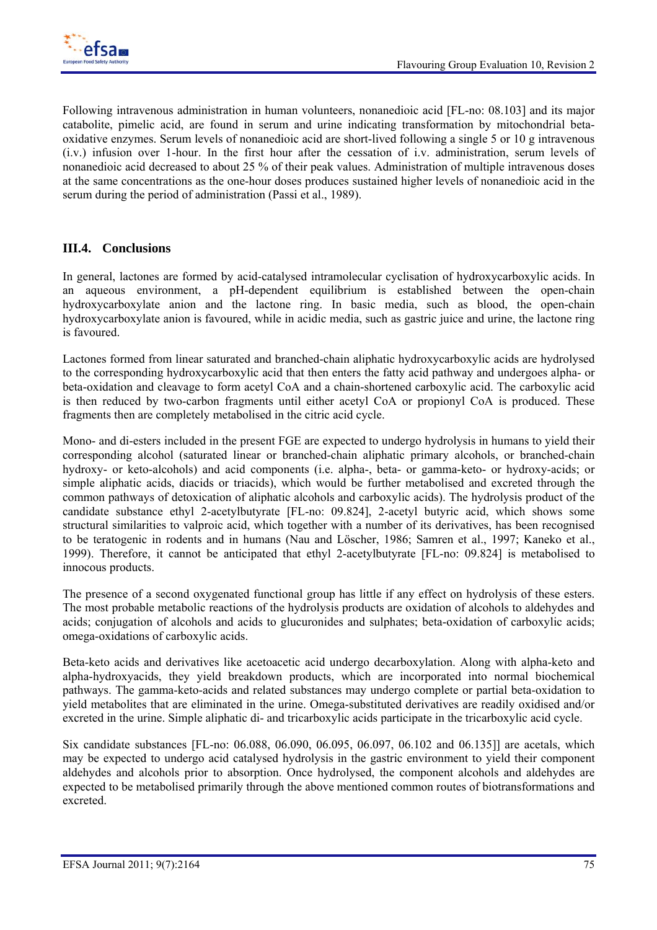Following intravenous administration in human volunteers, nonanedioic acid [FL-no: 08.103] and its major catabolite, pimelic acid, are found in serum and urine indicating transformation by mitochondrial betaoxidative enzymes. Serum levels of nonanedioic acid are short-lived following a single 5 or 10 g intravenous (i.v.) infusion over 1-hour. In the first hour after the cessation of i.v. administration, serum levels of nonanedioic acid decreased to about 25 % of their peak values. Administration of multiple intravenous doses at the same concentrations as the one-hour doses produces sustained higher levels of nonanedioic acid in the serum during the period of administration (Passi et al., 1989).

# **III.4. Conclusions**

In general, lactones are formed by acid-catalysed intramolecular cyclisation of hydroxycarboxylic acids. In an aqueous environment, a pH-dependent equilibrium is established between the open-chain hydroxycarboxylate anion and the lactone ring. In basic media, such as blood, the open-chain hydroxycarboxylate anion is favoured, while in acidic media, such as gastric juice and urine, the lactone ring is favoured.

Lactones formed from linear saturated and branched-chain aliphatic hydroxycarboxylic acids are hydrolysed to the corresponding hydroxycarboxylic acid that then enters the fatty acid pathway and undergoes alpha- or beta-oxidation and cleavage to form acetyl CoA and a chain-shortened carboxylic acid. The carboxylic acid is then reduced by two-carbon fragments until either acetyl CoA or propionyl CoA is produced. These fragments then are completely metabolised in the citric acid cycle.

Mono- and di-esters included in the present FGE are expected to undergo hydrolysis in humans to yield their corresponding alcohol (saturated linear or branched-chain aliphatic primary alcohols, or branched-chain hydroxy- or keto-alcohols) and acid components (i.e. alpha-, beta- or gamma-keto- or hydroxy-acids; or simple aliphatic acids, diacids or triacids), which would be further metabolised and excreted through the common pathways of detoxication of aliphatic alcohols and carboxylic acids). The hydrolysis product of the candidate substance ethyl 2-acetylbutyrate [FL-no: 09.824], 2-acetyl butyric acid, which shows some structural similarities to valproic acid, which together with a number of its derivatives, has been recognised to be teratogenic in rodents and in humans (Nau and Löscher, 1986; Samren et al., 1997; Kaneko et al., 1999). Therefore, it cannot be anticipated that ethyl 2-acetylbutyrate [FL-no: 09.824] is metabolised to innocous products.

The presence of a second oxygenated functional group has little if any effect on hydrolysis of these esters. The most probable metabolic reactions of the hydrolysis products are oxidation of alcohols to aldehydes and acids; conjugation of alcohols and acids to glucuronides and sulphates; beta-oxidation of carboxylic acids; omega-oxidations of carboxylic acids.

Beta-keto acids and derivatives like acetoacetic acid undergo decarboxylation. Along with alpha-keto and alpha-hydroxyacids, they yield breakdown products, which are incorporated into normal biochemical pathways. The gamma-keto-acids and related substances may undergo complete or partial beta-oxidation to yield metabolites that are eliminated in the urine. Omega-substituted derivatives are readily oxidised and/or excreted in the urine. Simple aliphatic di- and tricarboxylic acids participate in the tricarboxylic acid cycle.

Six candidate substances [FL-no: 06.088, 06.090, 06.095, 06.097, 06.102 and 06.135]] are acetals, which may be expected to undergo acid catalysed hydrolysis in the gastric environment to yield their component aldehydes and alcohols prior to absorption. Once hydrolysed, the component alcohols and aldehydes are expected to be metabolised primarily through the above mentioned common routes of biotransformations and excreted.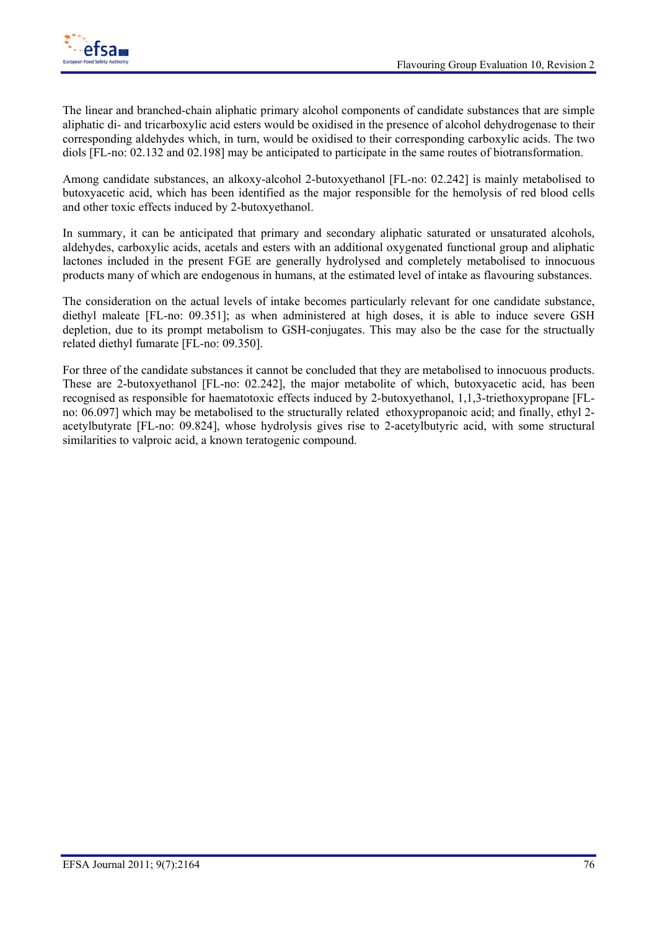

The linear and branched-chain aliphatic primary alcohol components of candidate substances that are simple aliphatic di- and tricarboxylic acid esters would be oxidised in the presence of alcohol dehydrogenase to their corresponding aldehydes which, in turn, would be oxidised to their corresponding carboxylic acids. The two diols [FL-no: 02.132 and 02.198] may be anticipated to participate in the same routes of biotransformation.

Among candidate substances, an alkoxy-alcohol 2-butoxyethanol [FL-no: 02.242] is mainly metabolised to butoxyacetic acid, which has been identified as the major responsible for the hemolysis of red blood cells and other toxic effects induced by 2-butoxyethanol.

In summary, it can be anticipated that primary and secondary aliphatic saturated or unsaturated alcohols, aldehydes, carboxylic acids, acetals and esters with an additional oxygenated functional group and aliphatic lactones included in the present FGE are generally hydrolysed and completely metabolised to innocuous products many of which are endogenous in humans, at the estimated level of intake as flavouring substances.

The consideration on the actual levels of intake becomes particularly relevant for one candidate substance, diethyl maleate [FL-no: 09.351]; as when administered at high doses, it is able to induce severe GSH depletion, due to its prompt metabolism to GSH-conjugates. This may also be the case for the structually related diethyl fumarate [FL-no: 09.350].

For three of the candidate substances it cannot be concluded that they are metabolised to innocuous products. These are 2-butoxyethanol [FL-no: 02.242], the major metabolite of which, butoxyacetic acid, has been recognised as responsible for haematotoxic effects induced by 2-butoxyethanol, 1,1,3-triethoxypropane [FLno: 06.097] which may be metabolised to the structurally related ethoxypropanoic acid; and finally, ethyl 2 acetylbutyrate [FL-no: 09.824], whose hydrolysis gives rise to 2-acetylbutyric acid, with some structural similarities to valproic acid, a known teratogenic compound.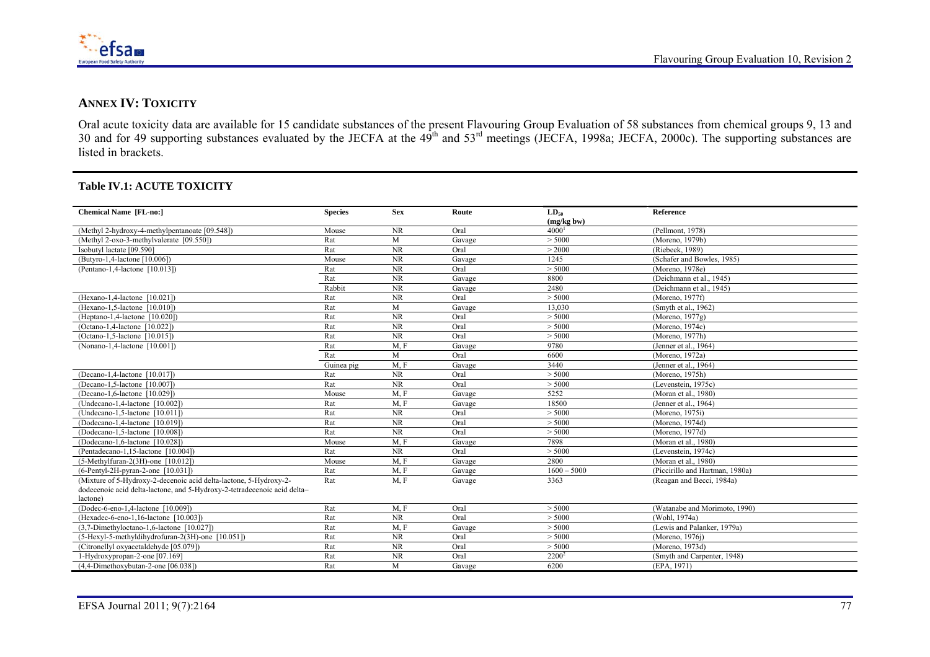

### **ANNEX IV: TOXICITY**

Oral acute toxicity data are available for 15 candidate substances of the present Flavouring Group Evaluation of 58 substances from chemical groups 9, 13 and 30 and for 49 supporting substances evaluated by the JECFA at the  $49<sup>th</sup>$  and  $53<sup>rd</sup>$  meetings (JECFA, 1998a; JECFA, 2000c). The supporting substances are listed in brackets.

### **Table IV.1: ACUTE TOXICITY**

| <b>Chemical Name [FL-no:]</b>                                            | <b>Species</b> | <b>Sex</b> | Route  | $LD_{50}$     | Reference                       |
|--------------------------------------------------------------------------|----------------|------------|--------|---------------|---------------------------------|
|                                                                          |                |            |        | (mg/kg bw)    |                                 |
| (Methyl 2-hydroxy-4-methylpentanoate [09.548])                           | Mouse          | <b>NR</b>  | Oral   | 4000          | (Pellmont, 1978)                |
| (Methyl 2-oxo-3-methylvalerate [09.550])                                 | Rat            | M          | Gavage | > 5000        | (Moreno, 1979b)                 |
| Isobutyl lactate [09.590]                                                | Rat            | <b>NR</b>  | Oral   | > 2000        | (Riebeek, 1989)                 |
| (Butyro-1,4-lactone [10.006])                                            | Mouse          | NR         | Gavage | 1245          | (Schafer and Bowles, 1985)      |
| (Pentano-1,4-lactone [10.013])                                           | Rat            | <b>NR</b>  | Oral   | > 5000        | (Moreno, 1978e)                 |
|                                                                          | Rat            | <b>NR</b>  | Gavage | 8800          | (Deichmann et al., 1945)        |
|                                                                          | Rabbit         | $\rm NR$   | Gavage | 2480          | (Deichmann et al., 1945)        |
| (Hexano-1,4-lactone [10.021])                                            | Rat            | $\rm NR$   | Oral   | > 5000        | (Moreno, 1977f)                 |
| (Hexano-1,5-lactone [10.010])                                            | Rat            | M          | Gavage | 13,030        | (Smyth et al., 1962)            |
| (Heptano-1,4-lactone [10.020])                                           | Rat            | <b>NR</b>  | Oral   | > 5000        | (Moreno, 1977g)                 |
| (Octano-1,4-lactone [10.022])                                            | Rat            | NR         | Oral   | > 5000        | (Moreno, 1974c)                 |
| (Octano-1,5-lactone [10.015])                                            | Rat            | $\rm NR$   | Oral   | > 5000        | (Moreno, $1977h$ )              |
| (Nonano-1,4-lactone [10.001])                                            | Rat            | M, F       | Gavage | 9780          | (Jenner et al., 1964)           |
|                                                                          | Rat            | M          | Oral   | 6600          | (Moreno, 1972a)                 |
|                                                                          | Guinea pig     | M, F       | Gavage | 3440          | (Jenner et al., 1964)           |
| (Decano-1,4-lactone [10.017])                                            | Rat            | NR         | Oral   | > 5000        | (Moreno, $1975h$ )              |
| (Decano-1,5-lactone [10.007])                                            | Rat            | NR         | Oral   | > 5000        | (Levenstein, 1975c)             |
| (Decano-1,6-lactone [10.029])                                            | Mouse          | M, F       | Gavage | 5252          | (Moran et al., 1980)            |
| (Undecano-1,4-lactone [10.002])                                          | Rat            | M, F       | Gavage | 18500         | (Jenner et al., 1964)           |
| (Undecano-1,5-lactone [10.011])                                          | Rat            | $\rm NR$   | Oral   | > 5000        | (Moreno, 1975i)                 |
| (Dodecano-1,4-lactone [10.019])                                          | Rat            | NR         | Oral   | > 5000        | (Moreno, 1974d)                 |
| (Dodecano-1,5-lactone [10.008])                                          | Rat            | $\rm NR$   | Oral   | > 5000        | (Moreno, 1977d)                 |
| (Dodecano-1,6-lactone [10.028])                                          | Mouse          | M, F       | Gavage | 7898          | (Moran et al., 1980)            |
| (Pentadecano-1,15-lactone [10.004])                                      | Rat            | $\rm NR$   | Oral   | > 5000        | (Levenstein, 1974c)             |
| $(5-Methylfuran-2(3H)-one [10.012])$                                     | Mouse          | M, F       | Gavage | 2800          | (Moran et al., 1980)            |
| $(6-Pentyl-2H-pvran-2-one$ [10.031])                                     | Rat            | M, F       | Gavage | $1600 - 5000$ | (Piccirillo and Hartman, 1980a) |
| (Mixture of 5-Hydroxy-2-decenoic acid delta-lactone, 5-Hydroxy-2-        | Rat            | M, F       | Gavage | 3363          | (Reagan and Becci, 1984a)       |
| dodecenoic acid delta-lactone, and 5-Hydroxy-2-tetradecenoic acid delta- |                |            |        |               |                                 |
| lactone)                                                                 |                |            |        |               |                                 |
| (Dodec-6-eno-1,4-lactone [10.009])                                       | Rat            | M.F        | Oral   | > 5000        | (Watanabe and Morimoto, 1990)   |
| (Hexadec-6-eno-1,16-lactone [10.003])                                    | Rat            | NR         | Oral   | > 5000        | (Wohl, 1974a)                   |
| $(3,7-Dimethyloctano-1,6-lactone [10.027])$                              | Rat            | M, F       | Gavage | > 5000        | (Lewis and Palanker, 1979a)     |
| (5-Hexyl-5-methyldihydrofuran-2(3H)-one [10.051])                        | Rat            | $\rm NR$   | Oral   | > 5000        | (Moreno, 1976j)                 |
| (Citronellyl oxyacetaldehyde [05.079])                                   | Rat            | $\rm NR$   | Oral   | > 5000        | (Moreno, 1973d)                 |
| 1-Hydroxypropan-2-one [07.169]                                           | Rat            | <b>NR</b>  | Oral   | $2200^2$      | (Smyth and Carpenter, 1948)     |
| $(4,4-Dimethoxybutan-2-one [06.038])$                                    | Rat            | M          | Gavage | 6200          | (EPA, 1971)                     |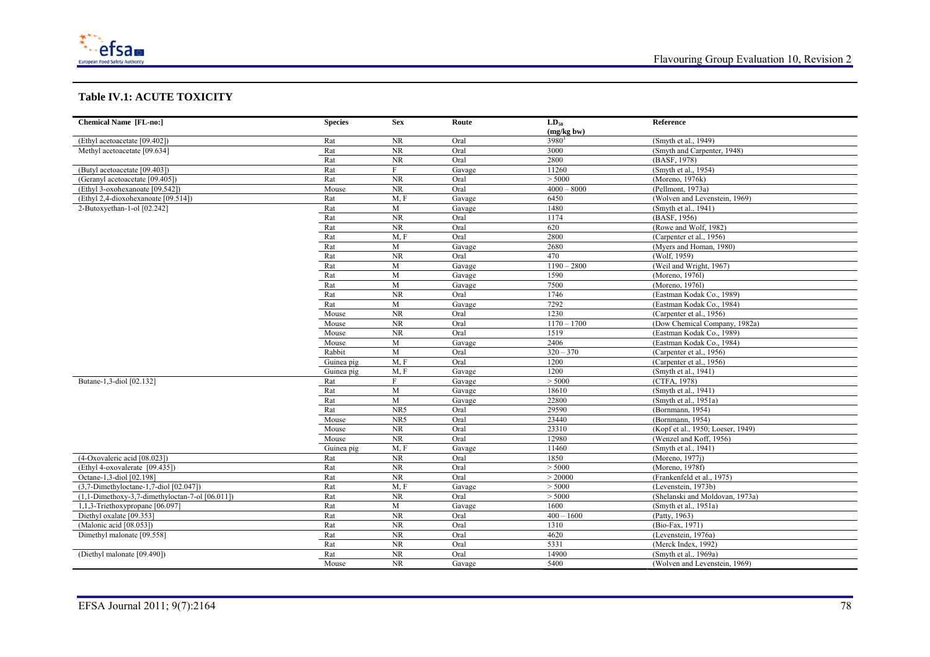

#### **Table IV.1: ACUTE TOXICITY**

| <b>Chemical Name [FL-no:]</b>                     | <b>Species</b> | <b>Sex</b>     | Route  | $LD_{50}$         | Reference                         |
|---------------------------------------------------|----------------|----------------|--------|-------------------|-----------------------------------|
|                                                   |                |                |        | (mg/kg bw)        |                                   |
| (Ethyl acetoacetate [09.402])                     | Rat            | NR             | Oral   | 3980 <sup>3</sup> | (Smyth et al., 1949)              |
| Methyl acetoacetate [09.634]                      | Rat            | NR             | Oral   | 3000              | (Smyth and Carpenter, 1948)       |
|                                                   | Rat            | $\rm NR$       | Oral   | 2800              | (BASF, 1978)                      |
| (Butyl acetoacetate [09.403])                     | Rat            | F              | Gavage | 11260             | (Smyth et al., 1954)              |
| (Geranyl acetoacetate [09.405])                   | Rat            | NR             | Oral   | > 5000            | (Moreno, $1976k$ )                |
| (Ethyl 3-oxohexanoate [09.542])                   | Mouse          | NR             | Oral   | $4000 - 8000$     | (Pellmont, 1973a)                 |
| (Ethyl 2,4-dioxohexanoate [09.514])               | Rat            | M, F           | Gavage | 6450              | (Wolven and Levenstein, 1969)     |
| 2-Butoxyethan-1-ol [02.242]                       | Rat            | $\mathbf M$    | Gavage | 1480              | (Smyth et al., 1941)              |
|                                                   | Rat            | NR             | Oral   | 1174              | (BASF, 1956)                      |
|                                                   | Rat            | NR             | Oral   | 620               | (Rowe and Wolf, 1982)             |
|                                                   | Rat            | M, F           | Oral   | 2800              | (Carpenter et al., 1956)          |
|                                                   | Rat            | $\overline{M}$ | Gavage | 2680              | (Myers and Homan, 1980)           |
|                                                   | Rat            | NR             | Oral   | 470               | (Wolf, 1959)                      |
|                                                   | Rat            | $\mathbf M$    | Gavage | $1190 - 2800$     | (Weil and Wright, 1967)           |
|                                                   | Rat            | M              | Gavage | 1590              | (Moreno, 1976l)                   |
|                                                   | Rat            | M              | Gavage | 7500              | (Moreno, 1976l)                   |
|                                                   | Rat            | NR             | Oral   | 1746              | (Eastman Kodak Co., 1989)         |
|                                                   | Rat            | $\mathbf M$    | Gavage | 7292              | (Eastman Kodak Co., 1984)         |
|                                                   | Mouse          | <b>NR</b>      | Oral   | 1230              | (Carpenter et al., 1956)          |
|                                                   | Mouse          | NR             | Oral   | $1170 - 1700$     | (Dow Chemical Company, 1982a)     |
|                                                   | Mouse          | NR             | Oral   | 1519              | (Eastman Kodak Co., 1989)         |
|                                                   | Mouse          | M              | Gavage | 2406              | (Eastman Kodak Co., 1984)         |
|                                                   | Rabbit         | M              | Oral   | $320 - 370$       | (Carpenter et al., 1956)          |
|                                                   | Guinea pig     | M, F           | Oral   | 1200              | (Carpenter et al., 1956)          |
|                                                   | Guinea pig     | M, F           | Gavage | 1200              | (Smyth et al., 1941)              |
| Butane-1,3-diol [02.132]                          | Rat            | F              | Gavage | > 5000            | (CTFA, 1978)                      |
|                                                   | Rat            | $\mathbf{M}$   | Gavage | 18610             | (Smyth et al., 1941)              |
|                                                   | Rat            | M              | Gavage | 22800             | (Smyth et al., 1951a)             |
|                                                   | Rat            | NR5            | Oral   | 29590             | (Bornmann, 1954)                  |
|                                                   | Mouse          | NR5            | Oral   | 23440             | (Bornmann, 1954)                  |
|                                                   | Mouse          | NR             | Oral   | 23310             | (Kopf et al., 1950; Loeser, 1949) |
|                                                   | Mouse          | NR             | Oral   | 12980             | (Wenzel and Koff, 1956)           |
|                                                   | Guinea pig     | M, F           | Gavage | 11460             | (Smyth et al., 1941)              |
| (4-Oxovaleric acid [08.023])                      | Rat            | NR             | Oral   | 1850              | (Moreno, 1977j)                   |
| (Ethyl 4-oxovalerate [09.435])                    | Rat            | NR             | Oral   | > 5000            | (Moreno, 1978f)                   |
| Octane-1,3-diol [02.198]                          | Rat            | NR             | Oral   | > 20000           | (Frankenfeld et al., 1975)        |
| $(3,7-Dimethyloctane-1,7-diol$ [02.047])          | Rat            | M, F           | Gavage | > 5000            | (Levenstein, 1973b)               |
| $(1,1-Dimethoxy-3,7-dimethyloctan-7-ol [06.011])$ | Rat            | <b>NR</b>      | Oral   | > 5000            | (Shelanski and Moldovan, 1973a)   |
| 1,1,3-Triethoxypropane [06.097]                   | Rat            | M              | Gavage | 1600              | (Smyth et al., 1951a)             |
| Diethyl oxalate [09.353]                          | Rat            | NR             | Oral   | $400 - 1600$      | (Patty, 1963)                     |
| (Malonic acid [08.053])                           | Rat            | NR             | Oral   | 1310              | (Bio-Fax, 1971)                   |
| Dimethyl malonate [09.558]                        | Rat            | NR             | Oral   | 4620              | (Levenstein, 1976a)               |
|                                                   | Rat            | NR             | Oral   | 5331              | (Merck Index, 1992)               |
| (Diethyl malonate [09.490])                       | Rat            | NR             | Oral   | 14900             | (Smvth et al., 1969a)             |
|                                                   | Mouse          | NR             | Gavage | 5400              | (Wolven and Levenstein, 1969)     |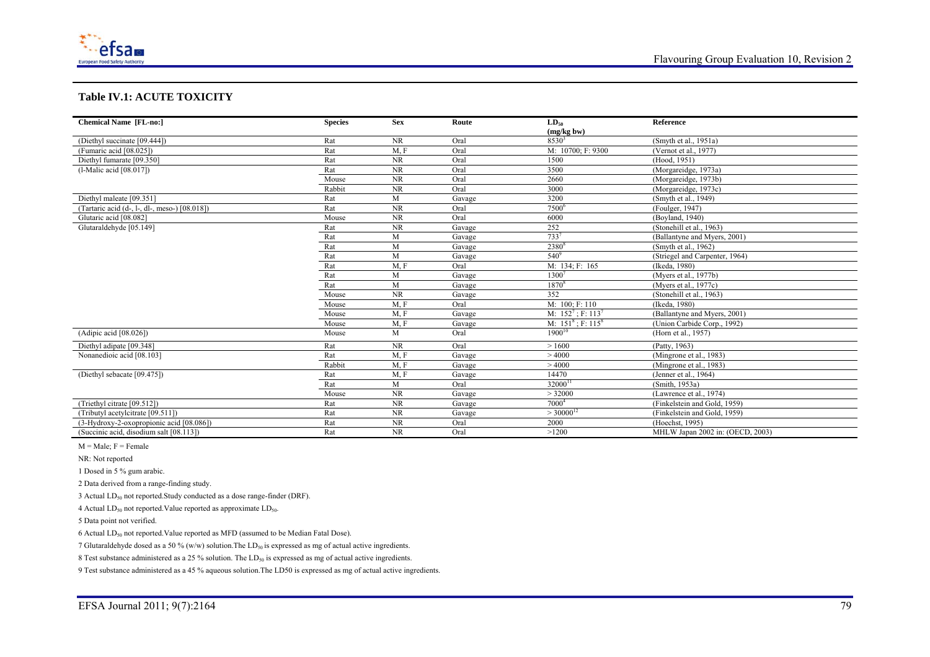

#### **Table IV.1: ACUTE TOXICITY**

| <b>Chemical Name [FL-no:]</b>                 | <b>Species</b> | <b>Sex</b> | Route  | $LD_{50}$                        | Reference                        |
|-----------------------------------------------|----------------|------------|--------|----------------------------------|----------------------------------|
|                                               |                |            |        | (mg/kg bw)                       |                                  |
| (Diethyl succinate [09.444])                  | Rat            | <b>NR</b>  | Oral   | $8530^3$                         | (Smyth et al., 1951a)            |
| (Fumaric acid [08.025])                       | Rat            | M, F       | Oral   | M: 10700; F: 9300                | (Vernot et al., 1977)            |
| Diethyl fumarate [09.350]                     | Rat            | <b>NR</b>  | Oral   | 1500                             | (Hood, 1951)                     |
| $(l$ -Malic acid $[08.017]$ )                 | Rat            | <b>NR</b>  | Oral   | 3500                             | (Morgareidge, 1973a)             |
|                                               | Mouse          | <b>NR</b>  | Oral   | 2660                             | (Morgareidge, 1973b)             |
|                                               | Rabbit         | <b>NR</b>  | Oral   | 3000                             | (Morgareidge, 1973c)             |
| Diethyl maleate [09.351]                      | Rat            | M          | Gavage | 3200                             | (Smyth et al., 1949)             |
| (Tartaric acid (d-, l-, dl-, meso-) [08.018]) | Rat            | <b>NR</b>  | Oral   | 7500 <sup>6</sup>                | (Foulger, 1947)                  |
| Glutaric acid [08.082]                        | Mouse          | <b>NR</b>  | Oral   | 6000                             | (Boyland, 1940)                  |
| Glutaraldehyde [05.149]                       | Rat            | <b>NR</b>  | Gavage | 252                              | (Stonehill et al., 1963)         |
|                                               | Rat            | M          | Gavage | $733^{7}$                        | (Ballantyne and Myers, 2001)     |
|                                               | Rat            | M          | Gavage | 2380 <sup>8</sup>                | (Smyth et al., 1962)             |
|                                               | Rat            | M          | Gavage | $540^9$                          | (Striegel and Carpenter, 1964)   |
|                                               | Rat            | M, F       | Oral   | M: 134; F: 165                   | (Ikeda, 1980)                    |
|                                               | Rat            | M          | Gavage | 13007                            | (Myers et al., 1977b)            |
|                                               | Rat            | M          | Gavage | 1870 <sup>8</sup>                | (Myers et al., 1977c)            |
|                                               | Mouse          | <b>NR</b>  | Gavage | 352                              | (Stonehill et al., 1963)         |
|                                               | Mouse          | M, F       | Oral   | M: 100; F: 110                   | (Ikeda, 1980)                    |
|                                               | Mouse          | M, F       | Gavage | M: $152^7$ ; F: 113 <sup>7</sup> | (Ballantyne and Myers, 2001)     |
|                                               | Mouse          | M, F       | Gavage | M: $151^8$ ; F: 115 <sup>8</sup> | (Union Carbide Corp., 1992)      |
| (Adipic acid [08.026])                        | Mouse          | M          | Oral   | $1900^{10}$                      | (Horn et al., 1957)              |
| Diethyl adipate [09.348]                      | Rat            | <b>NR</b>  | Oral   | >1600                            | (Patty, 1963)                    |
| Nonanedioic acid [08.103]                     | Rat            | M, F       | Gavage | >4000                            | (Mingrone et al., 1983)          |
|                                               | Rabbit         | M, F       | Gavage | >4000                            | (Mingrone et al., 1983)          |
| (Diethyl sebacate [09.475])                   | Rat            | M, F       | Gavage | 14470                            | (Jenner et al., 1964)            |
|                                               | Rat            | M          | Oral   | $32000^1$                        | (Smith, 1953a)                   |
|                                               | Mouse          | <b>NR</b>  | Gavage | > 32000                          | (Lawrence et al., 1974)          |
| (Triethyl citrate [09.512])                   | Rat            | <b>NR</b>  | Gavage | 7000 <sup>4</sup>                | (Finkelstein and Gold, 1959)     |
| (Tributyl acetylcitrate [09.511])             | Rat            | NR         | Gavage | $>$ 30000 <sup>12</sup>          | (Finkelstein and Gold, 1959)     |
| (3-Hydroxy-2-oxopropionic acid [08.086])      | Rat            | NR         | Oral   | 2000                             | (Hoechst, 1995)                  |
| (Succinic acid, disodium salt [08.113])       | Rat            | <b>NR</b>  | Oral   | >1200                            | MHLW Japan 2002 in: (OECD, 2003) |

 $M = Male$ ;  $F = Female$ 

NR: Not reported

1 Dosed in 5 % gum arabic.

2 Data derived from a range-finding study.

3 Actual LD<sub>50</sub> not reported.Study conducted as a dose range-finder (DRF).

4 Actual  $LD_{50}$  not reported. Value reported as approximate  $LD_{50}$ .

5 Data point not verified.

6 Actual  $LD_{50}$  not reported. Value reported as MFD (assumed to be Median Fatal Dose).

7 Glutaraldehyde dosed as a 50 % (w/w) solution. The  $LD_{50}$  is expressed as mg of actual active ingredients.

8 Test substance administered as a 25 % solution. The  $LD_{50}$  is expressed as mg of actual active ingredients.

9 Test substance administered as a 45 % aqueous solution.The LD50 is expressed as mg of actual active ingredients.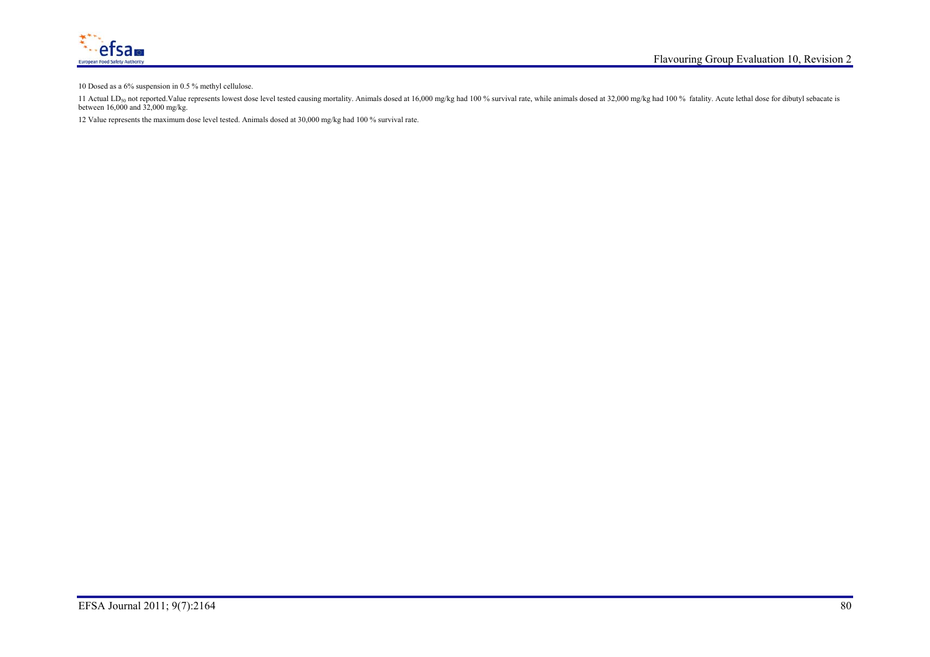

10 Dosed as a 6% suspension in 0.5 % methyl cellulose.

11 Actual LD<sub>50</sub> not reported Value represents lowest dose level tested causing mortality. Animals dosed at 16,000 mg/kg had 100 % survival rate, while animals dosed at 32,000 mg/kg had 100 % fatality. Acute lethal dose fo between 16,000 and 32,000 mg/kg.

12 Value represents the maximum dose level tested. Animals dosed at 30,000 mg/kg had 100 % survival rate.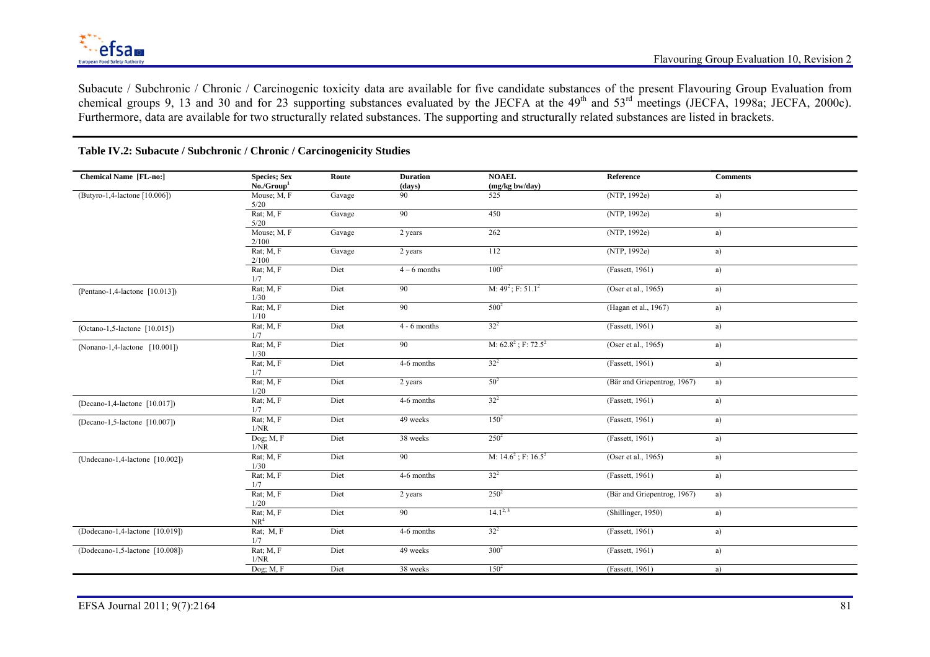Subacute / Subchronic / Chronic / Carcinogenic toxicity data are available for five candidate substances of the present Flavouring Group Evaluation from chemical groups 9, 13 and 30 and for 23 supporting substances evaluated by the JECFA at the  $49<sup>th</sup>$  and  $53<sup>rd</sup>$  meetings (JECFA, 1998a; JECFA, 2000c). Furthermore, data are available for two structurally related substances. The supporting and structurally related substances are listed in brackets.

| <b>Chemical Name [FL-no:]</b>    | <b>Species</b> ; Sex<br>No./Group <sup>1</sup> | Route  | <b>Duration</b><br>(days) | <b>NOAEL</b><br>(mg/kg bw/day) | Reference                   | <b>Comments</b> |
|----------------------------------|------------------------------------------------|--------|---------------------------|--------------------------------|-----------------------------|-----------------|
| (Butyro-1,4-lactone [10.006])    | Mouse; M, F<br>5/20                            | Gavage | 90                        | 525                            | (NTP, 1992e)                | a)              |
|                                  | Rat; M, F<br>5/20                              | Gavage | 90                        | 450                            | (NTP, 1992e)                | a)              |
|                                  | Mouse; M, F<br>2/100                           | Gavage | 2 years                   | 262                            | (NTP, 1992e)                | a)              |
|                                  | Rat; M, F<br>2/100                             | Gavage | 2 years                   | 112                            | (NTP, 1992e)                | a)              |
|                                  | Rat; M, F<br>1/7                               | Diet   | $4-6$ months              | $100^2$                        | (Fassett, 1961)             | a)              |
| (Pentano-1,4-lactone [10.013])   | Rat; $M, F$<br>1/30                            | Diet   | 90                        | M: $49^2$ ; F: $51.1^2$        | (Oser et al., 1965)         | a)              |
|                                  | Rat; M, F<br>1/10                              | Diet   | 90                        | $500^2$                        | (Hagan et al., 1967)        | a)              |
| $(Octano-1, 5-lactone [10.015])$ | Rat; $M, F$<br>1/7                             | Diet   | $4 - 6$ months            | $32^{2}$                       | (Fassett, 1961)             | a)              |
| $(Nonano-1,4-lactone [10.001])$  | Rat; M, F<br>1/30                              | Diet   | 90                        | M: $62.8^2$ ; F: $72.5^2$      | (Oser et al., 1965)         | a)              |
|                                  | Rat; $M, F$<br>1/7                             | Diet   | 4-6 months                | $32^{2}$                       | (Fassett, 1961)             | a)              |
|                                  | Rat; $M, F$<br>1/20                            | Diet   | 2 years                   | $50^{2}$                       | (Bär and Griepentrog, 1967) | a)              |
| (Decano-1,4-lactone [10.017])    | Rat; M, F<br>1/7                               | Diet   | 4-6 months                | $32^{2}$                       | (Fassett, 1961)             | a)              |
| (Decano-1,5-lactone [10.007])    | Rat; $M, F$<br>1/NR                            | Diet   | 49 weeks                  | $150^2$                        | (Fassett, 1961)             | a)              |
|                                  | Dog; M, F<br>1/NR                              | Diet   | 38 weeks                  | $250^2$                        | (Fassett, 1961)             | a)              |
| (Undecano-1,4-lactone [10.002])  | Rat; $M, F$<br>1/30                            | Diet   | 90                        | M: $14.6^2$ ; F: $16.5^2$      | (Oser et al., 1965)         | a)              |
|                                  | Rat; M, F<br>1/7                               | Diet   | 4-6 months                | $32^{2}$                       | (Fassett, 1961)             | a)              |
|                                  | Rat; $M, F$<br>1/20                            | Diet   | 2 years                   | $250^2$                        | (Bär and Griepentrog, 1967) | a)              |
|                                  | Rat; M, F<br>NR <sup>4</sup>                   | Diet   | 90                        | $14.1^{2,3}$                   | (Shillinger, 1950)          | a)              |
| (Dodecano-1,4-lactone [10.019])  | Rat; M, F<br>1/7                               | Diet   | 4-6 months                | $32^{2}$                       | (Fassett, 1961)             | a)              |
| (Dodecano-1,5-lactone [10.008])  | Rat; M, F<br>1/NR                              | Diet   | 49 weeks                  | $300^2$                        | (Fassett, 1961)             | a)              |
|                                  | Dog; $M, F$                                    | Diet   | 38 weeks                  | $150^2$                        | (Fassett, 1961)             | a)              |

### **Table IV.2: Subacute / Subchronic / Chronic / Carcinogenicity Studies**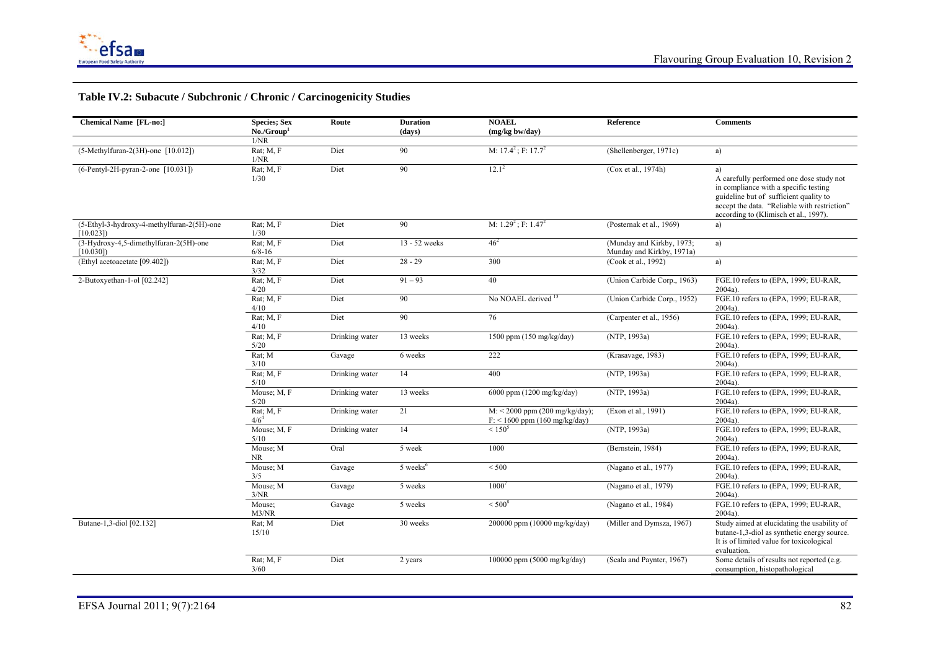

# **Table IV.2: Subacute / Subchronic / Chronic / Carcinogenicity Studies**

| <b>Chemical Name [FL-no:]</b>                          | <b>Species</b> ; Sex<br>No./Group <sup>1</sup> | Route          | <b>Duration</b><br>(days) | <b>NOAEL</b><br>(mg/kg bw/day)                                      | Reference                                              | <b>Comments</b>                                                                                                                                                                                                            |
|--------------------------------------------------------|------------------------------------------------|----------------|---------------------------|---------------------------------------------------------------------|--------------------------------------------------------|----------------------------------------------------------------------------------------------------------------------------------------------------------------------------------------------------------------------------|
|                                                        | 1/NR                                           |                |                           |                                                                     |                                                        |                                                                                                                                                                                                                            |
| $(5-Methylfuran-2(3H)-one [10.012])$                   | Rat; M, F<br>1/NR                              | Diet           | 90                        | M: $17.4^2$ ; F: $17.7^2$                                           | (Shellenberger, 1971c)                                 | a)                                                                                                                                                                                                                         |
| $(6$ -Pentyl-2H-pyran-2-one [10.031])                  | Rat; M, F<br>1/30                              | Diet           | 90                        | $12.1^2$                                                            | (Cox et al., 1974h)                                    | a)<br>A carefully performed one dose study not<br>in compliance with a specific testing<br>guideline but of sufficient quality to<br>accept the data. "Reliable with restriction"<br>according to (Klimisch et al., 1997). |
| (5-Ethyl-3-hydroxy-4-methylfuran-2(5H)-one<br>[10.023] | Rat; $M, F$<br>1/30                            | Diet           | 90                        | M: $1.29^2$ ; F: $1.47^2$                                           | (Posternak et al., 1969)                               | a)                                                                                                                                                                                                                         |
| (3-Hydroxy-4,5-dimethylfuran-2(5H)-one<br>[10.030]     | Rat; M, F<br>$6/8 - 16$                        | Diet           | 13 - 52 weeks             | $46^{2}$                                                            | (Munday and Kirkby, 1973;<br>Munday and Kirkby, 1971a) | a)                                                                                                                                                                                                                         |
| (Ethyl acetoacetate [09.402])                          | Rat; M, F<br>3/32                              | Diet           | $28 - 29$                 | 300                                                                 | (Cook et al., 1992)                                    | a)                                                                                                                                                                                                                         |
| 2-Butoxyethan-1-ol [02.242]                            | Rat; $M, F$<br>4/20                            | Diet           | $91 - 93$                 | 40                                                                  | (Union Carbide Corp., 1963)                            | FGE.10 refers to (EPA, 1999; EU-RAR,<br>2004a)                                                                                                                                                                             |
|                                                        | Rat; $M, F$<br>4/10                            | Diet           | 90                        | No NOAEL derived <sup>13</sup>                                      | (Union Carbide Corp., 1952)                            | FGE.10 refers to (EPA, 1999; EU-RAR,<br>2004a)                                                                                                                                                                             |
|                                                        | Rat; M, F<br>4/10                              | Diet           | 90                        | 76                                                                  | (Carpenter et al., 1956)                               | FGE.10 refers to (EPA, 1999; EU-RAR,<br>$2004a$ ).                                                                                                                                                                         |
|                                                        | Rat; $M, F$<br>5/20                            | Drinking water | 13 weeks                  | 1500 ppm (150 mg/kg/day)                                            | (NTP, 1993a)                                           | FGE.10 refers to (EPA, 1999; EU-RAR,<br>$2004a$ ).                                                                                                                                                                         |
|                                                        | Rat; M<br>3/10                                 | Gavage         | 6 weeks                   | 222                                                                 | (Krasavage, 1983)                                      | FGE.10 refers to (EPA, 1999; EU-RAR,<br>$2004a$ ).                                                                                                                                                                         |
|                                                        | Rat: M. F<br>5/10                              | Drinking water | 14                        | 400                                                                 | (NTP, 1993a)                                           | FGE.10 refers to (EPA, 1999; EU-RAR,<br>$2004a$ ).                                                                                                                                                                         |
|                                                        | Mouse; M, F<br>5/20                            | Drinking water | 13 weeks                  | 6000 ppm (1200 mg/kg/day)                                           | (NTP, 1993a)                                           | FGE.10 refers to (EPA, 1999; EU-RAR,<br>$2004a$ ).                                                                                                                                                                         |
|                                                        | Rat; M, F<br>$4/6^4$                           | Drinking water | 21                        | $M:$ < 2000 ppm (200 mg/kg/day);<br>$F:$ < 1600 ppm (160 mg/kg/day) | (Exon et al., 1991)                                    | FGE.10 refers to (EPA, 1999; EU-RAR,<br>$2004a$ ).                                                                                                                                                                         |
|                                                        | Mouse; M, F<br>5/10                            | Drinking water | 14                        | $< 150^5$                                                           | (NTP, 1993a)                                           | FGE.10 refers to (EPA, 1999; EU-RAR,<br>$2004a$ ).                                                                                                                                                                         |
|                                                        | Mouse; M<br><b>NR</b>                          | Oral           | 5 week                    | 1000                                                                | (Bernstein, 1984)                                      | FGE.10 refers to (EPA, 1999; EU-RAR,<br>2004a                                                                                                                                                                              |
|                                                        | Mouse; M<br>3/5                                | Gavage         | 5 weeks <sup>6</sup>      | < 500                                                               | (Nagano et al., 1977)                                  | FGE.10 refers to (EPA, 1999; EU-RAR,<br>$2004a$ ).                                                                                                                                                                         |
|                                                        | Mouse; M<br>3/NR                               | Gavage         | 5 weeks                   | $1000^7$                                                            | (Nagano et al., 1979)                                  | FGE.10 refers to (EPA, 1999; EU-RAR,<br>$2004a$ ).                                                                                                                                                                         |
|                                                        | Mouse;<br>M3/NR                                | Gavage         | 5 weeks                   | $< 500^8$                                                           | (Nagano et al., 1984)                                  | FGE.10 refers to (EPA, 1999; EU-RAR,<br>$2004a$ ).                                                                                                                                                                         |
| Butane-1,3-diol [02.132]                               | Rat; M<br>15/10                                | Diet           | 30 weeks                  | 200000 ppm (10000 mg/kg/day)                                        | (Miller and Dymsza, 1967)                              | Study aimed at elucidating the usability of<br>butane-1,3-diol as synthetic energy source.<br>It is of limited value for toxicological<br>evaluation.                                                                      |
|                                                        | Rat; M, F<br>3/60                              | Diet           | 2 years                   | 100000 ppm (5000 mg/kg/day)                                         | (Scala and Paynter, 1967)                              | Some details of results not reported (e.g.<br>consumption, histopathological                                                                                                                                               |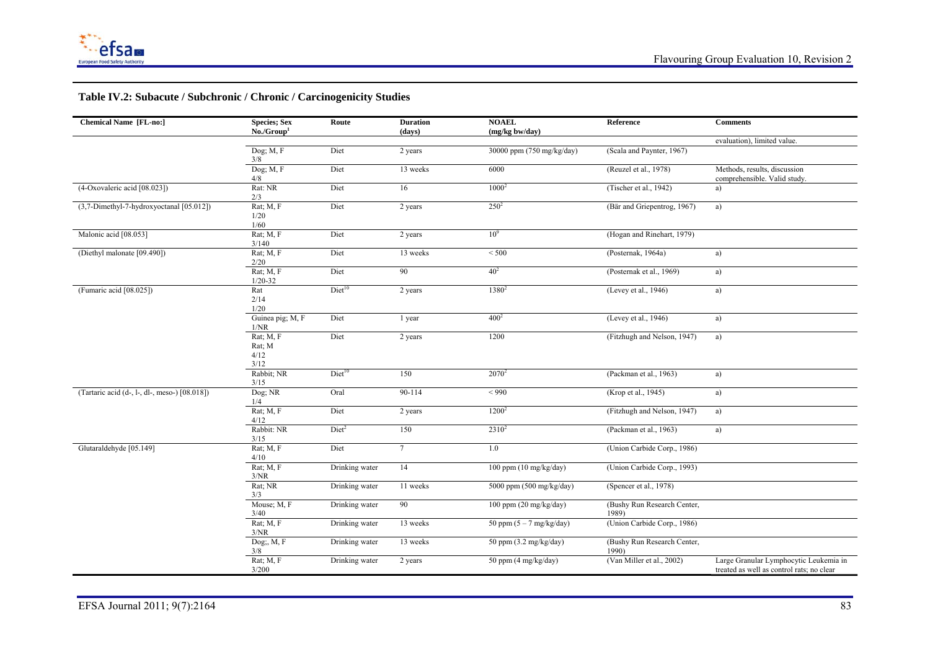

# **Table IV.2: Subacute / Subchronic / Chronic / Carcinogenicity Studies**

| <b>Chemical Name [FL-no:]</b>                 | <b>Species</b> ; Sex<br>No./Group <sup>1</sup> | Route              | <b>Duration</b><br>(days) | <b>NOAEL</b><br>(mg/kg bw/day)     | Reference                            | <b>Comments</b>                                                                     |
|-----------------------------------------------|------------------------------------------------|--------------------|---------------------------|------------------------------------|--------------------------------------|-------------------------------------------------------------------------------------|
|                                               |                                                |                    |                           |                                    |                                      | evaluation), limited value.                                                         |
|                                               | Dog; $M, F$<br>3/8                             | Diet               | 2 years                   | 30000 ppm (750 mg/kg/day)          | (Scala and Paynter, 1967)            |                                                                                     |
|                                               | Dog; M, F<br>4/8                               | Diet               | 13 weeks                  | 6000                               | (Reuzel et al., 1978)                | Methods, results, discussion<br>comprehensible. Valid study.                        |
| (4-Oxovaleric acid [08.023])                  | Rat: NR<br>2/3                                 | Diet               | 16                        | $1000^2$                           | (Tischer et al., 1942)               | a)                                                                                  |
| (3,7-Dimethyl-7-hydroxyoctanal [05.012])      | Rat; M, F<br>1/20<br>1/60                      | Diet               | 2 years                   | $250^2$                            | (Bär and Griepentrog, 1967)          | a)                                                                                  |
| Malonic acid [08.053]                         | Rat; M, F<br>3/140                             | Diet               | 2 years                   | 10 <sup>9</sup>                    | (Hogan and Rinehart, 1979)           |                                                                                     |
| (Diethyl malonate [09.490])                   | Rat; M, F<br>2/20                              | Diet               | 13 weeks                  | < 500                              | (Posternak, 1964a)                   | a)                                                                                  |
|                                               | Rat; $M, F$<br>$1/20 - 32$                     | Diet               | 90                        | 40 <sup>2</sup>                    | (Posternak et al., 1969)             | a)                                                                                  |
| (Fumaric acid [08.025])                       | Rat<br>2/14<br>1/20                            | Diet <sup>10</sup> | 2 years                   | 1380 <sup>2</sup>                  | (Levey et al., 1946)                 | a)                                                                                  |
|                                               | Guinea pig; M, F<br>1/NR                       | Diet               | 1 year                    | 400 <sup>2</sup>                   | (Levey et al., 1946)                 | a)                                                                                  |
|                                               | Rat; M, F<br>Rat; M<br>4/12<br>3/12            | Diet               | 2 years                   | 1200                               | (Fitzhugh and Nelson, 1947)          | a)                                                                                  |
|                                               | Rabbit; NR<br>3/15                             | Diet <sup>10</sup> | 150                       | $2070^2$                           | (Packman et al., 1963)               | a)                                                                                  |
| (Tartaric acid (d-, l-, dl-, meso-) [08.018]) | Dog; NR<br>1/4                                 | Oral               | 90-114                    | ${}_{<}990$                        | (Krop et al., 1945)                  | a)                                                                                  |
|                                               | Rat; M, F<br>4/12                              | Diet               | 2 years                   | $1200^2$                           | (Fitzhugh and Nelson, 1947)          | a)                                                                                  |
|                                               | Rabbit: NR<br>3/15                             | Diet <sup>2</sup>  | 150                       | $2310^2$                           | (Packman et al., 1963)               | a)                                                                                  |
| Glutaraldehyde [05.149]                       | Rat; M, F<br>4/10                              | Diet               | $7\phantom{.0}$           | 1.0                                | (Union Carbide Corp., 1986)          |                                                                                     |
|                                               | Rat; M, F<br>3/NR                              | Drinking water     | 14                        | 100 ppm $(10 \text{ mg/kg/day})$   | (Union Carbide Corp., 1993)          |                                                                                     |
|                                               | Rat; NR<br>3/3                                 | Drinking water     | 11 weeks                  | 5000 ppm (500 mg/kg/day)           | (Spencer et al., 1978)               |                                                                                     |
|                                               | Mouse; M, F<br>3/40                            | Drinking water     | 90                        | 100 ppm $(20 \text{ mg/kg/day})$   | (Bushy Run Research Center,<br>1989) |                                                                                     |
|                                               | Rat; M, F<br>3/NR                              | Drinking water     | 13 weeks                  | 50 ppm $(5 - 7 \text{ mg/kg/day})$ | (Union Carbide Corp., 1986)          |                                                                                     |
|                                               | $Dog$ ;, $M$ , $F$<br>3/8                      | Drinking water     | 13 weeks                  | 50 ppm $(3.2 \text{ mg/kg/day})$   | (Bushy Run Research Center,<br>1990) |                                                                                     |
|                                               | Rat; M, F<br>3/200                             | Drinking water     | 2 years                   | 50 ppm (4 mg/kg/day)               | (Van Miller et al., 2002)            | Large Granular Lymphocytic Leukemia in<br>treated as well as control rats; no clear |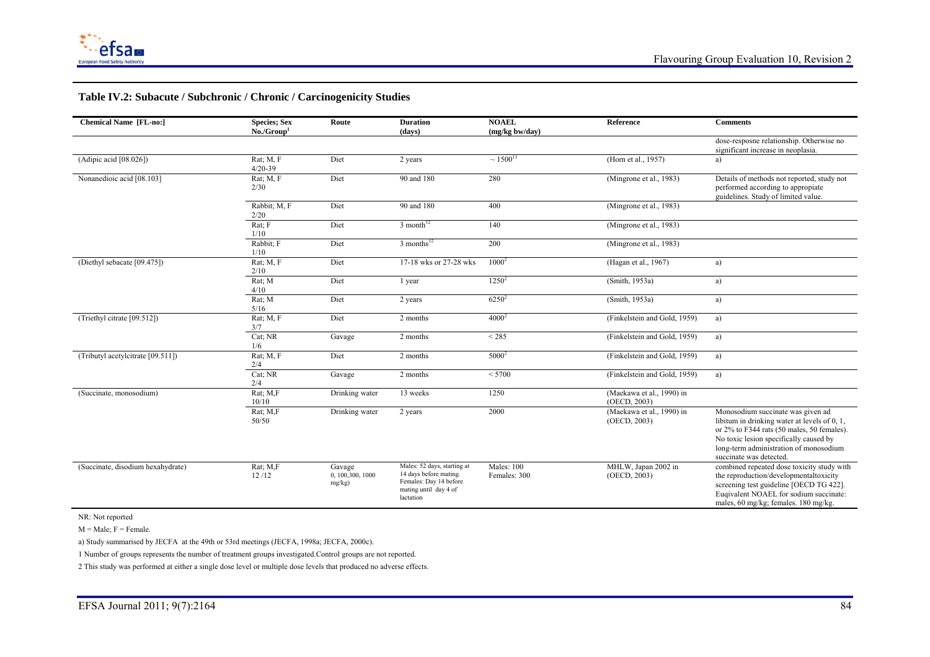

#### **Table IV.2: Subacute / Subchronic / Chronic / Carcinogenicity Studies**

| <b>Chemical Name [FL-no:]</b>     | <b>Species</b> ; Sex<br>No./Group <sup>1</sup> | Route                                    | <b>Duration</b><br>(days)                                                                                             | <b>NOAEL</b><br>(mg/kg bw/day)    | Reference                                 | <b>Comments</b>                                                                                                                                                                                                                               |
|-----------------------------------|------------------------------------------------|------------------------------------------|-----------------------------------------------------------------------------------------------------------------------|-----------------------------------|-------------------------------------------|-----------------------------------------------------------------------------------------------------------------------------------------------------------------------------------------------------------------------------------------------|
|                                   |                                                |                                          |                                                                                                                       |                                   |                                           | dose-resposne relationship. Otherwise no<br>significant increase in neoplasia.                                                                                                                                                                |
| (Adipic acid [08.026])            | Rat; M, F<br>$4/20 - 39$                       | Diet                                     | 2 years                                                                                                               | $\sim 1500^{11}$                  | (Horn et al., 1957)                       | a)                                                                                                                                                                                                                                            |
| Nonanedioic acid [08.103]         | $Rat$ ; $M$ , $F$<br>2/30                      | Diet                                     | 90 and 180                                                                                                            | 280                               | (Mingrone et al., 1983)                   | Details of methods not reported, study not<br>performed according to appropiate<br>guidelines. Study of limited value.                                                                                                                        |
|                                   | Rabbit; M, F<br>2/20                           | Diet                                     | 90 and 180                                                                                                            | 400                               | (Mingrone et al., 1983)                   |                                                                                                                                                                                                                                               |
|                                   | Rat: F<br>1/10                                 | Diet                                     | $3$ month <sup>12</sup>                                                                                               | 140                               | (Mingrone et al., 1983)                   |                                                                                                                                                                                                                                               |
|                                   | Rabbit; F<br>1/10                              | Diet                                     | $3$ months <sup>12</sup>                                                                                              | 200                               | (Mingrone et al., 1983)                   |                                                                                                                                                                                                                                               |
| (Diethyl sebacate [09.475])       | Rat; M, F<br>2/10                              | Diet                                     | 17-18 wks or 27-28 wks                                                                                                | $1000^2$                          | (Hagan et al., 1967)                      | a)                                                                                                                                                                                                                                            |
|                                   | Rat; M<br>4/10                                 | Diet                                     | 1 year                                                                                                                | $1250^2$                          | (Smith, 1953a)                            | a)                                                                                                                                                                                                                                            |
|                                   | Rat; M<br>5/16                                 | Diet                                     | 2 years                                                                                                               | $6250^2$                          | (Smith, 1953a)                            | a)                                                                                                                                                                                                                                            |
| (Triethyl citrate [09.512])       | Rat; M, F<br>3/7                               | Diet                                     | 2 months                                                                                                              | $4000^2$                          | (Finkelstein and Gold, 1959)              | a)                                                                                                                                                                                                                                            |
|                                   | Cat; NR<br>1/6                                 | Gavage                                   | 2 months                                                                                                              | < 285                             | (Finkelstein and Gold, 1959)              | a)                                                                                                                                                                                                                                            |
| (Tributyl acetylcitrate [09.511]) | Rat; M, F<br>2/4                               | Diet                                     | 2 months                                                                                                              | $5000^2$                          | (Finkelstein and Gold, 1959)              | a)                                                                                                                                                                                                                                            |
|                                   | Cat; NR<br>2/4                                 | Gavage                                   | 2 months                                                                                                              | < 5700                            | (Finkelstein and Gold, 1959)              | a)                                                                                                                                                                                                                                            |
| (Succinate, monosodium)           | Rat; M,F<br>10/10                              | Drinking water                           | 13 weeks                                                                                                              | 1250                              | (Maekawa et al., 1990) in<br>(OECD, 2003) |                                                                                                                                                                                                                                               |
|                                   | Rat; M,F<br>50/50                              | Drinking water                           | 2 years                                                                                                               | 2000                              | (Maekawa et al., 1990) in<br>(OECD, 2003) | Monosodium succinate was given ad<br>libitum in drinking water at levels of 0, 1,<br>or 2% to F344 rats (50 males, 50 females).<br>No toxic lesion specifically caused by<br>long-term administration of monosodium<br>succinate was detected |
| (Succinate, disodium hexahydrate) | Rat; M,F<br>12/12                              | Gavage<br>0, 100, 300, 1000<br>$mg/kg$ ) | Males: 52 days, starting at<br>14 days before mating.<br>Females: Day 14 before<br>mating until day 4 of<br>lactation | <b>Males: 100</b><br>Females: 300 | MHLW, Japan 2002 in<br>(OECD, 2003)       | combined repeated dose toxicity study with<br>the reproduction/developmentaltoxicity<br>screening test guideline [OECD TG 422].<br>Eugivalent NOAEL for sodium succinate:<br>males, 60 mg/kg; females. 180 mg/kg.                             |

NR: Not reported

 $M = Male$ ;  $F = Female$ .

a) Study summarised by JECFA at the 49th or 53rd meetings (JECFA, 1998a; JECFA, 2000c).

1 Number of groups represents the number of treatment groups investigated.Control groups are not reported.

2 This study was performed at either a single dose level or multiple dose levels that produced no adverse effects.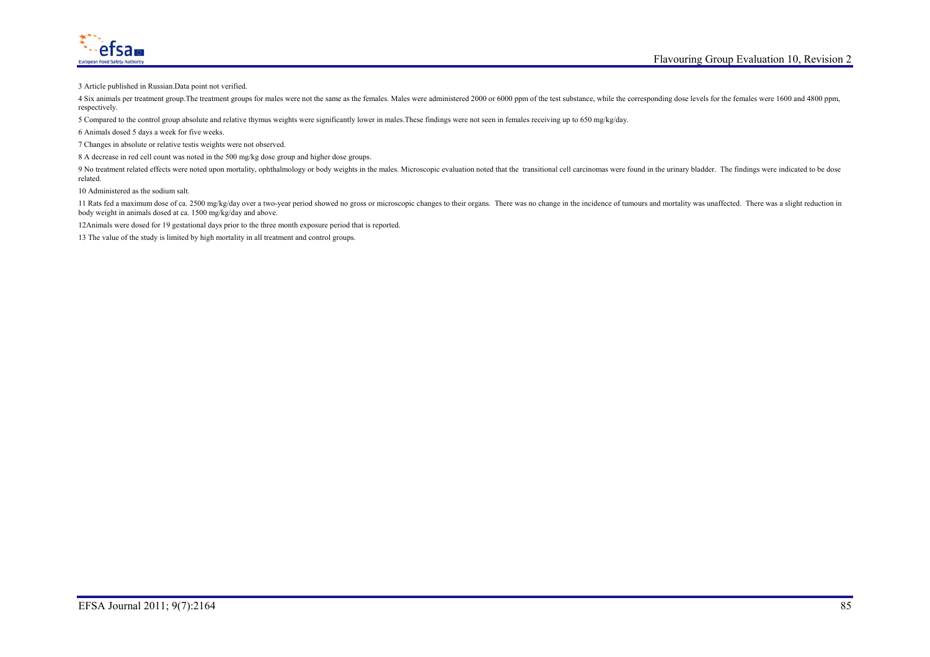

3 Article published in Russian.Data point not verified.

4 Six animals per treatment group. The treatment groups for males were not the same as the females. Males were administered 2000 or 6000 ppm of the test substance, while the corresponding dose levels for the females were 1 respectively.

5 Compared to the control group absolute and relative thymus weights were significantly lower in males.These findings were not seen in females receiving up to 650 mg/kg/day.

6 Animals dosed 5 days a week for five weeks.

7 Changes in absolute or relative testis weights were not observed.

8 A decrease in red cell count was noted in the 500 mg/kg dose group and higher dose groups.

9 No treatment related effects were noted upon mortality, ophthalmology or body weights in the males. Microscopic evaluation noted that the transitional cell carcinomas were found in the urinary bladder. The findings were related.

10 Administered as the sodium salt.

11 Rats fed a maximum dose of ca. 2500 mg/kg/day over a two-year period showed no gross or microscopic changes to their organs. There was no change in the incidence of tumours and mortality was unaffected. There was a slig body weight in animals dosed at ca. 1500 mg/kg/day and above.

12Animals were dosed for 19 gestational days prior to the three month exposure period that is reported.

13 The value of the study is limited by high mortality in all treatment and control groups.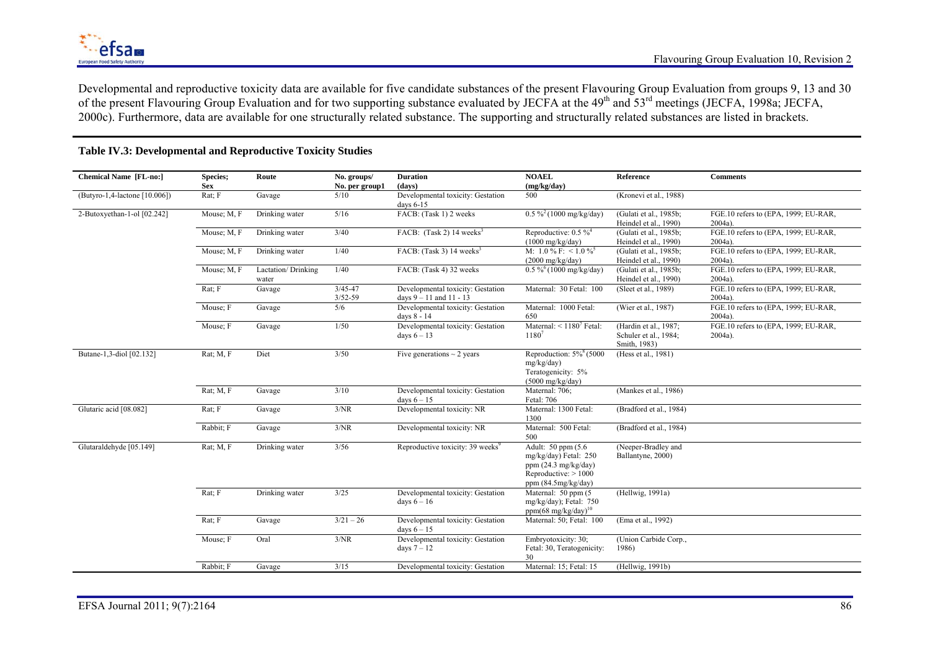Developmental and reproductive toxicity data are available for five candidate substances of the present Flavouring Group Evaluation from groups 9, 13 and 30 of the present Flavouring Group Evaluation and for two supporting substance evaluated by JECFA at the 49th and 53rd meetings (JECFA, 1998a; JECFA, 2000c). Furthermore, data are available for one structurally related substance. The supporting and structurally related substances are listed in brackets.

| <b>Chemical Name [FL-no:]</b> | Species;       | Route                       | No. groups/                | <b>Duration</b>                                                  | <b>NOAEL</b>                                                                                                                      | Reference                                                      | <b>Comments</b>                                    |
|-------------------------------|----------------|-----------------------------|----------------------------|------------------------------------------------------------------|-----------------------------------------------------------------------------------------------------------------------------------|----------------------------------------------------------------|----------------------------------------------------|
|                               | <b>Sex</b>     |                             | No. per group1             | (days)                                                           | (mg/kg/day)                                                                                                                       |                                                                |                                                    |
| (Butyro-1,4-lactone [10.006]) | Rat; F         | Gavage                      | 5/10                       | Developmental toxicity: Gestation<br>days $6-15$                 | 500                                                                                                                               | (Kronevi et al., 1988)                                         |                                                    |
| 2-Butoxyethan-1-ol [02.242]   | Mouse; M, F    | Drinking water              | 5/16                       | FACB: (Task 1) 2 weeks                                           | $0.5\%^{2}(1000 \text{ mg/kg/day})$                                                                                               | (Gulati et al., 1985b;<br>Heindel et al., 1990)                | FGE.10 refers to (EPA, 1999; EU-RAR,<br>$2004a$ ). |
|                               | Mouse; M, F    | Drinking water              | 3/40                       | FACB: (Task 2) 14 weeks <sup>3</sup>                             | Reproductive: $0.5\%$ <sup>4</sup><br>$(1000 \text{ mg/kg/day})$                                                                  | (Gulati et al., 1985b;<br>Heindel et al., 1990)                | FGE.10 refers to (EPA, 1999; EU-RAR,<br>$2004a$ ). |
|                               | Mouse; M, F    | Drinking water              | 1/40                       | FACB: (Task 3) 14 weeks <sup>3</sup>                             | M: 1.0 % F: $\leq$ 1.0 % <sup>5</sup><br>$(2000 \text{ mg/kg/day})$                                                               | (Gulati et al., 1985b;<br>Heindel et al., 1990)                | FGE.10 refers to (EPA, 1999; EU-RAR,<br>$2004a$ )  |
|                               | Mouse; M, F    | Lactation/Drinking<br>water | 1/40                       | FACB: (Task 4) 32 weeks                                          | $0.5\%$ <sup>6</sup> (1000 mg/kg/day)                                                                                             | (Gulati et al., 1985b;<br>Heindel et al., 1990)                | FGE.10 refers to (EPA, 1999; EU-RAR,<br>$2004a$ ). |
|                               | Rat; F         | Gavage                      | $3/45 - 47$<br>$3/52 - 59$ | Developmental toxicity: Gestation<br>days $9 - 11$ and $11 - 13$ | Maternal: 30 Fetal: 100                                                                                                           | (Sleet et al., 1989)                                           | FGE.10 refers to (EPA, 1999; EU-RAR,<br>$2004a$ )  |
|                               | Mouse; F       | Gavage                      | 5/6                        | Developmental toxicity: Gestation<br>days 8 - 14                 | Maternal: 1000 Fetal:<br>650                                                                                                      | (Wier et al., 1987)                                            | FGE.10 refers to (EPA, 1999; EU-RAR,<br>$2004a$ ). |
|                               | Mouse; F       | Gavage                      | 1/50                       | Developmental toxicity: Gestation<br>days $6 - 13$               | Maternal: $\leq 1180^7$ Fetal:<br>$1180^{7}$                                                                                      | (Hardin et al., 1987;<br>Schuler et al., 1984;<br>Smith, 1983) | FGE.10 refers to (EPA, 1999; EU-RAR,<br>$2004a$ ). |
| Butane-1,3-diol [02.132]      | Rat; M, F      | Diet                        | 3/50                       | Five generations $\sim$ 2 years                                  | Reproduction: $5\%$ <sup>8</sup> (5000)<br>mg/kg/day)<br>Teratogenicity: 5%<br>$(5000 \text{ mg/kg/day})$                         | (Hess et al., 1981)                                            |                                                    |
|                               | Rat; M, F      | Gavage                      | 3/10                       | Developmental toxicity: Gestation<br>days $6 - 15$               | Maternal: 706;<br>Fetal: 706                                                                                                      | (Mankes et al., 1986)                                          |                                                    |
| Glutaric acid [08.082]        | Rat; F         | Gavage                      | 3/NR                       | Developmental toxicity: NR                                       | Maternal: 1300 Fetal:<br>1300                                                                                                     | (Bradford et al., 1984)                                        |                                                    |
|                               | Rabbit; F      | Gavage                      | 3/NR                       | Developmental toxicity: NR                                       | Maternal: 500 Fetal:<br>500                                                                                                       | (Bradford et al., 1984)                                        |                                                    |
| Glutaraldehyde [05.149]       | $Rat$ ; $M, F$ | Drinking water              | 3/56                       | Reproductive toxicity: 39 weeks <sup>9</sup>                     | Adult: 50 ppm (5.6)<br>mg/kg/day) Fetal: 250<br>ppm $(24.3 \text{ mg/kg/day})$<br>Reproductive: $> 1000$<br>ppm $(84.5mg/kg/day)$ | (Neeper-Bradley and<br>Ballantyne, 2000)                       |                                                    |
|                               | Rat: F         | Drinking water              | 3/25                       | Developmental toxicity: Gestation<br>days $6 - 16$               | Maternal: $50$ ppm $(5)$<br>mg/kg/day); Fetal: 750<br>ppm $(68 \text{ mg/kg/day})^{10}$                                           | (Hellwig, 1991a)                                               |                                                    |
|                               | Rat; F         | Gavage                      | $3/21 - 26$                | Developmental toxicity: Gestation<br>days $6 - 15$               | Maternal: 50; Fetal: 100                                                                                                          | (Ema et al., 1992)                                             |                                                    |
|                               | Mouse; F       | Oral                        | 3/NR                       | Developmental toxicity: Gestation<br>days $7 - 12$               | Embryotoxicity: 30;<br>Fetal: 30, Teratogenicity:<br>30                                                                           | (Union Carbide Corp.,<br>1986)                                 |                                                    |
|                               | Rabbit; F      | Gavage                      | 3/15                       | Developmental toxicity: Gestation                                | Maternal: 15; Fetal: 15                                                                                                           | (Hellwig, 1991b)                                               |                                                    |

### **Table IV.3: Developmental and Reproductive Toxicity Studies**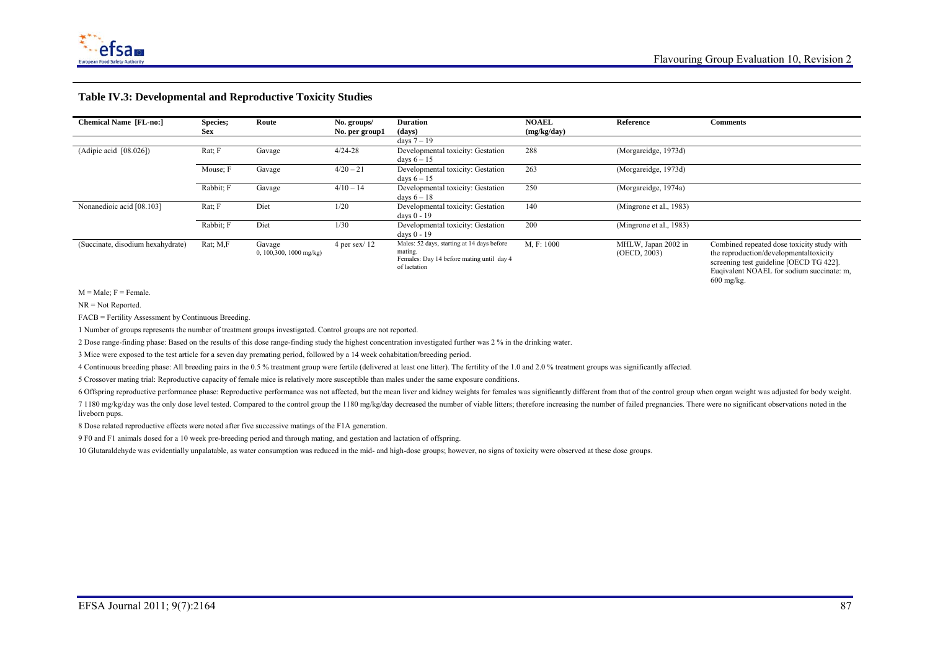

#### **Table IV.3: Developmental and Reproductive Toxicity Studies**

| <b>Chemical Name [FL-no:]</b>     | Species;<br>Sex   | Route                              | No. groups/<br>No. per group1 | <b>Duration</b><br>(days)                                                                                          | <b>NOAEL</b><br>(mg/kg/day) | Reference                           | <b>Comments</b>                                                                                                                                                                              |
|-----------------------------------|-------------------|------------------------------------|-------------------------------|--------------------------------------------------------------------------------------------------------------------|-----------------------------|-------------------------------------|----------------------------------------------------------------------------------------------------------------------------------------------------------------------------------------------|
|                                   |                   |                                    |                               | days $7 - 19$                                                                                                      |                             |                                     |                                                                                                                                                                                              |
| (Adipic acid [08.026])            | Rat; F            | Gavage                             | $4/24 - 28$                   | Developmental toxicity: Gestation<br>days $6 - 15$                                                                 | 288                         | (Morgareidge, 1973d)                |                                                                                                                                                                                              |
|                                   | Mouse: F          | Gavage                             | $4/20 - 21$                   | Developmental toxicity: Gestation<br>days $6 - 15$                                                                 | 263                         | (Morgareidge, 1973d)                |                                                                                                                                                                                              |
|                                   | Rabbit; F         | Gavage                             | $4/10 - 14$                   | Developmental toxicity: Gestation<br>days $6 - 18$                                                                 | 250                         | (Morgareidge, 1974a)                |                                                                                                                                                                                              |
| Nonanedioic acid [08.103]         | Rat: F            | Diet                               | 1/20                          | Developmental toxicity: Gestation<br>days $0 - 19$                                                                 | 140                         | (Mingrone et al., 1983)             |                                                                                                                                                                                              |
|                                   | Rabbit; F         | Diet                               | 1/30                          | Developmental toxicity: Gestation<br>days 0 - 19                                                                   | 200                         | (Mingrone et al., 1983)             |                                                                                                                                                                                              |
| (Succinate, disodium hexahydrate) | $Rat$ ; $M$ , $F$ | Gavage<br>0, 100, 300, 1000 mg/kg) | 4 per sex $/$ 12              | Males: 52 days, starting at 14 days before<br>mating.<br>Females: Day 14 before mating until day 4<br>of lactation | M. F: 1000                  | MHLW, Japan 2002 in<br>(OECD, 2003) | Combined repeated dose toxicity study with<br>the reproduction/developmentaltoxicity<br>screening test guideline [OECD TG 422].<br>Eugivalent NOAEL for sodium succinate: m.<br>$600$ mg/kg. |

 $M = Male$ ;  $F = Female$ .

NR = Not Reported.

FACB = Fertility Assessment by Continuous Breeding.

1 Number of groups represents the number of treatment groups investigated. Control groups are not reported.

2 Dose range-finding phase: Based on the results of this dose range-finding study the highest concentration investigated further was 2 % in the drinking water.

3 Mice were exposed to the test article for a seven day premating period, followed by a 14 week cohabitation/breeding period.

4 Continuous breeding phase: All breeding pairs in the 0.5 % treatment group were fertile (delivered at least one litter). The fertility of the 1.0 and 2.0 % treatment groups was significantly affected.

5 Crossover mating trial: Reproductive capacity of female mice is relatively more susceptible than males under the same exposure conditions.

6 Offspring reproductive performance phase: Reproductive performance was not affected, but the mean liver and kidney weights for females was significantly different from that of the control group when organ weight was adju

7 1180 mg/kg/day was the only dose level tested. Compared to the control group the 1180 mg/kg/day decreased the number of viable litters; therefore increasing the number of failed pregnancies. There were no significant obs liveborn pups.

8 Dose related reproductive effects were noted after five successive matings of the F1A generation.

9 F0 and F1 animals dosed for a 10 week pre-breeding period and through mating, and gestation and lactation of offspring.

10 Glutaraldehyde was evidentially unpalatable, as water consumption was reduced in the mid- and high-dose groups; however, no signs of toxicity were observed at these dose groups.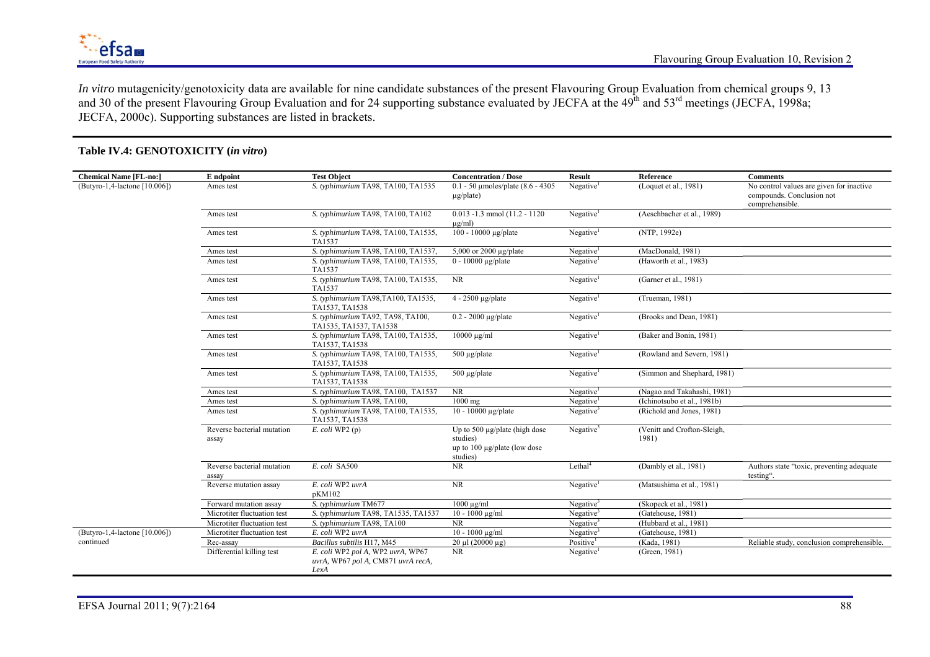

*In vitro* mutagenicity/genotoxicity data are available for nine candidate substances of the present Flavouring Group Evaluation from chemical groups 9, 13 and 30 of the present Flavouring Group Evaluation and for 24 supporting substance evaluated by JECFA at the 49<sup>th</sup> and 53<sup>rd</sup> meetings (JECFA, 1998a; JECFA, 2000c). Supporting substances are listed in brackets.

| <b>Chemical Name [FL-no:]</b> | E ndpoint                           | <b>Test Object</b>                                                              | <b>Concentration / Dose</b>                                                                | <b>Result</b>            | Reference                            | <b>Comments</b>                                                                          |
|-------------------------------|-------------------------------------|---------------------------------------------------------------------------------|--------------------------------------------------------------------------------------------|--------------------------|--------------------------------------|------------------------------------------------------------------------------------------|
| (Butyro-1,4-lactone [10.006]) | Ames test                           | S. typhimurium TA98, TA100, TA1535                                              | $0.1 - 50$ umoles/plate $(8.6 - 4305)$<br>$\mu$ g/plate)                                   | Negative <sup>1</sup>    | (Loquet et al., $1\overline{981}$ )  | No control values are given for inactive<br>compounds. Conclusion not<br>comprehensible. |
|                               | Ames test                           | S. typhimurium TA98, TA100, TA102                                               | $0.013 - 1.3$ mmol $(11.2 - 1120)$<br>$\mu$ g/ml)                                          | Negative <sup>1</sup>    | (Aeschbacher et al., 1989)           |                                                                                          |
|                               | Ames test                           | S. typhimurium TA98, TA100, TA1535,<br>TA1537                                   | 100 - 10000 μg/plate                                                                       | Negative <sup>1</sup>    | (NTP, 1992e)                         |                                                                                          |
|                               | Ames test                           | S. typhimurium TA98, TA100, TA1537,                                             | 5,000 or 2000 $\mu$ g/plate                                                                | Negative <sup>1</sup>    | (MacDonald, 1981)                    |                                                                                          |
|                               | Ames test                           | S. typhimurium TA98, TA100, TA1535,<br>TA1537                                   | $0 - 10000 \mu g$ /plate                                                                   | Negative <sup>1</sup>    | (Haworth et al., 1983)               |                                                                                          |
|                               | Ames test                           | S. typhimurium TA98, TA100, TA1535,<br>TA1537                                   | <b>NR</b>                                                                                  | Negative <sup>1</sup>    | (Garner et al., 1981)                |                                                                                          |
|                               | Ames test                           | S. typhimurium TA98,TA100, TA1535,<br>TA1537, TA1538                            | $4 - 2500$ µg/plate                                                                        | Negative <sup>1</sup>    | (Trueman, 1981)                      |                                                                                          |
|                               | Ames test                           | S. typhimurium TA92, TA98, TA100,<br>TA1535, TA1537, TA1538                     | $0.2 - 2000 \mu g$ /plate                                                                  | Negative                 | (Brooks and Dean, 1981)              |                                                                                          |
|                               | Ames test                           | S. typhimurium TA98, TA100, TA1535,<br>TA1537, TA1538                           | $10000 \mu g/ml$                                                                           | Negative <sup>1</sup>    | (Baker and Bonin, 1981)              |                                                                                          |
|                               | Ames test                           | S. typhimurium TA98, TA100, TA1535,<br>TA1537, TA1538                           | $500 \mu g$ /plate                                                                         | Negative <sup>1</sup>    | (Rowland and Severn, 1981)           |                                                                                          |
|                               | Ames test                           | S. typhimurium TA98, TA100, TA1535,<br>TA1537, TA1538                           | $500 \mu g$ /plate                                                                         | Negative <sup>1</sup>    | (Simmon and Shephard, 1981)          |                                                                                          |
|                               | Ames test                           | S. typhimurium TA98, TA100, TA1537                                              | <b>NR</b>                                                                                  | Negative <sup>1</sup>    | (Nagao and Takahashi, 1981)          |                                                                                          |
|                               | Ames test                           | S. typhimurium TA98, TA100,                                                     | $1000$ mg                                                                                  | $Ne$ gative <sup>1</sup> | (Ichinotsubo et al., 1981b)          |                                                                                          |
|                               | Ames test                           | S. typhimurium TA98, TA100, TA1535,<br>TA1537, TA1538                           | 10 - 10000 ug/plate                                                                        | Negative <sup>3</sup>    | (Richold and Jones, 1981)            |                                                                                          |
|                               | Reverse bacterial mutation<br>assay | $E.$ coli WP2 (p)                                                               | Up to 500 $\mu$ g/plate (high dose<br>studies)<br>up to 100 μg/plate (low dose<br>studies) | Negative $3$             | (Venitt and Crofton-Sleigh,<br>1981) |                                                                                          |
|                               | Reverse bacterial mutation<br>assay | E. coli SA500                                                                   | <b>NR</b>                                                                                  | Let hal <sup>4</sup>     | (Dambly et al., 1981)                | Authors state "toxic, preventing adequate<br>testing".                                   |
|                               | Reverse mutation assay              | E. coli WP2 uvrA<br>pKM102                                                      | NR                                                                                         | Negative <sup>1</sup>    | (Matsushima et al., 1981)            |                                                                                          |
|                               | Forward mutation assay              | S. typhimurium TM677                                                            | $1000 \mu g/ml$                                                                            | Negative $3$             | (Skopeck et al., 1981)               |                                                                                          |
|                               | Microtiter fluctuation test         | S. typhimurium TA98, TA1535, TA1537                                             | $10 - 1000 \text{ µg/ml}$                                                                  | Negative <sup>3</sup>    | (Gatehouse, 1981)                    |                                                                                          |
|                               | Microtiter fluctuation test         | S. typhimurium TA98, TA100                                                      | <b>NR</b>                                                                                  | Negative <sup>3</sup>    | (Hubbard et al., 1981)               |                                                                                          |
| (Butyro-1,4-lactone [10.006]) | Microtiter fluctuation test         | E. coli WP2 uvrA                                                                | $10 - 1000 \text{ µg/ml}$                                                                  | Negative $3$             | (Gatehouse, 1981)                    |                                                                                          |
| continued                     | Rec-assay                           | Bacillus subtilis H17, M45                                                      | $20 \mu$ l (20000 μg)                                                                      | Positive                 | (Kada, 1981)                         | Reliable study, conclusion comprehensible.                                               |
|                               | Differential killing test           | E. coli WP2 pol A, WP2 uvrA, WP67<br>uvrA, WP67 pol A, CM871 uvrA recA,<br>LexA | <b>NR</b>                                                                                  | Negative <sup>1</sup>    | (Green, 1981)                        |                                                                                          |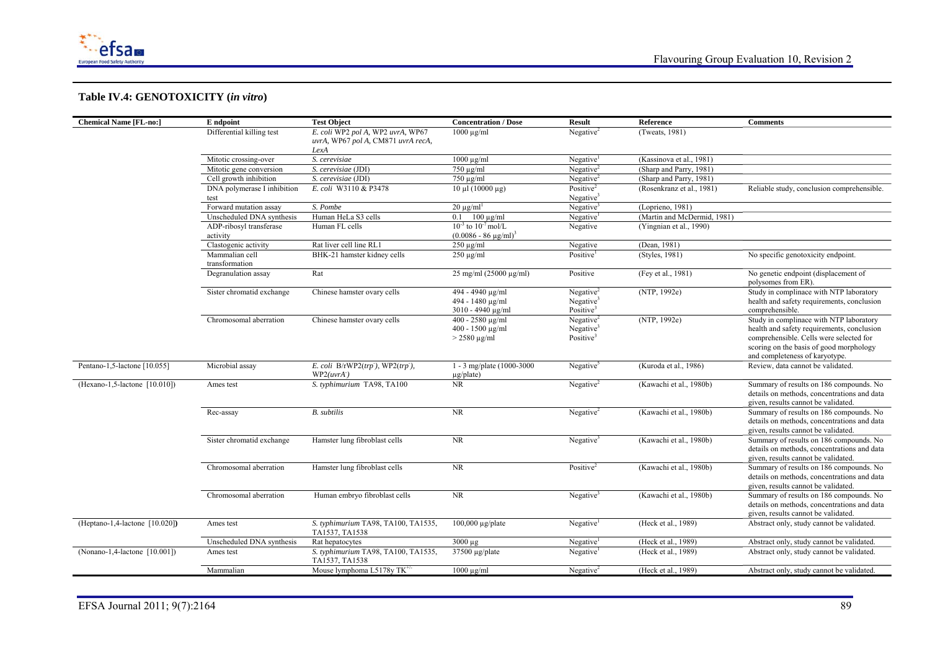

| <b>Chemical Name [FL-no:]</b>  | E ndpoint                        | <b>Test Object</b>                                    | <b>Concentration / Dose</b>                                    | <b>Result</b>                                                  | Reference                   | <b>Comments</b>                                                                                                                                                                                               |
|--------------------------------|----------------------------------|-------------------------------------------------------|----------------------------------------------------------------|----------------------------------------------------------------|-----------------------------|---------------------------------------------------------------------------------------------------------------------------------------------------------------------------------------------------------------|
|                                | Differential killing test        | E. coli WP2 pol A, WP2 uvrA, WP67                     | $1000 \mu g/ml$                                                | Negative $2$                                                   | (Tweats, $1981$ )           |                                                                                                                                                                                                               |
|                                |                                  | uvrA, WP67 pol A, CM871 uvrA recA,                    |                                                                |                                                                |                             |                                                                                                                                                                                                               |
|                                |                                  | LexA                                                  |                                                                |                                                                |                             |                                                                                                                                                                                                               |
|                                | Mitotic crossing-over            | S. cerevisiae                                         | $1000 \mu g/ml$                                                | Negative <sup>1</sup>                                          | (Kassinova et al., 1981)    |                                                                                                                                                                                                               |
|                                | Mitotic gene conversion          | S. cerevisiae (JDI)                                   | $\sqrt{750 \mu g/ml}$                                          | Negative $2$                                                   | (Sharp and Parry, 1981)     |                                                                                                                                                                                                               |
|                                | Cell growth inhibition           | S. cerevisiae (JDI)                                   | $750 \mu g/ml$                                                 | Negative <sup>2</sup>                                          | (Sharp and Parry, 1981)     |                                                                                                                                                                                                               |
|                                | DNA polymerase I inhibition      | E. coli W3110 & P3478                                 | $10 \mu l$ (10000 $\mu$ g)                                     | Positive <sup>2</sup>                                          | (Rosenkranz et al., 1981)   | Reliable study, conclusion comprehensible.                                                                                                                                                                    |
|                                | test                             |                                                       |                                                                | Negative <sup>3</sup>                                          |                             |                                                                                                                                                                                                               |
|                                | Forward mutation assay           | S. Pombe                                              | $20 \text{ µg/ml}^1$                                           | Negative <sup>3</sup>                                          | (Loprieno, 1981)            |                                                                                                                                                                                                               |
|                                | Unscheduled DNA synthesis        | Human HeLa S3 cells                                   | $0.1$ 100 $\mu$ g/ml                                           | Negative <sup>1</sup>                                          | (Martin and McDermid, 1981) |                                                                                                                                                                                                               |
|                                | ADP-ribosyl transferase          | Human FL cells                                        | $10^{-3}$ to $10^{-7}$ mol/L                                   | Negative                                                       | (Yingnian et al., 1990)     |                                                                                                                                                                                                               |
|                                | activity                         |                                                       | $(0.0086 - 86 \text{ µg/ml})^3$                                |                                                                |                             |                                                                                                                                                                                                               |
|                                | Clastogenic activity             | Rat liver cell line RL1                               | $250 \mu g/ml$                                                 | Negative                                                       | (Dean, 1981)                |                                                                                                                                                                                                               |
|                                | Mammalian cell<br>transformation | BHK-21 hamster kidney cells                           | $250 \mu g/ml$                                                 | Positive                                                       | (Styles, 1981)              | No specific genotoxicity endpoint.                                                                                                                                                                            |
|                                | Degranulation assay              | Rat                                                   | $25 \text{ mg/ml}$ (25000 $\mu$ g/ml)                          | Positive                                                       | (Fey et al., 1981)          | No genetic endpoint (displacement of<br>polysomes from ER).                                                                                                                                                   |
|                                | Sister chromatid exchange        | Chinese hamster ovary cells                           | 494 - 4940 μg/ml<br>494 - 1480 μg/ml<br>3010 - 4940 µg/ml      | Negative $2$<br>Negative <sup>3</sup><br>Positive <sup>3</sup> | (NTP, 1992e)                | Study in complinace with NTP laboratory<br>health and safety requirements, conclusion<br>comprehensible.                                                                                                      |
|                                | Chromosomal aberration           | Chinese hamster ovary cells                           | 400 - 2580 μg/ml<br>400 - 1500 μg/ml<br>$> 2580 \text{ µg/ml}$ | Negative $2$<br>Negative <sup>3</sup><br>Positive <sup>3</sup> | (NTP, 1992e)                | Study in complinace with NTP laboratory<br>health and safety requirements, conclusion<br>comprehensible. Cells were selected for<br>scoring on the basis of good morphology<br>and completeness of karyotype. |
| Pentano-1,5-lactone [10.055]   | Microbial assay                  | E. coli $B/rWP2(trp)$ , WP2(trp),<br>WP2(uvrA)        | 1 - 3 mg/plate (1000-3000<br>$\mu$ g/plate)                    | Negative <sup>3</sup>                                          | (Kuroda et al., 1986)       | Review, data cannot be validated.                                                                                                                                                                             |
| (Hexano-1,5-lactone [10.010])  | Ames test                        | S. typhimurium TA98, TA100                            | <b>NR</b>                                                      | Negative $2$                                                   | (Kawachi et al., 1980b)     | Summary of results on 186 compounds. No<br>details on methods, concentrations and data<br>given, results cannot be validated.                                                                                 |
|                                | Rec-assay                        | <b>B.</b> subtilis                                    | NR                                                             | Negative $2$                                                   | (Kawachi et al., 1980b)     | Summary of results on 186 compounds. No<br>details on methods, concentrations and data<br>given, results cannot be validated.                                                                                 |
|                                | Sister chromatid exchange        | Hamster lung fibroblast cells                         | NR                                                             | Negative <sup>3</sup>                                          | (Kawachi et al., 1980b)     | Summary of results on 186 compounds. No<br>details on methods, concentrations and data<br>given, results cannot be validated.                                                                                 |
|                                | Chromosomal aberration           | Hamster lung fibroblast cells                         | NR                                                             | Positive <sup>2</sup>                                          | (Kawachi et al., 1980b)     | Summary of results on 186 compounds. No<br>details on methods, concentrations and data<br>given, results cannot be validated.                                                                                 |
|                                | Chromosomal aberration           | Human embryo fibroblast cells                         | NR                                                             | Negative <sup>3</sup>                                          | (Kawachi et al., 1980b)     | Summary of results on 186 compounds. No<br>details on methods, concentrations and data<br>given, results cannot be validated.                                                                                 |
| (Heptano-1,4-lactone [10.020]) | Ames test                        | S. typhimurium TA98, TA100, TA1535,<br>TA1537, TA1538 | $100,000 \mu g$ /plate                                         | Negative <sup>1</sup>                                          | (Heck et al., 1989)         | Abstract only, study cannot be validated.                                                                                                                                                                     |
|                                | Unscheduled DNA synthesis        | Rat hepatocytes                                       | $3000 \text{ µg}$                                              | Negative <sup>1</sup>                                          | (Heck et al., 1989)         | Abstract only, study cannot be validated.                                                                                                                                                                     |
| (Nonano-1,4-lactone [10.001])  | Ames test                        | S. typhimurium TA98, TA100, TA1535,<br>TA1537, TA1538 | $37500 \mu g$ /plate                                           | Negative <sup>1</sup>                                          | (Heck et al., 1989)         | Abstract only, study cannot be validated.                                                                                                                                                                     |
|                                | Mammalian                        | Mouse lymphoma L5178y $TK^{+/}$                       | $1000 \mu g/ml$                                                | Negative <sup>2</sup>                                          | (Heck et al., 1989)         | Abstract only, study cannot be validated.                                                                                                                                                                     |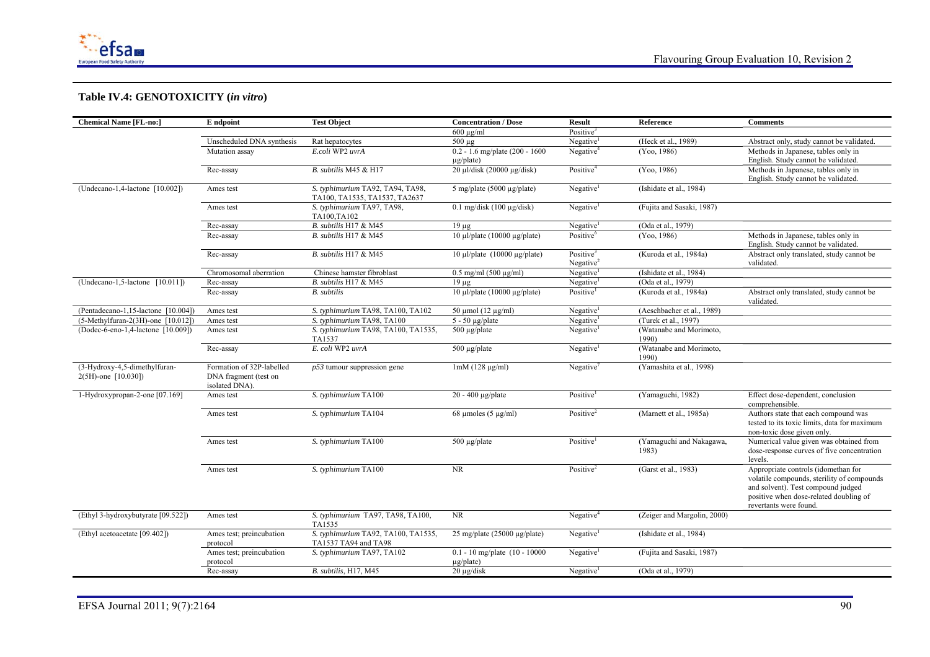

| <b>Chemical Name [FL-no:]</b>                        | E ndpoint                                                            | <b>Test Object</b>                                                | <b>Concentration / Dose</b>                          | <b>Result</b>                         | Reference                         | <b>Comments</b>                                                                                                                                                                             |
|------------------------------------------------------|----------------------------------------------------------------------|-------------------------------------------------------------------|------------------------------------------------------|---------------------------------------|-----------------------------------|---------------------------------------------------------------------------------------------------------------------------------------------------------------------------------------------|
|                                                      |                                                                      |                                                                   | $600 \text{ µg/ml}$                                  | Positive <sup>3</sup>                 |                                   |                                                                                                                                                                                             |
|                                                      | Unscheduled DNA synthesis                                            | Rat hepatocytes                                                   | $500 \mu g$                                          | Negative                              | (Heck et al., 1989)               | Abstract only, study cannot be validated.                                                                                                                                                   |
|                                                      | Mutation assay                                                       | E.coli WP2 uvrA                                                   | $0.2 - 1.6$ mg/plate (200 - 1600)<br>$\mu$ g/plate)  | Negative <sup>4</sup>                 | (Yoo, 1986)                       | Methods in Japanese, tables only in<br>English. Study cannot be validated.                                                                                                                  |
|                                                      | Rec-assay                                                            | B. subtilis M45 & H17                                             | 20 μl/disk (20000 μg/disk)                           | Positive <sup>4</sup>                 | (Yoo, 1986)                       | Methods in Japanese, tables only in<br>English. Study cannot be validated.                                                                                                                  |
| (Undecano-1,4-lactone [10.002])                      | Ames test                                                            | S. typhimurium TA92, TA94, TA98,<br>TA100, TA1535, TA1537, TA2637 | 5 mg/plate (5000 $\mu$ g/plate)                      | Negative                              | (Ishidate et al., 1984)           |                                                                                                                                                                                             |
|                                                      | Ames test                                                            | S. typhimurium TA97, TA98,<br>TA100,TA102                         | $0.1$ mg/disk (100 µg/disk)                          | Negative                              | (Fujita and Sasaki, 1987)         |                                                                                                                                                                                             |
|                                                      | Rec-assay                                                            | B. subtilis H17 & M45                                             | $19 \mu g$                                           | Negative <sup>1</sup>                 | (Oda et al., 1979)                |                                                                                                                                                                                             |
|                                                      | Rec-assay                                                            | B. subtilis H17 & M45                                             | 10 μl/plate (10000 μg/plate)                         | Positive <sup>6</sup>                 | (Yoo, 1986)                       | Methods in Japanese, tables only in<br>English. Study cannot be validated.                                                                                                                  |
|                                                      | Rec-assay                                                            | B. subtilis H17 & M45                                             | $10 \mu$ l/plate (10000 $\mu$ g/plate)               | Positive <sup>3</sup><br>Negative $2$ | (Kuroda et al., 1984a)            | Abstract only translated, study cannot be<br>validated.                                                                                                                                     |
|                                                      | Chromosomal aberration                                               | Chinese hamster fibroblast                                        | $0.5$ mg/ml $(500 \mu g/ml)$                         | Negative                              | (Ishidate et al., 1984)           |                                                                                                                                                                                             |
| $(Undecano-1, 5-lactone [10.011])$                   | Rec-assay                                                            | B. subtilis H17 & M45                                             | $19 \mu g$                                           | Negative                              | (Oda et al., 1979)                |                                                                                                                                                                                             |
|                                                      | Rec-assay                                                            | <b>B.</b> subtilis                                                | 10 μl/plate (10000 μg/plate)                         | Positive <sup>1</sup>                 | (Kuroda et al., 1984a)            | Abstract only translated, study cannot be<br>validated.                                                                                                                                     |
| (Pentadecano-1,15-lactone [10.004]                   | Ames test                                                            | S. typhimurium TA98, TA100, TA102                                 | $50 \mu$ mol (12 $\mu$ g/ml)                         | Negative                              | (Aeschbacher et al., 1989)        |                                                                                                                                                                                             |
| (5-Methylfuran-2(3H)-one [10.012]                    | Ames test                                                            | S. typhimurium TA98, TA100                                        | $5 - 50 \mu g$ plate                                 | Negative <sup>1</sup>                 | (Turek et al., 1997)              |                                                                                                                                                                                             |
| (Dodec-6-eno-1,4-lactone [10.009])                   | Ames test                                                            | S. typhimurium TA98, TA100, TA1535,<br>TA1537                     | $500 \mu g$ /plate                                   | Negative <sup>1</sup>                 | (Watanabe and Morimoto,<br>1990)  |                                                                                                                                                                                             |
|                                                      | Rec-assay                                                            | E. coli WP2 uvrA                                                  | $500 \mu g$ /plate                                   | Negative                              | (Watanabe and Morimoto,<br>1990)  |                                                                                                                                                                                             |
| (3-Hydroxy-4,5-dimethylfuran-<br>2(5H)-one [10.030]) | Formation of 32P-labelled<br>DNA fragment (test on<br>isolated DNA). | $p53$ tumour suppression gene                                     | $1mM(128 \mu g/ml)$                                  | Negative'                             | (Yamashita et al., 1998)          |                                                                                                                                                                                             |
| 1-Hydroxypropan-2-one [07.169]                       | Ames test                                                            | S. typhimurium TA100                                              | $20 - 400$ µg/plate                                  | Positive <sup>1</sup>                 | (Yamaguchi, 1982)                 | Effect dose-dependent, conclusion<br>comprehensible.                                                                                                                                        |
|                                                      | Ames test                                                            | S. typhimurium TA104                                              | 68 µmoles $(5 \mu g/ml)$                             | Positive <sup>2</sup>                 | (Marnett et al., 1985a)           | Authors state that each compound was<br>tested to its toxic limits, data for maximum<br>non-toxic dose given only.                                                                          |
|                                                      | Ames test                                                            | S. typhimurium TA100                                              | $500 \mu g$ /plate                                   | Positive <sup>1</sup>                 | (Yamaguchi and Nakagawa,<br>1983) | Numerical value given was obtained from<br>dose-response curves of five concentration<br>levels.                                                                                            |
|                                                      | Ames test                                                            | S. typhimurium TA100                                              | <b>NR</b>                                            | Positive <sup>2</sup>                 | (Garst et al., 1983)              | Appropriate controls (idomethan for<br>volatile compounds, sterility of compounds<br>and solvent). Test compound judged<br>positive when dose-related doubling of<br>revertants were found. |
| (Ethyl 3-hydroxybutyrate [09.522])                   | Ames test                                                            | S. typhimurium TA97, TA98, TA100,<br>TA1535                       | <b>NR</b>                                            | Negative <sup>4</sup>                 | (Zeiger and Margolin, 2000)       |                                                                                                                                                                                             |
| (Ethyl acetoacetate [09.402])                        | Ames test; preincubation<br>protocol                                 | S. typhimurium TA92, TA100, TA1535,<br>TA1537 TA94 and TA98       | 25 mg/plate (25000 µg/plate)                         | Negative <sup>1</sup>                 | (Ishidate et al., 1984)           |                                                                                                                                                                                             |
|                                                      | Ames test; preincubation<br>protocol                                 | S. typhimurium TA97, TA102                                        | $0.1 - 10$ mg/plate $(10 - 10000)$<br>$\mu$ g/plate) | Negative <sup>1</sup>                 | (Fujita and Sasaki, 1987)         |                                                                                                                                                                                             |
|                                                      | Rec-assay                                                            | B. subtilis, H17, M45                                             | $20 \mu$ g/disk                                      | Negative <sup>1</sup>                 | (Oda et al., 1979)                |                                                                                                                                                                                             |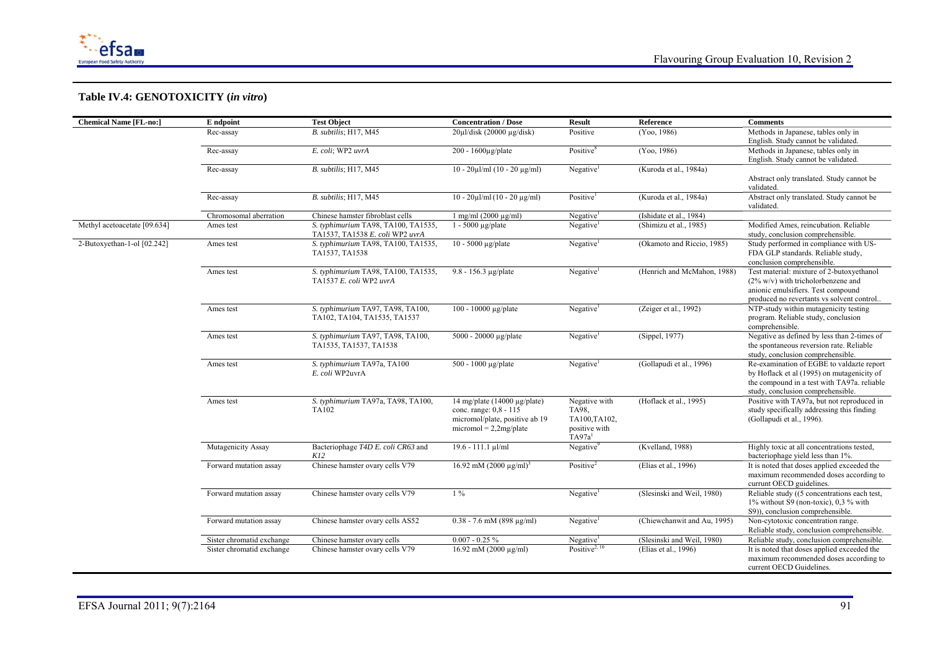

| <b>Chemical Name [FL-no:]</b> | E ndpoint                 | <b>Test Object</b>                                                     | <b>Concentration / Dose</b>                                                                                               | <b>Result</b>                                                                 | Reference                   | <b>Comments</b>                                                                                                                                                             |
|-------------------------------|---------------------------|------------------------------------------------------------------------|---------------------------------------------------------------------------------------------------------------------------|-------------------------------------------------------------------------------|-----------------------------|-----------------------------------------------------------------------------------------------------------------------------------------------------------------------------|
|                               | Rec-assay                 | B. subtilis; H17, M45                                                  | $20 \mu$ l/disk (20000 µg/disk)                                                                                           | Positive                                                                      | (Yoo, 1986)                 | Methods in Japanese, tables only in<br>English. Study cannot be validated.                                                                                                  |
|                               | Rec-assay                 | E. coli; WP2 uvrA                                                      | $200 - 1600 \mu g$ plate                                                                                                  | Positive <sup>8</sup>                                                         | (Yoo, 1986)                 | Methods in Japanese, tables only in<br>English. Study cannot be validated.                                                                                                  |
|                               | Rec-assay                 | B. subtilis; H17, M45                                                  | $10 - 20 \mu l/ml$ (10 - 20 $\mu$ g/ml)                                                                                   | Negative <sup>1</sup>                                                         | (Kuroda et al., 1984a)      | Abstract only translated. Study cannot be<br>validated.                                                                                                                     |
|                               | Rec-assay                 | B. subtilis; H17, M45                                                  | $10 - 20 \mu$ l/ml $(10 - 20 \mu$ g/ml)                                                                                   | Positive <sup>1</sup>                                                         | (Kuroda et al., 1984a)      | Abstract only translated. Study cannot be<br>validated.                                                                                                                     |
|                               | Chromosomal aberration    | Chinese hamster fibroblast cells                                       | $1$ mg/ml (2000 µg/ml)                                                                                                    | Negative                                                                      | (Ishidate et al., 1984)     |                                                                                                                                                                             |
| Methyl acetoacetate [09.634]  | Ames test                 | S. typhimurium TA98, TA100, TA1535,<br>TA1537, TA1538 E. coli WP2 uvrA | $1 - 5000 \mu g$ plate                                                                                                    | Negative <sup>1</sup>                                                         | (Shimizu et al., 1985)      | Modified Ames, reincubation. Reliable<br>study, conclusion comprehensible.                                                                                                  |
| 2-Butoxyethan-1-ol [02.242]   | Ames test                 | S. typhimurium TA98, TA100, TA1535,<br>TA1537, TA1538                  | $10 - 5000$ µg/plate                                                                                                      | Negative                                                                      | (Okamoto and Riccio, 1985)  | Study performed in compliance with US-<br>FDA GLP standards. Reliable study,<br>conclusion comprehensible.                                                                  |
|                               | Ames test                 | S. typhimurium TA98, TA100, TA1535,<br>TA1537 E. coli WP2 uvrA         | 9.8 - 156.3 µg/plate                                                                                                      | Negative                                                                      | (Henrich and McMahon, 1988) | Test material: mixture of 2-butoxyethanol<br>(2% w/v) with tricholorbenzene and<br>anionic emulsifiers. Test compound<br>produced no revertants vs solvent control          |
|                               | Ames test                 | S. typhimurium TA97, TA98, TA100,<br>TA102, TA104, TA1535, TA1537      | 100 - 10000 μg/plate                                                                                                      | Negative <sup>1</sup>                                                         | (Zeiger et al., 1992)       | NTP-study within mutagenicity testing<br>program. Reliable study, conclusion<br>comprehensible.                                                                             |
|                               | Ames test                 | S. typhimurium TA97, TA98, TA100,<br>TA1535, TA1537, TA1538            | 5000 - 20000 μg/plate                                                                                                     | Negative <sup>1</sup>                                                         | (Sippel, 1977)              | Negative as defined by less than 2-times of<br>the spontaneous reversion rate. Reliable<br>study, conclusion comprehensible.                                                |
|                               | Ames test                 | S. typhimurium TA97a, TA100<br>E. coli WP2uvrA                         | 500 - 1000 μg/plate                                                                                                       | Negative <sup>1</sup>                                                         | (Gollapudi et al., 1996)    | Re-examination of EGBE to valdazte report<br>by Hoflack et al (1995) on mutagenicity of<br>the compound in a test with TA97a. reliable<br>study, conclusion comprehensible. |
|                               | Ames test                 | S. typhimurium TA97a, TA98, TA100,<br>TA102                            | 14 mg/plate (14000 $\mu$ g/plate)<br>conc. range: 0,8 - 115<br>micromol/plate, positive ab 19<br>$micromol = 2,2mg/plate$ | Negative with<br>TA98,<br>TA100,TA102,<br>positive with<br>TA97a <sup>1</sup> | (Hoflack et al., 1995)      | Positive with TA97a, but not reproduced in<br>study specifically addressing this finding<br>(Gollapudi et al., 1996).                                                       |
|                               | Mutagenicity Assay        | Bacteriophage T4D E. coli CR63 and<br>K12                              | $19.6 - 111.1$ µl/ml                                                                                                      | Negative <sup>9</sup>                                                         | (Kvelland, 1988)            | Highly toxic at all concentrations tested,<br>bacteriophage yield less than 1%.                                                                                             |
|                               | Forward mutation assay    | Chinese hamster ovary cells V79                                        | 16.92 mM (2000 $\mu$ g/ml) <sup>3</sup>                                                                                   | Positive <sup>2</sup>                                                         | (Elias et al., 1996)        | It is noted that doses applied exceeded the<br>maximum recommended doses according to<br>currunt OECD guidelines.                                                           |
|                               | Forward mutation assay    | Chinese hamster ovary cells V79                                        | $1\%$                                                                                                                     | $Ne$ gative <sup>1</sup>                                                      | (Slesinski and Weil, 1980)  | Reliable study ((5 concentrations each test,<br>1% without S9 (non-toxic), 0.3 % with<br>S9)), conclusion comprehensible.                                                   |
|                               | Forward mutation assay    | Chinese hamster ovary cells AS52                                       | $0.38 - 7.6$ mM (898 µg/ml)                                                                                               | Negative <sup>1</sup>                                                         | (Chiewchanwit and Au, 1995) | Non-cytotoxic concentration range.<br>Reliable study, conclusion comprehensible.                                                                                            |
|                               | Sister chromatid exchange | Chinese hamster ovary cells                                            | $0.007 - 0.25 \%$                                                                                                         | Negative <sup>1</sup>                                                         | (Slesinski and Weil, 1980)  | Reliable study, conclusion comprehensible.                                                                                                                                  |
|                               | Sister chromatid exchange | Chinese hamster ovary cells V79                                        | $16.92$ mM (2000 µg/ml)                                                                                                   | Positive <sup>2, 10</sup>                                                     | (Elias et al., 1996)        | It is noted that doses applied exceeded the<br>maximum recommended doses according to<br>current OECD Guidelines.                                                           |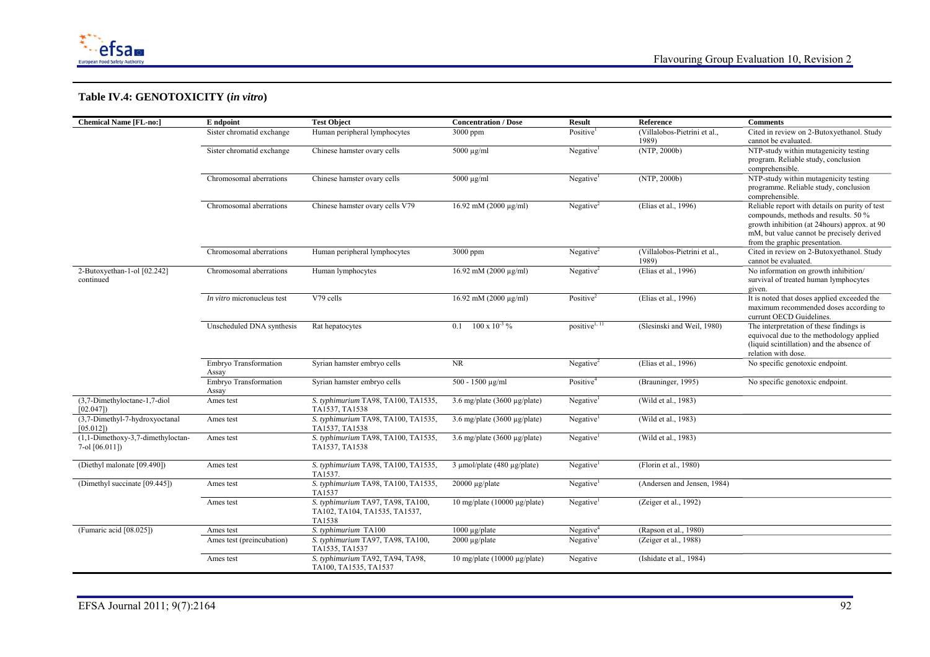

| <b>Chemical Name [FL-no:]</b>                         | E ndpoint                      | <b>Test Object</b>                                                           | <b>Concentration / Dose</b>           | <b>Result</b>             | <b>Reference</b>                      | <b>Comments</b>                                                                                                                                                                                                       |
|-------------------------------------------------------|--------------------------------|------------------------------------------------------------------------------|---------------------------------------|---------------------------|---------------------------------------|-----------------------------------------------------------------------------------------------------------------------------------------------------------------------------------------------------------------------|
|                                                       | Sister chromatid exchange      | Human peripheral lymphocytes                                                 | 3000 ppm                              | Positive <sup>1</sup>     | (Villalobos-Pietrini et al.,<br>1989) | Cited in review on 2-Butoxyethanol. Study<br>cannot be evaluated.                                                                                                                                                     |
|                                                       | Sister chromatid exchange      | Chinese hamster ovary cells                                                  | $5000 \mu g/ml$                       | Negative <sup>1</sup>     | (NTP, 2000b)                          | NTP-study within mutagenicity testing<br>program. Reliable study, conclusion<br>comprehensible.                                                                                                                       |
|                                                       | Chromosomal aberrations        | Chinese hamster ovary cells                                                  | $5000 \mu g/ml$                       | Negative <sup>1</sup>     | (NTP, 2000b)                          | NTP-study within mutagenicity testing<br>programme. Reliable study, conclusion<br>comprehensible.                                                                                                                     |
|                                                       | Chromosomal aberrations        | Chinese hamster ovary cells V79                                              | $16.92$ mM (2000 µg/ml)               | Negative $2$              | (Elias et al., 1996)                  | Reliable report with details on purity of test<br>compounds, methods and results. 50 %<br>growth inhibition (at 24hours) approx. at 90<br>mM, but value cannot be precisely derived<br>from the graphic presentation. |
|                                                       | Chromosomal aberrations        | Human peripheral lymphocytes                                                 | $3000$ ppm                            | Negative $2$              | (Villalobos-Pietrini et al.,<br>1989) | Cited in review on 2-Butoxyethanol. Study<br>cannot be evaluated.                                                                                                                                                     |
| 2-Butoxyethan-1-ol [02.242]<br>continued              | Chromosomal aberrations        | Human lymphocytes                                                            | 16.92 mM (2000 μg/ml)                 | Negative $2$              | (Elias et al., 1996)                  | No information on growth inhibition/<br>survival of treated human lymphocytes<br>given.                                                                                                                               |
|                                                       | In vitro micronucleus test     | V79 cells                                                                    | 16.92 mM (2000 μg/ml)                 | Positive <sup>2</sup>     | (Elias et al., 1996)                  | It is noted that doses applied exceeded the<br>maximum recommended doses according to<br>currunt OECD Guidelines.                                                                                                     |
|                                                       | Unscheduled DNA synthesis      | Rat hepatocytes                                                              | $0.1$ 100 x $10^{-3}$ %               | positive <sup>1, 11</sup> | (Slesinski and Weil, 1980)            | The interpretation of these findings is<br>equivocal due to the methodology applied<br>(liquid scintillation) and the absence of<br>relation with dose.                                                               |
|                                                       | Embryo Transformation<br>Assay | Syrian hamster embryo cells                                                  | <b>NR</b>                             | Negative $2$              | (Elias et al., 1996)                  | No specific genotoxic endpoint.                                                                                                                                                                                       |
|                                                       | Embryo Transformation<br>Assay | Syrian hamster embryo cells                                                  | 500 - 1500 μg/ml                      | Positive <sup>4</sup>     | (Brauninger, 1995)                    | No specific genotoxic endpoint.                                                                                                                                                                                       |
| (3,7-Dimethyloctane-1,7-diol<br>[02.047]              | Ames test                      | S. typhimurium TA98, TA100, TA1535,<br>TA1537, TA1538                        | 3.6 mg/plate (3600 $\mu$ g/plate)     | Negative <sup>1</sup>     | (Wild et al., 1983)                   |                                                                                                                                                                                                                       |
| (3,7-Dimethyl-7-hydroxyoctanal<br>[05.012]            | Ames test                      | S. typhimurium TA98, TA100, TA1535,<br>TA1537, TA1538                        | 3.6 mg/plate (3600 $\mu$ g/plate)     | Negative <sup>1</sup>     | (Wild et al., 1983)                   |                                                                                                                                                                                                                       |
| $(1,1-Dimethoxy-3,7-dimethyloctan-$<br>7-ol [06.011]) | Ames test                      | S. typhimurium TA98, TA100, TA1535,<br>TA1537, TA1538                        | 3.6 mg/plate (3600 $\mu$ g/plate)     | Negative <sup>1</sup>     | (Wild et al., 1983)                   |                                                                                                                                                                                                                       |
| (Diethyl malonate [09.490])                           | Ames test                      | S. typhimurium TA98, TA100, TA1535,<br>TA1537                                | $3 \mu$ mol/plate (480 $\mu$ g/plate) | Negative <sup>1</sup>     | (Florin et al., 1980)                 |                                                                                                                                                                                                                       |
| (Dimethyl succinate [09.445])                         | Ames test                      | S. typhimurium TA98, TA100, TA1535,<br>TA1537                                | $20000 \mu g$ plate                   | Negative <sup>1</sup>     | (Andersen and Jensen, 1984)           |                                                                                                                                                                                                                       |
|                                                       | Ames test                      | S. typhimurium TA97, TA98, TA100,<br>TA102, TA104, TA1535, TA1537,<br>TA1538 | $10$ mg/plate (10000 µg/plate)        | Negative <sup>1</sup>     | (Zeiger et al., 1992)                 |                                                                                                                                                                                                                       |
| (Fumaric acid [08.025])                               | Ames test                      | S. typhimurium TA100                                                         | $1000 \mu g$ plate                    | Negative <sup>4</sup>     | (Rapson et al., 1980)                 |                                                                                                                                                                                                                       |
|                                                       | Ames test (preincubation)      | S. typhimurium TA97, TA98, TA100,<br>TA1535, TA1537                          | $2000 \mu g$ plate                    | Negative                  | (Zeiger et al., 1988)                 |                                                                                                                                                                                                                       |
|                                                       | Ames test                      | S. typhimurium TA92, TA94, TA98,<br>TA100, TA1535, TA1537                    | $10$ mg/plate (10000 µg/plate)        | Negative                  | (Ishidate et al., 1984)               |                                                                                                                                                                                                                       |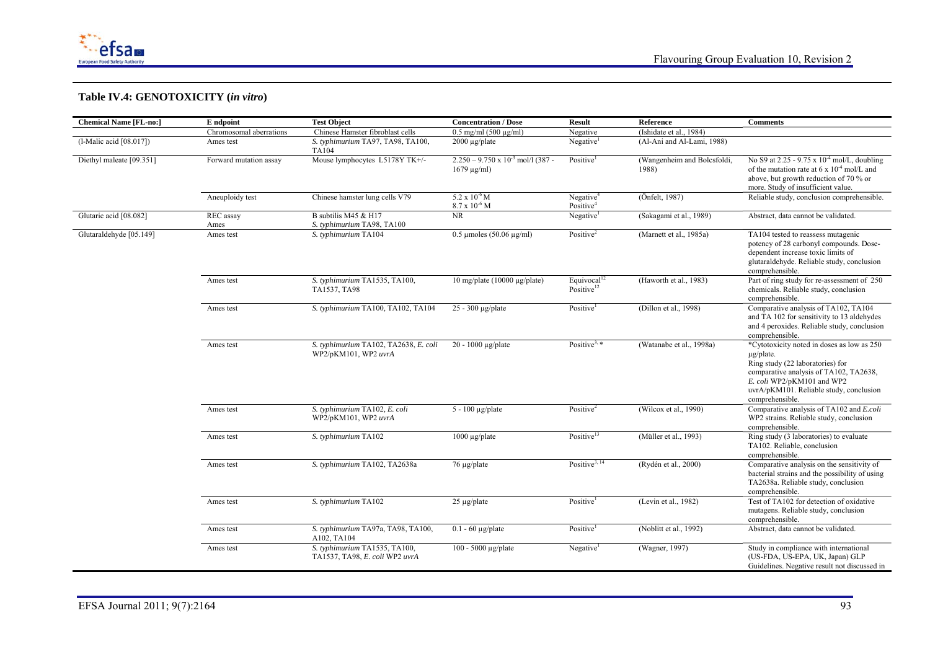

| <b>Chemical Name [FL-no:]</b> | E ndpoint               | <b>Test Object</b>                                              | <b>Concentration / Dose</b>                                    | <b>Result</b>                                  | Reference                            | <b>Comments</b>                                                                                                                                                                                                                        |
|-------------------------------|-------------------------|-----------------------------------------------------------------|----------------------------------------------------------------|------------------------------------------------|--------------------------------------|----------------------------------------------------------------------------------------------------------------------------------------------------------------------------------------------------------------------------------------|
|                               | Chromosomal aberrations | Chinese Hamster fibroblast cells                                | $0.5$ mg/ml $(500 \mu g/ml)$                                   | Negative                                       | (Ishidate et al., 1984)              |                                                                                                                                                                                                                                        |
| (l-Malic acid [08.017])       | Ames test               | S. typhimurium TA97, TA98, TA100,<br><b>TA104</b>               | $2000 \mu g$ /plate                                            | Negative <sup>1</sup>                          | (Al-Ani and Al-Lami, 1988)           |                                                                                                                                                                                                                                        |
| Diethyl maleate [09.351]      | Forward mutation assay  | Mouse lymphocytes L5178Y TK+/-                                  | $2.250 - 9.750 \times 10^{-3}$ mol/l (387 -<br>$1679 \mu g/ml$ | Positive <sup>1</sup>                          | (Wangenheim and Bolcsfoldi,<br>1988) | No S9 at 2.25 - 9.75 x $10^{-4}$ mol/L, doubling<br>of the mutation rate at 6 x $10^{-4}$ mol/L and<br>above, but growth reduction of 70 % or<br>more. Study of insufficient value.                                                    |
|                               | Aneuploidy test         | Chinese hamster lung cells V79                                  | $5.2 \times 10^{-6}$ M<br>$8.7 \times 10^{-6}$ M               | Negative <sup>4</sup><br>Positive <sup>4</sup> | (Önfelt, 1987)                       | Reliable study, conclusion comprehensible.                                                                                                                                                                                             |
| Glutaric acid [08.082]        | REC assay<br>Ames       | B subtilis M45 & H17<br>S. typhimurium TA98, TA100              | <b>NR</b>                                                      | Negative <sup>1</sup>                          | (Sakagami et al., 1989)              | Abstract, data cannot be validated.                                                                                                                                                                                                    |
| Glutaraldehyde [05.149]       | Ames test               | S. typhimurium TA104                                            | $0.5 \text{ \mu}$ moles (50.06 $\mu$ g/ml)                     | Positive <sup>2</sup>                          | (Marnett et al., 1985a)              | TA104 tested to reassess mutagenic<br>potency of 28 carbonyl compounds. Dose-<br>dependent increase toxic limits of<br>glutaraldehyde. Reliable study, conclusion<br>comprehensible.                                                   |
|                               | Ames test               | S. typhimurium TA1535, TA100,<br>TA1537, TA98                   | 10 mg/plate (10000 $\mu$ g/plate)                              | Equivocal $12$<br>Positive <sup>12</sup>       | (Haworth et al., 1983)               | Part of ring study for re-assessment of 250<br>chemicals. Reliable study, conclusion<br>comprehensible.                                                                                                                                |
|                               | Ames test               | S. typhimurium TA100, TA102, TA104                              | $25 - 300 \mu g$ plate                                         | Positive <sup>1</sup>                          | (Dillon et al., 1998)                | Comparative analysis of TA102, TA104<br>and TA 102 for sensitivity to 13 aldehydes<br>and 4 peroxides. Reliable study, conclusion<br>comprehensible.                                                                                   |
|                               | Ames test               | S. typhimurium TA102, TA2638, E. coli<br>WP2/pKM101, WP2 uvrA   | $20 - 1000$ µg/plate                                           | Positive <sup>3, <math>*</math></sup>          | (Watanabe et al., 1998a)             | *Cytotoxicity noted in doses as low as 250<br>$\mu$ g/plate.<br>Ring study (22 laboratories) for<br>comparative analysis of TA102, TA2638,<br>E. coli WP2/pKM101 and WP2<br>uvrA/pKM101. Reliable study, conclusion<br>comprehensible. |
|                               | Ames test               | S. typhimurium TA102, E. coli<br>WP2/pKM101, WP2 uvrA           | $5 - 100 \mu g$ /plate                                         | Positive <sup>2</sup>                          | (Wilcox et al., 1990)                | Comparative analysis of TA102 and E.coli<br>WP2 strains. Reliable study, conclusion<br>comprehensible.                                                                                                                                 |
|                               | Ames test               | S. typhimurium TA102                                            | $1000 \mu g$ /plate                                            | Positive <sup>13</sup>                         | (Müller et al., 1993)                | Ring study (3 laboratories) to evaluate<br>TA102. Reliable, conclusion<br>comprehensible.                                                                                                                                              |
|                               | Ames test               | S. typhimurium TA102, TA2638a                                   | $76 \mu g$ /plate                                              | Positive <sup>3, 14</sup>                      | (Rydén et al., 2000)                 | Comparative analysis on the sensitivity of<br>bacterial strains and the possibility of using<br>TA2638a. Reliable study, conclusion<br>comprehensible.                                                                                 |
|                               | Ames test               | S. typhimurium TA102                                            | $25 \mu g$ /plate                                              | Positive                                       | (Levin et al., 1982)                 | Test of TA102 for detection of oxidative<br>mutagens. Reliable study, conclusion<br>comprehensible.                                                                                                                                    |
|                               | Ames test               | S. typhimurium TA97a, TA98, TA100,<br>A102, TA104               | $0.1 - 60$ µg/plate                                            | Positive <sup>1</sup>                          | (Noblitt et al., 1992)               | Abstract, data cannot be validated.                                                                                                                                                                                                    |
|                               | Ames test               | S. typhimurium TA1535, TA100,<br>TA1537, TA98, E. coli WP2 uvrA | $100 - 5000 \mu g$ plate                                       | Negative <sup>1</sup>                          | (Wagner, 1997)                       | Study in compliance with international<br>(US-FDA, US-EPA, UK, Japan) GLP<br>Guidelines. Negative result not discussed in                                                                                                              |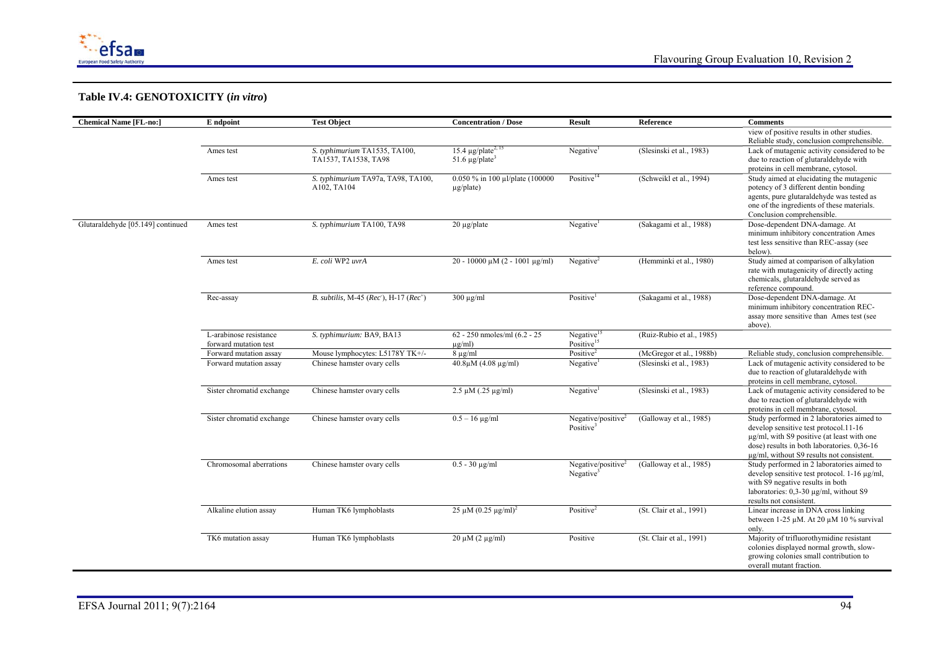

| <b>Chemical Name [FL-no:]</b>     | E ndpoint                 | <b>Test Object</b>                                       | <b>Concentration / Dose</b>         | <b>Result</b>                  | Reference                 | <b>Comments</b>                                                        |
|-----------------------------------|---------------------------|----------------------------------------------------------|-------------------------------------|--------------------------------|---------------------------|------------------------------------------------------------------------|
|                                   |                           |                                                          |                                     |                                |                           | view of positive results in other studies.                             |
|                                   |                           |                                                          |                                     |                                |                           | Reliable study, conclusion comprehensible.                             |
|                                   | Ames test                 | S. typhimurium TA1535, TA100,                            | 15.4 $\mu$ g/plate <sup>2, 15</sup> | Negative <sup>1</sup>          | (Slesinski et al., 1983)  | Lack of mutagenic activity considered to be                            |
|                                   |                           | TA1537, TA1538, TA98                                     | 51.6 $\mu$ g/plate <sup>3</sup>     |                                |                           | due to reaction of glutaraldehyde with                                 |
|                                   |                           |                                                          |                                     |                                |                           | proteins in cell membrane, cytosol.                                    |
|                                   | Ames test                 | S. typhimurium TA97a, TA98, TA100,                       | 0.050 % in 100 µl/plate (100000     | Positive <sup>14</sup>         | (Schweikl et al., 1994)   | Study aimed at elucidating the mutagenic                               |
|                                   |                           | A102, TA104                                              | $\mu$ g/plate)                      |                                |                           | potency of 3 different dentin bonding                                  |
|                                   |                           |                                                          |                                     |                                |                           | agents, pure glutaraldehyde was tested as                              |
|                                   |                           |                                                          |                                     |                                |                           | one of the ingredients of these materials.                             |
|                                   |                           |                                                          |                                     |                                |                           | Conclusion comprehensible.                                             |
| Glutaraldehyde [05.149] continued | Ames test                 | S. typhimurium TA100, TA98                               | $20 \mu g$ /plate                   | Negative <sup>1</sup>          | (Sakagami et al., 1988)   | Dose-dependent DNA-damage. At                                          |
|                                   |                           |                                                          |                                     |                                |                           | minimum inhibitory concentration Ames                                  |
|                                   |                           |                                                          |                                     |                                |                           | test less sensitive than REC-assay (see                                |
|                                   |                           |                                                          |                                     |                                |                           | below).                                                                |
|                                   | Ames test                 | E. coli WP2 uvrA                                         | $20 - 10000$ µM (2 - 1001 µg/ml)    | Negative <sup>2</sup>          | (Hemminki et al., 1980)   | Study aimed at comparison of alkylation                                |
|                                   |                           |                                                          |                                     |                                |                           | rate with mutagenicity of directly acting                              |
|                                   |                           |                                                          |                                     |                                |                           | chemicals, glutaraldehyde served as                                    |
|                                   |                           |                                                          |                                     |                                |                           | reference compound                                                     |
|                                   | Rec-assay                 | B. subtilis, M-45 ( $Rec$ ), H-17 ( $Rec$ <sup>+</sup> ) | $300 \mu g/ml$                      | Positive                       | (Sakagami et al., 1988)   | Dose-dependent DNA-damage. At<br>minimum inhibitory concentration REC- |
|                                   |                           |                                                          |                                     |                                |                           | assay more sensitive than Ames test (see                               |
|                                   |                           |                                                          |                                     |                                |                           | above).                                                                |
|                                   | L-arabinose resistance    | S. typhimurium: BA9, BA13                                | 62 - 250 nmoles/ml (6.2 - 25)       | Negative <sup>15</sup>         | (Ruiz-Rubio et al., 1985) |                                                                        |
|                                   | forward mutation test     |                                                          | $\mu$ g/ml)                         | Positive <sup>15</sup>         |                           |                                                                        |
|                                   | Forward mutation assay    | Mouse lymphocytes: L5178Y TK+/-                          | $8 \mu g/ml$                        | Positive <sup>2</sup>          | (McGregor et al., 1988b)  | Reliable study, conclusion comprehensible.                             |
|                                   | Forward mutation assay    | Chinese hamster ovary cells                              | $40.8 \mu M (4.08 \mu g/ml)$        | Negative <sup>1</sup>          | (Slesinski et al., 1983)  | Lack of mutagenic activity considered to be                            |
|                                   |                           |                                                          |                                     |                                |                           | due to reaction of glutaraldehyde with                                 |
|                                   |                           |                                                          |                                     |                                |                           | proteins in cell membrane, cytosol.                                    |
|                                   | Sister chromatid exchange | Chinese hamster ovary cells                              | $2.5 \mu M$ (.25 $\mu$ g/ml)        | Negative <sup>1</sup>          | (Slesinski et al., 1983)  | Lack of mutagenic activity considered to be                            |
|                                   |                           |                                                          |                                     |                                |                           | due to reaction of glutaraldehyde with                                 |
|                                   |                           |                                                          |                                     |                                |                           | proteins in cell membrane, cytosol.                                    |
|                                   | Sister chromatid exchange | Chinese hamster ovary cells                              | $0.5 - 16 \mu g/ml$                 | Negative/positive <sup>2</sup> | (Galloway et al., 1985)   | Study performed in 2 laboratories aimed to                             |
|                                   |                           |                                                          |                                     | Positive <sup>3</sup>          |                           | develop sensitive test protocol.11-16                                  |
|                                   |                           |                                                          |                                     |                                |                           | $\mu$ g/ml, with S9 positive (at least with one                        |
|                                   |                           |                                                          |                                     |                                |                           | dose) results in both laboratories. 0,36-16                            |
|                                   |                           |                                                          |                                     |                                |                           | $\mu$ g/ml, without S9 results not consistent.                         |
|                                   | Chromosomal aberrations   | Chinese hamster ovary cells                              | $0.5 - 30 \mu g/ml$                 | Negative/positive $2$          | (Galloway et al., 1985)   | Study performed in 2 laboratories aimed to                             |
|                                   |                           |                                                          |                                     | Negative $3$                   |                           | develop sensitive test protocol. 1-16 µg/ml,                           |
|                                   |                           |                                                          |                                     |                                |                           | with S9 negative results in both                                       |
|                                   |                           |                                                          |                                     |                                |                           | laboratories: 0,3-30 µg/ml, without S9                                 |
|                                   |                           |                                                          |                                     |                                |                           | results not consistent.                                                |
|                                   | Alkaline elution assay    | Human TK6 lymphoblasts                                   | $25 \mu M (0.25 \mu g/ml)^2$        | Positive <sup>2</sup>          | (St. Clair et al., 1991)  | Linear increase in DNA cross linking                                   |
|                                   |                           |                                                          |                                     |                                |                           | between 1-25 $\mu$ M. At 20 $\mu$ M 10 % survival                      |
|                                   |                           |                                                          |                                     |                                |                           | only.                                                                  |
|                                   | TK6 mutation assay        | Human TK6 lymphoblasts                                   | $20 \mu M (2 \mu g/ml)$             | Positive                       | (St. Clair et al., 1991)  | Majority of trifluorothymidine resistant                               |
|                                   |                           |                                                          |                                     |                                |                           | colonies displayed normal growth, slow-                                |
|                                   |                           |                                                          |                                     |                                |                           | growing colonies small contribution to                                 |
|                                   |                           |                                                          |                                     |                                |                           | overall mutant fraction.                                               |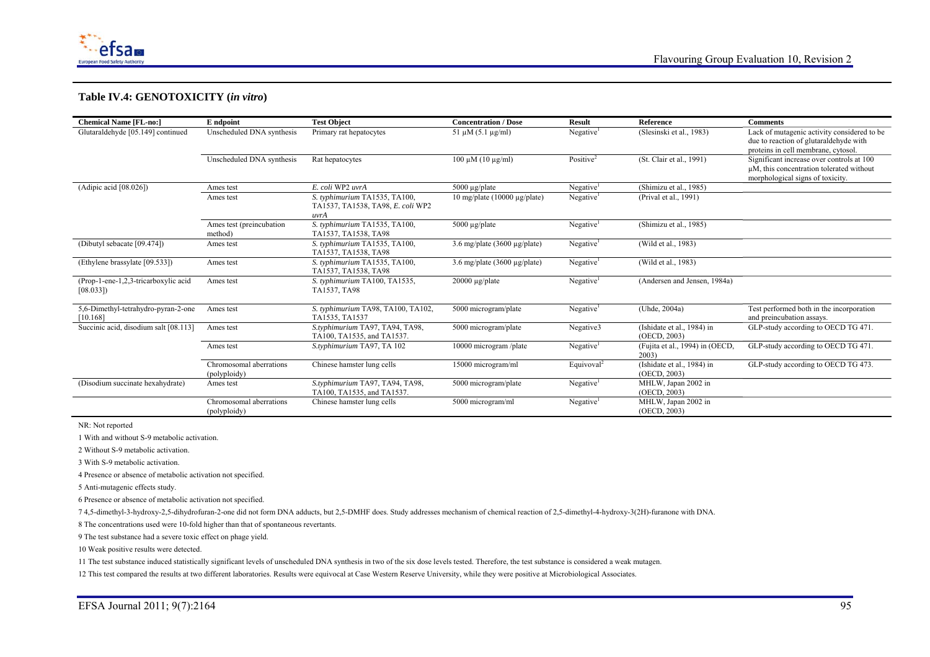

| <b>Chemical Name [FL-no:]</b>                    | E ndpoint                               | <b>Test Object</b>                                                         | <b>Concentration / Dose</b>       | <b>Result</b>          | Reference                                  | <b>Comments</b>                                                                                                              |
|--------------------------------------------------|-----------------------------------------|----------------------------------------------------------------------------|-----------------------------------|------------------------|--------------------------------------------|------------------------------------------------------------------------------------------------------------------------------|
| Glutaraldehyde [05.149] continued                | Unscheduled DNA synthesis               | Primary rat hepatocytes                                                    | $51 \mu M (5.1 \mu g/ml)$         | Negative <sup>1</sup>  | (Slesinski et al., 1983)                   | Lack of mutagenic activity considered to be<br>due to reaction of glutaraldehyde with<br>proteins in cell membrane, cytosol. |
|                                                  | Unscheduled DNA synthesis               | Rat hepatocytes                                                            | $100 \mu M (10 \mu g/ml)$         | Positive <sup>2</sup>  | (St. Clair et al., 1991)                   | Significant increase over controls at 100<br>uM, this concentration tolerated without<br>morphological signs of toxicity.    |
| (Adipic acid [08.026])                           | Ames test                               | E. coli WP2 uvrA                                                           | 5000 $\mu$ g/plate                | Negative               | (Shimizu et al., 1985)                     |                                                                                                                              |
|                                                  | Ames test                               | S. typhimurium TA1535, TA100,<br>TA1537, TA1538, TA98, E. coli WP2<br>uvrA | $10$ mg/plate (10000 µg/plate)    | Negative <sup>1</sup>  | (Prival et al., 1991)                      |                                                                                                                              |
|                                                  | Ames test (preincubation<br>method)     | S. typhimurium TA1535, TA100,<br>TA1537, TA1538, TA98                      | 5000 $\mu$ g/plate                | Negative <sup>1</sup>  | (Shimizu et al., 1985)                     |                                                                                                                              |
| (Dibutyl sebacate [09.474])                      | Ames test                               | S. typhimurium TA1535, TA100,<br>TA1537, TA1538, TA98                      | 3.6 mg/plate (3600 $\mu$ g/plate) | Negative <sup>1</sup>  | (Wild et al., 1983)                        |                                                                                                                              |
| (Ethylene brassylate [09.533])                   | Ames test                               | S. typhimurium TA1535, TA100,<br>TA1537, TA1538, TA98                      | 3.6 mg/plate (3600 $\mu$ g/plate) | Negative <sup>1</sup>  | (Wild et al., 1983)                        |                                                                                                                              |
| (Prop-1-ene-1,2,3-tricarboxylic acid<br>[08.033] | Ames test                               | S. typhimurium TA100, TA1535,<br>TA1537, TA98                              | $20000 \mu g$ plate               | Negative <sup>1</sup>  | (Andersen and Jensen, 1984a)               |                                                                                                                              |
| 5,6-Dimethyl-tetrahydro-pyran-2-one<br>[10.168]  | Ames test                               | S. typhimurium TA98, TA100, TA102,<br>TA1535, TA1537                       | 5000 microgram/plate              | Negative <sup>1</sup>  | (Uhde, 2004a)                              | Test performed both in the incorporation<br>and preincubation assays.                                                        |
| Succinic acid, disodium salt [08.113]            | Ames test                               | S.typhimurium TA97, TA94, TA98,<br>TA100. TA1535, and TA1537.              | 5000 microgram/plate              | Negative3              | (Ishidate et al., 1984) in<br>(OECD, 2003) | GLP-study according to OECD TG 471.                                                                                          |
|                                                  | Ames test                               | S.typhimurium TA97, TA 102                                                 | 10000 microgram/plate             | Negative <sup>1</sup>  | (Fujita et al., 1994) in (OECD,<br>2003)   | GLP-study according to OECD TG 471.                                                                                          |
|                                                  | Chromosomal aberrations<br>(polyploidy) | Chinese hamster lung cells                                                 | 15000 microgram/ml                | Equivoval <sup>2</sup> | (Ishidate et al., 1984) in<br>(OECD, 2003) | GLP-study according to OECD TG 473.                                                                                          |
| (Disodium succinate hexahydrate)                 | Ames test                               | S.typhimurium TA97, TA94, TA98,<br>TA100. TA1535, and TA1537.              | 5000 microgram/plate              | Negative <sup>1</sup>  | MHLW, Japan 2002 in<br>(OECD, 2003)        |                                                                                                                              |
|                                                  | Chromosomal aberrations<br>(polyploidy) | Chinese hamster lung cells                                                 | 5000 microgram/ml                 | Negative <sup>1</sup>  | MHLW, Japan 2002 in<br>(OECD, 2003)        |                                                                                                                              |

NR: Not reported

1 With and without S-9 metabolic activation.

2 Without S-9 metabolic activation.

3 With S-9 metabolic activation.

4 Presence or absence of metabolic activation not specified.

5 Anti-mutagenic effects study.

6 Presence or absence of metabolic activation not specified.

7 4,5-dimethyl-3-hydroxy-2,5-dihydrofuran-2-one did not form DNA adducts, but 2,5-DMHF does. Study addresses mechanism of chemical reaction of 2,5-dimethyl-4-hydroxy-3(2H)-furanone with DNA.

8 The concentrations used were 10-fold higher than that of spontaneous revertants.

9 The test substance had a severe toxic effect on phage yield.

10 Weak positive results were detected.

11 The test substance induced statistically significant levels of unscheduled DNA synthesis in two of the six dose levels tested. Therefore, the test substance is considered a weak mutagen.

12 This test compared the results at two different laboratories. Results were equivocal at Case Western Reserve University, while they were positive at Microbiological Associates.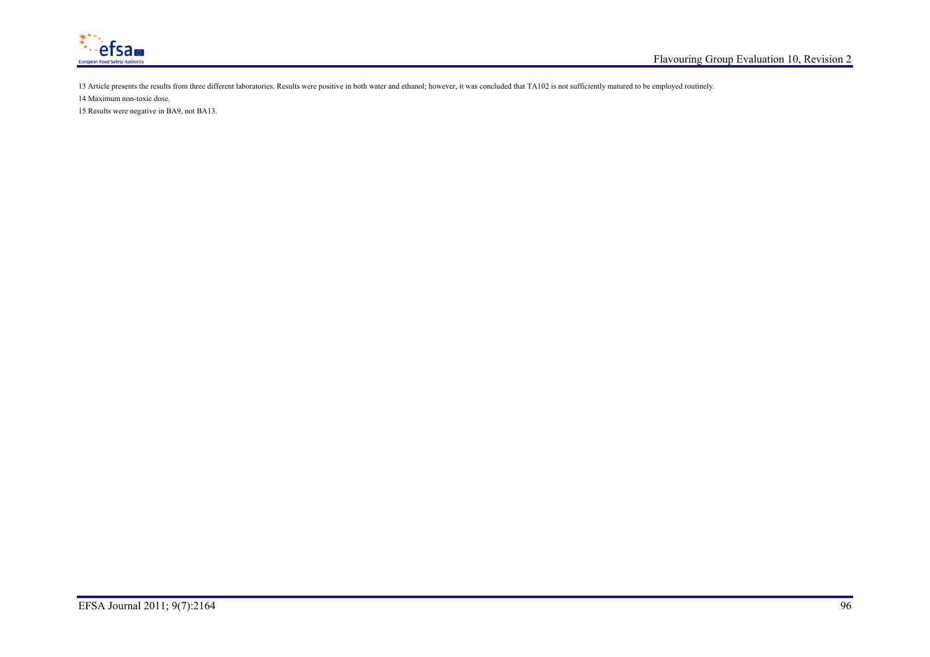

13 Article presents the results from three different laboratories. Results were positive in both water and ethanol; however, it was concluded that TA102 is not sufficiently matured to be employed routinely.

14 Maximum non-toxic dose.

15 Results were negative in BA9, not BA13.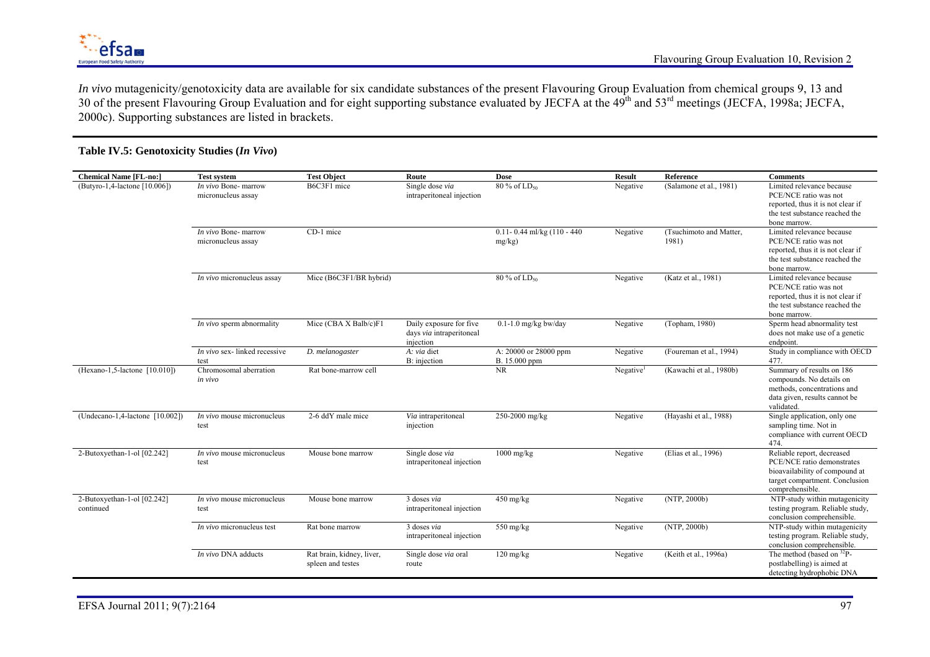

*In vivo* mutagenicity/genotoxicity data are available for six candidate substances of the present Flavouring Group Evaluation from chemical groups 9, 13 and 30 of the present Flavouring Group Evaluation and for eight supporting substance evaluated by JECFA at the 49<sup>th</sup> and 53<sup>rd</sup> meetings (JECFA, 1998a; JECFA, 2000c). Supporting substances are listed in brackets.

### **Table IV.5: Genotoxicity Studies (***In Vivo***)**

| <b>Chemical Name [FL-no:]</b>            | <b>Test system</b>                         | <b>Test Object</b>                             | Route                                                            | <b>Dose</b>                               | <b>Result</b>         | Reference                        | <b>Comments</b>                                                                                                                                 |
|------------------------------------------|--------------------------------------------|------------------------------------------------|------------------------------------------------------------------|-------------------------------------------|-----------------------|----------------------------------|-------------------------------------------------------------------------------------------------------------------------------------------------|
| (Butyro-1,4-lactone [10.006])            | In vivo Bone- marrow<br>micronucleus assay | B6C3F1 mice                                    | Single dose via<br>intraperitoneal injection                     | $80\%$ of $LD_{50}$                       | Negative              | (Salamone et al., 1981)          | Limited relevance because<br>PCE/NCE ratio was not<br>reported, thus it is not clear if<br>the test substance reached the<br>bone marrow.       |
|                                          | In vivo Bone- marrow<br>micronucleus assay | CD-1 mice                                      |                                                                  | $0.11 - 0.44$ ml/kg (110 - 440)<br>mg/kg) | Negative              | (Tsuchimoto and Matter,<br>1981) | Limited relevance because<br>PCE/NCE ratio was not<br>reported, thus it is not clear if<br>the test substance reached the<br>bone marrow.       |
|                                          | In vivo micronucleus assay                 | Mice (B6C3F1/BR hybrid)                        |                                                                  | $80\%$ of $LD_{50}$                       | Negative              | (Katz et al., 1981)              | Limited relevance because<br>PCE/NCE ratio was not<br>reported, thus it is not clear if<br>the test substance reached the<br>bone marrow.       |
|                                          | In vivo sperm abnormality                  | Mice (CBA X Balb/c)F1                          | Daily exposure for five<br>days via intraperitoneal<br>injection | $0.1 - 1.0$ mg/kg bw/day                  | Negative              | (Topham, 1980)                   | Sperm head abnormality test<br>does not make use of a genetic<br>endpoint.                                                                      |
|                                          | In vivo sex-linked recessive<br>test       | D. melanogaster                                | A: via diet<br>B: injection                                      | A: 20000 or 28000 ppm<br>B. 15.000 ppm    | Negative              | (Foureman et al., 1994)          | Study in compliance with OECD<br>477.                                                                                                           |
| $(Hexano-1, 5-lactone [10.010])$         | Chromosomal aberration<br>in vivo          | Rat bone-marrow cell                           |                                                                  | <b>NR</b>                                 | Negative <sup>1</sup> | (Kawachi et al., 1980b)          | Summary of results on 186<br>compounds. No details on<br>methods, concentrations and<br>data given, results cannot be<br>validated.             |
| (Undecano-1,4-lactone [10.002])          | In vivo mouse micronucleus<br>test         | 2-6 ddY male mice                              | Via intraperitoneal<br>injection                                 | 250-2000 mg/kg                            | Negative              | (Hayashi et al., 1988)           | Single application, only one<br>sampling time. Not in<br>compliance with current OECD<br>474.                                                   |
| 2-Butoxyethan-1-ol [02.242]              | <i>In vivo</i> mouse micronucleus<br>test  | Mouse bone marrow                              | Single dose via<br>intraperitoneal injection                     | $1000$ mg/kg                              | Negative              | (Elias et al., 1996)             | Reliable report, decreased<br>PCE/NCE ratio demonstrates<br>bioavailability of compound at<br>target compartment. Conclusion<br>comprehensible. |
| 2-Butoxyethan-1-ol [02.242]<br>continued | <i>In vivo</i> mouse micronucleus<br>test  | Mouse bone marrow                              | 3 doses via<br>intraperitoneal injection                         | 450 mg/kg                                 | Negative              | (NTP, 2000b)                     | NTP-study within mutagenicity<br>testing program. Reliable study,<br>conclusion comprehensible.                                                 |
|                                          | In vivo micronucleus test                  | Rat bone marrow                                | 3 doses via<br>intraperitoneal injection                         | 550 mg/kg                                 | Negative              | (NTP, 2000b)                     | NTP-study within mutagenicity<br>testing program. Reliable study,<br>conclusion comprehensible.                                                 |
|                                          | In vivo DNA adducts                        | Rat brain, kidney, liver,<br>spleen and testes | Single dose via oral<br>route                                    | $120 \text{ mg/kg}$                       | Negative              | (Keith et al., 1996a)            | The method (based on $^{32}P$ -<br>postlabelling) is aimed at<br>detecting hydrophobic DNA                                                      |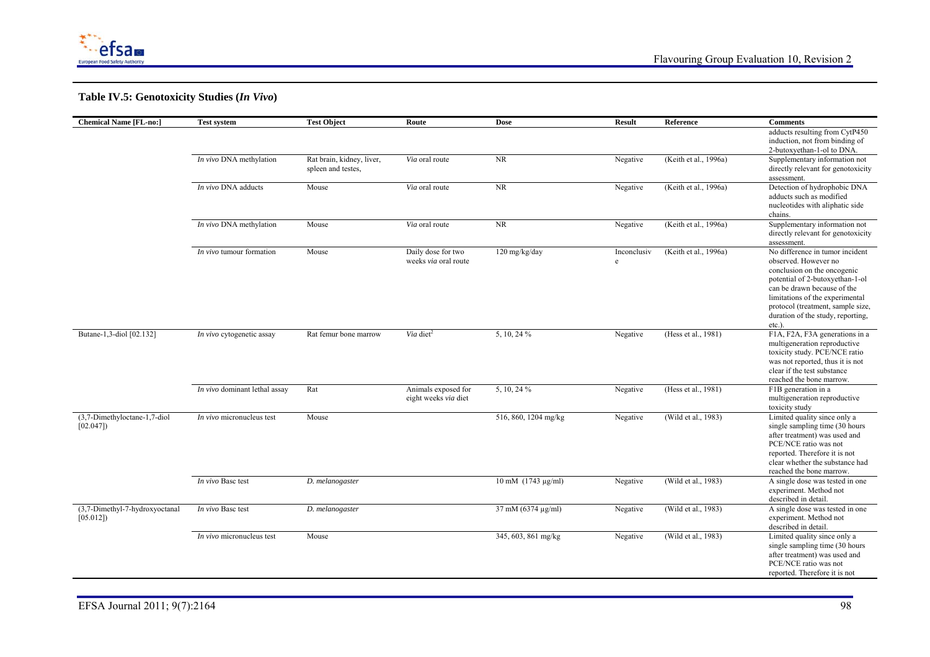

# **Table IV.5: Genotoxicity Studies (***In Vivo***)**

| adducts resulting from CytP450<br>induction, not from binding of<br>2-butoxyethan-1-ol to DNA.<br>NR<br>In vivo DNA methylation<br>Rat brain, kidney, liver,<br>(Keith et al., 1996a)<br>Supplementary information not<br>Via oral route<br>Negative<br>directly relevant for genotoxicity<br>spleen and testes.<br>assessment.<br>In vivo DNA adducts<br><b>NR</b><br>(Keith et al., 1996a)<br>Detection of hydrophobic DNA<br>Mouse<br>Via oral route<br>Negative<br>adducts such as modified<br>nucleotides with aliphatic side<br>chains.<br>In vivo DNA methylation<br><b>NR</b><br>(Keith et al., 1996a)<br>Mouse<br>Via oral route<br>Negative<br>Supplementary information not<br>directly relevant for genotoxicity<br>assessment.<br>Mouse<br>Daily dose for two<br>120 mg/kg/day<br>(Keith et al., 1996a)<br>No difference in tumor incident<br><i>In vivo</i> tumour formation<br>Inconclusiv |
|-----------------------------------------------------------------------------------------------------------------------------------------------------------------------------------------------------------------------------------------------------------------------------------------------------------------------------------------------------------------------------------------------------------------------------------------------------------------------------------------------------------------------------------------------------------------------------------------------------------------------------------------------------------------------------------------------------------------------------------------------------------------------------------------------------------------------------------------------------------------------------------------------------------|
|                                                                                                                                                                                                                                                                                                                                                                                                                                                                                                                                                                                                                                                                                                                                                                                                                                                                                                           |
|                                                                                                                                                                                                                                                                                                                                                                                                                                                                                                                                                                                                                                                                                                                                                                                                                                                                                                           |
|                                                                                                                                                                                                                                                                                                                                                                                                                                                                                                                                                                                                                                                                                                                                                                                                                                                                                                           |
|                                                                                                                                                                                                                                                                                                                                                                                                                                                                                                                                                                                                                                                                                                                                                                                                                                                                                                           |
|                                                                                                                                                                                                                                                                                                                                                                                                                                                                                                                                                                                                                                                                                                                                                                                                                                                                                                           |
|                                                                                                                                                                                                                                                                                                                                                                                                                                                                                                                                                                                                                                                                                                                                                                                                                                                                                                           |
|                                                                                                                                                                                                                                                                                                                                                                                                                                                                                                                                                                                                                                                                                                                                                                                                                                                                                                           |
|                                                                                                                                                                                                                                                                                                                                                                                                                                                                                                                                                                                                                                                                                                                                                                                                                                                                                                           |
|                                                                                                                                                                                                                                                                                                                                                                                                                                                                                                                                                                                                                                                                                                                                                                                                                                                                                                           |
|                                                                                                                                                                                                                                                                                                                                                                                                                                                                                                                                                                                                                                                                                                                                                                                                                                                                                                           |
|                                                                                                                                                                                                                                                                                                                                                                                                                                                                                                                                                                                                                                                                                                                                                                                                                                                                                                           |
|                                                                                                                                                                                                                                                                                                                                                                                                                                                                                                                                                                                                                                                                                                                                                                                                                                                                                                           |
|                                                                                                                                                                                                                                                                                                                                                                                                                                                                                                                                                                                                                                                                                                                                                                                                                                                                                                           |
| weeks via oral route<br>observed. However no<br>e                                                                                                                                                                                                                                                                                                                                                                                                                                                                                                                                                                                                                                                                                                                                                                                                                                                         |
| conclusion on the oncogenic                                                                                                                                                                                                                                                                                                                                                                                                                                                                                                                                                                                                                                                                                                                                                                                                                                                                               |
| potential of 2-butoxyethan-1-ol                                                                                                                                                                                                                                                                                                                                                                                                                                                                                                                                                                                                                                                                                                                                                                                                                                                                           |
| can be drawn because of the                                                                                                                                                                                                                                                                                                                                                                                                                                                                                                                                                                                                                                                                                                                                                                                                                                                                               |
| limitations of the experimental                                                                                                                                                                                                                                                                                                                                                                                                                                                                                                                                                                                                                                                                                                                                                                                                                                                                           |
| protocol (treatment, sample size,                                                                                                                                                                                                                                                                                                                                                                                                                                                                                                                                                                                                                                                                                                                                                                                                                                                                         |
| duration of the study, reporting,                                                                                                                                                                                                                                                                                                                                                                                                                                                                                                                                                                                                                                                                                                                                                                                                                                                                         |
| $etc.$ ).                                                                                                                                                                                                                                                                                                                                                                                                                                                                                                                                                                                                                                                                                                                                                                                                                                                                                                 |
| Butane-1,3-diol [02.132]<br>Via diet <sup>2</sup><br>5, 10, 24 %<br>(Hess et al., 1981)<br>F1A, F2A, F3A generations in a<br>In vivo cytogenetic assay<br>Rat femur bone marrow<br>Negative                                                                                                                                                                                                                                                                                                                                                                                                                                                                                                                                                                                                                                                                                                               |
| multigeneration reproductive                                                                                                                                                                                                                                                                                                                                                                                                                                                                                                                                                                                                                                                                                                                                                                                                                                                                              |
| toxicity study. PCE/NCE ratio                                                                                                                                                                                                                                                                                                                                                                                                                                                                                                                                                                                                                                                                                                                                                                                                                                                                             |
| was not reported, thus it is not<br>clear if the test substance                                                                                                                                                                                                                                                                                                                                                                                                                                                                                                                                                                                                                                                                                                                                                                                                                                           |
| reached the bone marrow.                                                                                                                                                                                                                                                                                                                                                                                                                                                                                                                                                                                                                                                                                                                                                                                                                                                                                  |
| F1B generation in a<br>In vivo dominant lethal assay<br>Rat<br>Animals exposed for<br>5, 10, 24 %<br>(Hess et al., 1981)<br>Negative                                                                                                                                                                                                                                                                                                                                                                                                                                                                                                                                                                                                                                                                                                                                                                      |
| multigeneration reproductive<br>eight weeks via diet                                                                                                                                                                                                                                                                                                                                                                                                                                                                                                                                                                                                                                                                                                                                                                                                                                                      |
| toxicity study                                                                                                                                                                                                                                                                                                                                                                                                                                                                                                                                                                                                                                                                                                                                                                                                                                                                                            |
| (3,7-Dimethyloctane-1,7-diol<br>Mouse<br>516, 860, 1204 mg/kg<br>(Wild et al., 1983)<br>Limited quality since only a<br>In vivo micronucleus test<br>Negative                                                                                                                                                                                                                                                                                                                                                                                                                                                                                                                                                                                                                                                                                                                                             |
| single sampling time (30 hours<br>[02.047]                                                                                                                                                                                                                                                                                                                                                                                                                                                                                                                                                                                                                                                                                                                                                                                                                                                                |
| after treatment) was used and                                                                                                                                                                                                                                                                                                                                                                                                                                                                                                                                                                                                                                                                                                                                                                                                                                                                             |
| PCE/NCE ratio was not                                                                                                                                                                                                                                                                                                                                                                                                                                                                                                                                                                                                                                                                                                                                                                                                                                                                                     |
| reported. Therefore it is not                                                                                                                                                                                                                                                                                                                                                                                                                                                                                                                                                                                                                                                                                                                                                                                                                                                                             |
| clear whether the substance had                                                                                                                                                                                                                                                                                                                                                                                                                                                                                                                                                                                                                                                                                                                                                                                                                                                                           |
| reached the bone marrow.                                                                                                                                                                                                                                                                                                                                                                                                                                                                                                                                                                                                                                                                                                                                                                                                                                                                                  |
| $10 \text{ mM}$ (1743 µg/ml)<br>(Wild et al., 1983)<br>A single dose was tested in one<br>In vivo Basc test<br>D. melanogaster<br>Negative                                                                                                                                                                                                                                                                                                                                                                                                                                                                                                                                                                                                                                                                                                                                                                |
| experiment. Method not<br>described in detail.                                                                                                                                                                                                                                                                                                                                                                                                                                                                                                                                                                                                                                                                                                                                                                                                                                                            |
| (3,7-Dimethyl-7-hydroxyoctanal<br>D. melanogaster<br>37 mM (6374 µg/ml)<br>(Wild et al., 1983)<br>A single dose was tested in one<br>In vivo Basc test<br>Negative                                                                                                                                                                                                                                                                                                                                                                                                                                                                                                                                                                                                                                                                                                                                        |
| experiment. Method not<br>[05.012]                                                                                                                                                                                                                                                                                                                                                                                                                                                                                                                                                                                                                                                                                                                                                                                                                                                                        |
| described in detail.                                                                                                                                                                                                                                                                                                                                                                                                                                                                                                                                                                                                                                                                                                                                                                                                                                                                                      |
| 345, 603, 861 mg/kg<br>(Wild et al., 1983)<br>Limited quality since only a<br>Mouse<br><i>In vivo</i> micronucleus test<br>Negative                                                                                                                                                                                                                                                                                                                                                                                                                                                                                                                                                                                                                                                                                                                                                                       |
| single sampling time (30 hours)                                                                                                                                                                                                                                                                                                                                                                                                                                                                                                                                                                                                                                                                                                                                                                                                                                                                           |
| after treatment) was used and                                                                                                                                                                                                                                                                                                                                                                                                                                                                                                                                                                                                                                                                                                                                                                                                                                                                             |
| PCE/NCE ratio was not                                                                                                                                                                                                                                                                                                                                                                                                                                                                                                                                                                                                                                                                                                                                                                                                                                                                                     |
| reported. Therefore it is not                                                                                                                                                                                                                                                                                                                                                                                                                                                                                                                                                                                                                                                                                                                                                                                                                                                                             |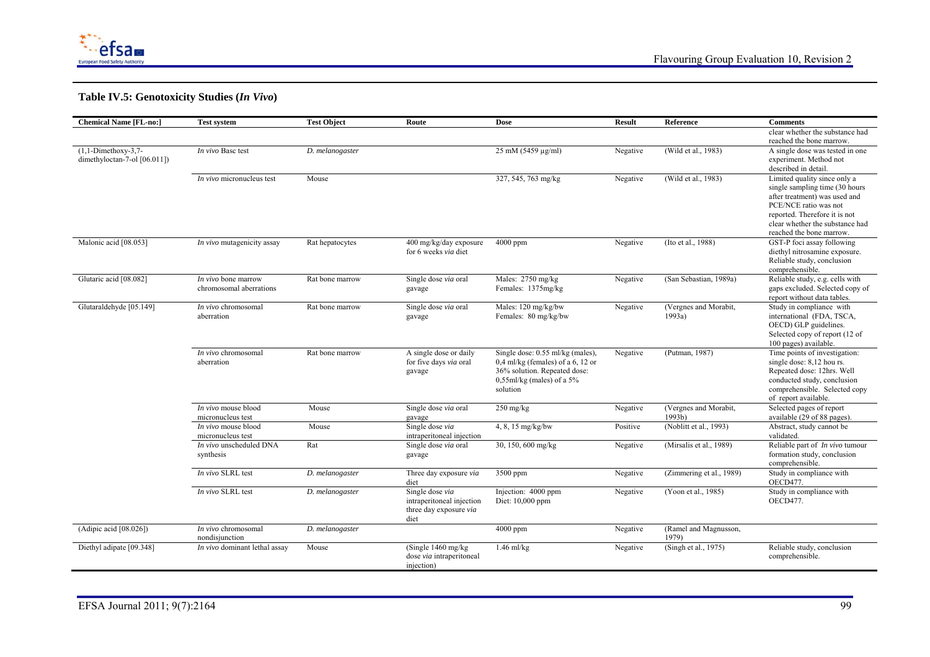

# **Table IV.5: Genotoxicity Studies (***In Vivo***)**

| clear whether the substance had<br>reached the bone marrow.<br>$(1,1-Dimeth$ oxy-3,7-<br>25 mM (5459 µg/ml)<br>(Wild et al., 1983)<br>In vivo Basc test<br>D. melanogaster<br>Negative<br>A single dose was tested in one<br>dimethyloctan-7-ol [06.011])<br>experiment. Method not<br>described in detail.<br>327, 545, 763 mg/kg<br>(Wild et al., 1983)<br><i>In vivo</i> micronucleus test<br>Mouse<br>Limited quality since only a<br>Negative<br>single sampling time (30 hours)<br>after treatment) was used and<br>PCE/NCE ratio was not<br>reported. Therefore it is not<br>clear whether the substance had<br>reached the bone marrow.<br>Malonic acid [08.053]<br>(Ito et al., 1988)<br>GST-P foci assay following<br>400 mg/kg/day exposure<br>$4000$ ppm<br>In vivo mutagenicity assay<br>Rat hepatocytes<br>Negative<br>for 6 weeks via diet<br>diethyl nitrosamine exposure.<br>Reliable study, conclusion<br>comprehensible.<br>Glutaric acid [08.082]<br>Males: 2750 mg/kg<br>(San Sebastian, 1989a)<br>Reliable study, e.g. cells with<br>Single dose via oral<br><i>In vivo</i> bone marrow<br>Rat bone marrow<br>Negative<br>Females: 1375mg/kg<br>gaps excluded. Selected copy of<br>chromosomal aberrations<br>gavage<br>report without data tables.<br>Glutaraldehyde [05.149]<br>Study in compliance with<br>In vivo chromosomal<br>Males: 120 mg/kg/bw<br>(Vergnes and Morabit,<br>Rat bone marrow<br>Single dose via oral<br>Negative<br>Females: 80 mg/kg/bw<br>1993a)<br>international (FDA, TSCA,<br>aberration<br>gavage<br>OECD) GLP guidelines.<br>Selected copy of report (12 of<br>100 pages) available.<br>(Putman, 1987)<br>Time points of investigation:<br>In vivo chromosomal<br>A single dose or daily<br>Single dose: 0.55 ml/kg (males),<br>Rat bone marrow<br>Negative<br>$0.4$ ml/kg (females) of a 6, 12 or<br>aberration<br>for five days via oral<br>single dose: 8,12 hou rs.<br>36% solution. Repeated dose:<br>Repeated dose: 12hrs. Well<br>gavage<br>$0,55$ ml/kg (males) of a 5%<br>conducted study, conclusion<br>comprehensible. Selected copy<br>solution<br>of report available.<br>In vivo mouse blood<br>(Vergnes and Morabit,<br>Selected pages of report<br>Mouse<br>Single dose via oral<br>$250$ mg/kg<br>Negative<br>micronucleus test<br>available (29 of 88 pages).<br>1993b)<br>gavage<br>In vivo mouse blood<br>Single dose via<br>(Noblitt et al., 1993)<br>Abstract, study cannot be<br>Mouse<br>4, 8, 15 mg/kg/bw<br>Positive<br>validated.<br>micronucleus test<br>intraperitoneal injection<br>Reliable part of <i>In vivo</i> tumour<br>In vivo unscheduled DNA<br>Rat<br>30, 150, 600 mg/kg<br>(Mirsalis et al., 1989)<br>Single dose via oral<br>Negative<br>formation study, conclusion<br>synthesis<br>gavage<br>comprehensible.<br>In vivo SLRL test<br>Study in compliance with<br>Three day exposure via<br>3500 ppm<br>(Zimmering et al., 1989)<br>D. melanogaster<br>Negative<br>OECD477.<br>diet<br>In vivo SLRL test<br>Single dose via<br>Injection: 4000 ppm<br>Study in compliance with<br>D. melanogaster<br>(Yoon et al., 1985)<br>Negative<br>intraperitoneal injection<br>Diet: 10,000 ppm<br>OECD477.<br>three day exposure via<br>diet<br>(Adipic acid [08.026])<br>(Ramel and Magnusson,<br>4000 ppm<br>In vivo chromosomal<br>D. melanogaster<br>Negative<br>1979)<br>nondisjunction<br>Mouse<br>(Single $1460$ mg/kg)<br>(Singh et al., $1975$ )<br>Reliable study, conclusion<br>Diethyl adipate [09.348]<br>In vivo dominant lethal assay<br>$1.46$ ml/kg<br>Negative<br>dose via intraperitoneal<br>comprehensible.<br>injection) | <b>Chemical Name [FL-no:]</b> | <b>Test system</b> | <b>Test Object</b> | Route | <b>Dose</b> | <b>Result</b> | <b>Reference</b> | <b>Comments</b> |
|--------------------------------------------------------------------------------------------------------------------------------------------------------------------------------------------------------------------------------------------------------------------------------------------------------------------------------------------------------------------------------------------------------------------------------------------------------------------------------------------------------------------------------------------------------------------------------------------------------------------------------------------------------------------------------------------------------------------------------------------------------------------------------------------------------------------------------------------------------------------------------------------------------------------------------------------------------------------------------------------------------------------------------------------------------------------------------------------------------------------------------------------------------------------------------------------------------------------------------------------------------------------------------------------------------------------------------------------------------------------------------------------------------------------------------------------------------------------------------------------------------------------------------------------------------------------------------------------------------------------------------------------------------------------------------------------------------------------------------------------------------------------------------------------------------------------------------------------------------------------------------------------------------------------------------------------------------------------------------------------------------------------------------------------------------------------------------------------------------------------------------------------------------------------------------------------------------------------------------------------------------------------------------------------------------------------------------------------------------------------------------------------------------------------------------------------------------------------------------------------------------------------------------------------------------------------------------------------------------------------------------------------------------------------------------------------------------------------------------------------------------------------------------------------------------------------------------------------------------------------------------------------------------------------------------------------------------------------------------------------------------------------------------------------------------------------------------------------------------------------------------------------------------------------------------------------------------------------------------------------------------------------------------------------------------------------------------------------------------------------------------------------------------------------------------------------------------------------------------------------------------------------------------------------------------------------------------------------------------------------------------------|-------------------------------|--------------------|--------------------|-------|-------------|---------------|------------------|-----------------|
|                                                                                                                                                                                                                                                                                                                                                                                                                                                                                                                                                                                                                                                                                                                                                                                                                                                                                                                                                                                                                                                                                                                                                                                                                                                                                                                                                                                                                                                                                                                                                                                                                                                                                                                                                                                                                                                                                                                                                                                                                                                                                                                                                                                                                                                                                                                                                                                                                                                                                                                                                                                                                                                                                                                                                                                                                                                                                                                                                                                                                                                                                                                                                                                                                                                                                                                                                                                                                                                                                                                                                                                                                                      |                               |                    |                    |       |             |               |                  |                 |
|                                                                                                                                                                                                                                                                                                                                                                                                                                                                                                                                                                                                                                                                                                                                                                                                                                                                                                                                                                                                                                                                                                                                                                                                                                                                                                                                                                                                                                                                                                                                                                                                                                                                                                                                                                                                                                                                                                                                                                                                                                                                                                                                                                                                                                                                                                                                                                                                                                                                                                                                                                                                                                                                                                                                                                                                                                                                                                                                                                                                                                                                                                                                                                                                                                                                                                                                                                                                                                                                                                                                                                                                                                      |                               |                    |                    |       |             |               |                  |                 |
|                                                                                                                                                                                                                                                                                                                                                                                                                                                                                                                                                                                                                                                                                                                                                                                                                                                                                                                                                                                                                                                                                                                                                                                                                                                                                                                                                                                                                                                                                                                                                                                                                                                                                                                                                                                                                                                                                                                                                                                                                                                                                                                                                                                                                                                                                                                                                                                                                                                                                                                                                                                                                                                                                                                                                                                                                                                                                                                                                                                                                                                                                                                                                                                                                                                                                                                                                                                                                                                                                                                                                                                                                                      |                               |                    |                    |       |             |               |                  |                 |
|                                                                                                                                                                                                                                                                                                                                                                                                                                                                                                                                                                                                                                                                                                                                                                                                                                                                                                                                                                                                                                                                                                                                                                                                                                                                                                                                                                                                                                                                                                                                                                                                                                                                                                                                                                                                                                                                                                                                                                                                                                                                                                                                                                                                                                                                                                                                                                                                                                                                                                                                                                                                                                                                                                                                                                                                                                                                                                                                                                                                                                                                                                                                                                                                                                                                                                                                                                                                                                                                                                                                                                                                                                      |                               |                    |                    |       |             |               |                  |                 |
|                                                                                                                                                                                                                                                                                                                                                                                                                                                                                                                                                                                                                                                                                                                                                                                                                                                                                                                                                                                                                                                                                                                                                                                                                                                                                                                                                                                                                                                                                                                                                                                                                                                                                                                                                                                                                                                                                                                                                                                                                                                                                                                                                                                                                                                                                                                                                                                                                                                                                                                                                                                                                                                                                                                                                                                                                                                                                                                                                                                                                                                                                                                                                                                                                                                                                                                                                                                                                                                                                                                                                                                                                                      |                               |                    |                    |       |             |               |                  |                 |
|                                                                                                                                                                                                                                                                                                                                                                                                                                                                                                                                                                                                                                                                                                                                                                                                                                                                                                                                                                                                                                                                                                                                                                                                                                                                                                                                                                                                                                                                                                                                                                                                                                                                                                                                                                                                                                                                                                                                                                                                                                                                                                                                                                                                                                                                                                                                                                                                                                                                                                                                                                                                                                                                                                                                                                                                                                                                                                                                                                                                                                                                                                                                                                                                                                                                                                                                                                                                                                                                                                                                                                                                                                      |                               |                    |                    |       |             |               |                  |                 |
|                                                                                                                                                                                                                                                                                                                                                                                                                                                                                                                                                                                                                                                                                                                                                                                                                                                                                                                                                                                                                                                                                                                                                                                                                                                                                                                                                                                                                                                                                                                                                                                                                                                                                                                                                                                                                                                                                                                                                                                                                                                                                                                                                                                                                                                                                                                                                                                                                                                                                                                                                                                                                                                                                                                                                                                                                                                                                                                                                                                                                                                                                                                                                                                                                                                                                                                                                                                                                                                                                                                                                                                                                                      |                               |                    |                    |       |             |               |                  |                 |
|                                                                                                                                                                                                                                                                                                                                                                                                                                                                                                                                                                                                                                                                                                                                                                                                                                                                                                                                                                                                                                                                                                                                                                                                                                                                                                                                                                                                                                                                                                                                                                                                                                                                                                                                                                                                                                                                                                                                                                                                                                                                                                                                                                                                                                                                                                                                                                                                                                                                                                                                                                                                                                                                                                                                                                                                                                                                                                                                                                                                                                                                                                                                                                                                                                                                                                                                                                                                                                                                                                                                                                                                                                      |                               |                    |                    |       |             |               |                  |                 |
|                                                                                                                                                                                                                                                                                                                                                                                                                                                                                                                                                                                                                                                                                                                                                                                                                                                                                                                                                                                                                                                                                                                                                                                                                                                                                                                                                                                                                                                                                                                                                                                                                                                                                                                                                                                                                                                                                                                                                                                                                                                                                                                                                                                                                                                                                                                                                                                                                                                                                                                                                                                                                                                                                                                                                                                                                                                                                                                                                                                                                                                                                                                                                                                                                                                                                                                                                                                                                                                                                                                                                                                                                                      |                               |                    |                    |       |             |               |                  |                 |
|                                                                                                                                                                                                                                                                                                                                                                                                                                                                                                                                                                                                                                                                                                                                                                                                                                                                                                                                                                                                                                                                                                                                                                                                                                                                                                                                                                                                                                                                                                                                                                                                                                                                                                                                                                                                                                                                                                                                                                                                                                                                                                                                                                                                                                                                                                                                                                                                                                                                                                                                                                                                                                                                                                                                                                                                                                                                                                                                                                                                                                                                                                                                                                                                                                                                                                                                                                                                                                                                                                                                                                                                                                      |                               |                    |                    |       |             |               |                  |                 |
|                                                                                                                                                                                                                                                                                                                                                                                                                                                                                                                                                                                                                                                                                                                                                                                                                                                                                                                                                                                                                                                                                                                                                                                                                                                                                                                                                                                                                                                                                                                                                                                                                                                                                                                                                                                                                                                                                                                                                                                                                                                                                                                                                                                                                                                                                                                                                                                                                                                                                                                                                                                                                                                                                                                                                                                                                                                                                                                                                                                                                                                                                                                                                                                                                                                                                                                                                                                                                                                                                                                                                                                                                                      |                               |                    |                    |       |             |               |                  |                 |
|                                                                                                                                                                                                                                                                                                                                                                                                                                                                                                                                                                                                                                                                                                                                                                                                                                                                                                                                                                                                                                                                                                                                                                                                                                                                                                                                                                                                                                                                                                                                                                                                                                                                                                                                                                                                                                                                                                                                                                                                                                                                                                                                                                                                                                                                                                                                                                                                                                                                                                                                                                                                                                                                                                                                                                                                                                                                                                                                                                                                                                                                                                                                                                                                                                                                                                                                                                                                                                                                                                                                                                                                                                      |                               |                    |                    |       |             |               |                  |                 |
|                                                                                                                                                                                                                                                                                                                                                                                                                                                                                                                                                                                                                                                                                                                                                                                                                                                                                                                                                                                                                                                                                                                                                                                                                                                                                                                                                                                                                                                                                                                                                                                                                                                                                                                                                                                                                                                                                                                                                                                                                                                                                                                                                                                                                                                                                                                                                                                                                                                                                                                                                                                                                                                                                                                                                                                                                                                                                                                                                                                                                                                                                                                                                                                                                                                                                                                                                                                                                                                                                                                                                                                                                                      |                               |                    |                    |       |             |               |                  |                 |
|                                                                                                                                                                                                                                                                                                                                                                                                                                                                                                                                                                                                                                                                                                                                                                                                                                                                                                                                                                                                                                                                                                                                                                                                                                                                                                                                                                                                                                                                                                                                                                                                                                                                                                                                                                                                                                                                                                                                                                                                                                                                                                                                                                                                                                                                                                                                                                                                                                                                                                                                                                                                                                                                                                                                                                                                                                                                                                                                                                                                                                                                                                                                                                                                                                                                                                                                                                                                                                                                                                                                                                                                                                      |                               |                    |                    |       |             |               |                  |                 |
|                                                                                                                                                                                                                                                                                                                                                                                                                                                                                                                                                                                                                                                                                                                                                                                                                                                                                                                                                                                                                                                                                                                                                                                                                                                                                                                                                                                                                                                                                                                                                                                                                                                                                                                                                                                                                                                                                                                                                                                                                                                                                                                                                                                                                                                                                                                                                                                                                                                                                                                                                                                                                                                                                                                                                                                                                                                                                                                                                                                                                                                                                                                                                                                                                                                                                                                                                                                                                                                                                                                                                                                                                                      |                               |                    |                    |       |             |               |                  |                 |
|                                                                                                                                                                                                                                                                                                                                                                                                                                                                                                                                                                                                                                                                                                                                                                                                                                                                                                                                                                                                                                                                                                                                                                                                                                                                                                                                                                                                                                                                                                                                                                                                                                                                                                                                                                                                                                                                                                                                                                                                                                                                                                                                                                                                                                                                                                                                                                                                                                                                                                                                                                                                                                                                                                                                                                                                                                                                                                                                                                                                                                                                                                                                                                                                                                                                                                                                                                                                                                                                                                                                                                                                                                      |                               |                    |                    |       |             |               |                  |                 |
|                                                                                                                                                                                                                                                                                                                                                                                                                                                                                                                                                                                                                                                                                                                                                                                                                                                                                                                                                                                                                                                                                                                                                                                                                                                                                                                                                                                                                                                                                                                                                                                                                                                                                                                                                                                                                                                                                                                                                                                                                                                                                                                                                                                                                                                                                                                                                                                                                                                                                                                                                                                                                                                                                                                                                                                                                                                                                                                                                                                                                                                                                                                                                                                                                                                                                                                                                                                                                                                                                                                                                                                                                                      |                               |                    |                    |       |             |               |                  |                 |
|                                                                                                                                                                                                                                                                                                                                                                                                                                                                                                                                                                                                                                                                                                                                                                                                                                                                                                                                                                                                                                                                                                                                                                                                                                                                                                                                                                                                                                                                                                                                                                                                                                                                                                                                                                                                                                                                                                                                                                                                                                                                                                                                                                                                                                                                                                                                                                                                                                                                                                                                                                                                                                                                                                                                                                                                                                                                                                                                                                                                                                                                                                                                                                                                                                                                                                                                                                                                                                                                                                                                                                                                                                      |                               |                    |                    |       |             |               |                  |                 |
|                                                                                                                                                                                                                                                                                                                                                                                                                                                                                                                                                                                                                                                                                                                                                                                                                                                                                                                                                                                                                                                                                                                                                                                                                                                                                                                                                                                                                                                                                                                                                                                                                                                                                                                                                                                                                                                                                                                                                                                                                                                                                                                                                                                                                                                                                                                                                                                                                                                                                                                                                                                                                                                                                                                                                                                                                                                                                                                                                                                                                                                                                                                                                                                                                                                                                                                                                                                                                                                                                                                                                                                                                                      |                               |                    |                    |       |             |               |                  |                 |
|                                                                                                                                                                                                                                                                                                                                                                                                                                                                                                                                                                                                                                                                                                                                                                                                                                                                                                                                                                                                                                                                                                                                                                                                                                                                                                                                                                                                                                                                                                                                                                                                                                                                                                                                                                                                                                                                                                                                                                                                                                                                                                                                                                                                                                                                                                                                                                                                                                                                                                                                                                                                                                                                                                                                                                                                                                                                                                                                                                                                                                                                                                                                                                                                                                                                                                                                                                                                                                                                                                                                                                                                                                      |                               |                    |                    |       |             |               |                  |                 |
|                                                                                                                                                                                                                                                                                                                                                                                                                                                                                                                                                                                                                                                                                                                                                                                                                                                                                                                                                                                                                                                                                                                                                                                                                                                                                                                                                                                                                                                                                                                                                                                                                                                                                                                                                                                                                                                                                                                                                                                                                                                                                                                                                                                                                                                                                                                                                                                                                                                                                                                                                                                                                                                                                                                                                                                                                                                                                                                                                                                                                                                                                                                                                                                                                                                                                                                                                                                                                                                                                                                                                                                                                                      |                               |                    |                    |       |             |               |                  |                 |
|                                                                                                                                                                                                                                                                                                                                                                                                                                                                                                                                                                                                                                                                                                                                                                                                                                                                                                                                                                                                                                                                                                                                                                                                                                                                                                                                                                                                                                                                                                                                                                                                                                                                                                                                                                                                                                                                                                                                                                                                                                                                                                                                                                                                                                                                                                                                                                                                                                                                                                                                                                                                                                                                                                                                                                                                                                                                                                                                                                                                                                                                                                                                                                                                                                                                                                                                                                                                                                                                                                                                                                                                                                      |                               |                    |                    |       |             |               |                  |                 |
|                                                                                                                                                                                                                                                                                                                                                                                                                                                                                                                                                                                                                                                                                                                                                                                                                                                                                                                                                                                                                                                                                                                                                                                                                                                                                                                                                                                                                                                                                                                                                                                                                                                                                                                                                                                                                                                                                                                                                                                                                                                                                                                                                                                                                                                                                                                                                                                                                                                                                                                                                                                                                                                                                                                                                                                                                                                                                                                                                                                                                                                                                                                                                                                                                                                                                                                                                                                                                                                                                                                                                                                                                                      |                               |                    |                    |       |             |               |                  |                 |
|                                                                                                                                                                                                                                                                                                                                                                                                                                                                                                                                                                                                                                                                                                                                                                                                                                                                                                                                                                                                                                                                                                                                                                                                                                                                                                                                                                                                                                                                                                                                                                                                                                                                                                                                                                                                                                                                                                                                                                                                                                                                                                                                                                                                                                                                                                                                                                                                                                                                                                                                                                                                                                                                                                                                                                                                                                                                                                                                                                                                                                                                                                                                                                                                                                                                                                                                                                                                                                                                                                                                                                                                                                      |                               |                    |                    |       |             |               |                  |                 |
|                                                                                                                                                                                                                                                                                                                                                                                                                                                                                                                                                                                                                                                                                                                                                                                                                                                                                                                                                                                                                                                                                                                                                                                                                                                                                                                                                                                                                                                                                                                                                                                                                                                                                                                                                                                                                                                                                                                                                                                                                                                                                                                                                                                                                                                                                                                                                                                                                                                                                                                                                                                                                                                                                                                                                                                                                                                                                                                                                                                                                                                                                                                                                                                                                                                                                                                                                                                                                                                                                                                                                                                                                                      |                               |                    |                    |       |             |               |                  |                 |
|                                                                                                                                                                                                                                                                                                                                                                                                                                                                                                                                                                                                                                                                                                                                                                                                                                                                                                                                                                                                                                                                                                                                                                                                                                                                                                                                                                                                                                                                                                                                                                                                                                                                                                                                                                                                                                                                                                                                                                                                                                                                                                                                                                                                                                                                                                                                                                                                                                                                                                                                                                                                                                                                                                                                                                                                                                                                                                                                                                                                                                                                                                                                                                                                                                                                                                                                                                                                                                                                                                                                                                                                                                      |                               |                    |                    |       |             |               |                  |                 |
|                                                                                                                                                                                                                                                                                                                                                                                                                                                                                                                                                                                                                                                                                                                                                                                                                                                                                                                                                                                                                                                                                                                                                                                                                                                                                                                                                                                                                                                                                                                                                                                                                                                                                                                                                                                                                                                                                                                                                                                                                                                                                                                                                                                                                                                                                                                                                                                                                                                                                                                                                                                                                                                                                                                                                                                                                                                                                                                                                                                                                                                                                                                                                                                                                                                                                                                                                                                                                                                                                                                                                                                                                                      |                               |                    |                    |       |             |               |                  |                 |
|                                                                                                                                                                                                                                                                                                                                                                                                                                                                                                                                                                                                                                                                                                                                                                                                                                                                                                                                                                                                                                                                                                                                                                                                                                                                                                                                                                                                                                                                                                                                                                                                                                                                                                                                                                                                                                                                                                                                                                                                                                                                                                                                                                                                                                                                                                                                                                                                                                                                                                                                                                                                                                                                                                                                                                                                                                                                                                                                                                                                                                                                                                                                                                                                                                                                                                                                                                                                                                                                                                                                                                                                                                      |                               |                    |                    |       |             |               |                  |                 |
|                                                                                                                                                                                                                                                                                                                                                                                                                                                                                                                                                                                                                                                                                                                                                                                                                                                                                                                                                                                                                                                                                                                                                                                                                                                                                                                                                                                                                                                                                                                                                                                                                                                                                                                                                                                                                                                                                                                                                                                                                                                                                                                                                                                                                                                                                                                                                                                                                                                                                                                                                                                                                                                                                                                                                                                                                                                                                                                                                                                                                                                                                                                                                                                                                                                                                                                                                                                                                                                                                                                                                                                                                                      |                               |                    |                    |       |             |               |                  |                 |
|                                                                                                                                                                                                                                                                                                                                                                                                                                                                                                                                                                                                                                                                                                                                                                                                                                                                                                                                                                                                                                                                                                                                                                                                                                                                                                                                                                                                                                                                                                                                                                                                                                                                                                                                                                                                                                                                                                                                                                                                                                                                                                                                                                                                                                                                                                                                                                                                                                                                                                                                                                                                                                                                                                                                                                                                                                                                                                                                                                                                                                                                                                                                                                                                                                                                                                                                                                                                                                                                                                                                                                                                                                      |                               |                    |                    |       |             |               |                  |                 |
|                                                                                                                                                                                                                                                                                                                                                                                                                                                                                                                                                                                                                                                                                                                                                                                                                                                                                                                                                                                                                                                                                                                                                                                                                                                                                                                                                                                                                                                                                                                                                                                                                                                                                                                                                                                                                                                                                                                                                                                                                                                                                                                                                                                                                                                                                                                                                                                                                                                                                                                                                                                                                                                                                                                                                                                                                                                                                                                                                                                                                                                                                                                                                                                                                                                                                                                                                                                                                                                                                                                                                                                                                                      |                               |                    |                    |       |             |               |                  |                 |
|                                                                                                                                                                                                                                                                                                                                                                                                                                                                                                                                                                                                                                                                                                                                                                                                                                                                                                                                                                                                                                                                                                                                                                                                                                                                                                                                                                                                                                                                                                                                                                                                                                                                                                                                                                                                                                                                                                                                                                                                                                                                                                                                                                                                                                                                                                                                                                                                                                                                                                                                                                                                                                                                                                                                                                                                                                                                                                                                                                                                                                                                                                                                                                                                                                                                                                                                                                                                                                                                                                                                                                                                                                      |                               |                    |                    |       |             |               |                  |                 |
|                                                                                                                                                                                                                                                                                                                                                                                                                                                                                                                                                                                                                                                                                                                                                                                                                                                                                                                                                                                                                                                                                                                                                                                                                                                                                                                                                                                                                                                                                                                                                                                                                                                                                                                                                                                                                                                                                                                                                                                                                                                                                                                                                                                                                                                                                                                                                                                                                                                                                                                                                                                                                                                                                                                                                                                                                                                                                                                                                                                                                                                                                                                                                                                                                                                                                                                                                                                                                                                                                                                                                                                                                                      |                               |                    |                    |       |             |               |                  |                 |
|                                                                                                                                                                                                                                                                                                                                                                                                                                                                                                                                                                                                                                                                                                                                                                                                                                                                                                                                                                                                                                                                                                                                                                                                                                                                                                                                                                                                                                                                                                                                                                                                                                                                                                                                                                                                                                                                                                                                                                                                                                                                                                                                                                                                                                                                                                                                                                                                                                                                                                                                                                                                                                                                                                                                                                                                                                                                                                                                                                                                                                                                                                                                                                                                                                                                                                                                                                                                                                                                                                                                                                                                                                      |                               |                    |                    |       |             |               |                  |                 |
|                                                                                                                                                                                                                                                                                                                                                                                                                                                                                                                                                                                                                                                                                                                                                                                                                                                                                                                                                                                                                                                                                                                                                                                                                                                                                                                                                                                                                                                                                                                                                                                                                                                                                                                                                                                                                                                                                                                                                                                                                                                                                                                                                                                                                                                                                                                                                                                                                                                                                                                                                                                                                                                                                                                                                                                                                                                                                                                                                                                                                                                                                                                                                                                                                                                                                                                                                                                                                                                                                                                                                                                                                                      |                               |                    |                    |       |             |               |                  |                 |
|                                                                                                                                                                                                                                                                                                                                                                                                                                                                                                                                                                                                                                                                                                                                                                                                                                                                                                                                                                                                                                                                                                                                                                                                                                                                                                                                                                                                                                                                                                                                                                                                                                                                                                                                                                                                                                                                                                                                                                                                                                                                                                                                                                                                                                                                                                                                                                                                                                                                                                                                                                                                                                                                                                                                                                                                                                                                                                                                                                                                                                                                                                                                                                                                                                                                                                                                                                                                                                                                                                                                                                                                                                      |                               |                    |                    |       |             |               |                  |                 |
|                                                                                                                                                                                                                                                                                                                                                                                                                                                                                                                                                                                                                                                                                                                                                                                                                                                                                                                                                                                                                                                                                                                                                                                                                                                                                                                                                                                                                                                                                                                                                                                                                                                                                                                                                                                                                                                                                                                                                                                                                                                                                                                                                                                                                                                                                                                                                                                                                                                                                                                                                                                                                                                                                                                                                                                                                                                                                                                                                                                                                                                                                                                                                                                                                                                                                                                                                                                                                                                                                                                                                                                                                                      |                               |                    |                    |       |             |               |                  |                 |
|                                                                                                                                                                                                                                                                                                                                                                                                                                                                                                                                                                                                                                                                                                                                                                                                                                                                                                                                                                                                                                                                                                                                                                                                                                                                                                                                                                                                                                                                                                                                                                                                                                                                                                                                                                                                                                                                                                                                                                                                                                                                                                                                                                                                                                                                                                                                                                                                                                                                                                                                                                                                                                                                                                                                                                                                                                                                                                                                                                                                                                                                                                                                                                                                                                                                                                                                                                                                                                                                                                                                                                                                                                      |                               |                    |                    |       |             |               |                  |                 |
|                                                                                                                                                                                                                                                                                                                                                                                                                                                                                                                                                                                                                                                                                                                                                                                                                                                                                                                                                                                                                                                                                                                                                                                                                                                                                                                                                                                                                                                                                                                                                                                                                                                                                                                                                                                                                                                                                                                                                                                                                                                                                                                                                                                                                                                                                                                                                                                                                                                                                                                                                                                                                                                                                                                                                                                                                                                                                                                                                                                                                                                                                                                                                                                                                                                                                                                                                                                                                                                                                                                                                                                                                                      |                               |                    |                    |       |             |               |                  |                 |
|                                                                                                                                                                                                                                                                                                                                                                                                                                                                                                                                                                                                                                                                                                                                                                                                                                                                                                                                                                                                                                                                                                                                                                                                                                                                                                                                                                                                                                                                                                                                                                                                                                                                                                                                                                                                                                                                                                                                                                                                                                                                                                                                                                                                                                                                                                                                                                                                                                                                                                                                                                                                                                                                                                                                                                                                                                                                                                                                                                                                                                                                                                                                                                                                                                                                                                                                                                                                                                                                                                                                                                                                                                      |                               |                    |                    |       |             |               |                  |                 |
|                                                                                                                                                                                                                                                                                                                                                                                                                                                                                                                                                                                                                                                                                                                                                                                                                                                                                                                                                                                                                                                                                                                                                                                                                                                                                                                                                                                                                                                                                                                                                                                                                                                                                                                                                                                                                                                                                                                                                                                                                                                                                                                                                                                                                                                                                                                                                                                                                                                                                                                                                                                                                                                                                                                                                                                                                                                                                                                                                                                                                                                                                                                                                                                                                                                                                                                                                                                                                                                                                                                                                                                                                                      |                               |                    |                    |       |             |               |                  |                 |
|                                                                                                                                                                                                                                                                                                                                                                                                                                                                                                                                                                                                                                                                                                                                                                                                                                                                                                                                                                                                                                                                                                                                                                                                                                                                                                                                                                                                                                                                                                                                                                                                                                                                                                                                                                                                                                                                                                                                                                                                                                                                                                                                                                                                                                                                                                                                                                                                                                                                                                                                                                                                                                                                                                                                                                                                                                                                                                                                                                                                                                                                                                                                                                                                                                                                                                                                                                                                                                                                                                                                                                                                                                      |                               |                    |                    |       |             |               |                  |                 |
|                                                                                                                                                                                                                                                                                                                                                                                                                                                                                                                                                                                                                                                                                                                                                                                                                                                                                                                                                                                                                                                                                                                                                                                                                                                                                                                                                                                                                                                                                                                                                                                                                                                                                                                                                                                                                                                                                                                                                                                                                                                                                                                                                                                                                                                                                                                                                                                                                                                                                                                                                                                                                                                                                                                                                                                                                                                                                                                                                                                                                                                                                                                                                                                                                                                                                                                                                                                                                                                                                                                                                                                                                                      |                               |                    |                    |       |             |               |                  |                 |
|                                                                                                                                                                                                                                                                                                                                                                                                                                                                                                                                                                                                                                                                                                                                                                                                                                                                                                                                                                                                                                                                                                                                                                                                                                                                                                                                                                                                                                                                                                                                                                                                                                                                                                                                                                                                                                                                                                                                                                                                                                                                                                                                                                                                                                                                                                                                                                                                                                                                                                                                                                                                                                                                                                                                                                                                                                                                                                                                                                                                                                                                                                                                                                                                                                                                                                                                                                                                                                                                                                                                                                                                                                      |                               |                    |                    |       |             |               |                  |                 |
|                                                                                                                                                                                                                                                                                                                                                                                                                                                                                                                                                                                                                                                                                                                                                                                                                                                                                                                                                                                                                                                                                                                                                                                                                                                                                                                                                                                                                                                                                                                                                                                                                                                                                                                                                                                                                                                                                                                                                                                                                                                                                                                                                                                                                                                                                                                                                                                                                                                                                                                                                                                                                                                                                                                                                                                                                                                                                                                                                                                                                                                                                                                                                                                                                                                                                                                                                                                                                                                                                                                                                                                                                                      |                               |                    |                    |       |             |               |                  |                 |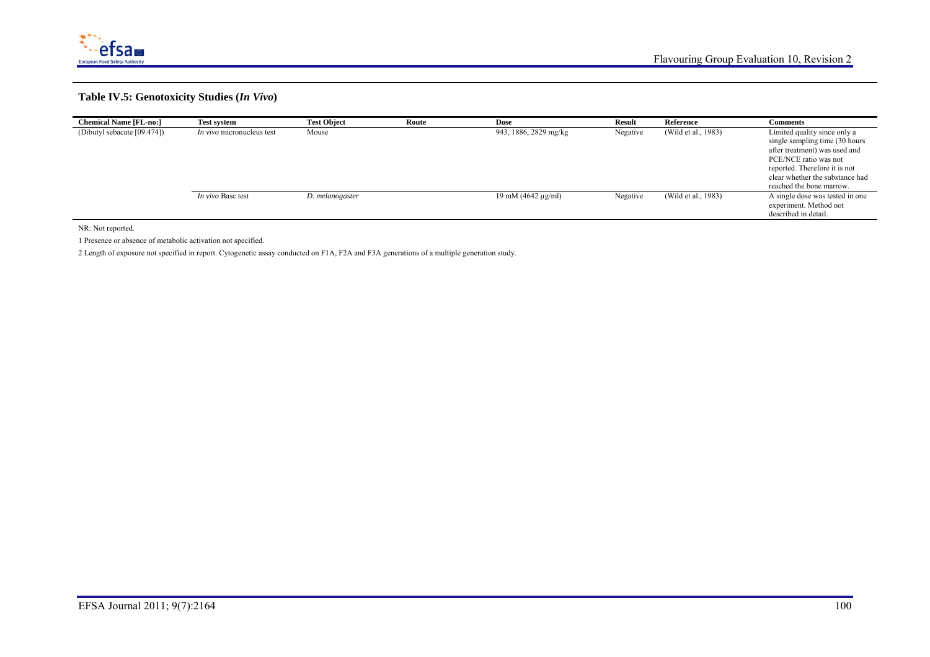

#### **Table IV.5: Genotoxicity Studies (***In Vivo***)**

| <b>Chemical Name [FL-no:]</b> | <b>Test system</b>               | <b>Test Object</b> | Route | <b>Dose</b>                           | <b>Result</b> | Reference           | <b>Comments</b>                                                                                                                                                                                                           |
|-------------------------------|----------------------------------|--------------------|-------|---------------------------------------|---------------|---------------------|---------------------------------------------------------------------------------------------------------------------------------------------------------------------------------------------------------------------------|
| (Dibutyl sebacate [09.474])   | <i>In vivo</i> micronucleus test | Mouse              |       | 943, 1886, 2829 mg/kg                 | Negative      | (Wild et al., 1983) | Limited quality since only a<br>single sampling time (30 hours)<br>after treatment) was used and<br>PCE/NCE ratio was not<br>reported. Therefore it is not<br>clear whether the substance had<br>reached the bone marrow. |
|                               | <i>In vivo</i> Basc test         | D. melanogaster    |       | $19 \text{ mM } (4642 \text{ µg/ml})$ | Negative      | (Wild et al., 1983) | A single dose was tested in one<br>experiment. Method not<br>described in detail.                                                                                                                                         |

NR: Not reported.

1 Presence or absence of metabolic activation not specified.

2 Length of exposure not specified in report. Cytogenetic assay conducted on F1A, F2A and F3A generations of a multiple generation study.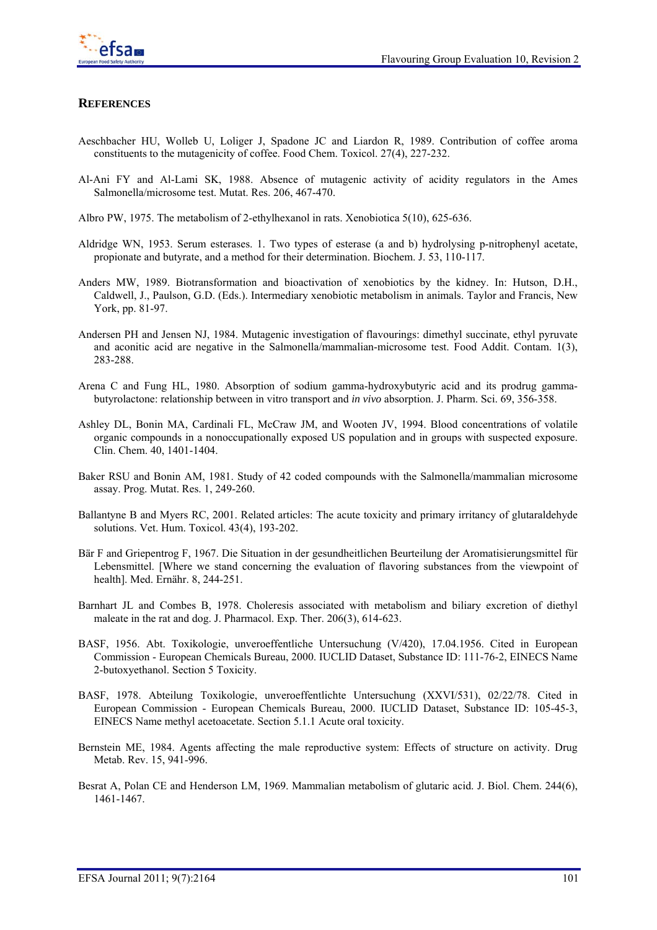

### **REFERENCES**

- Aeschbacher HU, Wolleb U, Loliger J, Spadone JC and Liardon R, 1989. Contribution of coffee aroma constituents to the mutagenicity of coffee. Food Chem. Toxicol. 27(4), 227-232.
- Al-Ani FY and Al-Lami SK, 1988. Absence of mutagenic activity of acidity regulators in the Ames Salmonella/microsome test. Mutat. Res. 206, 467-470.
- Albro PW, 1975. The metabolism of 2-ethylhexanol in rats. Xenobiotica 5(10), 625-636.
- Aldridge WN, 1953. Serum esterases. 1. Two types of esterase (a and b) hydrolysing p-nitrophenyl acetate, propionate and butyrate, and a method for their determination. Biochem. J. 53, 110-117.
- Anders MW, 1989. Biotransformation and bioactivation of xenobiotics by the kidney. In: Hutson, D.H., Caldwell, J., Paulson, G.D. (Eds.). Intermediary xenobiotic metabolism in animals. Taylor and Francis, New York, pp. 81-97.
- Andersen PH and Jensen NJ, 1984. Mutagenic investigation of flavourings: dimethyl succinate, ethyl pyruvate and aconitic acid are negative in the Salmonella/mammalian-microsome test. Food Addit. Contam. 1(3), 283-288.
- Arena C and Fung HL, 1980. Absorption of sodium gamma-hydroxybutyric acid and its prodrug gammabutyrolactone: relationship between in vitro transport and *in vivo* absorption. J. Pharm. Sci. 69, 356-358.
- Ashley DL, Bonin MA, Cardinali FL, McCraw JM, and Wooten JV, 1994. Blood concentrations of volatile organic compounds in a nonoccupationally exposed US population and in groups with suspected exposure. Clin. Chem. 40, 1401-1404.
- Baker RSU and Bonin AM, 1981. Study of 42 coded compounds with the Salmonella/mammalian microsome assay. Prog. Mutat. Res. 1, 249-260.
- Ballantyne B and Myers RC, 2001. Related articles: The acute toxicity and primary irritancy of glutaraldehyde solutions. Vet. Hum. Toxicol. 43(4), 193-202.
- Bär F and Griepentrog F, 1967. Die Situation in der gesundheitlichen Beurteilung der Aromatisierungsmittel für Lebensmittel. [Where we stand concerning the evaluation of flavoring substances from the viewpoint of health]. Med. Ernähr. 8, 244-251.
- Barnhart JL and Combes B, 1978. Choleresis associated with metabolism and biliary excretion of diethyl maleate in the rat and dog. J. Pharmacol. Exp. Ther. 206(3), 614-623.
- BASF, 1956. Abt. Toxikologie, unveroeffentliche Untersuchung (V/420), 17.04.1956. Cited in European Commission - European Chemicals Bureau, 2000. IUCLID Dataset, Substance ID: 111-76-2, EINECS Name 2-butoxyethanol. Section 5 Toxicity.
- BASF, 1978. Abteilung Toxikologie, unveroeffentlichte Untersuchung (XXVI/531), 02/22/78. Cited in European Commission - European Chemicals Bureau, 2000. IUCLID Dataset, Substance ID: 105-45-3, EINECS Name methyl acetoacetate. Section 5.1.1 Acute oral toxicity.
- Bernstein ME, 1984. Agents affecting the male reproductive system: Effects of structure on activity. Drug Metab. Rev. 15, 941-996.
- Besrat A, Polan CE and Henderson LM, 1969. Mammalian metabolism of glutaric acid. J. Biol. Chem. 244(6), 1461-1467.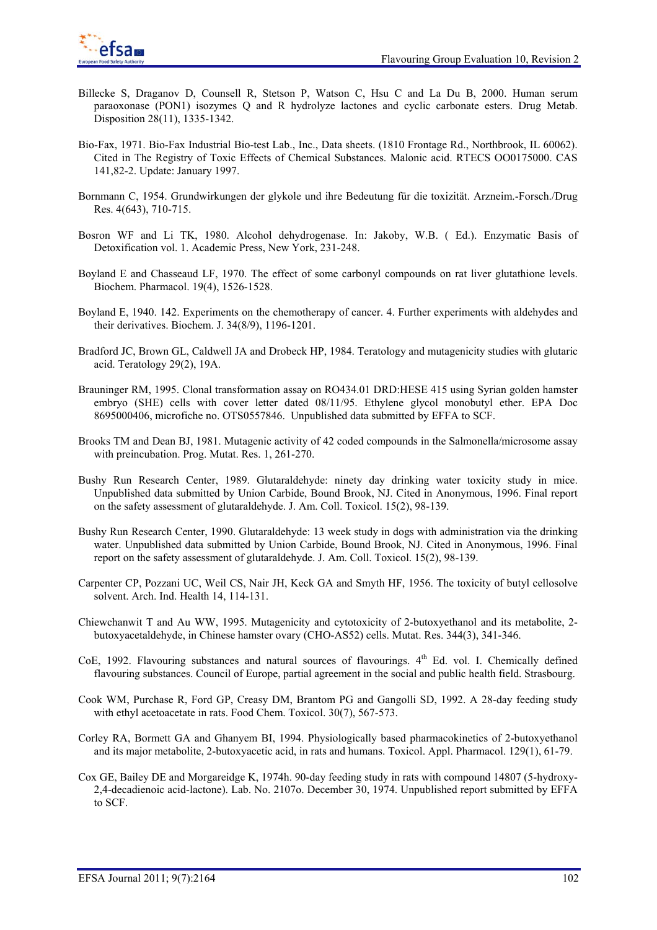

- Billecke S, Draganov D, Counsell R, Stetson P, Watson C, Hsu C and La Du B, 2000. Human serum paraoxonase (PON1) isozymes Q and R hydrolyze lactones and cyclic carbonate esters. Drug Metab. Disposition 28(11), 1335-1342.
- Bio-Fax, 1971. Bio-Fax Industrial Bio-test Lab., Inc., Data sheets. (1810 Frontage Rd., Northbrook, IL 60062). Cited in The Registry of Toxic Effects of Chemical Substances. Malonic acid. RTECS OO0175000. CAS 141,82-2. Update: January 1997.
- Bornmann C, 1954. Grundwirkungen der glykole und ihre Bedeutung für die toxizität. Arzneim.-Forsch./Drug Res. 4(643), 710-715.
- Bosron WF and Li TK, 1980. Alcohol dehydrogenase. In: Jakoby, W.B. ( Ed.). Enzymatic Basis of Detoxification vol. 1. Academic Press, New York, 231-248.
- Boyland E and Chasseaud LF, 1970. The effect of some carbonyl compounds on rat liver glutathione levels. Biochem. Pharmacol. 19(4), 1526-1528.
- Boyland E, 1940. 142. Experiments on the chemotherapy of cancer. 4. Further experiments with aldehydes and their derivatives. Biochem. J. 34(8/9), 1196-1201.
- Bradford JC, Brown GL, Caldwell JA and Drobeck HP, 1984. Teratology and mutagenicity studies with glutaric acid. Teratology 29(2), 19A.
- Brauninger RM, 1995. Clonal transformation assay on RO434.01 DRD:HESE 415 using Syrian golden hamster embryo (SHE) cells with cover letter dated 08/11/95. Ethylene glycol monobutyl ether. EPA Doc 8695000406, microfiche no. OTS0557846. Unpublished data submitted by EFFA to SCF.
- Brooks TM and Dean BJ, 1981. Mutagenic activity of 42 coded compounds in the Salmonella/microsome assay with preincubation. Prog. Mutat. Res. 1, 261-270.
- Bushy Run Research Center, 1989. Glutaraldehyde: ninety day drinking water toxicity study in mice. Unpublished data submitted by Union Carbide, Bound Brook, NJ. Cited in Anonymous, 1996. Final report on the safety assessment of glutaraldehyde. J. Am. Coll. Toxicol. 15(2), 98-139.
- Bushy Run Research Center, 1990. Glutaraldehyde: 13 week study in dogs with administration via the drinking water. Unpublished data submitted by Union Carbide, Bound Brook, NJ. Cited in Anonymous, 1996. Final report on the safety assessment of glutaraldehyde. J. Am. Coll. Toxicol. 15(2), 98-139.
- Carpenter CP, Pozzani UC, Weil CS, Nair JH, Keck GA and Smyth HF, 1956. The toxicity of butyl cellosolve solvent. Arch. Ind. Health 14, 114-131.
- Chiewchanwit T and Au WW, 1995. Mutagenicity and cytotoxicity of 2-butoxyethanol and its metabolite, 2 butoxyacetaldehyde, in Chinese hamster ovary (CHO-AS52) cells. Mutat. Res. 344(3), 341-346.
- CoE, 1992. Flavouring substances and natural sources of flavourings.  $4<sup>th</sup>$  Ed. vol. I. Chemically defined flavouring substances. Council of Europe, partial agreement in the social and public health field. Strasbourg.
- Cook WM, Purchase R, Ford GP, Creasy DM, Brantom PG and Gangolli SD, 1992. A 28-day feeding study with ethyl acetoacetate in rats. Food Chem. Toxicol. 30(7), 567-573.
- Corley RA, Bormett GA and Ghanyem BI, 1994. Physiologically based pharmacokinetics of 2-butoxyethanol and its major metabolite, 2-butoxyacetic acid, in rats and humans. Toxicol. Appl. Pharmacol. 129(1), 61-79.
- Cox GE, Bailey DE and Morgareidge K, 1974h. 90-day feeding study in rats with compound 14807 (5-hydroxy-2,4-decadienoic acid-lactone). Lab. No. 2107o. December 30, 1974. Unpublished report submitted by EFFA to SCF.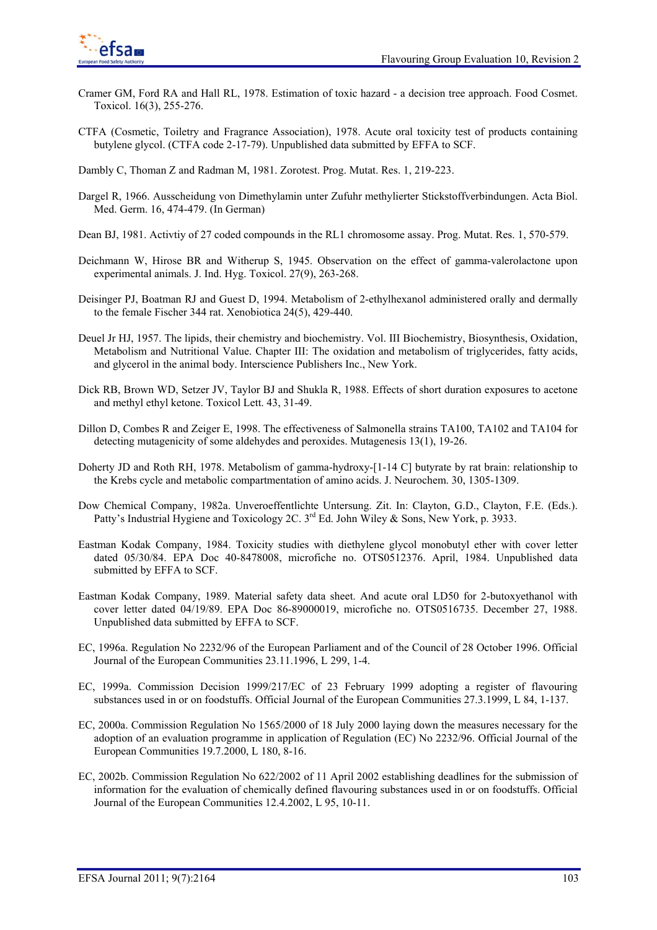

- Cramer GM, Ford RA and Hall RL, 1978. Estimation of toxic hazard a decision tree approach. Food Cosmet. Toxicol. 16(3), 255-276.
- CTFA (Cosmetic, Toiletry and Fragrance Association), 1978. Acute oral toxicity test of products containing butylene glycol. (CTFA code 2-17-79). Unpublished data submitted by EFFA to SCF.

Dambly C, Thoman Z and Radman M, 1981. Zorotest. Prog. Mutat. Res. 1, 219-223.

- Dargel R, 1966. Ausscheidung von Dimethylamin unter Zufuhr methylierter Stickstoffverbindungen. Acta Biol. Med. Germ. 16, 474-479. (In German)
- Dean BJ, 1981. Activtiy of 27 coded compounds in the RL1 chromosome assay. Prog. Mutat. Res. 1, 570-579.
- Deichmann W, Hirose BR and Witherup S, 1945. Observation on the effect of gamma-valerolactone upon experimental animals. J. Ind. Hyg. Toxicol. 27(9), 263-268.
- Deisinger PJ, Boatman RJ and Guest D, 1994. Metabolism of 2-ethylhexanol administered orally and dermally to the female Fischer 344 rat. Xenobiotica 24(5), 429-440.
- Deuel Jr HJ, 1957. The lipids, their chemistry and biochemistry. Vol. III Biochemistry, Biosynthesis, Oxidation, Metabolism and Nutritional Value. Chapter III: The oxidation and metabolism of triglycerides, fatty acids, and glycerol in the animal body. Interscience Publishers Inc., New York.
- Dick RB, Brown WD, Setzer JV, Taylor BJ and Shukla R, 1988. Effects of short duration exposures to acetone and methyl ethyl ketone. Toxicol Lett. 43, 31-49.
- Dillon D, Combes R and Zeiger E, 1998. The effectiveness of Salmonella strains TA100, TA102 and TA104 for detecting mutagenicity of some aldehydes and peroxides. Mutagenesis 13(1), 19-26.
- Doherty JD and Roth RH, 1978. Metabolism of gamma-hydroxy-[1-14 C] butyrate by rat brain: relationship to the Krebs cycle and metabolic compartmentation of amino acids. J. Neurochem. 30, 1305-1309.
- Dow Chemical Company, 1982a. Unveroeffentlichte Untersung. Zit. In: Clayton, G.D., Clayton, F.E. (Eds.). Patty's Industrial Hygiene and Toxicology 2C.  $3<sup>rd</sup>$  Ed. John Wiley & Sons, New York, p. 3933.
- Eastman Kodak Company, 1984. Toxicity studies with diethylene glycol monobutyl ether with cover letter dated 05/30/84. EPA Doc 40-8478008, microfiche no. OTS0512376. April, 1984. Unpublished data submitted by EFFA to SCF.
- Eastman Kodak Company, 1989. Material safety data sheet. And acute oral LD50 for 2-butoxyethanol with cover letter dated 04/19/89. EPA Doc 86-89000019, microfiche no. OTS0516735. December 27, 1988. Unpublished data submitted by EFFA to SCF.
- EC, 1996a. Regulation No 2232/96 of the European Parliament and of the Council of 28 October 1996. Official Journal of the European Communities 23.11.1996, L 299, 1-4.
- EC, 1999a. Commission Decision 1999/217/EC of 23 February 1999 adopting a register of flavouring substances used in or on foodstuffs. Official Journal of the European Communities 27.3.1999, L 84, 1-137.
- EC, 2000a. Commission Regulation No 1565/2000 of 18 July 2000 laying down the measures necessary for the adoption of an evaluation programme in application of Regulation (EC) No 2232/96. Official Journal of the European Communities 19.7.2000, L 180, 8-16.
- EC, 2002b. Commission Regulation No 622/2002 of 11 April 2002 establishing deadlines for the submission of information for the evaluation of chemically defined flavouring substances used in or on foodstuffs. Official Journal of the European Communities 12.4.2002, L 95, 10-11.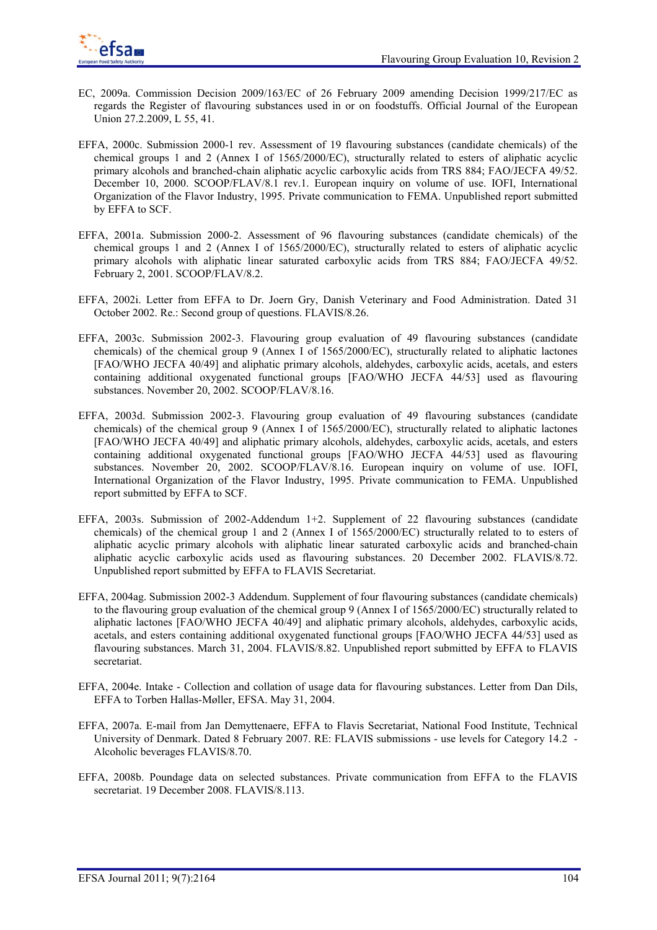

- EC, 2009a. Commission Decision 2009/163/EC of 26 February 2009 amending Decision 1999/217/EC as regards the Register of flavouring substances used in or on foodstuffs. Official Journal of the European Union 27.2.2009, L 55, 41.
- EFFA, 2000c. Submission 2000-1 rev. Assessment of 19 flavouring substances (candidate chemicals) of the chemical groups 1 and 2 (Annex I of 1565/2000/EC), structurally related to esters of aliphatic acyclic primary alcohols and branched-chain aliphatic acyclic carboxylic acids from TRS 884; FAO/JECFA 49/52. December 10, 2000. SCOOP/FLAV/8.1 rev.1. European inquiry on volume of use. IOFI, International Organization of the Flavor Industry, 1995. Private communication to FEMA. Unpublished report submitted by EFFA to SCF.
- EFFA, 2001a. Submission 2000-2. Assessment of 96 flavouring substances (candidate chemicals) of the chemical groups 1 and 2 (Annex I of 1565/2000/EC), structurally related to esters of aliphatic acyclic primary alcohols with aliphatic linear saturated carboxylic acids from TRS 884; FAO/JECFA 49/52. February 2, 2001. SCOOP/FLAV/8.2.
- EFFA, 2002i. Letter from EFFA to Dr. Joern Gry, Danish Veterinary and Food Administration. Dated 31 October 2002. Re.: Second group of questions. FLAVIS/8.26.
- EFFA, 2003c. Submission 2002-3. Flavouring group evaluation of 49 flavouring substances (candidate chemicals) of the chemical group 9 (Annex I of 1565/2000/EC), structurally related to aliphatic lactones [FAO/WHO JECFA 40/49] and aliphatic primary alcohols, aldehydes, carboxylic acids, acetals, and esters containing additional oxygenated functional groups [FAO/WHO JECFA 44/53] used as flavouring substances. November 20, 2002. SCOOP/FLAV/8.16.
- EFFA, 2003d. Submission 2002-3. Flavouring group evaluation of 49 flavouring substances (candidate chemicals) of the chemical group 9 (Annex I of 1565/2000/EC), structurally related to aliphatic lactones [FAO/WHO JECFA 40/49] and aliphatic primary alcohols, aldehydes, carboxylic acids, acetals, and esters containing additional oxygenated functional groups [FAO/WHO JECFA 44/53] used as flavouring substances. November 20, 2002. SCOOP/FLAV/8.16. European inquiry on volume of use. IOFI, International Organization of the Flavor Industry, 1995. Private communication to FEMA. Unpublished report submitted by EFFA to SCF.
- EFFA, 2003s. Submission of 2002-Addendum 1+2. Supplement of 22 flavouring substances (candidate chemicals) of the chemical group 1 and 2 (Annex I of 1565/2000/EC) structurally related to to esters of aliphatic acyclic primary alcohols with aliphatic linear saturated carboxylic acids and branched-chain aliphatic acyclic carboxylic acids used as flavouring substances. 20 December 2002. FLAVIS/8.72. Unpublished report submitted by EFFA to FLAVIS Secretariat.
- EFFA, 2004ag. Submission 2002-3 Addendum. Supplement of four flavouring substances (candidate chemicals) to the flavouring group evaluation of the chemical group 9 (Annex I of 1565/2000/EC) structurally related to aliphatic lactones [FAO/WHO JECFA 40/49] and aliphatic primary alcohols, aldehydes, carboxylic acids, acetals, and esters containing additional oxygenated functional groups [FAO/WHO JECFA 44/53] used as flavouring substances. March 31, 2004. FLAVIS/8.82. Unpublished report submitted by EFFA to FLAVIS secretariat.
- EFFA, 2004e. Intake Collection and collation of usage data for flavouring substances. Letter from Dan Dils, EFFA to Torben Hallas-Møller, EFSA. May 31, 2004.
- EFFA, 2007a. E-mail from Jan Demyttenaere, EFFA to Flavis Secretariat, National Food Institute, Technical University of Denmark. Dated 8 February 2007. RE: FLAVIS submissions - use levels for Category 14.2 - Alcoholic beverages FLAVIS/8.70.
- EFFA, 2008b. Poundage data on selected substances. Private communication from EFFA to the FLAVIS secretariat. 19 December 2008. FLAVIS/8.113.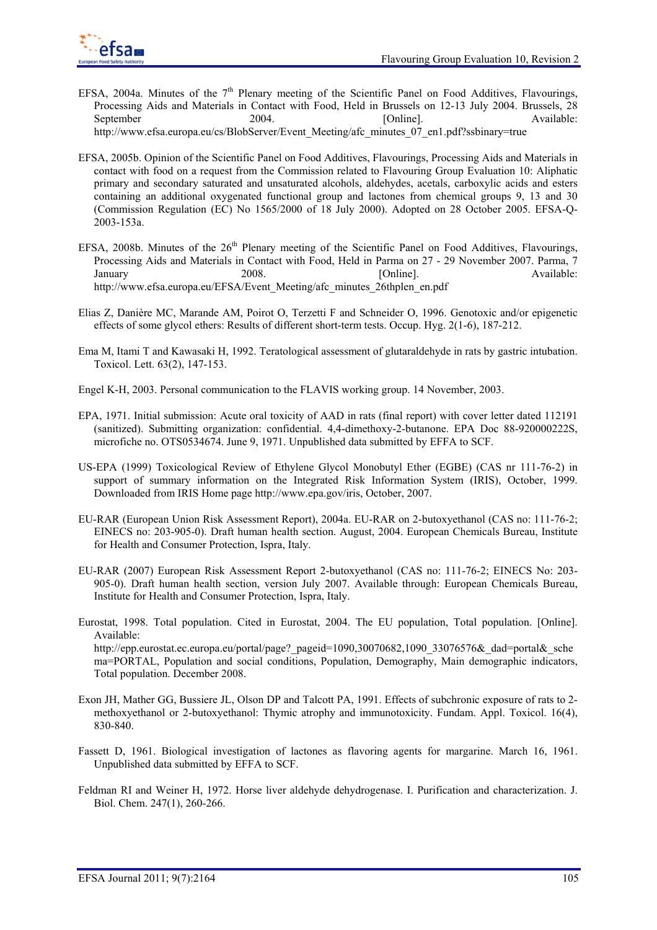

- EFSA, 2004a. Minutes of the  $7<sup>th</sup>$  Plenary meeting of the Scientific Panel on Food Additives, Flavourings, Processing Aids and Materials in Contact with Food, Held in Brussels on 12-13 July 2004. Brussels, 28 September 2004. [Online]. Available: http://www.efsa.europa.eu/cs/BlobServer/Event\_Meeting/afc\_minutes\_07\_en1.pdf?ssbinary=true
- EFSA, 2005b. Opinion of the Scientific Panel on Food Additives, Flavourings, Processing Aids and Materials in contact with food on a request from the Commission related to Flavouring Group Evaluation 10: Aliphatic primary and secondary saturated and unsaturated alcohols, aldehydes, acetals, carboxylic acids and esters containing an additional oxygenated functional group and lactones from chemical groups 9, 13 and 30 (Commission Regulation (EC) No 1565/2000 of 18 July 2000). Adopted on 28 October 2005. EFSA-Q-2003-153a.
- EFSA, 2008b. Minutes of the  $26<sup>th</sup>$  Plenary meeting of the Scientific Panel on Food Additives, Flavourings, Processing Aids and Materials in Contact with Food, Held in Parma on 27 - 29 November 2007. Parma, 7 January 2008. [Online]. Available: http://www.efsa.europa.eu/EFSA/Event\_Meeting/afc\_minutes\_26thplen\_en.pdf
- Elias Z, Danière MC, Marande AM, Poirot O, Terzetti F and Schneider O, 1996. Genotoxic and/or epigenetic effects of some glycol ethers: Results of different short-term tests. Occup. Hyg. 2(1-6), 187-212.
- Ema M, Itami T and Kawasaki H, 1992. Teratological assessment of glutaraldehyde in rats by gastric intubation. Toxicol. Lett. 63(2), 147-153.
- Engel K-H, 2003. Personal communication to the FLAVIS working group. 14 November, 2003.
- EPA, 1971. Initial submission: Acute oral toxicity of AAD in rats (final report) with cover letter dated 112191 (sanitized). Submitting organization: confidential. 4,4-dimethoxy-2-butanone. EPA Doc 88-920000222S, microfiche no. OTS0534674. June 9, 1971. Unpublished data submitted by EFFA to SCF.
- US-EPA (1999) Toxicological Review of Ethylene Glycol Monobutyl Ether (EGBE) (CAS nr 111-76-2) in support of summary information on the Integrated Risk Information System (IRIS), October, 1999. Downloaded from IRIS Home page http://www.epa.gov/iris, October, 2007.
- EU-RAR (European Union Risk Assessment Report), 2004a. EU-RAR on 2-butoxyethanol (CAS no: 111-76-2; EINECS no: 203-905-0). Draft human health section. August, 2004. European Chemicals Bureau, Institute for Health and Consumer Protection, Ispra, Italy.
- EU-RAR (2007) European Risk Assessment Report 2-butoxyethanol (CAS no: 111-76-2; EINECS No: 203- 905-0). Draft human health section, version July 2007. Available through: European Chemicals Bureau, Institute for Health and Consumer Protection, Ispra, Italy.
- Eurostat, 1998. Total population. Cited in Eurostat, 2004. The EU population, Total population. [Online]. Available: http://epp.eurostat.ec.europa.eu/portal/page? pageid=1090,30070682,1090\_33076576&\_dad=portal&\_sche ma=PORTAL, Population and social conditions, Population, Demography, Main demographic indicators, Total population. December 2008.
- Exon JH, Mather GG, Bussiere JL, Olson DP and Talcott PA, 1991. Effects of subchronic exposure of rats to 2 methoxyethanol or 2-butoxyethanol: Thymic atrophy and immunotoxicity. Fundam. Appl. Toxicol. 16(4), 830-840.
- Fassett D, 1961. Biological investigation of lactones as flavoring agents for margarine. March 16, 1961. Unpublished data submitted by EFFA to SCF.
- Feldman RI and Weiner H, 1972. Horse liver aldehyde dehydrogenase. I. Purification and characterization. J. Biol. Chem. 247(1), 260-266.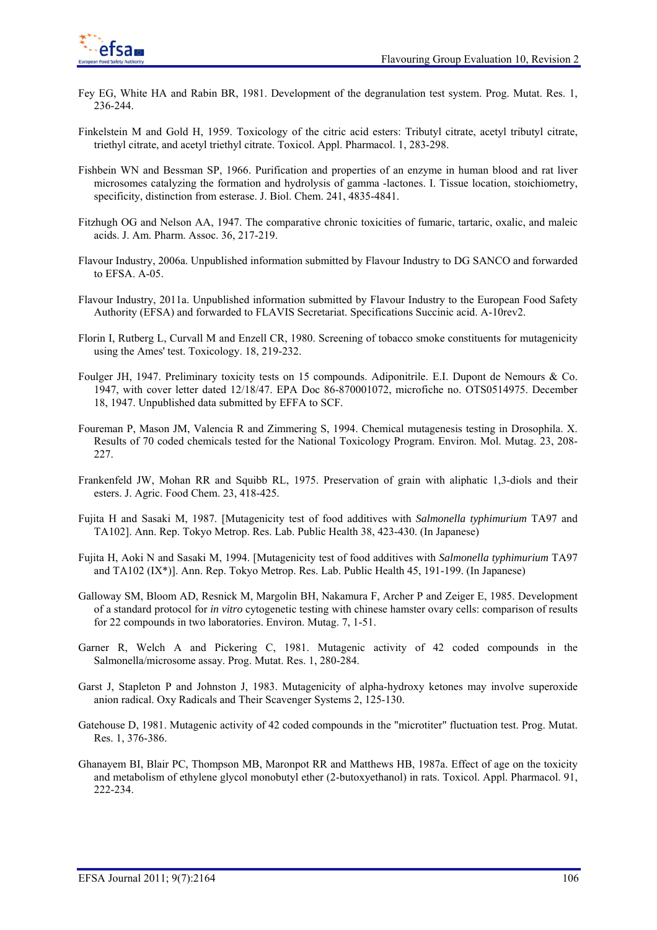

- Fey EG, White HA and Rabin BR, 1981. Development of the degranulation test system. Prog. Mutat. Res. 1, 236-244.
- Finkelstein M and Gold H, 1959. Toxicology of the citric acid esters: Tributyl citrate, acetyl tributyl citrate, triethyl citrate, and acetyl triethyl citrate. Toxicol. Appl. Pharmacol. 1, 283-298.
- Fishbein WN and Bessman SP, 1966. Purification and properties of an enzyme in human blood and rat liver microsomes catalyzing the formation and hydrolysis of gamma -lactones. I. Tissue location, stoichiometry, specificity, distinction from esterase. J. Biol. Chem. 241, 4835-4841.
- Fitzhugh OG and Nelson AA, 1947. The comparative chronic toxicities of fumaric, tartaric, oxalic, and maleic acids. J. Am. Pharm. Assoc. 36, 217-219.
- Flavour Industry, 2006a. Unpublished information submitted by Flavour Industry to DG SANCO and forwarded to EFSA. A-05.
- Flavour Industry, 2011a. Unpublished information submitted by Flavour Industry to the European Food Safety Authority (EFSA) and forwarded to FLAVIS Secretariat. Specifications Succinic acid. A-10rev2.
- Florin I, Rutberg L, Curvall M and Enzell CR, 1980. Screening of tobacco smoke constituents for mutagenicity using the Ames' test. Toxicology. 18, 219-232.
- Foulger JH, 1947. Preliminary toxicity tests on 15 compounds. Adiponitrile. E.I. Dupont de Nemours & Co. 1947, with cover letter dated 12/18/47. EPA Doc 86-870001072, microfiche no. OTS0514975. December 18, 1947. Unpublished data submitted by EFFA to SCF.
- Foureman P, Mason JM, Valencia R and Zimmering S, 1994. Chemical mutagenesis testing in Drosophila. X. Results of 70 coded chemicals tested for the National Toxicology Program. Environ. Mol. Mutag. 23, 208- 227.
- Frankenfeld JW, Mohan RR and Squibb RL, 1975. Preservation of grain with aliphatic 1,3-diols and their esters. J. Agric. Food Chem. 23, 418-425.
- Fujita H and Sasaki M, 1987. [Mutagenicity test of food additives with *Salmonella typhimurium* TA97 and TA102]. Ann. Rep. Tokyo Metrop. Res. Lab. Public Health 38, 423-430. (In Japanese)
- Fujita H, Aoki N and Sasaki M, 1994. [Mutagenicity test of food additives with *Salmonella typhimurium* TA97 and TA102 (IX\*)]. Ann. Rep. Tokyo Metrop. Res. Lab. Public Health 45, 191-199. (In Japanese)
- Galloway SM, Bloom AD, Resnick M, Margolin BH, Nakamura F, Archer P and Zeiger E, 1985. Development of a standard protocol for *in vitro* cytogenetic testing with chinese hamster ovary cells: comparison of results for 22 compounds in two laboratories. Environ. Mutag. 7, 1-51.
- Garner R, Welch A and Pickering C, 1981. Mutagenic activity of 42 coded compounds in the Salmonella/microsome assay. Prog. Mutat. Res. 1, 280-284.
- Garst J, Stapleton P and Johnston J, 1983. Mutagenicity of alpha-hydroxy ketones may involve superoxide anion radical. Oxy Radicals and Their Scavenger Systems 2, 125-130.
- Gatehouse D, 1981. Mutagenic activity of 42 coded compounds in the "microtiter" fluctuation test. Prog. Mutat. Res. 1, 376-386.
- Ghanayem BI, Blair PC, Thompson MB, Maronpot RR and Matthews HB, 1987a. Effect of age on the toxicity and metabolism of ethylene glycol monobutyl ether (2-butoxyethanol) in rats. Toxicol. Appl. Pharmacol. 91, 222-234.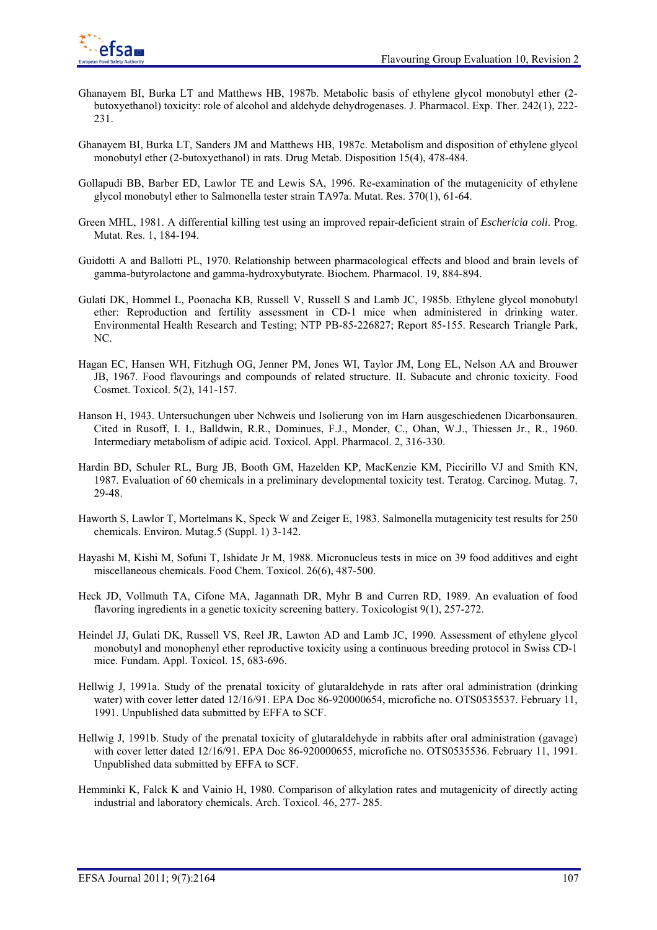- Ghanayem BI, Burka LT and Matthews HB, 1987b. Metabolic basis of ethylene glycol monobutyl ether (2 butoxyethanol) toxicity: role of alcohol and aldehyde dehydrogenases. J. Pharmacol. Exp. Ther. 242(1), 222- 231.
- Ghanayem BI, Burka LT, Sanders JM and Matthews HB, 1987c. Metabolism and disposition of ethylene glycol monobutyl ether (2-butoxyethanol) in rats. Drug Metab. Disposition 15(4), 478-484.
- Gollapudi BB, Barber ED, Lawlor TE and Lewis SA, 1996. Re-examination of the mutagenicity of ethylene glycol monobutyl ether to Salmonella tester strain TA97a. Mutat. Res. 370(1), 61-64.
- Green MHL, 1981. A differential killing test using an improved repair-deficient strain of *Eschericia coli*. Prog. Mutat. Res. 1, 184-194.
- Guidotti A and Ballotti PL, 1970. Relationship between pharmacological effects and blood and brain levels of gamma-butyrolactone and gamma-hydroxybutyrate. Biochem. Pharmacol. 19, 884-894.
- Gulati DK, Hommel L, Poonacha KB, Russell V, Russell S and Lamb JC, 1985b. Ethylene glycol monobutyl ether: Reproduction and fertility assessment in CD-1 mice when administered in drinking water. Environmental Health Research and Testing; NTP PB-85-226827; Report 85-155. Research Triangle Park, NC.
- Hagan EC, Hansen WH, Fitzhugh OG, Jenner PM, Jones WI, Taylor JM, Long EL, Nelson AA and Brouwer JB, 1967. Food flavourings and compounds of related structure. II. Subacute and chronic toxicity. Food Cosmet. Toxicol. 5(2), 141-157.
- Hanson H, 1943. Untersuchungen uber Nchweis und Isolierung von im Harn ausgeschiedenen Dicarbonsauren. Cited in Rusoff, I. I., Balldwin, R.R., Dominues, F.J., Monder, C., Ohan, W.J., Thiessen Jr., R., 1960. Intermediary metabolism of adipic acid. Toxicol. Appl. Pharmacol. 2, 316-330.
- Hardin BD, Schuler RL, Burg JB, Booth GM, Hazelden KP, MacKenzie KM, Piccirillo VJ and Smith KN, 1987. Evaluation of 60 chemicals in a preliminary developmental toxicity test. Teratog. Carcinog. Mutag. 7, 29-48.
- Haworth S, Lawlor T, Mortelmans K, Speck W and Zeiger E, 1983. Salmonella mutagenicity test results for 250 chemicals. Environ. Mutag.5 (Suppl. 1) 3-142.
- Hayashi M, Kishi M, Sofuni T, Ishidate Jr M, 1988. Micronucleus tests in mice on 39 food additives and eight miscellaneous chemicals. Food Chem. Toxicol. 26(6), 487-500.
- Heck JD, Vollmuth TA, Cifone MA, Jagannath DR, Myhr B and Curren RD, 1989. An evaluation of food flavoring ingredients in a genetic toxicity screening battery. Toxicologist 9(1), 257-272.
- Heindel JJ, Gulati DK, Russell VS, Reel JR, Lawton AD and Lamb JC, 1990. Assessment of ethylene glycol monobutyl and monophenyl ether reproductive toxicity using a continuous breeding protocol in Swiss CD-1 mice. Fundam. Appl. Toxicol. 15, 683-696.
- Hellwig J, 1991a. Study of the prenatal toxicity of glutaraldehyde in rats after oral administration (drinking water) with cover letter dated 12/16/91. EPA Doc 86-920000654, microfiche no. OTS0535537. February 11, 1991. Unpublished data submitted by EFFA to SCF.
- Hellwig J, 1991b. Study of the prenatal toxicity of glutaraldehyde in rabbits after oral administration (gavage) with cover letter dated 12/16/91. EPA Doc 86-920000655, microfiche no. OTS0535536. February 11, 1991. Unpublished data submitted by EFFA to SCF.
- Hemminki K, Falck K and Vainio H, 1980. Comparison of alkylation rates and mutagenicity of directly acting industrial and laboratory chemicals. Arch. Toxicol. 46, 277- 285.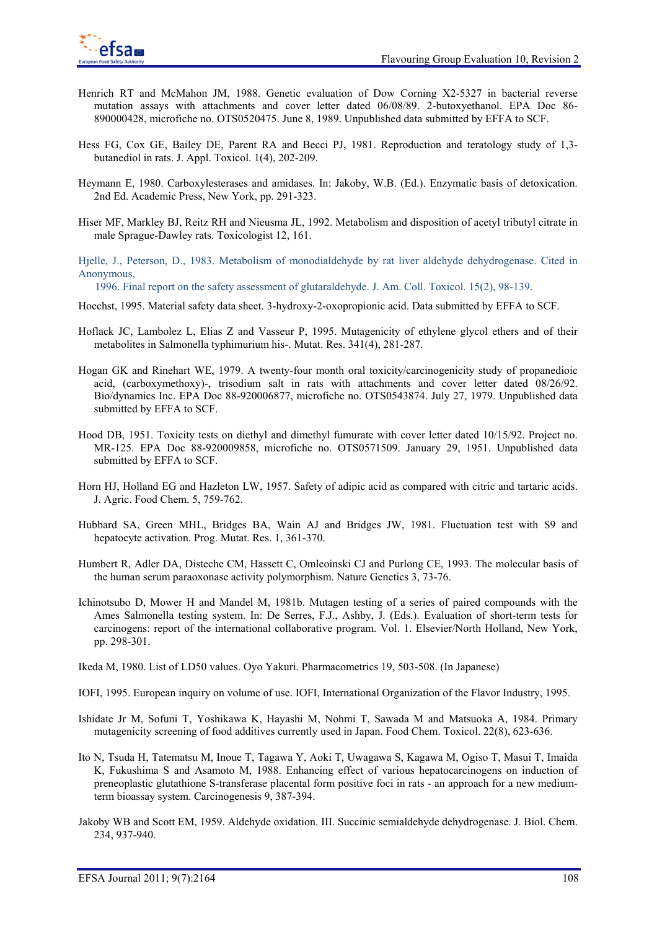

- Henrich RT and McMahon JM, 1988. Genetic evaluation of Dow Corning X2-5327 in bacterial reverse mutation assays with attachments and cover letter dated 06/08/89. 2-butoxyethanol. EPA Doc 86- 890000428, microfiche no. OTS0520475. June 8, 1989. Unpublished data submitted by EFFA to SCF.
- Hess FG, Cox GE, Bailey DE, Parent RA and Becci PJ, 1981. Reproduction and teratology study of 1,3 butanediol in rats. J. Appl. Toxicol. 1(4), 202-209.
- Heymann E, 1980. Carboxylesterases and amidases. In: Jakoby, W.B. (Ed.). Enzymatic basis of detoxication. 2nd Ed. Academic Press, New York, pp. 291-323.
- Hiser MF, Markley BJ, Reitz RH and Nieusma JL, 1992. Metabolism and disposition of acetyl tributyl citrate in male Sprague-Dawley rats. Toxicologist 12, 161.
- Hjelle, J., Peterson, D., 1983. Metabolism of monodialdehyde by rat liver aldehyde dehydrogenase. Cited in Anonymous,
- 1996. Final report on the safety assessment of glutaraldehyde. J. Am. Coll. Toxicol. 15(2), 98-139.
- Hoechst, 1995. Material safety data sheet. 3-hydroxy-2-oxopropionic acid. Data submitted by EFFA to SCF.
- Hoflack JC, Lambolez L, Elias Z and Vasseur P, 1995. Mutagenicity of ethylene glycol ethers and of their metabolites in Salmonella typhimurium his-. Mutat. Res. 341(4), 281-287.
- Hogan GK and Rinehart WE, 1979. A twenty-four month oral toxicity/carcinogenicity study of propanedioic acid, (carboxymethoxy)-, trisodium salt in rats with attachments and cover letter dated 08/26/92. Bio/dynamics Inc. EPA Doc 88-920006877, microfiche no. OTS0543874. July 27, 1979. Unpublished data submitted by EFFA to SCF.
- Hood DB, 1951. Toxicity tests on diethyl and dimethyl fumurate with cover letter dated 10/15/92. Project no. MR-125. EPA Doc 88-920009858, microfiche no. OTS0571509. January 29, 1951. Unpublished data submitted by EFFA to SCF.
- Horn HJ, Holland EG and Hazleton LW, 1957. Safety of adipic acid as compared with citric and tartaric acids. J. Agric. Food Chem. 5, 759-762.
- Hubbard SA, Green MHL, Bridges BA, Wain AJ and Bridges JW, 1981. Fluctuation test with S9 and hepatocyte activation. Prog. Mutat. Res. 1, 361-370.
- Humbert R, Adler DA, Disteche CM, Hassett C, Omleoinski CJ and Purlong CE, 1993. The molecular basis of the human serum paraoxonase activity polymorphism. Nature Genetics 3, 73-76.
- Ichinotsubo D, Mower H and Mandel M, 1981b. Mutagen testing of a series of paired compounds with the Ames Salmonella testing system. In: De Serres, F.J., Ashby, J. (Eds.). Evaluation of short-term tests for carcinogens: report of the international collaborative program. Vol. 1. Elsevier/North Holland, New York, pp. 298-301.
- Ikeda M, 1980. List of LD50 values. Oyo Yakuri. Pharmacometrics 19, 503-508. (In Japanese)
- IOFI, 1995. European inquiry on volume of use. IOFI, International Organization of the Flavor Industry, 1995.
- Ishidate Jr M, Sofuni T, Yoshikawa K, Hayashi M, Nohmi T, Sawada M and Matsuoka A, 1984. Primary mutagenicity screening of food additives currently used in Japan. Food Chem. Toxicol. 22(8), 623-636.
- Ito N, Tsuda H, Tatematsu M, Inoue T, Tagawa Y, Aoki T, Uwagawa S, Kagawa M, Ogiso T, Masui T, Imaida K, Fukushima S and Asamoto M, 1988. Enhancing effect of various hepatocarcinogens on induction of preneoplastic glutathione S-transferase placental form positive foci in rats - an approach for a new mediumterm bioassay system. Carcinogenesis 9, 387-394.
- Jakoby WB and Scott EM, 1959. Aldehyde oxidation. III. Succinic semialdehyde dehydrogenase. J. Biol. Chem. 234, 937-940.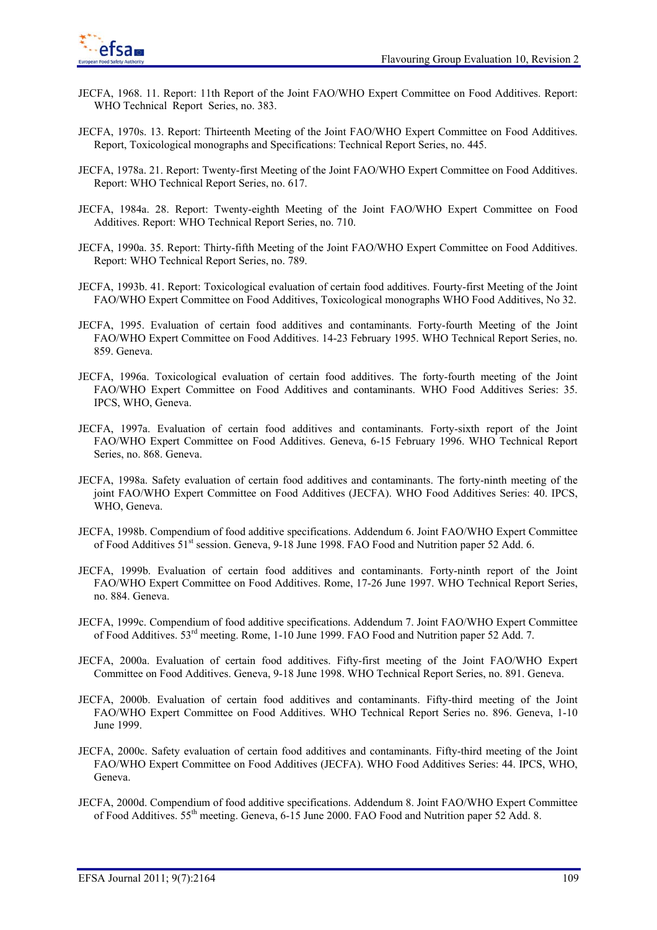- JECFA, 1968. 11. Report: 11th Report of the Joint FAO/WHO Expert Committee on Food Additives. Report: WHO Technical Report Series, no. 383.
- JECFA, 1970s. 13. Report: Thirteenth Meeting of the Joint FAO/WHO Expert Committee on Food Additives. Report, Toxicological monographs and Specifications: Technical Report Series, no. 445.
- JECFA, 1978a. 21. Report: Twenty-first Meeting of the Joint FAO/WHO Expert Committee on Food Additives. Report: WHO Technical Report Series, no. 617.
- JECFA, 1984a. 28. Report: Twenty-eighth Meeting of the Joint FAO/WHO Expert Committee on Food Additives. Report: WHO Technical Report Series, no. 710.
- JECFA, 1990a. 35. Report: Thirty-fifth Meeting of the Joint FAO/WHO Expert Committee on Food Additives. Report: WHO Technical Report Series, no. 789.
- JECFA, 1993b. 41. Report: Toxicological evaluation of certain food additives. Fourty-first Meeting of the Joint FAO/WHO Expert Committee on Food Additives, Toxicological monographs WHO Food Additives, No 32.
- JECFA, 1995. Evaluation of certain food additives and contaminants. Forty-fourth Meeting of the Joint FAO/WHO Expert Committee on Food Additives. 14-23 February 1995. WHO Technical Report Series, no. 859. Geneva.
- JECFA, 1996a. Toxicological evaluation of certain food additives. The forty-fourth meeting of the Joint FAO/WHO Expert Committee on Food Additives and contaminants. WHO Food Additives Series: 35. IPCS, WHO, Geneva.
- JECFA, 1997a. Evaluation of certain food additives and contaminants. Forty-sixth report of the Joint FAO/WHO Expert Committee on Food Additives. Geneva, 6-15 February 1996. WHO Technical Report Series, no. 868. Geneva.
- JECFA, 1998a. Safety evaluation of certain food additives and contaminants. The forty-ninth meeting of the joint FAO/WHO Expert Committee on Food Additives (JECFA). WHO Food Additives Series: 40. IPCS, WHO, Geneva.
- JECFA, 1998b. Compendium of food additive specifications. Addendum 6. Joint FAO/WHO Expert Committee of Food Additives 51<sup>st</sup> session. Geneva, 9-18 June 1998. FAO Food and Nutrition paper 52 Add. 6.
- JECFA, 1999b. Evaluation of certain food additives and contaminants. Forty-ninth report of the Joint FAO/WHO Expert Committee on Food Additives. Rome, 17-26 June 1997. WHO Technical Report Series, no. 884. Geneva.
- JECFA, 1999c. Compendium of food additive specifications. Addendum 7. Joint FAO/WHO Expert Committee of Food Additives.  $53<sup>rd</sup>$  meeting. Rome, 1-10 June 1999. FAO Food and Nutrition paper 52 Add. 7.
- JECFA, 2000a. Evaluation of certain food additives. Fifty-first meeting of the Joint FAO/WHO Expert Committee on Food Additives. Geneva, 9-18 June 1998. WHO Technical Report Series, no. 891. Geneva.
- JECFA, 2000b. Evaluation of certain food additives and contaminants. Fifty-third meeting of the Joint FAO/WHO Expert Committee on Food Additives. WHO Technical Report Series no. 896. Geneva, 1-10 June 1999.
- JECFA, 2000c. Safety evaluation of certain food additives and contaminants. Fifty-third meeting of the Joint FAO/WHO Expert Committee on Food Additives (JECFA). WHO Food Additives Series: 44. IPCS, WHO, Geneva.
- JECFA, 2000d. Compendium of food additive specifications. Addendum 8. Joint FAO/WHO Expert Committee of Food Additives.  $55<sup>th</sup>$  meeting. Geneva, 6-15 June 2000. FAO Food and Nutrition paper 52 Add. 8.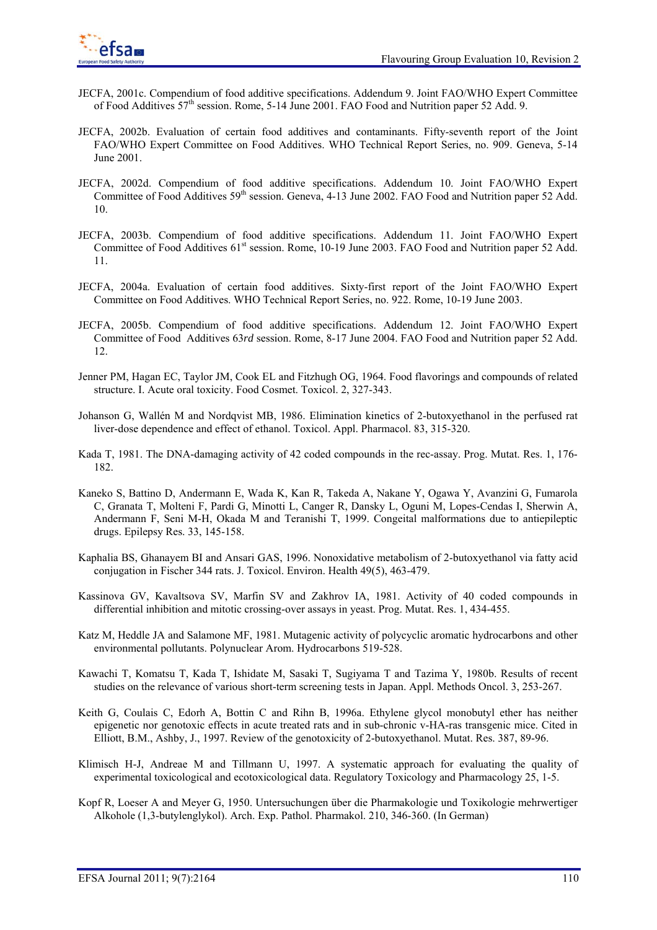- JECFA, 2001c. Compendium of food additive specifications. Addendum 9. Joint FAO/WHO Expert Committee of Food Additives  $57<sup>th</sup>$  session. Rome, 5-14 June 2001. FAO Food and Nutrition paper 52 Add. 9.
- JECFA, 2002b. Evaluation of certain food additives and contaminants. Fifty-seventh report of the Joint FAO/WHO Expert Committee on Food Additives. WHO Technical Report Series, no. 909. Geneva, 5-14 June 2001.
- JECFA, 2002d. Compendium of food additive specifications. Addendum 10. Joint FAO/WHO Expert Committee of Food Additives 59<sup>th</sup> session. Geneva, 4-13 June 2002. FAO Food and Nutrition paper 52 Add. 10.
- JECFA, 2003b. Compendium of food additive specifications. Addendum 11. Joint FAO/WHO Expert Committee of Food Additives 61<sup>st</sup> session. Rome, 10-19 June 2003. FAO Food and Nutrition paper 52 Add. 11.
- JECFA, 2004a. Evaluation of certain food additives. Sixty-first report of the Joint FAO/WHO Expert Committee on Food Additives. WHO Technical Report Series, no. 922. Rome, 10-19 June 2003.
- JECFA, 2005b. Compendium of food additive specifications. Addendum 12. Joint FAO/WHO Expert Committee of Food Additives 63*rd* session. Rome, 8-17 June 2004. FAO Food and Nutrition paper 52 Add. 12.
- Jenner PM, Hagan EC, Taylor JM, Cook EL and Fitzhugh OG, 1964. Food flavorings and compounds of related structure. I. Acute oral toxicity. Food Cosmet. Toxicol. 2, 327-343.
- Johanson G, Wallén M and Nordqvist MB, 1986. Elimination kinetics of 2-butoxyethanol in the perfused rat liver-dose dependence and effect of ethanol. Toxicol. Appl. Pharmacol. 83, 315-320.
- Kada T, 1981. The DNA-damaging activity of 42 coded compounds in the rec-assay. Prog. Mutat. Res. 1, 176- 182.
- Kaneko S, Battino D, Andermann E, Wada K, Kan R, Takeda A, Nakane Y, Ogawa Y, Avanzini G, Fumarola C, Granata T, Molteni F, Pardi G, Minotti L, Canger R, Dansky L, Oguni M, Lopes-Cendas I, Sherwin A, Andermann F, Seni M-H, Okada M and Teranishi T, 1999. Congeital malformations due to antiepileptic drugs. Epilepsy Res. 33, 145-158.
- Kaphalia BS, Ghanayem BI and Ansari GAS, 1996. Nonoxidative metabolism of 2-butoxyethanol via fatty acid conjugation in Fischer 344 rats. J. Toxicol. Environ. Health 49(5), 463-479.
- Kassinova GV, Kavaltsova SV, Marfin SV and Zakhrov IA, 1981. Activity of 40 coded compounds in differential inhibition and mitotic crossing-over assays in yeast. Prog. Mutat. Res. 1, 434-455.
- Katz M, Heddle JA and Salamone MF, 1981. Mutagenic activity of polycyclic aromatic hydrocarbons and other environmental pollutants. Polynuclear Arom. Hydrocarbons 519-528.
- Kawachi T, Komatsu T, Kada T, Ishidate M, Sasaki T, Sugiyama T and Tazima Y, 1980b. Results of recent studies on the relevance of various short-term screening tests in Japan. Appl. Methods Oncol. 3, 253-267.
- Keith G, Coulais C, Edorh A, Bottin C and Rihn B, 1996a. Ethylene glycol monobutyl ether has neither epigenetic nor genotoxic effects in acute treated rats and in sub-chronic v-HA-ras transgenic mice. Cited in Elliott, B.M., Ashby, J., 1997. Review of the genotoxicity of 2-butoxyethanol. Mutat. Res. 387, 89-96.
- Klimisch H-J, Andreae M and Tillmann U, 1997. A systematic approach for evaluating the quality of experimental toxicological and ecotoxicological data. Regulatory Toxicology and Pharmacology 25, 1-5.
- Kopf R, Loeser A and Meyer G, 1950. Untersuchungen über die Pharmakologie und Toxikologie mehrwertiger Alkohole (1,3-butylenglykol). Arch. Exp. Pathol. Pharmakol. 210, 346-360. (In German)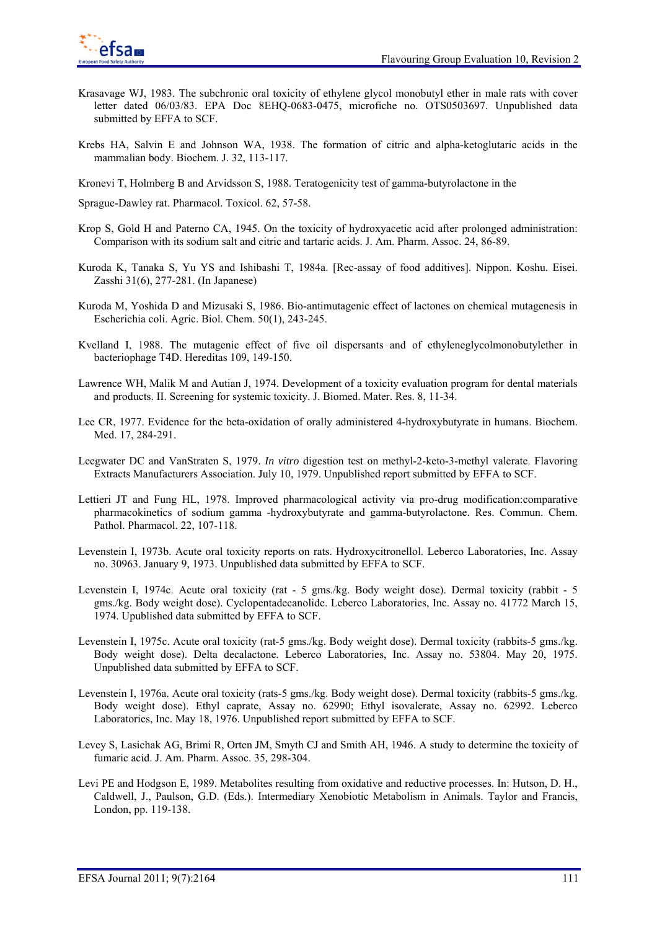

- Krasavage WJ, 1983. The subchronic oral toxicity of ethylene glycol monobutyl ether in male rats with cover letter dated 06/03/83. EPA Doc 8EHQ-0683-0475, microfiche no. OTS0503697. Unpublished data submitted by EFFA to SCF.
- Krebs HA, Salvin E and Johnson WA, 1938. The formation of citric and alpha-ketoglutaric acids in the mammalian body. Biochem. J. 32, 113-117.
- Kronevi T, Holmberg B and Arvidsson S, 1988. Teratogenicity test of gamma-butyrolactone in the

Sprague-Dawley rat. Pharmacol. Toxicol. 62, 57-58.

- Krop S, Gold H and Paterno CA, 1945. On the toxicity of hydroxyacetic acid after prolonged administration: Comparison with its sodium salt and citric and tartaric acids. J. Am. Pharm. Assoc. 24, 86-89.
- Kuroda K, Tanaka S, Yu YS and Ishibashi T, 1984a. [Rec-assay of food additives]. Nippon. Koshu. Eisei. Zasshi 31(6), 277-281. (In Japanese)
- Kuroda M, Yoshida D and Mizusaki S, 1986. Bio-antimutagenic effect of lactones on chemical mutagenesis in Escherichia coli. Agric. Biol. Chem. 50(1), 243-245.
- Kvelland I, 1988. The mutagenic effect of five oil dispersants and of ethyleneglycolmonobutylether in bacteriophage T4D. Hereditas 109, 149-150.
- Lawrence WH, Malik M and Autian J, 1974. Development of a toxicity evaluation program for dental materials and products. II. Screening for systemic toxicity. J. Biomed. Mater. Res. 8, 11-34.
- Lee CR, 1977. Evidence for the beta-oxidation of orally administered 4-hydroxybutyrate in humans. Biochem. Med. 17, 284-291.
- Leegwater DC and VanStraten S, 1979. *In vitro* digestion test on methyl-2-keto-3-methyl valerate. Flavoring Extracts Manufacturers Association. July 10, 1979. Unpublished report submitted by EFFA to SCF.
- Lettieri JT and Fung HL, 1978. Improved pharmacological activity via pro-drug modification:comparative pharmacokinetics of sodium gamma -hydroxybutyrate and gamma-butyrolactone. Res. Commun. Chem. Pathol. Pharmacol. 22, 107-118.
- Levenstein I, 1973b. Acute oral toxicity reports on rats. Hydroxycitronellol. Leberco Laboratories, Inc. Assay no. 30963. January 9, 1973. Unpublished data submitted by EFFA to SCF.
- Levenstein I, 1974c. Acute oral toxicity (rat 5 gms./kg. Body weight dose). Dermal toxicity (rabbit 5 gms./kg. Body weight dose). Cyclopentadecanolide. Leberco Laboratories, Inc. Assay no. 41772 March 15, 1974. Upublished data submitted by EFFA to SCF.
- Levenstein I, 1975c. Acute oral toxicity (rat-5 gms./kg. Body weight dose). Dermal toxicity (rabbits-5 gms./kg. Body weight dose). Delta decalactone. Leberco Laboratories, Inc. Assay no. 53804. May 20, 1975. Unpublished data submitted by EFFA to SCF.
- Levenstein I, 1976a. Acute oral toxicity (rats-5 gms./kg. Body weight dose). Dermal toxicity (rabbits-5 gms./kg. Body weight dose). Ethyl caprate, Assay no. 62990; Ethyl isovalerate, Assay no. 62992. Leberco Laboratories, Inc. May 18, 1976. Unpublished report submitted by EFFA to SCF.
- Levey S, Lasichak AG, Brimi R, Orten JM, Smyth CJ and Smith AH, 1946. A study to determine the toxicity of fumaric acid. J. Am. Pharm. Assoc. 35, 298-304.
- Levi PE and Hodgson E, 1989. Metabolites resulting from oxidative and reductive processes. In: Hutson, D. H., Caldwell, J., Paulson, G.D. (Eds.). Intermediary Xenobiotic Metabolism in Animals. Taylor and Francis, London, pp. 119-138.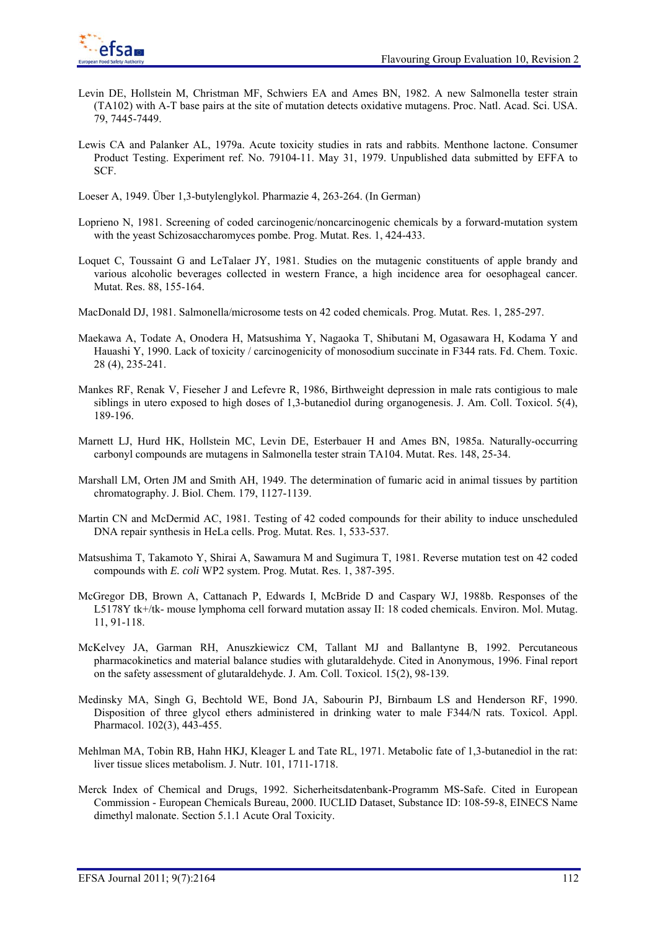

- Levin DE, Hollstein M, Christman MF, Schwiers EA and Ames BN, 1982. A new Salmonella tester strain (TA102) with A-T base pairs at the site of mutation detects oxidative mutagens. Proc. Natl. Acad. Sci. USA. 79, 7445-7449.
- Lewis CA and Palanker AL, 1979a. Acute toxicity studies in rats and rabbits. Menthone lactone. Consumer Product Testing. Experiment ref. No. 79104-11. May 31, 1979. Unpublished data submitted by EFFA to SCF.

Loeser A, 1949. Über 1,3-butylenglykol. Pharmazie 4, 263-264. (In German)

- Loprieno N, 1981. Screening of coded carcinogenic/noncarcinogenic chemicals by a forward-mutation system with the yeast Schizosaccharomyces pombe. Prog. Mutat. Res. 1, 424-433.
- Loquet C, Toussaint G and LeTalaer JY, 1981. Studies on the mutagenic constituents of apple brandy and various alcoholic beverages collected in western France, a high incidence area for oesophageal cancer. Mutat. Res. 88, 155-164.
- MacDonald DJ, 1981. Salmonella/microsome tests on 42 coded chemicals. Prog. Mutat. Res. 1, 285-297.
- Maekawa A, Todate A, Onodera H, Matsushima Y, Nagaoka T, Shibutani M, Ogasawara H, Kodama Y and Hauashi Y, 1990. Lack of toxicity / carcinogenicity of monosodium succinate in F344 rats. Fd. Chem. Toxic. 28 (4), 235-241.
- Mankes RF, Renak V, Fieseher J and Lefevre R, 1986, Birthweight depression in male rats contigious to male siblings in utero exposed to high doses of 1,3-butanediol during organogenesis. J. Am. Coll. Toxicol. 5(4), 189-196.
- Marnett LJ, Hurd HK, Hollstein MC, Levin DE, Esterbauer H and Ames BN, 1985a. Naturally-occurring carbonyl compounds are mutagens in Salmonella tester strain TA104. Mutat. Res. 148, 25-34.
- Marshall LM, Orten JM and Smith AH, 1949. The determination of fumaric acid in animal tissues by partition chromatography. J. Biol. Chem. 179, 1127-1139.
- Martin CN and McDermid AC, 1981. Testing of 42 coded compounds for their ability to induce unscheduled DNA repair synthesis in HeLa cells. Prog. Mutat. Res. 1, 533-537.
- Matsushima T, Takamoto Y, Shirai A, Sawamura M and Sugimura T, 1981. Reverse mutation test on 42 coded compounds with *E. coli* WP2 system. Prog. Mutat. Res. 1, 387-395.
- McGregor DB, Brown A, Cattanach P, Edwards I, McBride D and Caspary WJ, 1988b. Responses of the L5178Y tk+/tk- mouse lymphoma cell forward mutation assay II: 18 coded chemicals. Environ. Mol. Mutag. 11, 91-118.
- McKelvey JA, Garman RH, Anuszkiewicz CM, Tallant MJ and Ballantyne B, 1992. Percutaneous pharmacokinetics and material balance studies with glutaraldehyde. Cited in Anonymous, 1996. Final report on the safety assessment of glutaraldehyde. J. Am. Coll. Toxicol. 15(2), 98-139.
- Medinsky MA, Singh G, Bechtold WE, Bond JA, Sabourin PJ, Birnbaum LS and Henderson RF, 1990. Disposition of three glycol ethers administered in drinking water to male F344/N rats. Toxicol. Appl. Pharmacol. 102(3), 443-455.
- Mehlman MA, Tobin RB, Hahn HKJ, Kleager L and Tate RL, 1971. Metabolic fate of 1,3-butanediol in the rat: liver tissue slices metabolism. J. Nutr. 101, 1711-1718.
- Merck Index of Chemical and Drugs, 1992. Sicherheitsdatenbank-Programm MS-Safe. Cited in European Commission - European Chemicals Bureau, 2000. IUCLID Dataset, Substance ID: 108-59-8, EINECS Name dimethyl malonate. Section 5.1.1 Acute Oral Toxicity.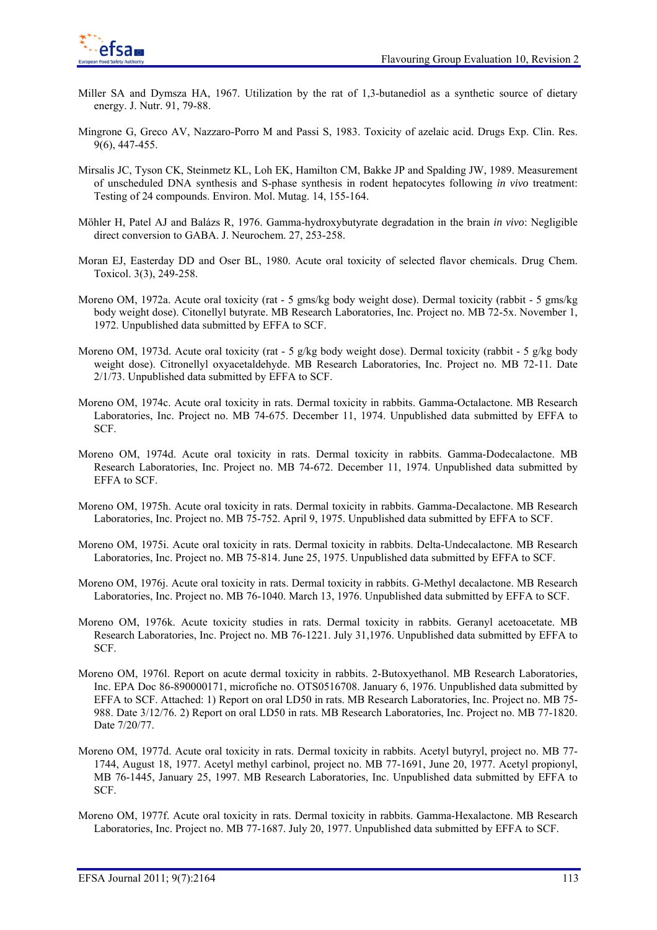

- Miller SA and Dymsza HA, 1967. Utilization by the rat of 1,3-butanediol as a synthetic source of dietary energy. J. Nutr. 91, 79-88.
- Mingrone G, Greco AV, Nazzaro-Porro M and Passi S, 1983. Toxicity of azelaic acid. Drugs Exp. Clin. Res. 9(6), 447-455.
- Mirsalis JC, Tyson CK, Steinmetz KL, Loh EK, Hamilton CM, Bakke JP and Spalding JW, 1989. Measurement of unscheduled DNA synthesis and S-phase synthesis in rodent hepatocytes following *in vivo* treatment: Testing of 24 compounds. Environ. Mol. Mutag. 14, 155-164.
- Möhler H, Patel AJ and Balázs R, 1976. Gamma-hydroxybutyrate degradation in the brain *in vivo*: Negligible direct conversion to GABA. J. Neurochem. 27, 253-258.
- Moran EJ, Easterday DD and Oser BL, 1980. Acute oral toxicity of selected flavor chemicals. Drug Chem. Toxicol. 3(3), 249-258.
- Moreno OM, 1972a. Acute oral toxicity (rat 5 gms/kg body weight dose). Dermal toxicity (rabbit 5 gms/kg body weight dose). Citonellyl butyrate. MB Research Laboratories, Inc. Project no. MB 72-5x. November 1, 1972. Unpublished data submitted by EFFA to SCF.
- Moreno OM, 1973d. Acute oral toxicity (rat 5 g/kg body weight dose). Dermal toxicity (rabbit 5 g/kg body weight dose). Citronellyl oxyacetaldehyde. MB Research Laboratories, Inc. Project no. MB 72-11. Date 2/1/73. Unpublished data submitted by EFFA to SCF.
- Moreno OM, 1974c. Acute oral toxicity in rats. Dermal toxicity in rabbits. Gamma-Octalactone. MB Research Laboratories, Inc. Project no. MB 74-675. December 11, 1974. Unpublished data submitted by EFFA to SCF.
- Moreno OM, 1974d. Acute oral toxicity in rats. Dermal toxicity in rabbits. Gamma-Dodecalactone. MB Research Laboratories, Inc. Project no. MB 74-672. December 11, 1974. Unpublished data submitted by EFFA to SCF.
- Moreno OM, 1975h. Acute oral toxicity in rats. Dermal toxicity in rabbits. Gamma-Decalactone. MB Research Laboratories, Inc. Project no. MB 75-752. April 9, 1975. Unpublished data submitted by EFFA to SCF.
- Moreno OM, 1975i. Acute oral toxicity in rats. Dermal toxicity in rabbits. Delta-Undecalactone. MB Research Laboratories, Inc. Project no. MB 75-814. June 25, 1975. Unpublished data submitted by EFFA to SCF.
- Moreno OM, 1976j. Acute oral toxicity in rats. Dermal toxicity in rabbits. G-Methyl decalactone. MB Research Laboratories, Inc. Project no. MB 76-1040. March 13, 1976. Unpublished data submitted by EFFA to SCF.
- Moreno OM, 1976k. Acute toxicity studies in rats. Dermal toxicity in rabbits. Geranyl acetoacetate. MB Research Laboratories, Inc. Project no. MB 76-1221. July 31,1976. Unpublished data submitted by EFFA to SCF.
- Moreno OM, 1976l. Report on acute dermal toxicity in rabbits. 2-Butoxyethanol. MB Research Laboratories, Inc. EPA Doc 86-890000171, microfiche no. OTS0516708. January 6, 1976. Unpublished data submitted by EFFA to SCF. Attached: 1) Report on oral LD50 in rats. MB Research Laboratories, Inc. Project no. MB 75- 988. Date 3/12/76. 2) Report on oral LD50 in rats. MB Research Laboratories, Inc. Project no. MB 77-1820. Date 7/20/77.
- Moreno OM, 1977d. Acute oral toxicity in rats. Dermal toxicity in rabbits. Acetyl butyryl, project no. MB 77- 1744, August 18, 1977. Acetyl methyl carbinol, project no. MB 77-1691, June 20, 1977. Acetyl propionyl, MB 76-1445, January 25, 1997. MB Research Laboratories, Inc. Unpublished data submitted by EFFA to SCF.
- Moreno OM, 1977f. Acute oral toxicity in rats. Dermal toxicity in rabbits. Gamma-Hexalactone. MB Research Laboratories, Inc. Project no. MB 77-1687. July 20, 1977. Unpublished data submitted by EFFA to SCF.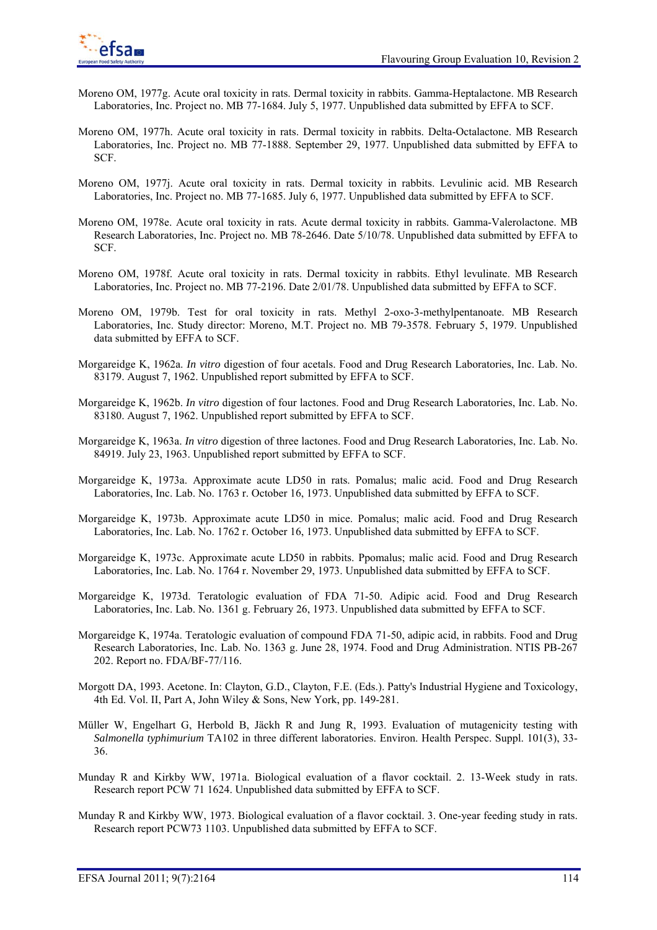- Moreno OM, 1977g. Acute oral toxicity in rats. Dermal toxicity in rabbits. Gamma-Heptalactone. MB Research Laboratories, Inc. Project no. MB 77-1684. July 5, 1977. Unpublished data submitted by EFFA to SCF.
- Moreno OM, 1977h. Acute oral toxicity in rats. Dermal toxicity in rabbits. Delta-Octalactone. MB Research Laboratories, Inc. Project no. MB 77-1888. September 29, 1977. Unpublished data submitted by EFFA to SCF.
- Moreno OM, 1977j. Acute oral toxicity in rats. Dermal toxicity in rabbits. Levulinic acid. MB Research Laboratories, Inc. Project no. MB 77-1685. July 6, 1977. Unpublished data submitted by EFFA to SCF.
- Moreno OM, 1978e. Acute oral toxicity in rats. Acute dermal toxicity in rabbits. Gamma-Valerolactone. MB Research Laboratories, Inc. Project no. MB 78-2646. Date 5/10/78. Unpublished data submitted by EFFA to SCF.
- Moreno OM, 1978f. Acute oral toxicity in rats. Dermal toxicity in rabbits. Ethyl levulinate. MB Research Laboratories, Inc. Project no. MB 77-2196. Date 2/01/78. Unpublished data submitted by EFFA to SCF.
- Moreno OM, 1979b. Test for oral toxicity in rats. Methyl 2-oxo-3-methylpentanoate. MB Research Laboratories, Inc. Study director: Moreno, M.T. Project no. MB 79-3578. February 5, 1979. Unpublished data submitted by EFFA to SCF.
- Morgareidge K, 1962a. *In vitro* digestion of four acetals. Food and Drug Research Laboratories, Inc. Lab. No. 83179. August 7, 1962. Unpublished report submitted by EFFA to SCF.
- Morgareidge K, 1962b. *In vitro* digestion of four lactones. Food and Drug Research Laboratories, Inc. Lab. No. 83180. August 7, 1962. Unpublished report submitted by EFFA to SCF.
- Morgareidge K, 1963a. *In vitro* digestion of three lactones. Food and Drug Research Laboratories, Inc. Lab. No. 84919. July 23, 1963. Unpublished report submitted by EFFA to SCF.
- Morgareidge K, 1973a. Approximate acute LD50 in rats. Pomalus; malic acid. Food and Drug Research Laboratories, Inc. Lab. No. 1763 r. October 16, 1973. Unpublished data submitted by EFFA to SCF.
- Morgareidge K, 1973b. Approximate acute LD50 in mice. Pomalus; malic acid. Food and Drug Research Laboratories, Inc. Lab. No. 1762 r. October 16, 1973. Unpublished data submitted by EFFA to SCF.
- Morgareidge K, 1973c. Approximate acute LD50 in rabbits. Ppomalus; malic acid. Food and Drug Research Laboratories, Inc. Lab. No. 1764 r. November 29, 1973. Unpublished data submitted by EFFA to SCF.
- Morgareidge K, 1973d. Teratologic evaluation of FDA 71-50. Adipic acid. Food and Drug Research Laboratories, Inc. Lab. No. 1361 g. February 26, 1973. Unpublished data submitted by EFFA to SCF.
- Morgareidge K, 1974a. Teratologic evaluation of compound FDA 71-50, adipic acid, in rabbits. Food and Drug Research Laboratories, Inc. Lab. No. 1363 g. June 28, 1974. Food and Drug Administration. NTIS PB-267 202. Report no. FDA/BF-77/116.
- Morgott DA, 1993. Acetone. In: Clayton, G.D., Clayton, F.E. (Eds.). Patty's Industrial Hygiene and Toxicology, 4th Ed. Vol. II, Part A, John Wiley & Sons, New York, pp. 149-281.
- Müller W, Engelhart G, Herbold B, Jäckh R and Jung R, 1993. Evaluation of mutagenicity testing with *Salmonella typhimurium* TA102 in three different laboratories. Environ. Health Perspec. Suppl. 101(3), 33- 36.
- Munday R and Kirkby WW, 1971a. Biological evaluation of a flavor cocktail. 2. 13-Week study in rats. Research report PCW 71 1624. Unpublished data submitted by EFFA to SCF.
- Munday R and Kirkby WW, 1973. Biological evaluation of a flavor cocktail. 3. One-year feeding study in rats. Research report PCW73 1103. Unpublished data submitted by EFFA to SCF.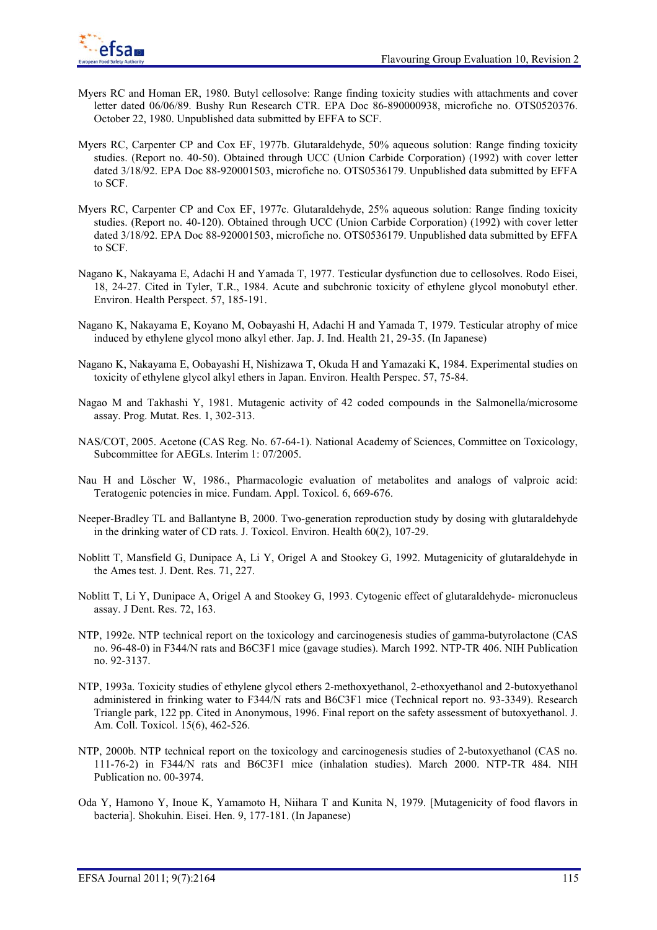

- Myers RC and Homan ER, 1980. Butyl cellosolve: Range finding toxicity studies with attachments and cover letter dated 06/06/89. Bushy Run Research CTR. EPA Doc 86-890000938, microfiche no. OTS0520376. October 22, 1980. Unpublished data submitted by EFFA to SCF.
- Myers RC, Carpenter CP and Cox EF, 1977b. Glutaraldehyde, 50% aqueous solution: Range finding toxicity studies. (Report no. 40-50). Obtained through UCC (Union Carbide Corporation) (1992) with cover letter dated 3/18/92. EPA Doc 88-920001503, microfiche no. OTS0536179. Unpublished data submitted by EFFA to SCF.
- Myers RC, Carpenter CP and Cox EF, 1977c. Glutaraldehyde, 25% aqueous solution: Range finding toxicity studies. (Report no. 40-120). Obtained through UCC (Union Carbide Corporation) (1992) with cover letter dated 3/18/92. EPA Doc 88-920001503, microfiche no. OTS0536179. Unpublished data submitted by EFFA to SCF.
- Nagano K, Nakayama E, Adachi H and Yamada T, 1977. Testicular dysfunction due to cellosolves. Rodo Eisei, 18, 24-27. Cited in Tyler, T.R., 1984. Acute and subchronic toxicity of ethylene glycol monobutyl ether. Environ. Health Perspect. 57, 185-191.
- Nagano K, Nakayama E, Koyano M, Oobayashi H, Adachi H and Yamada T, 1979. Testicular atrophy of mice induced by ethylene glycol mono alkyl ether. Jap. J. Ind. Health 21, 29-35. (In Japanese)
- Nagano K, Nakayama E, Oobayashi H, Nishizawa T, Okuda H and Yamazaki K, 1984. Experimental studies on toxicity of ethylene glycol alkyl ethers in Japan. Environ. Health Perspec. 57, 75-84.
- Nagao M and Takhashi Y, 1981. Mutagenic activity of 42 coded compounds in the Salmonella/microsome assay. Prog. Mutat. Res. 1, 302-313.
- NAS/COT, 2005. Acetone (CAS Reg. No. 67-64-1). National Academy of Sciences, Committee on Toxicology, Subcommittee for AEGLs. Interim 1: 07/2005.
- Nau H and Löscher W, 1986., Pharmacologic evaluation of metabolites and analogs of valproic acid: Teratogenic potencies in mice. Fundam. Appl. Toxicol. 6, 669-676.
- Neeper-Bradley TL and Ballantyne B, 2000. Two-generation reproduction study by dosing with glutaraldehyde in the drinking water of CD rats. J. Toxicol. Environ. Health 60(2), 107-29.
- Noblitt T, Mansfield G, Dunipace A, Li Y, Origel A and Stookey G, 1992. Mutagenicity of glutaraldehyde in the Ames test. J. Dent. Res. 71, 227.
- Noblitt T, Li Y, Dunipace A, Origel A and Stookey G, 1993. Cytogenic effect of glutaraldehyde- micronucleus assay. J Dent. Res. 72, 163.
- NTP, 1992e. NTP technical report on the toxicology and carcinogenesis studies of gamma-butyrolactone (CAS no. 96-48-0) in F344/N rats and B6C3F1 mice (gavage studies). March 1992. NTP-TR 406. NIH Publication no. 92-3137.
- NTP, 1993a. Toxicity studies of ethylene glycol ethers 2-methoxyethanol, 2-ethoxyethanol and 2-butoxyethanol administered in frinking water to F344/N rats and B6C3F1 mice (Technical report no. 93-3349). Research Triangle park, 122 pp. Cited in Anonymous, 1996. Final report on the safety assessment of butoxyethanol. J. Am. Coll. Toxicol. 15(6), 462-526.
- NTP, 2000b. NTP technical report on the toxicology and carcinogenesis studies of 2-butoxyethanol (CAS no. 111-76-2) in F344/N rats and B6C3F1 mice (inhalation studies). March 2000. NTP-TR 484. NIH Publication no. 00-3974.
- Oda Y, Hamono Y, Inoue K, Yamamoto H, Niihara T and Kunita N, 1979. [Mutagenicity of food flavors in bacteria]. Shokuhin. Eisei. Hen. 9, 177-181. (In Japanese)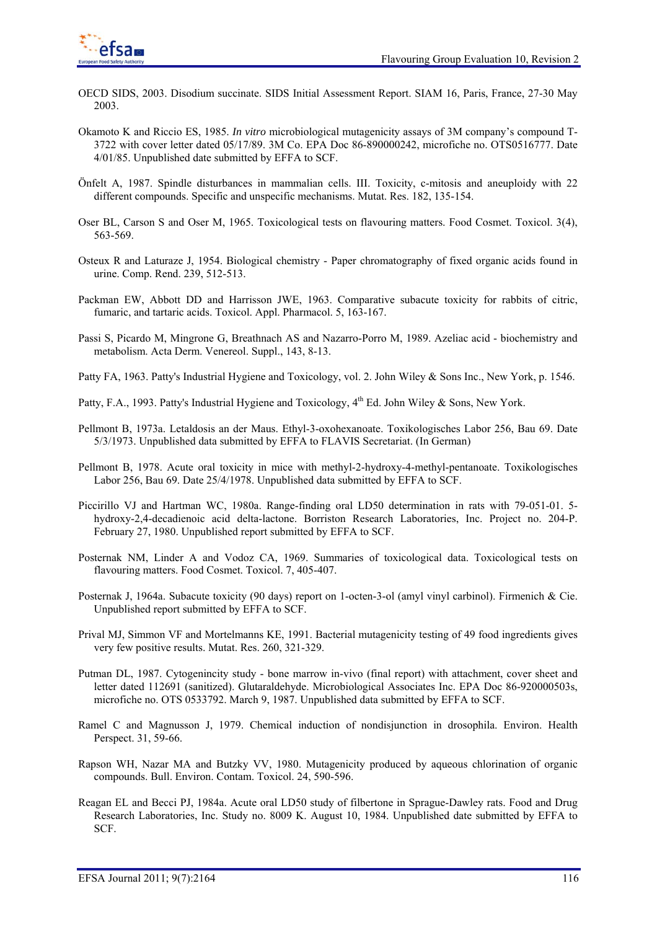

- OECD SIDS, 2003. Disodium succinate. SIDS Initial Assessment Report. SIAM 16, Paris, France, 27-30 May 2003.
- Okamoto K and Riccio ES, 1985. *In vitro* microbiological mutagenicity assays of 3M company's compound T-3722 with cover letter dated 05/17/89. 3M Co. EPA Doc 86-890000242, microfiche no. OTS0516777. Date 4/01/85. Unpublished date submitted by EFFA to SCF.
- Önfelt A, 1987. Spindle disturbances in mammalian cells. III. Toxicity, c-mitosis and aneuploidy with 22 different compounds. Specific and unspecific mechanisms. Mutat. Res. 182, 135-154.
- Oser BL, Carson S and Oser M, 1965. Toxicological tests on flavouring matters. Food Cosmet. Toxicol. 3(4), 563-569.
- Osteux R and Laturaze J, 1954. Biological chemistry Paper chromatography of fixed organic acids found in urine. Comp. Rend. 239, 512-513.
- Packman EW, Abbott DD and Harrisson JWE, 1963. Comparative subacute toxicity for rabbits of citric, fumaric, and tartaric acids. Toxicol. Appl. Pharmacol. 5, 163-167.
- Passi S, Picardo M, Mingrone G, Breathnach AS and Nazarro-Porro M, 1989. Azeliac acid biochemistry and metabolism. Acta Derm. Venereol. Suppl., 143, 8-13.
- Patty FA, 1963. Patty's Industrial Hygiene and Toxicology, vol. 2. John Wiley & Sons Inc., New York, p. 1546.
- Patty, F.A., 1993. Patty's Industrial Hygiene and Toxicology,  $4<sup>th</sup>$  Ed. John Wiley & Sons, New York.
- Pellmont B, 1973a. Letaldosis an der Maus. Ethyl-3-oxohexanoate. Toxikologisches Labor 256, Bau 69. Date 5/3/1973. Unpublished data submitted by EFFA to FLAVIS Secretariat. (In German)
- Pellmont B, 1978. Acute oral toxicity in mice with methyl-2-hydroxy-4-methyl-pentanoate. Toxikologisches Labor 256, Bau 69. Date 25/4/1978. Unpublished data submitted by EFFA to SCF.
- Piccirillo VJ and Hartman WC, 1980a. Range-finding oral LD50 determination in rats with 79-051-01. 5 hydroxy-2,4-decadienoic acid delta-lactone. Borriston Research Laboratories, Inc. Project no. 204-P. February 27, 1980. Unpublished report submitted by EFFA to SCF.
- Posternak NM, Linder A and Vodoz CA, 1969. Summaries of toxicological data. Toxicological tests on flavouring matters. Food Cosmet. Toxicol. 7, 405-407.
- Posternak J, 1964a. Subacute toxicity (90 days) report on 1-octen-3-ol (amyl vinyl carbinol). Firmenich & Cie. Unpublished report submitted by EFFA to SCF.
- Prival MJ, Simmon VF and Mortelmanns KE, 1991. Bacterial mutagenicity testing of 49 food ingredients gives very few positive results. Mutat. Res. 260, 321-329.
- Putman DL, 1987. Cytogenincity study bone marrow in-vivo (final report) with attachment, cover sheet and letter dated 112691 (sanitized). Glutaraldehyde. Microbiological Associates Inc. EPA Doc 86-920000503s, microfiche no. OTS 0533792. March 9, 1987. Unpublished data submitted by EFFA to SCF.
- Ramel C and Magnusson J, 1979. Chemical induction of nondisjunction in drosophila. Environ. Health Perspect. 31, 59-66.
- Rapson WH, Nazar MA and Butzky VV, 1980. Mutagenicity produced by aqueous chlorination of organic compounds. Bull. Environ. Contam. Toxicol. 24, 590-596.
- Reagan EL and Becci PJ, 1984a. Acute oral LD50 study of filbertone in Sprague-Dawley rats. Food and Drug Research Laboratories, Inc. Study no. 8009 K. August 10, 1984. Unpublished date submitted by EFFA to SCF.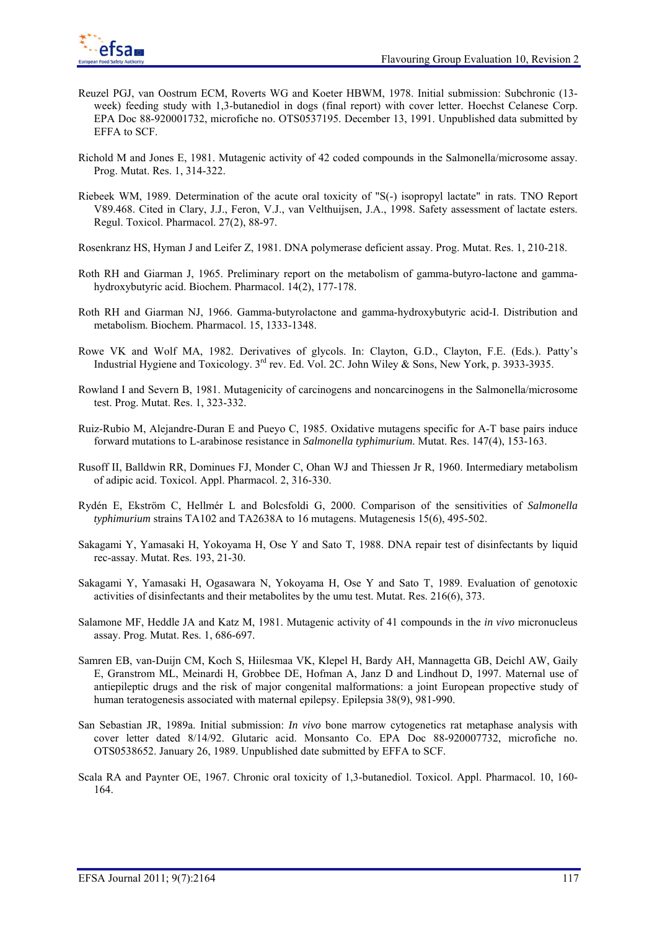- Reuzel PGJ, van Oostrum ECM, Roverts WG and Koeter HBWM, 1978. Initial submission: Subchronic (13 week) feeding study with 1,3-butanediol in dogs (final report) with cover letter. Hoechst Celanese Corp. EPA Doc 88-920001732, microfiche no. OTS0537195. December 13, 1991. Unpublished data submitted by EFFA to SCF.
- Richold M and Jones E, 1981. Mutagenic activity of 42 coded compounds in the Salmonella/microsome assay. Prog. Mutat. Res. 1, 314-322.
- Riebeek WM, 1989. Determination of the acute oral toxicity of "S(-) isopropyl lactate" in rats. TNO Report V89.468. Cited in Clary, J.J., Feron, V.J., van Velthuijsen, J.A., 1998. Safety assessment of lactate esters. Regul. Toxicol. Pharmacol. 27(2), 88-97.
- Rosenkranz HS, Hyman J and Leifer Z, 1981. DNA polymerase deficient assay. Prog. Mutat. Res. 1, 210-218.
- Roth RH and Giarman J, 1965. Preliminary report on the metabolism of gamma-butyro-lactone and gammahydroxybutyric acid. Biochem. Pharmacol. 14(2), 177-178.
- Roth RH and Giarman NJ, 1966. Gamma-butyrolactone and gamma-hydroxybutyric acid-I. Distribution and metabolism. Biochem. Pharmacol. 15, 1333-1348.
- Rowe VK and Wolf MA, 1982. Derivatives of glycols. In: Clayton, G.D., Clayton, F.E. (Eds.). Patty's Industrial Hygiene and Toxicology. 3rd rev. Ed. Vol. 2C. John Wiley & Sons, New York, p. 3933-3935.
- Rowland I and Severn B, 1981. Mutagenicity of carcinogens and noncarcinogens in the Salmonella/microsome test. Prog. Mutat. Res. 1, 323-332.
- Ruiz-Rubio M, Alejandre-Duran E and Pueyo C, 1985. Oxidative mutagens specific for A-T base pairs induce forward mutations to L-arabinose resistance in *Salmonella typhimurium*. Mutat. Res. 147(4), 153-163.
- Rusoff II, Balldwin RR, Dominues FJ, Monder C, Ohan WJ and Thiessen Jr R, 1960. Intermediary metabolism of adipic acid. Toxicol. Appl. Pharmacol. 2, 316-330.
- Rydén E, Ekström C, Hellmér L and Bolcsfoldi G, 2000. Comparison of the sensitivities of *Salmonella typhimurium* strains TA102 and TA2638A to 16 mutagens. Mutagenesis 15(6), 495-502.
- Sakagami Y, Yamasaki H, Yokoyama H, Ose Y and Sato T, 1988. DNA repair test of disinfectants by liquid rec-assay. Mutat. Res. 193, 21-30.
- Sakagami Y, Yamasaki H, Ogasawara N, Yokoyama H, Ose Y and Sato T, 1989. Evaluation of genotoxic activities of disinfectants and their metabolites by the umu test. Mutat. Res. 216(6), 373.
- Salamone MF, Heddle JA and Katz M, 1981. Mutagenic activity of 41 compounds in the *in vivo* micronucleus assay. Prog. Mutat. Res. 1, 686-697.
- Samren EB, van-Duijn CM, Koch S, Hiilesmaa VK, Klepel H, Bardy AH, Mannagetta GB, Deichl AW, Gaily E, Granstrom ML, Meinardi H, Grobbee DE, Hofman A, Janz D and Lindhout D, 1997. Maternal use of antiepileptic drugs and the risk of major congenital malformations: a joint European propective study of human teratogenesis associated with maternal epilepsy. Epilepsia 38(9), 981-990.
- San Sebastian JR, 1989a. Initial submission: *In vivo* bone marrow cytogenetics rat metaphase analysis with cover letter dated 8/14/92. Glutaric acid. Monsanto Co. EPA Doc 88-920007732, microfiche no. OTS0538652. January 26, 1989. Unpublished date submitted by EFFA to SCF.
- Scala RA and Paynter OE, 1967. Chronic oral toxicity of 1,3-butanediol. Toxicol. Appl. Pharmacol. 10, 160- 164.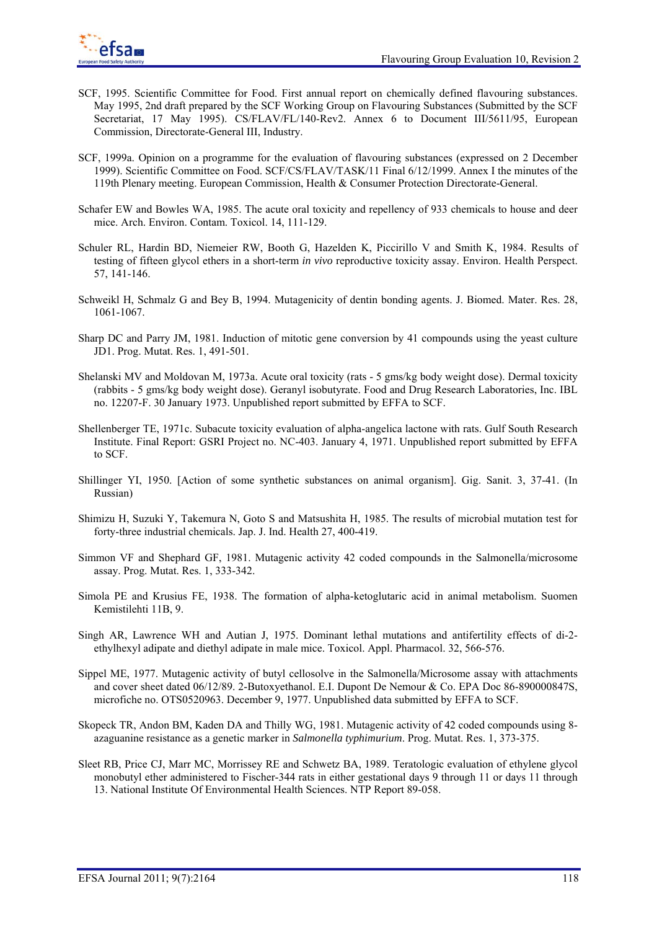

- SCF, 1995. Scientific Committee for Food. First annual report on chemically defined flavouring substances. May 1995, 2nd draft prepared by the SCF Working Group on Flavouring Substances (Submitted by the SCF Secretariat, 17 May 1995). CS/FLAV/FL/140-Rev2. Annex 6 to Document III/5611/95, European Commission, Directorate-General III, Industry.
- SCF, 1999a. Opinion on a programme for the evaluation of flavouring substances (expressed on 2 December 1999). Scientific Committee on Food. SCF/CS/FLAV/TASK/11 Final 6/12/1999. Annex I the minutes of the 119th Plenary meeting. European Commission, Health & Consumer Protection Directorate-General.
- Schafer EW and Bowles WA, 1985. The acute oral toxicity and repellency of 933 chemicals to house and deer mice. Arch. Environ. Contam. Toxicol. 14, 111-129.
- Schuler RL, Hardin BD, Niemeier RW, Booth G, Hazelden K, Piccirillo V and Smith K, 1984. Results of testing of fifteen glycol ethers in a short-term *in vivo* reproductive toxicity assay. Environ. Health Perspect. 57, 141-146.
- Schweikl H, Schmalz G and Bey B, 1994. Mutagenicity of dentin bonding agents. J. Biomed. Mater. Res. 28, 1061-1067.
- Sharp DC and Parry JM, 1981. Induction of mitotic gene conversion by 41 compounds using the yeast culture JD1. Prog. Mutat. Res. 1, 491-501.
- Shelanski MV and Moldovan M, 1973a. Acute oral toxicity (rats 5 gms/kg body weight dose). Dermal toxicity (rabbits - 5 gms/kg body weight dose). Geranyl isobutyrate. Food and Drug Research Laboratories, Inc. IBL no. 12207-F. 30 January 1973. Unpublished report submitted by EFFA to SCF.
- Shellenberger TE, 1971c. Subacute toxicity evaluation of alpha-angelica lactone with rats. Gulf South Research Institute. Final Report: GSRI Project no. NC-403. January 4, 1971. Unpublished report submitted by EFFA to SCF.
- Shillinger YI, 1950. [Action of some synthetic substances on animal organism]. Gig. Sanit. 3, 37-41. (In Russian)
- Shimizu H, Suzuki Y, Takemura N, Goto S and Matsushita H, 1985. The results of microbial mutation test for forty-three industrial chemicals. Jap. J. Ind. Health 27, 400-419.
- Simmon VF and Shephard GF, 1981. Mutagenic activity 42 coded compounds in the Salmonella/microsome assay. Prog. Mutat. Res. 1, 333-342.
- Simola PE and Krusius FE, 1938. The formation of alpha-ketoglutaric acid in animal metabolism. Suomen Kemistilehti 11B, 9.
- Singh AR, Lawrence WH and Autian J, 1975. Dominant lethal mutations and antifertility effects of di-2 ethylhexyl adipate and diethyl adipate in male mice. Toxicol. Appl. Pharmacol. 32, 566-576.
- Sippel ME, 1977. Mutagenic activity of butyl cellosolve in the Salmonella/Microsome assay with attachments and cover sheet dated 06/12/89. 2-Butoxyethanol. E.I. Dupont De Nemour & Co. EPA Doc 86-890000847S, microfiche no. OTS0520963. December 9, 1977. Unpublished data submitted by EFFA to SCF.
- Skopeck TR, Andon BM, Kaden DA and Thilly WG, 1981. Mutagenic activity of 42 coded compounds using 8 azaguanine resistance as a genetic marker in *Salmonella typhimurium*. Prog. Mutat. Res. 1, 373-375.
- Sleet RB, Price CJ, Marr MC, Morrissey RE and Schwetz BA, 1989. Teratologic evaluation of ethylene glycol monobutyl ether administered to Fischer-344 rats in either gestational days 9 through 11 or days 11 through 13. National Institute Of Environmental Health Sciences. NTP Report 89-058.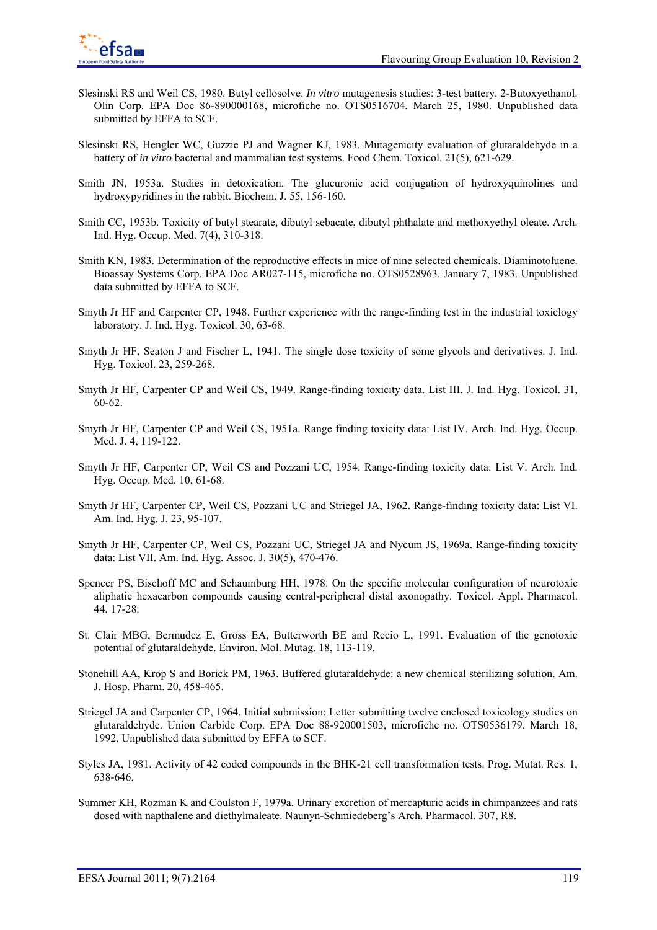

- Slesinski RS and Weil CS, 1980. Butyl cellosolve. *In vitro* mutagenesis studies: 3-test battery. 2-Butoxyethanol. Olin Corp. EPA Doc 86-890000168, microfiche no. OTS0516704. March 25, 1980. Unpublished data submitted by EFFA to SCF.
- Slesinski RS, Hengler WC, Guzzie PJ and Wagner KJ, 1983. Mutagenicity evaluation of glutaraldehyde in a battery of *in vitro* bacterial and mammalian test systems. Food Chem. Toxicol. 21(5), 621-629.
- Smith JN, 1953a. Studies in detoxication. The glucuronic acid conjugation of hydroxyquinolines and hydroxypyridines in the rabbit. Biochem. J. 55, 156-160.
- Smith CC, 1953b. Toxicity of butyl stearate, dibutyl sebacate, dibutyl phthalate and methoxyethyl oleate. Arch. Ind. Hyg. Occup. Med. 7(4), 310-318.
- Smith KN, 1983. Determination of the reproductive effects in mice of nine selected chemicals. Diaminotoluene. Bioassay Systems Corp. EPA Doc AR027-115, microfiche no. OTS0528963. January 7, 1983. Unpublished data submitted by EFFA to SCF.
- Smyth Jr HF and Carpenter CP, 1948. Further experience with the range-finding test in the industrial toxiclogy laboratory. J. Ind. Hyg. Toxicol. 30, 63-68.
- Smyth Jr HF, Seaton J and Fischer L, 1941. The single dose toxicity of some glycols and derivatives. J. Ind. Hyg. Toxicol. 23, 259-268.
- Smyth Jr HF, Carpenter CP and Weil CS, 1949. Range-finding toxicity data. List III. J. Ind. Hyg. Toxicol. 31, 60-62.
- Smyth Jr HF, Carpenter CP and Weil CS, 1951a. Range finding toxicity data: List IV. Arch. Ind. Hyg. Occup. Med. J. 4, 119-122.
- Smyth Jr HF, Carpenter CP, Weil CS and Pozzani UC, 1954. Range-finding toxicity data: List V. Arch. Ind. Hyg. Occup. Med. 10, 61-68.
- Smyth Jr HF, Carpenter CP, Weil CS, Pozzani UC and Striegel JA, 1962. Range-finding toxicity data: List VI. Am. Ind. Hyg. J. 23, 95-107.
- Smyth Jr HF, Carpenter CP, Weil CS, Pozzani UC, Striegel JA and Nycum JS, 1969a. Range-finding toxicity data: List VII. Am. Ind. Hyg. Assoc. J. 30(5), 470-476.
- Spencer PS, Bischoff MC and Schaumburg HH, 1978. On the specific molecular configuration of neurotoxic aliphatic hexacarbon compounds causing central-peripheral distal axonopathy. Toxicol. Appl. Pharmacol. 44, 17-28.
- St. Clair MBG, Bermudez E, Gross EA, Butterworth BE and Recio L, 1991. Evaluation of the genotoxic potential of glutaraldehyde. Environ. Mol. Mutag. 18, 113-119.
- Stonehill AA, Krop S and Borick PM, 1963. Buffered glutaraldehyde: a new chemical sterilizing solution. Am. J. Hosp. Pharm. 20, 458-465.
- Striegel JA and Carpenter CP, 1964. Initial submission: Letter submitting twelve enclosed toxicology studies on glutaraldehyde. Union Carbide Corp. EPA Doc 88-920001503, microfiche no. OTS0536179. March 18, 1992. Unpublished data submitted by EFFA to SCF.
- Styles JA, 1981. Activity of 42 coded compounds in the BHK-21 cell transformation tests. Prog. Mutat. Res. 1, 638-646.
- Summer KH, Rozman K and Coulston F, 1979a. Urinary excretion of mercapturic acids in chimpanzees and rats dosed with napthalene and diethylmaleate. Naunyn-Schmiedeberg's Arch. Pharmacol. 307, R8.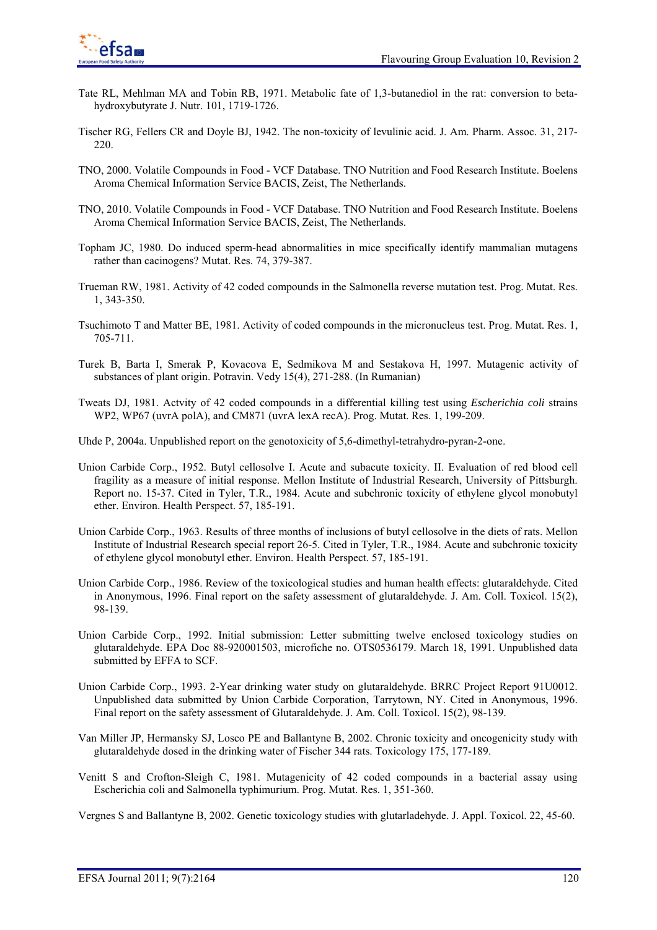

- Tate RL, Mehlman MA and Tobin RB, 1971. Metabolic fate of 1,3-butanediol in the rat: conversion to betahydroxybutyrate J. Nutr. 101, 1719-1726.
- Tischer RG, Fellers CR and Doyle BJ, 1942. The non-toxicity of levulinic acid. J. Am. Pharm. Assoc. 31, 217- 220.
- TNO, 2000. Volatile Compounds in Food VCF Database. TNO Nutrition and Food Research Institute. Boelens Aroma Chemical Information Service BACIS, Zeist, The Netherlands.
- TNO, 2010. Volatile Compounds in Food VCF Database. TNO Nutrition and Food Research Institute. Boelens Aroma Chemical Information Service BACIS, Zeist, The Netherlands.
- Topham JC, 1980. Do induced sperm-head abnormalities in mice specifically identify mammalian mutagens rather than cacinogens? Mutat. Res. 74, 379-387.
- Trueman RW, 1981. Activity of 42 coded compounds in the Salmonella reverse mutation test. Prog. Mutat. Res. 1, 343-350.
- Tsuchimoto T and Matter BE, 1981. Activity of coded compounds in the micronucleus test. Prog. Mutat. Res. 1, 705-711.
- Turek B, Barta I, Smerak P, Kovacova E, Sedmikova M and Sestakova H, 1997. Mutagenic activity of substances of plant origin. Potravin. Vedy 15(4), 271-288. (In Rumanian)
- Tweats DJ, 1981. Actvity of 42 coded compounds in a differential killing test using *Escherichia coli* strains WP2, WP67 (uvrA polA), and CM871 (uvrA lexA recA). Prog. Mutat. Res. 1, 199-209.
- Uhde P, 2004a. Unpublished report on the genotoxicity of 5,6-dimethyl-tetrahydro-pyran-2-one.
- Union Carbide Corp., 1952. Butyl cellosolve I. Acute and subacute toxicity. II. Evaluation of red blood cell fragility as a measure of initial response. Mellon Institute of Industrial Research, University of Pittsburgh. Report no. 15-37. Cited in Tyler, T.R., 1984. Acute and subchronic toxicity of ethylene glycol monobutyl ether. Environ. Health Perspect. 57, 185-191.
- Union Carbide Corp., 1963. Results of three months of inclusions of butyl cellosolve in the diets of rats. Mellon Institute of Industrial Research special report 26-5. Cited in Tyler, T.R., 1984. Acute and subchronic toxicity of ethylene glycol monobutyl ether. Environ. Health Perspect. 57, 185-191.
- Union Carbide Corp., 1986. Review of the toxicological studies and human health effects: glutaraldehyde. Cited in Anonymous, 1996. Final report on the safety assessment of glutaraldehyde. J. Am. Coll. Toxicol. 15(2), 98-139.
- Union Carbide Corp., 1992. Initial submission: Letter submitting twelve enclosed toxicology studies on glutaraldehyde. EPA Doc 88-920001503, microfiche no. OTS0536179. March 18, 1991. Unpublished data submitted by EFFA to SCF.
- Union Carbide Corp., 1993. 2-Year drinking water study on glutaraldehyde. BRRC Project Report 91U0012. Unpublished data submitted by Union Carbide Corporation, Tarrytown, NY. Cited in Anonymous, 1996. Final report on the safety assessment of Glutaraldehyde. J. Am. Coll. Toxicol. 15(2), 98-139.
- Van Miller JP, Hermansky SJ, Losco PE and Ballantyne B, 2002. Chronic toxicity and oncogenicity study with glutaraldehyde dosed in the drinking water of Fischer 344 rats. Toxicology 175, 177-189.
- Venitt S and Crofton-Sleigh C, 1981. Mutagenicity of 42 coded compounds in a bacterial assay using Escherichia coli and Salmonella typhimurium. Prog. Mutat. Res. 1, 351-360.

Vergnes S and Ballantyne B, 2002. Genetic toxicology studies with glutarladehyde. J. Appl. Toxicol. 22, 45-60.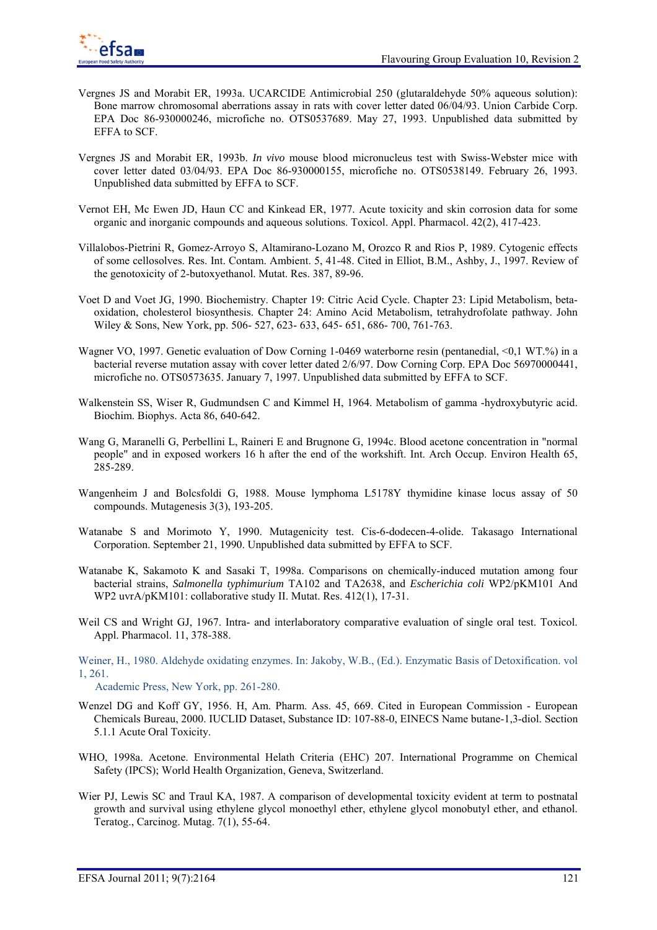- Vergnes JS and Morabit ER, 1993a. UCARCIDE Antimicrobial 250 (glutaraldehyde 50% aqueous solution): Bone marrow chromosomal aberrations assay in rats with cover letter dated 06/04/93. Union Carbide Corp. EPA Doc 86-930000246, microfiche no. OTS0537689. May 27, 1993. Unpublished data submitted by EFFA to SCF.
- Vergnes JS and Morabit ER, 1993b. *In vivo* mouse blood micronucleus test with Swiss-Webster mice with cover letter dated 03/04/93. EPA Doc 86-930000155, microfiche no. OTS0538149. February 26, 1993. Unpublished data submitted by EFFA to SCF.
- Vernot EH, Mc Ewen JD, Haun CC and Kinkead ER, 1977. Acute toxicity and skin corrosion data for some organic and inorganic compounds and aqueous solutions. Toxicol. Appl. Pharmacol. 42(2), 417-423.
- Villalobos-Pietrini R, Gomez-Arroyo S, Altamirano-Lozano M, Orozco R and Rios P, 1989. Cytogenic effects of some cellosolves. Res. Int. Contam. Ambient. 5, 41-48. Cited in Elliot, B.M., Ashby, J., 1997. Review of the genotoxicity of 2-butoxyethanol. Mutat. Res. 387, 89-96.
- Voet D and Voet JG, 1990. Biochemistry. Chapter 19: Citric Acid Cycle. Chapter 23: Lipid Metabolism, betaoxidation, cholesterol biosynthesis. Chapter 24: Amino Acid Metabolism, tetrahydrofolate pathway. John Wiley & Sons, New York, pp. 506- 527, 623- 633, 645- 651, 686- 700, 761-763.
- Wagner VO, 1997. Genetic evaluation of Dow Corning 1-0469 waterborne resin (pentanedial, <0,1 WT.%) in a bacterial reverse mutation assay with cover letter dated 2/6/97. Dow Corning Corp. EPA Doc 56970000441, microfiche no. OTS0573635. January 7, 1997. Unpublished data submitted by EFFA to SCF.
- Walkenstein SS, Wiser R, Gudmundsen C and Kimmel H, 1964. Metabolism of gamma -hydroxybutyric acid. Biochim. Biophys. Acta 86, 640-642.
- Wang G, Maranelli G, Perbellini L, Raineri E and Brugnone G, 1994c. Blood acetone concentration in "normal people" and in exposed workers 16 h after the end of the workshift. Int. Arch Occup. Environ Health 65, 285-289.
- Wangenheim J and Bolcsfoldi G, 1988. Mouse lymphoma L5178Y thymidine kinase locus assay of 50 compounds. Mutagenesis 3(3), 193-205.
- Watanabe S and Morimoto Y, 1990. Mutagenicity test. Cis-6-dodecen-4-olide. Takasago International Corporation. September 21, 1990. Unpublished data submitted by EFFA to SCF.
- Watanabe K, Sakamoto K and Sasaki T, 1998a. Comparisons on chemically-induced mutation among four bacterial strains, *Salmonella typhimurium* TA102 and TA2638, and *Escherichia coli* WP2/pKM101 And WP2 uvrA/pKM101: collaborative study II. Mutat. Res. 412(1), 17-31.
- Weil CS and Wright GJ, 1967. Intra- and interlaboratory comparative evaluation of single oral test. Toxicol. Appl. Pharmacol. 11, 378-388.
- Weiner, H., 1980. Aldehyde oxidating enzymes. In: Jakoby, W.B., (Ed.). Enzymatic Basis of Detoxification. vol 1, 261.

Academic Press, New York, pp. 261-280.

- Wenzel DG and Koff GY, 1956. H, Am. Pharm. Ass. 45, 669. Cited in European Commission European Chemicals Bureau, 2000. IUCLID Dataset, Substance ID: 107-88-0, EINECS Name butane-1,3-diol. Section 5.1.1 Acute Oral Toxicity.
- WHO, 1998a. Acetone. Environmental Helath Criteria (EHC) 207. International Programme on Chemical Safety (IPCS); World Health Organization, Geneva, Switzerland.
- Wier PJ, Lewis SC and Traul KA, 1987. A comparison of developmental toxicity evident at term to postnatal growth and survival using ethylene glycol monoethyl ether, ethylene glycol monobutyl ether, and ethanol. Teratog., Carcinog. Mutag. 7(1), 55-64.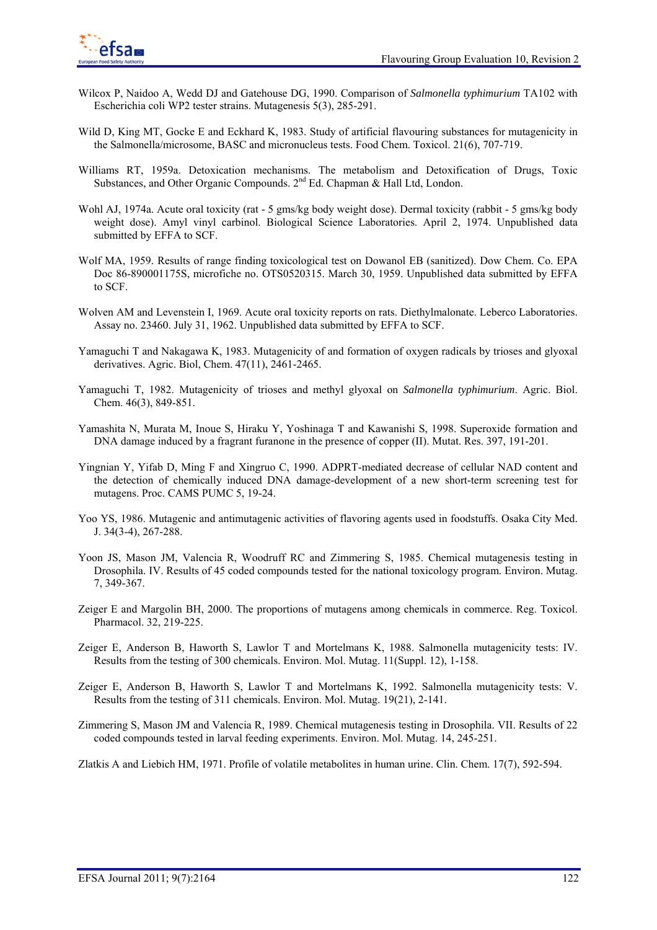

- Wilcox P, Naidoo A, Wedd DJ and Gatehouse DG, 1990. Comparison of *Salmonella typhimurium* TA102 with Escherichia coli WP2 tester strains. Mutagenesis 5(3), 285-291.
- Wild D, King MT, Gocke E and Eckhard K, 1983. Study of artificial flavouring substances for mutagenicity in the Salmonella/microsome, BASC and micronucleus tests. Food Chem. Toxicol. 21(6), 707-719.
- Williams RT, 1959a. Detoxication mechanisms. The metabolism and Detoxification of Drugs, Toxic Substances, and Other Organic Compounds.  $2<sup>nd</sup>$  Ed. Chapman & Hall Ltd, London.
- Wohl AJ, 1974a. Acute oral toxicity (rat 5 gms/kg body weight dose). Dermal toxicity (rabbit 5 gms/kg body weight dose). Amyl vinyl carbinol. Biological Science Laboratories. April 2, 1974. Unpublished data submitted by EFFA to SCF.
- Wolf MA, 1959. Results of range finding toxicological test on Dowanol EB (sanitized). Dow Chem. Co. EPA Doc 86-890001175S, microfiche no. OTS0520315. March 30, 1959. Unpublished data submitted by EFFA to SCF.
- Wolven AM and Levenstein I, 1969. Acute oral toxicity reports on rats. Diethylmalonate. Leberco Laboratories. Assay no. 23460. July 31, 1962. Unpublished data submitted by EFFA to SCF.
- Yamaguchi T and Nakagawa K, 1983. Mutagenicity of and formation of oxygen radicals by trioses and glyoxal derivatives. Agric. Biol, Chem. 47(11), 2461-2465.
- Yamaguchi T, 1982. Mutagenicity of trioses and methyl glyoxal on *Salmonella typhimurium*. Agric. Biol. Chem. 46(3), 849-851.
- Yamashita N, Murata M, Inoue S, Hiraku Y, Yoshinaga T and Kawanishi S, 1998. Superoxide formation and DNA damage induced by a fragrant furanone in the presence of copper (II). Mutat. Res. 397, 191-201.
- Yingnian Y, Yifab D, Ming F and Xingruo C, 1990. ADPRT-mediated decrease of cellular NAD content and the detection of chemically induced DNA damage-development of a new short-term screening test for mutagens. Proc. CAMS PUMC 5, 19-24.
- Yoo YS, 1986. Mutagenic and antimutagenic activities of flavoring agents used in foodstuffs. Osaka City Med. J. 34(3-4), 267-288.
- Yoon JS, Mason JM, Valencia R, Woodruff RC and Zimmering S, 1985. Chemical mutagenesis testing in Drosophila. IV. Results of 45 coded compounds tested for the national toxicology program. Environ. Mutag. 7, 349-367.
- Zeiger E and Margolin BH, 2000. The proportions of mutagens among chemicals in commerce. Reg. Toxicol. Pharmacol. 32, 219-225.
- Zeiger E, Anderson B, Haworth S, Lawlor T and Mortelmans K, 1988. Salmonella mutagenicity tests: IV. Results from the testing of 300 chemicals. Environ. Mol. Mutag. 11(Suppl. 12), 1-158.
- Zeiger E, Anderson B, Haworth S, Lawlor T and Mortelmans K, 1992. Salmonella mutagenicity tests: V. Results from the testing of 311 chemicals. Environ. Mol. Mutag. 19(21), 2-141.
- Zimmering S, Mason JM and Valencia R, 1989. Chemical mutagenesis testing in Drosophila. VII. Results of 22 coded compounds tested in larval feeding experiments. Environ. Mol. Mutag. 14, 245-251.
- Zlatkis A and Liebich HM, 1971. Profile of volatile metabolites in human urine. Clin. Chem. 17(7), 592-594.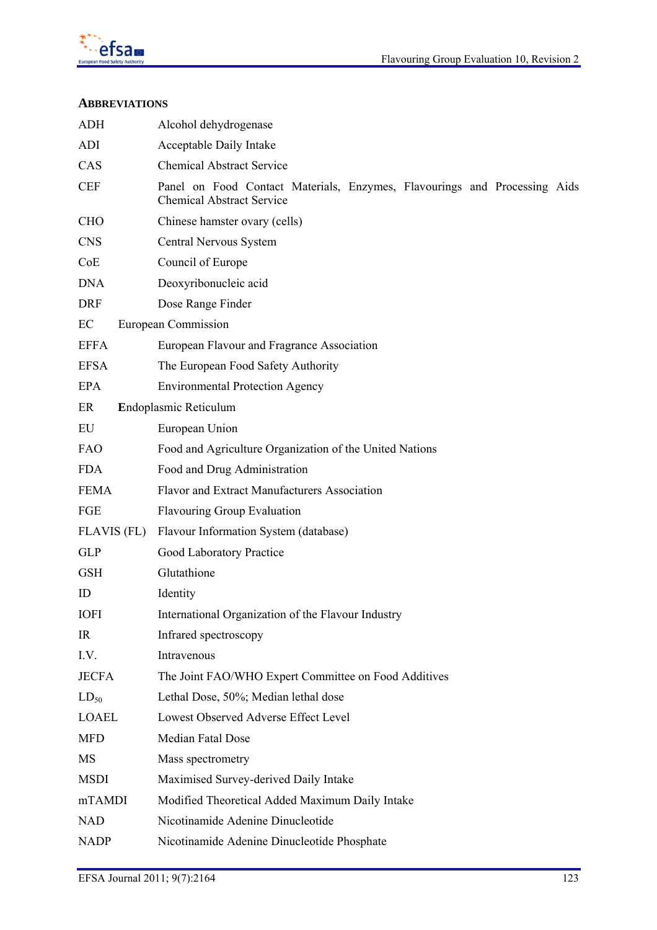

## **ABBREVIATIONS**

| <b>ADH</b>                  | Alcohol dehydrogenase                                                                                         |
|-----------------------------|---------------------------------------------------------------------------------------------------------------|
| <b>ADI</b>                  | Acceptable Daily Intake                                                                                       |
| CAS                         | <b>Chemical Abstract Service</b>                                                                              |
| $\ensuremath{\mathsf{CEF}}$ | Panel on Food Contact Materials, Enzymes, Flavourings and Processing Aids<br><b>Chemical Abstract Service</b> |
| <b>CHO</b>                  | Chinese hamster ovary (cells)                                                                                 |
| <b>CNS</b>                  | Central Nervous System                                                                                        |
| CoE                         | Council of Europe                                                                                             |
| <b>DNA</b>                  | Deoxyribonucleic acid                                                                                         |
| <b>DRF</b>                  | Dose Range Finder                                                                                             |
| EC                          | European Commission                                                                                           |
| <b>EFFA</b>                 | European Flavour and Fragrance Association                                                                    |
| <b>EFSA</b>                 | The European Food Safety Authority                                                                            |
| <b>EPA</b>                  | <b>Environmental Protection Agency</b>                                                                        |
| ER                          | Endoplasmic Reticulum                                                                                         |
| EU                          | European Union                                                                                                |
| <b>FAO</b>                  | Food and Agriculture Organization of the United Nations                                                       |
| <b>FDA</b>                  | Food and Drug Administration                                                                                  |
| <b>FEMA</b>                 | Flavor and Extract Manufacturers Association                                                                  |
| FGE                         | <b>Flavouring Group Evaluation</b>                                                                            |
| <b>FLAVIS (FL)</b>          | Flavour Information System (database)                                                                         |
| <b>GLP</b>                  | Good Laboratory Practice                                                                                      |
| <b>GSH</b>                  | Glutathione                                                                                                   |
| ID                          | Identity                                                                                                      |
| <b>IOFI</b>                 | International Organization of the Flavour Industry                                                            |
| IR                          | Infrared spectroscopy                                                                                         |
| I.V.                        | Intravenous                                                                                                   |
| <b>JECFA</b>                | The Joint FAO/WHO Expert Committee on Food Additives                                                          |
| $LD_{50}$                   | Lethal Dose, 50%; Median lethal dose                                                                          |
| <b>LOAEL</b>                | Lowest Observed Adverse Effect Level                                                                          |
| <b>MFD</b>                  | Median Fatal Dose                                                                                             |
| MS                          | Mass spectrometry                                                                                             |
| <b>MSDI</b>                 | Maximised Survey-derived Daily Intake                                                                         |
| mTAMDI                      | Modified Theoretical Added Maximum Daily Intake                                                               |
| <b>NAD</b>                  | Nicotinamide Adenine Dinucleotide                                                                             |
| <b>NADP</b>                 | Nicotinamide Adenine Dinucleotide Phosphate                                                                   |